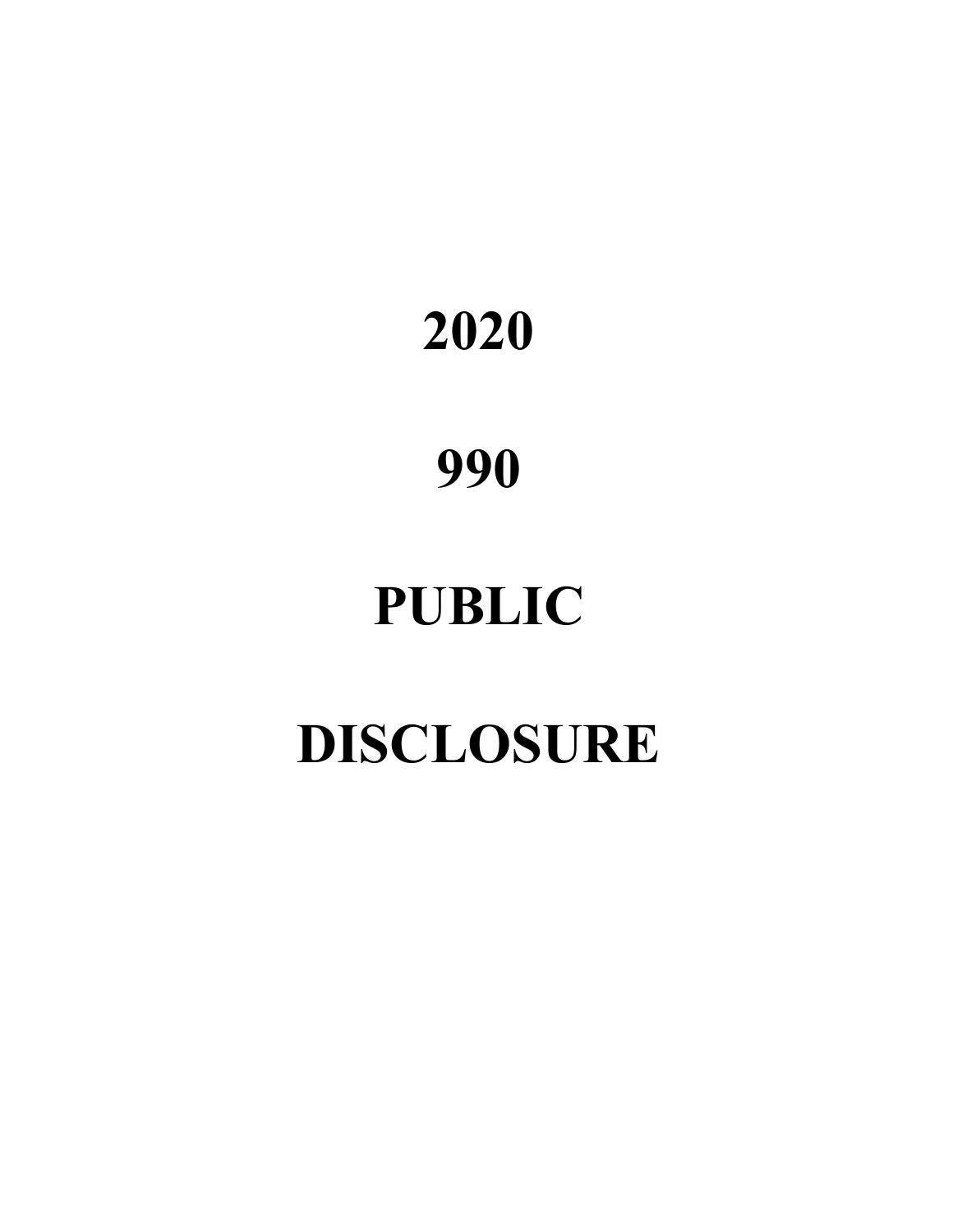# **2020**

## **990**

# **PUBLIC**

# **DISCLOSURE**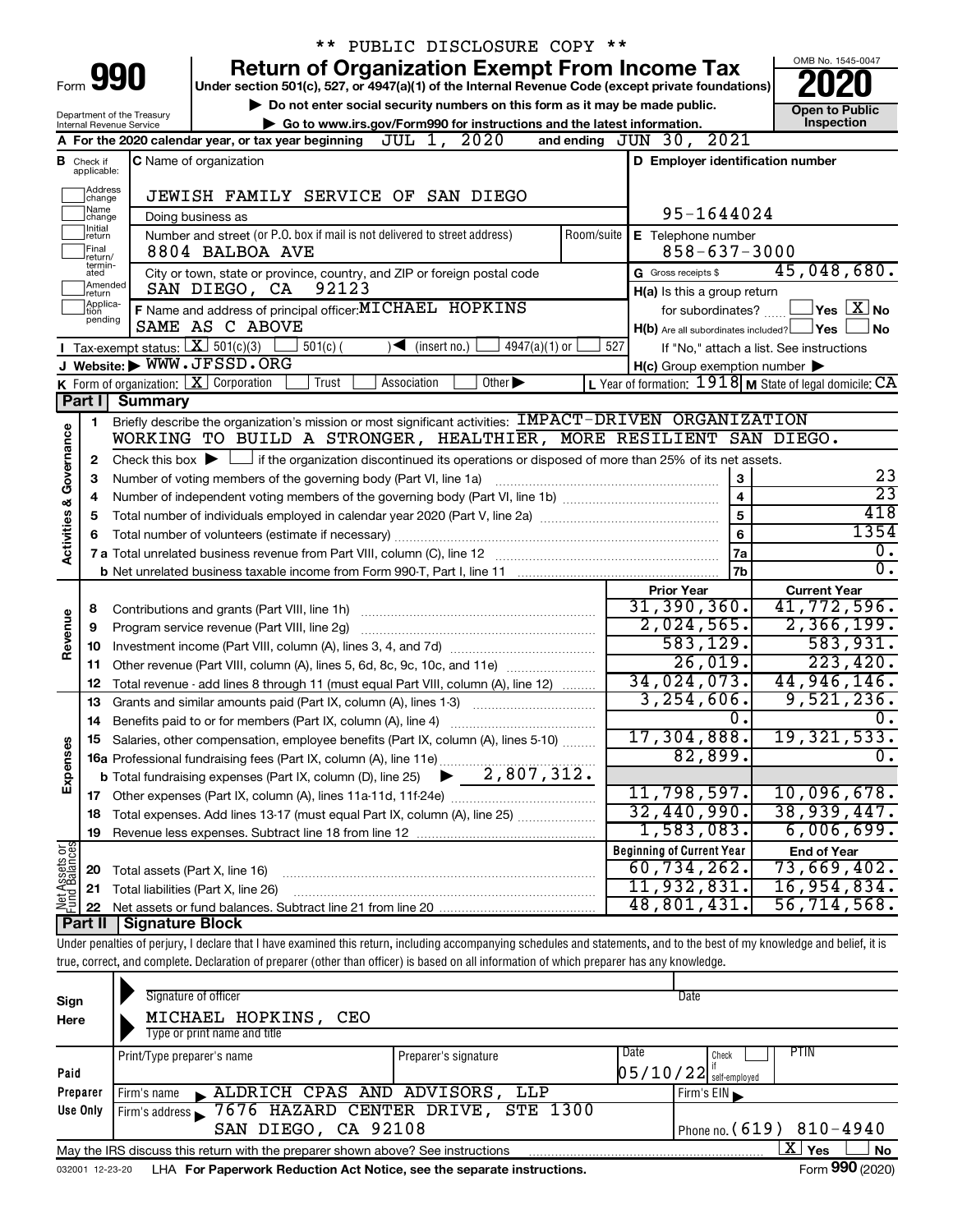|                         |                              |                                                | ** PUBLIC DISCLOSURE COPY **                                                                                                                                               |            |                                                     |                                                                    |
|-------------------------|------------------------------|------------------------------------------------|----------------------------------------------------------------------------------------------------------------------------------------------------------------------------|------------|-----------------------------------------------------|--------------------------------------------------------------------|
|                         |                              |                                                | <b>Return of Organization Exempt From Income Tax</b>                                                                                                                       |            |                                                     | OMB No. 1545-0047                                                  |
|                         |                              | Form 990                                       | Under section 501(c), 527, or 4947(a)(1) of the Internal Revenue Code (except private foundations)                                                                         |            |                                                     |                                                                    |
|                         |                              | Department of the Treasury                     | Do not enter social security numbers on this form as it may be made public.                                                                                                |            |                                                     | <b>Open to Public</b>                                              |
|                         |                              | Internal Revenue Service                       | Go to www.irs.gov/Form990 for instructions and the latest information.                                                                                                     |            |                                                     | Inspection                                                         |
|                         |                              |                                                | A For the 2020 calendar year, or tax year beginning $JUL 1, 2020$                                                                                                          |            | and ending $JUN 30, 2021$                           |                                                                    |
| В                       | Check if<br>applicable:      |                                                | C Name of organization                                                                                                                                                     |            | D Employer identification number                    |                                                                    |
|                         | Address                      |                                                | JEWISH FAMILY SERVICE OF SAN DIEGO                                                                                                                                         |            |                                                     |                                                                    |
|                         | change<br>1Name              |                                                | Doing business as                                                                                                                                                          |            | 95-1644024                                          |                                                                    |
|                         | change<br>1Initial<br>return |                                                | Number and street (or P.O. box if mail is not delivered to street address)                                                                                                 | Room/suite | E Telephone number                                  |                                                                    |
|                         | Final<br>Ireturn/            |                                                | 8804 BALBOA AVE                                                                                                                                                            |            | $858 - 637 - 3000$                                  |                                                                    |
|                         | termin-<br>ated              |                                                | City or town, state or province, country, and ZIP or foreign postal code                                                                                                   |            | G Gross receipts \$                                 | 45,048,680.                                                        |
|                         | Amended<br>return            |                                                | 92123<br>SAN DIEGO, CA                                                                                                                                                     |            | H(a) Is this a group return                         |                                                                    |
|                         | Applica-<br>tion             |                                                | F Name and address of principal officer: MICHAEL HOPKINS                                                                                                                   |            | for subordinates?                                   | $\sqrt{\mathsf{Yes}\mathord{\;\mathbb{X}}\mathord{\;\mathsf{No}}}$ |
|                         | pending                      |                                                | SAME AS C ABOVE                                                                                                                                                            |            | $H(b)$ Are all subordinates included? $\Box$ Yes    | No                                                                 |
|                         |                              | Tax-exempt status: $X \ 501(c)(3)$             | $4947(a)(1)$ or<br>$501(c)$ (<br>$\sqrt{\frac{1}{1}}$ (insert no.)                                                                                                         | 527        |                                                     | If "No," attach a list. See instructions                           |
|                         |                              |                                                | J Website: WWW.JFSSD.ORG                                                                                                                                                   |            | $H(c)$ Group exemption number $\blacktriangleright$ |                                                                    |
|                         |                              | <b>K</b> Form of organization: $X$ Corporation | Other $\blacktriangleright$<br>Trust<br>Association                                                                                                                        |            |                                                     | L Year of formation: $1918$ M State of legal domicile: $CA$        |
|                         |                              | Part I Summary                                 |                                                                                                                                                                            |            |                                                     |                                                                    |
|                         | 1                            |                                                | Briefly describe the organization's mission or most significant activities: IMPACT-DRIVEN ORGANIZATION                                                                     |            |                                                     |                                                                    |
| Governance              |                              |                                                | WORKING TO BUILD A STRONGER, HEALTHIER, MORE RESILIENT SAN DIEGO.                                                                                                          |            |                                                     |                                                                    |
|                         | 2                            |                                                | Check this box $\blacktriangleright$ $\Box$ if the organization discontinued its operations or disposed of more than 25% of its net assets.                                |            |                                                     |                                                                    |
|                         | 3                            |                                                | Number of voting members of the governing body (Part VI, line 1a)                                                                                                          |            | 3                                                   | 23<br>$\overline{23}$                                              |
|                         | 4                            |                                                |                                                                                                                                                                            |            | $\overline{\mathbf{4}}$                             | 418                                                                |
| <b>Activities &amp;</b> | 5                            |                                                |                                                                                                                                                                            |            | 5                                                   | 1354                                                               |
|                         | 6                            |                                                |                                                                                                                                                                            |            | 6                                                   | ο.                                                                 |
|                         |                              |                                                |                                                                                                                                                                            |            | 7a<br>7b                                            | $\overline{0}$ .                                                   |
|                         |                              |                                                |                                                                                                                                                                            |            | <b>Prior Year</b>                                   | <b>Current Year</b>                                                |
|                         | 8                            |                                                |                                                                                                                                                                            |            | 31,390,360.                                         | 41,772,596.                                                        |
|                         | 9                            |                                                |                                                                                                                                                                            |            | 2,024,565.                                          | 2,366,199.                                                         |
| Revenue                 | 10                           |                                                |                                                                                                                                                                            |            | 583,129.                                            | 583,931.                                                           |
|                         | 11                           |                                                | Other revenue (Part VIII, column (A), lines 5, 6d, 8c, 9c, 10c, and 11e)                                                                                                   |            | 26,019.                                             | 223,420.                                                           |
|                         | 12                           |                                                | Total revenue - add lines 8 through 11 (must equal Part VIII, column (A), line 12)                                                                                         |            | 34,024,073.                                         | 44,946,146.                                                        |
|                         | 13                           |                                                | Grants and similar amounts paid (Part IX, column (A), lines 1-3)                                                                                                           |            | 3, 254, 606.                                        | 9,521,236.                                                         |
|                         | 14                           |                                                | Benefits paid to or for members (Part IX, column (A), line 4)                                                                                                              |            | 0.                                                  | ο.                                                                 |
|                         |                              |                                                | 15 Salaries, other compensation, employee benefits (Part IX, column (A), lines 5-10)                                                                                       |            | 17,304,888.                                         | 19,321,533.                                                        |
|                         |                              |                                                |                                                                                                                                                                            |            | 82,899.                                             | Ο.                                                                 |
| Expenses                |                              |                                                |                                                                                                                                                                            |            |                                                     |                                                                    |
|                         |                              |                                                |                                                                                                                                                                            |            | 11,798,597.                                         | 10,096,678.                                                        |
|                         | 18                           |                                                | Total expenses. Add lines 13-17 (must equal Part IX, column (A), line 25)                                                                                                  |            | 32,440,990.                                         | 38,939,447.                                                        |
|                         | 19                           |                                                |                                                                                                                                                                            |            | 1,583,083.                                          | 6,006,699.                                                         |
| Net Assets or           |                              |                                                |                                                                                                                                                                            |            | <b>Beginning of Current Year</b>                    | <b>End of Year</b>                                                 |
|                         | 20                           | Total assets (Part X, line 16)                 |                                                                                                                                                                            |            | 60, 734, 262.                                       | 73,669,402.                                                        |
|                         | 21                           |                                                | Total liabilities (Part X, line 26)                                                                                                                                        |            | 11,932,831.                                         | 16,954,834.                                                        |
|                         | 22<br>Part II                |                                                |                                                                                                                                                                            |            | 48,801,431.                                         | 56, 714, 568.                                                      |
|                         |                              | Signature Block                                | Under penalties of perjury, I declare that I have examined this return, including accompanying schedules and statements, and to the best of my knowledge and belief, it is |            |                                                     |                                                                    |
|                         |                              |                                                | true, correct, and complete. Declaration of preparer (other than officer) is based on all information of which preparer has any knowledge.                                 |            |                                                     |                                                                    |
|                         |                              |                                                |                                                                                                                                                                            |            |                                                     |                                                                    |

| Sign<br>Here | Signature of officer<br>MICHAEL HOPKINS,<br>CEO<br>Type or print name and title                              |                      |      | Date                       |  |  |  |
|--------------|--------------------------------------------------------------------------------------------------------------|----------------------|------|----------------------------|--|--|--|
|              | Print/Type preparer's name                                                                                   | Preparer's signature | Date | PTIN<br>Check              |  |  |  |
| Paid         |                                                                                                              |                      |      | $05/10/22$ self-employed   |  |  |  |
| Preparer     | ALDRICH CPAS AND ADVISORS, LLP<br>l Firm's name                                                              |                      |      | Firm's $EIN$               |  |  |  |
| Use Only     | Firm's address 57676 HAZARD CENTER DRIVE, STE 1300                                                           |                      |      |                            |  |  |  |
|              | SAN DIEGO, CA 92108                                                                                          |                      |      | Phone no. $(619)$ 810-4940 |  |  |  |
|              | x.<br>Yes<br>No<br>May the IRS discuss this return with the preparer shown above? See instructions           |                      |      |                            |  |  |  |
|              | Form 990 (2020)<br>LHA For Paperwork Reduction Act Notice, see the separate instructions.<br>032001 12-23-20 |                      |      |                            |  |  |  |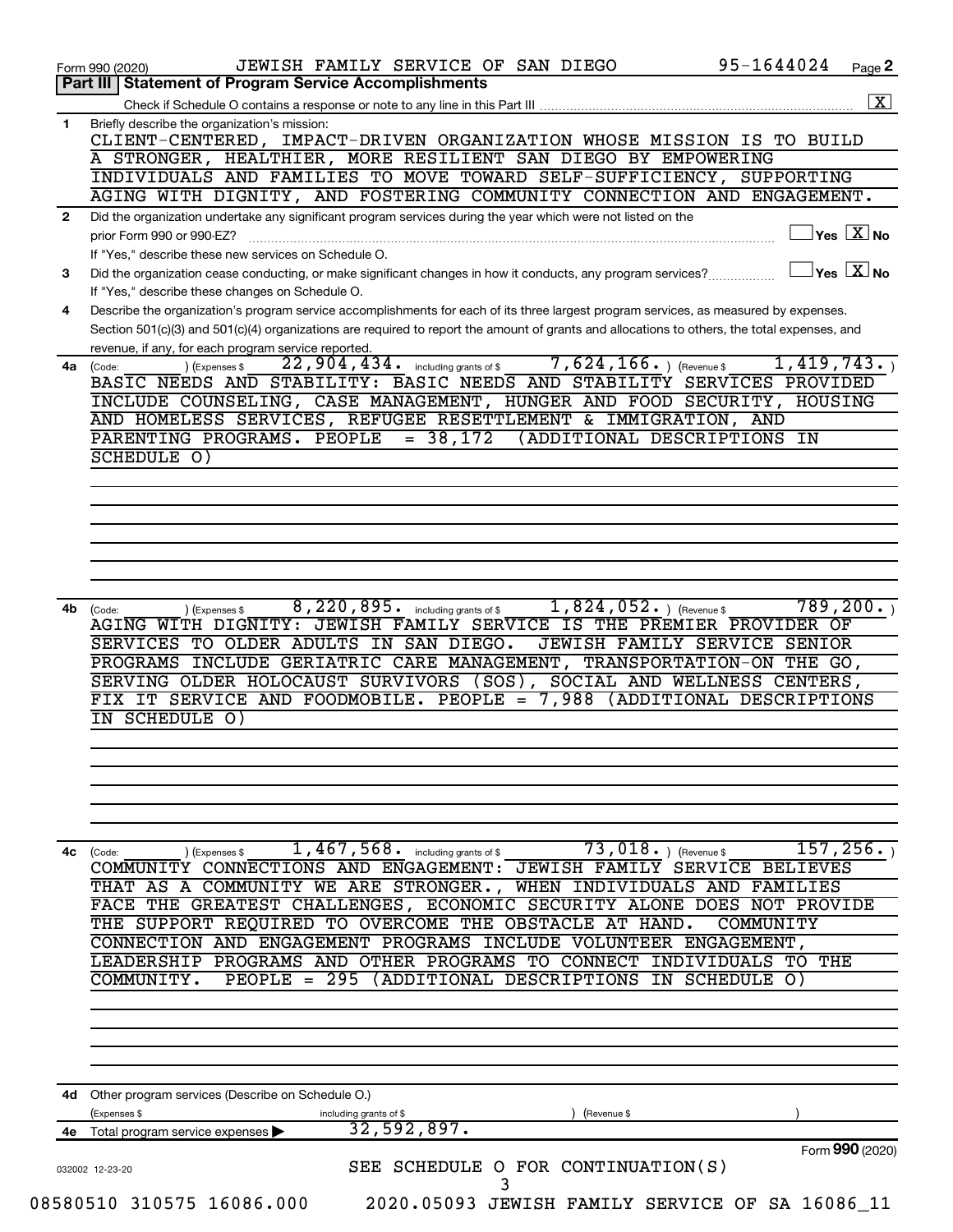|              | JEWISH FAMILY SERVICE OF SAN DIEGO<br>Form 990 (2020)                                                                                        | 95-1644024<br>Page 2                                |
|--------------|----------------------------------------------------------------------------------------------------------------------------------------------|-----------------------------------------------------|
|              | Part III   Statement of Program Service Accomplishments                                                                                      |                                                     |
|              | Check if Schedule O contains a response or note to any line in this Part III                                                                 |                                                     |
| 1            | Briefly describe the organization's mission:                                                                                                 |                                                     |
|              | CLIENT-CENTERED, IMPACT-DRIVEN ORGANIZATION WHOSE MISSION IS TO BUILD<br>A STRONGER, HEALTHIER, MORE RESILIENT SAN DIEGO BY EMPOWERING       |                                                     |
|              | INDIVIDUALS AND FAMILIES TO MOVE TOWARD SELF-SUFFICIENCY, SUPPORTING                                                                         |                                                     |
|              | AGING WITH DIGNITY, AND FOSTERING COMMUNITY CONNECTION AND ENGAGEMENT.                                                                       |                                                     |
|              |                                                                                                                                              |                                                     |
| $\mathbf{2}$ | Did the organization undertake any significant program services during the year which were not listed on the                                 | $\overline{\ }$ Yes $\overline{\ \ \ }$ No          |
|              | prior Form 990 or 990-EZ?                                                                                                                    |                                                     |
|              | If "Yes," describe these new services on Schedule O.                                                                                         |                                                     |
| 3            | Did the organization cease conducting, or make significant changes in how it conducts, any program services?                                 | $\sqrt{}$ Yes $\sqrt{}\frac{\text{X}}{\text{N}}$ No |
|              | If "Yes," describe these changes on Schedule O.                                                                                              |                                                     |
| 4            | Describe the organization's program service accomplishments for each of its three largest program services, as measured by expenses.         |                                                     |
|              | Section 501(c)(3) and 501(c)(4) organizations are required to report the amount of grants and allocations to others, the total expenses, and |                                                     |
|              | revenue, if any, for each program service reported.                                                                                          |                                                     |
| 4a           | $\overline{7,624}, 166.$ ) (Revenue \$<br>$22,904,434$ . including grants of \$<br>(Expenses \$<br>(Code:                                    | 1,419,743.                                          |
|              | BASIC NEEDS AND STABILITY: BASIC NEEDS AND STABILITY SERVICES PROVIDED                                                                       |                                                     |
|              | INCLUDE COUNSELING, CASE MANAGEMENT, HUNGER AND FOOD SECURITY,                                                                               | HOUSING                                             |
|              | AND HOMELESS SERVICES, REFUGEE RESETTLEMENT & IMMIGRATION, AND                                                                               |                                                     |
|              | $= 38,172$<br>PARENTING PROGRAMS. PEOPLE<br>(ADDITIONAL DESCRIPTIONS IN                                                                      |                                                     |
|              | SCHEDULE 0)                                                                                                                                  |                                                     |
|              |                                                                                                                                              |                                                     |
|              |                                                                                                                                              |                                                     |
|              |                                                                                                                                              |                                                     |
|              |                                                                                                                                              |                                                     |
|              |                                                                                                                                              |                                                     |
|              |                                                                                                                                              |                                                     |
|              |                                                                                                                                              |                                                     |
| 4b           | 8, 220, 895. including grants of \$<br>$1,824,052.$ (Revenue \$<br>(Expenses \$<br>(Code:                                                    | 789, 200.                                           |
|              | AGING WITH DIGNITY: JEWISH FAMILY SERVICE IS THE PREMIER PROVIDER OF                                                                         |                                                     |
|              | SERVICES TO OLDER ADULTS IN SAN DIEGO.<br>JEWISH FAMILY SERVICE SENIOR                                                                       |                                                     |
|              | PROGRAMS INCLUDE GERIATRIC CARE MANAGEMENT, TRANSPORTATION-ON THE GO,                                                                        |                                                     |
|              | SERVING OLDER HOLOCAUST SURVIVORS (SOS),                                                                                                     | SOCIAL AND WELLNESS CENTERS,                        |
|              | FIX IT SERVICE AND FOODMOBILE. PEOPLE =                                                                                                      |                                                     |
|              |                                                                                                                                              | 7,988 (ADDITIONAL DESCRIPTIONS                      |
|              | IN SCHEDULE 0)                                                                                                                               |                                                     |
|              |                                                                                                                                              |                                                     |
|              |                                                                                                                                              |                                                     |
|              |                                                                                                                                              |                                                     |
|              |                                                                                                                                              |                                                     |
|              |                                                                                                                                              |                                                     |
|              |                                                                                                                                              |                                                     |
|              | $\overline{1}$ , $\overline{467}$ , $\overline{568}$ . including grants of \$<br>73,018.<br>) (Revenue \$<br>(Expenses \$<br>(Code:          | 157,256 <b>.</b> )                                  |
|              | COMMUNITY CONNECTIONS AND ENGAGEMENT: JEWISH FAMILY SERVICE BELIEVES                                                                         |                                                     |
|              | THAT AS A COMMUNITY WE ARE STRONGER.,<br>WHEN INDIVIDUALS AND                                                                                | FAMILIES                                            |
|              | FACE THE GREATEST CHALLENGES, ECONOMIC SECURITY ALONE                                                                                        | NOT PROVIDE<br><b>DOES</b>                          |
|              | THE SUPPORT REQUIRED TO OVERCOME THE OBSTACLE AT HAND.                                                                                       | COMMUNITY                                           |
|              | CONNECTION AND ENGAGEMENT PROGRAMS INCLUDE VOLUNTEER ENGAGEMENT,                                                                             |                                                     |
|              | LEADERSHIP                                                                                                                                   | INDIVIDUALS TO THE                                  |
|              | PROGRAMS AND OTHER PROGRAMS TO CONNECT                                                                                                       |                                                     |
|              | (ADDITIONAL DESCRIPTIONS<br>COMMUNITY.<br>$PEOPLE = 295$                                                                                     | IN SCHEDULE O)                                      |
|              |                                                                                                                                              |                                                     |
|              |                                                                                                                                              |                                                     |
|              |                                                                                                                                              |                                                     |
|              |                                                                                                                                              |                                                     |
|              |                                                                                                                                              |                                                     |
| 4c           | 4d Other program services (Describe on Schedule O.)                                                                                          |                                                     |
|              | (Expenses \$<br>including grants of \$<br>(Revenue \$                                                                                        |                                                     |
| 4е           | 32,592,897.<br>Total program service expenses                                                                                                |                                                     |
|              |                                                                                                                                              | Form 990 (2020)                                     |
|              | SEE SCHEDULE O FOR CONTINUATION(S)<br>032002 12-23-20                                                                                        |                                                     |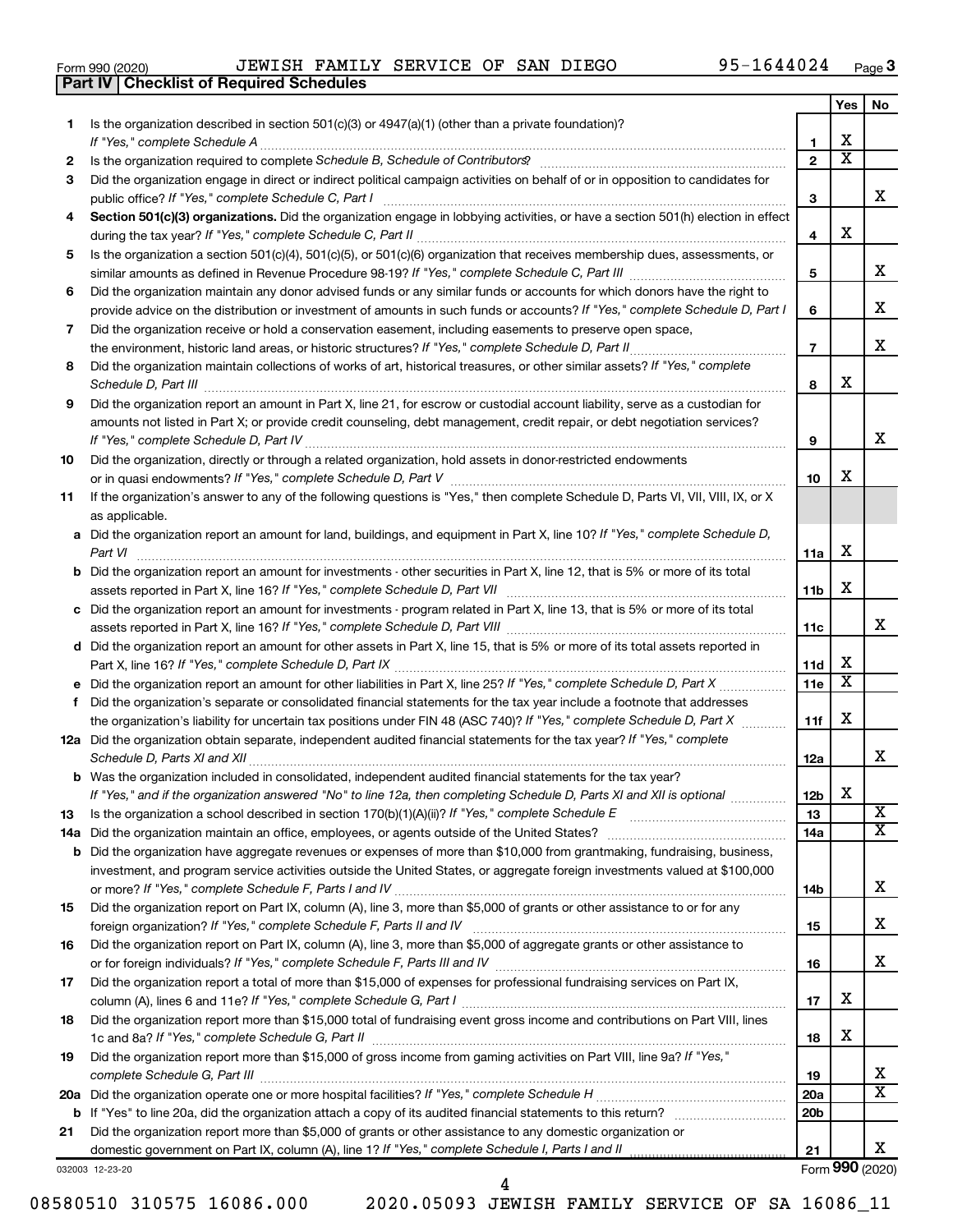|  | Form 990 (2020) |
|--|-----------------|
|  |                 |

**Part IV Checklist of Required Schedules**

|     |                                                                                                                                                                 |                 | Yes                     | No                      |
|-----|-----------------------------------------------------------------------------------------------------------------------------------------------------------------|-----------------|-------------------------|-------------------------|
| 1   | Is the organization described in section $501(c)(3)$ or $4947(a)(1)$ (other than a private foundation)?                                                         |                 |                         |                         |
|     |                                                                                                                                                                 | 1               | х                       |                         |
| 2   | Is the organization required to complete Schedule B, Schedule of Contributors? [11] the organization required to complete Schedule B, Schedule of Contributors? | $\overline{2}$  | $\overline{\textbf{x}}$ |                         |
| 3   | Did the organization engage in direct or indirect political campaign activities on behalf of or in opposition to candidates for                                 |                 |                         |                         |
|     |                                                                                                                                                                 | З               |                         | x                       |
| 4   | Section 501(c)(3) organizations. Did the organization engage in lobbying activities, or have a section 501(h) election in effect                                |                 |                         |                         |
|     |                                                                                                                                                                 | 4               | х                       |                         |
| 5   | Is the organization a section 501(c)(4), 501(c)(5), or 501(c)(6) organization that receives membership dues, assessments, or                                    |                 |                         |                         |
|     |                                                                                                                                                                 | 5               |                         | x                       |
| 6   | Did the organization maintain any donor advised funds or any similar funds or accounts for which donors have the right to                                       |                 |                         |                         |
|     | provide advice on the distribution or investment of amounts in such funds or accounts? If "Yes," complete Schedule D, Part I                                    | 6               |                         | х                       |
| 7   | Did the organization receive or hold a conservation easement, including easements to preserve open space,                                                       |                 |                         |                         |
|     |                                                                                                                                                                 | $\overline{7}$  |                         | х                       |
| 8   | Did the organization maintain collections of works of art, historical treasures, or other similar assets? If "Yes," complete                                    |                 |                         |                         |
|     |                                                                                                                                                                 | 8               | х                       |                         |
| 9   | Did the organization report an amount in Part X, line 21, for escrow or custodial account liability, serve as a custodian for                                   |                 |                         |                         |
|     | amounts not listed in Part X; or provide credit counseling, debt management, credit repair, or debt negotiation services?                                       |                 |                         |                         |
|     |                                                                                                                                                                 | 9               |                         | х                       |
| 10  | Did the organization, directly or through a related organization, hold assets in donor-restricted endowments                                                    |                 |                         |                         |
|     |                                                                                                                                                                 | 10              | х                       |                         |
| 11  | If the organization's answer to any of the following questions is "Yes," then complete Schedule D, Parts VI, VII, VIII, IX, or X                                |                 |                         |                         |
|     | as applicable.                                                                                                                                                  |                 |                         |                         |
|     | a Did the organization report an amount for land, buildings, and equipment in Part X, line 10? If "Yes," complete Schedule D,                                   |                 |                         |                         |
|     | Part VI                                                                                                                                                         | 11a             | х                       |                         |
|     | <b>b</b> Did the organization report an amount for investments - other securities in Part X, line 12, that is 5% or more of its total                           |                 |                         |                         |
|     |                                                                                                                                                                 | 11 <sub>b</sub> | х                       |                         |
|     | c Did the organization report an amount for investments - program related in Part X, line 13, that is 5% or more of its total                                   |                 |                         |                         |
|     |                                                                                                                                                                 | 11c             |                         | x                       |
|     | d Did the organization report an amount for other assets in Part X, line 15, that is 5% or more of its total assets reported in                                 |                 |                         |                         |
|     |                                                                                                                                                                 | 11d             | х                       |                         |
|     |                                                                                                                                                                 | 11e             | X                       |                         |
|     | f Did the organization's separate or consolidated financial statements for the tax year include a footnote that addresses                                       |                 |                         |                         |
|     | the organization's liability for uncertain tax positions under FIN 48 (ASC 740)? If "Yes," complete Schedule D, Part X                                          | 11f             | х                       |                         |
|     | 12a Did the organization obtain separate, independent audited financial statements for the tax year? If "Yes," complete                                         |                 |                         |                         |
|     | Schedule D, Parts XI and XII                                                                                                                                    | 12a             |                         | x                       |
|     | <b>b</b> Was the organization included in consolidated, independent audited financial statements for the tax year?                                              |                 | X                       |                         |
|     | If "Yes," and if the organization answered "No" to line 12a, then completing Schedule D, Parts XI and XII is optional www.                                      | 12 <sub>b</sub> |                         | $\overline{\mathbf{X}}$ |
| 13  |                                                                                                                                                                 | 13              |                         | $\overline{\mathbf{X}}$ |
| 14a |                                                                                                                                                                 | 14a             |                         |                         |
| b   | Did the organization have aggregate revenues or expenses of more than \$10,000 from grantmaking, fundraising, business,                                         |                 |                         |                         |
|     | investment, and program service activities outside the United States, or aggregate foreign investments valued at \$100,000                                      |                 |                         | х                       |
|     | Did the organization report on Part IX, column (A), line 3, more than \$5,000 of grants or other assistance to or for any                                       | 14b             |                         |                         |
| 15  |                                                                                                                                                                 |                 |                         | х                       |
|     | Did the organization report on Part IX, column (A), line 3, more than \$5,000 of aggregate grants or other assistance to                                        | 15              |                         |                         |
| 16  |                                                                                                                                                                 | 16              |                         | x                       |
|     | Did the organization report a total of more than \$15,000 of expenses for professional fundraising services on Part IX,                                         |                 |                         |                         |
| 17  |                                                                                                                                                                 | 17              | х                       |                         |
| 18  | Did the organization report more than \$15,000 total of fundraising event gross income and contributions on Part VIII, lines                                    |                 |                         |                         |
|     |                                                                                                                                                                 | 18              | х                       |                         |
| 19  | Did the organization report more than \$15,000 of gross income from gaming activities on Part VIII, line 9a? If "Yes,"                                          |                 |                         |                         |
|     |                                                                                                                                                                 | 19              |                         | x                       |
|     |                                                                                                                                                                 | 20a             |                         | $\overline{\text{x}}$   |
| b   | If "Yes" to line 20a, did the organization attach a copy of its audited financial statements to this return?                                                    | 20 <sub>b</sub> |                         |                         |
| 21  | Did the organization report more than \$5,000 of grants or other assistance to any domestic organization or                                                     |                 |                         |                         |
|     | domestic government on Part IX, column (A), line 1? If "Yes," complete Schedule I, Parts I and II                                                               | 21              |                         | х                       |
|     | 032003 12-23-20                                                                                                                                                 |                 |                         | Form 990 (2020)         |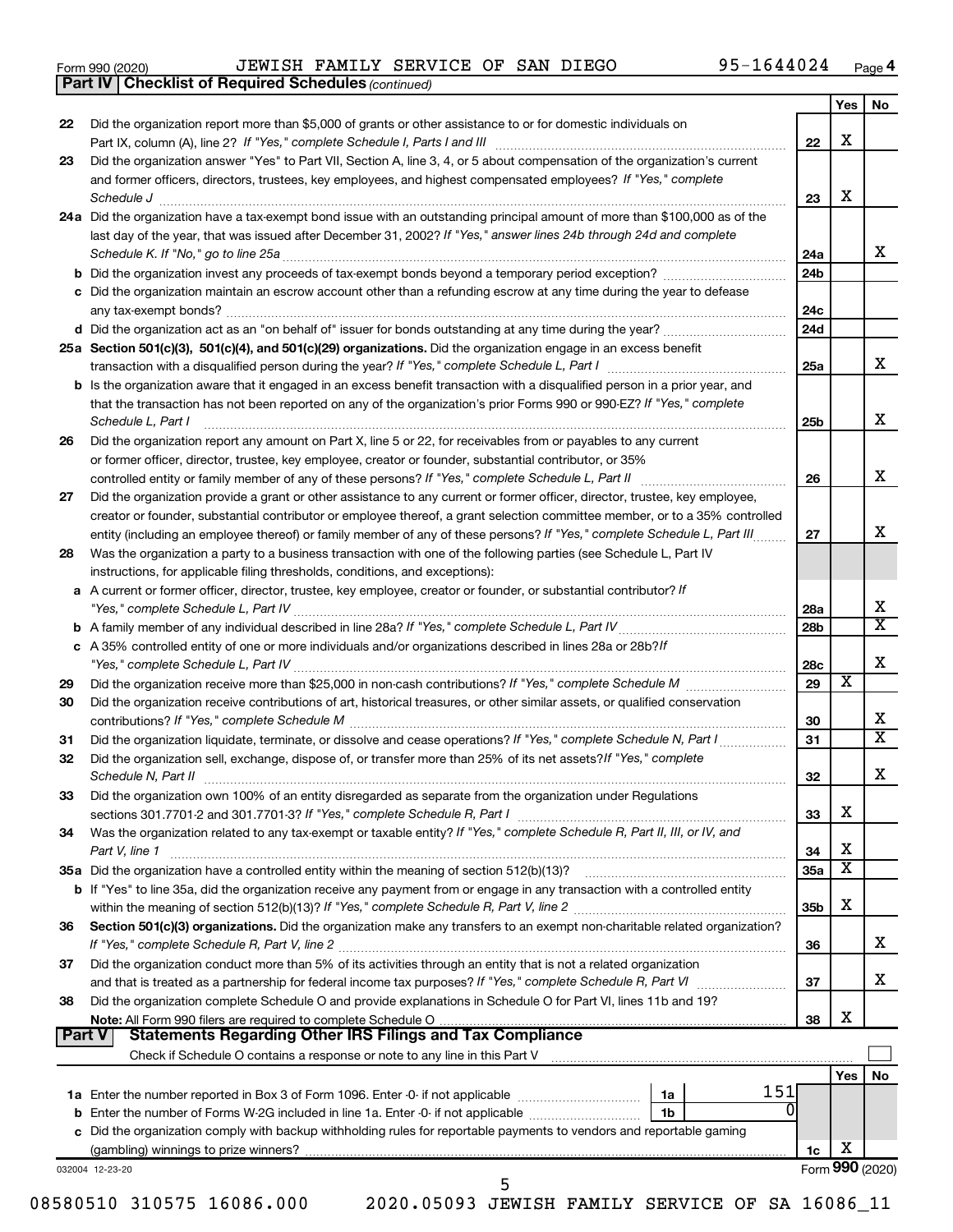| Form 990 (2020) |  |
|-----------------|--|
|-----------------|--|

*(continued)* **Part IV Checklist of Required Schedules**

|               |                                                                                                                                                                                                                                               |                 | Yes | <b>No</b>               |
|---------------|-----------------------------------------------------------------------------------------------------------------------------------------------------------------------------------------------------------------------------------------------|-----------------|-----|-------------------------|
| 22            | Did the organization report more than \$5,000 of grants or other assistance to or for domestic individuals on                                                                                                                                 |                 |     |                         |
|               |                                                                                                                                                                                                                                               | 22              | X   |                         |
| 23            | Did the organization answer "Yes" to Part VII, Section A, line 3, 4, or 5 about compensation of the organization's current                                                                                                                    |                 |     |                         |
|               | and former officers, directors, trustees, key employees, and highest compensated employees? If "Yes," complete                                                                                                                                |                 |     |                         |
|               |                                                                                                                                                                                                                                               | 23              | X   |                         |
|               | 24a Did the organization have a tax-exempt bond issue with an outstanding principal amount of more than \$100,000 as of the                                                                                                                   |                 |     |                         |
|               | last day of the year, that was issued after December 31, 2002? If "Yes," answer lines 24b through 24d and complete                                                                                                                            |                 |     |                         |
|               | Schedule K. If "No," go to line 25a                                                                                                                                                                                                           | 24a             |     | х                       |
|               |                                                                                                                                                                                                                                               | 24 <sub>b</sub> |     |                         |
|               | c Did the organization maintain an escrow account other than a refunding escrow at any time during the year to defease                                                                                                                        |                 |     |                         |
|               |                                                                                                                                                                                                                                               | 24c             |     |                         |
|               |                                                                                                                                                                                                                                               | 24d             |     |                         |
|               | 25a Section 501(c)(3), 501(c)(4), and 501(c)(29) organizations. Did the organization engage in an excess benefit                                                                                                                              |                 |     |                         |
|               |                                                                                                                                                                                                                                               | 25a             |     | x                       |
|               | <b>b</b> Is the organization aware that it engaged in an excess benefit transaction with a disqualified person in a prior year, and                                                                                                           |                 |     |                         |
|               | that the transaction has not been reported on any of the organization's prior Forms 990 or 990-EZ? If "Yes," complete                                                                                                                         |                 |     | X                       |
|               | Schedule L, Part I                                                                                                                                                                                                                            | 25b             |     |                         |
| 26            | Did the organization report any amount on Part X, line 5 or 22, for receivables from or payables to any current                                                                                                                               |                 |     |                         |
|               | or former officer, director, trustee, key employee, creator or founder, substantial contributor, or 35%                                                                                                                                       |                 |     | X                       |
|               |                                                                                                                                                                                                                                               | 26              |     |                         |
| 27            | Did the organization provide a grant or other assistance to any current or former officer, director, trustee, key employee,                                                                                                                   |                 |     |                         |
|               | creator or founder, substantial contributor or employee thereof, a grant selection committee member, or to a 35% controlled                                                                                                                   | 27              |     | х                       |
| 28            | entity (including an employee thereof) or family member of any of these persons? If "Yes," complete Schedule L, Part III<br>Was the organization a party to a business transaction with one of the following parties (see Schedule L, Part IV |                 |     |                         |
|               | instructions, for applicable filing thresholds, conditions, and exceptions):                                                                                                                                                                  |                 |     |                         |
|               | a A current or former officer, director, trustee, key employee, creator or founder, or substantial contributor? If                                                                                                                            |                 |     |                         |
|               |                                                                                                                                                                                                                                               | 28a             |     | х                       |
|               |                                                                                                                                                                                                                                               | 28 <sub>b</sub> |     | $\overline{\textbf{X}}$ |
|               | c A 35% controlled entity of one or more individuals and/or organizations described in lines 28a or 28b?If                                                                                                                                    |                 |     |                         |
|               |                                                                                                                                                                                                                                               | 28c             |     | х                       |
| 29            |                                                                                                                                                                                                                                               | 29              | х   |                         |
| 30            | Did the organization receive contributions of art, historical treasures, or other similar assets, or qualified conservation                                                                                                                   |                 |     |                         |
|               |                                                                                                                                                                                                                                               | 30              |     | х                       |
| 31            | Did the organization liquidate, terminate, or dissolve and cease operations? If "Yes," complete Schedule N, Part I                                                                                                                            | 31              |     | $\overline{\mathbf{X}}$ |
| 32            | Did the organization sell, exchange, dispose of, or transfer more than 25% of its net assets? If "Yes," complete                                                                                                                              |                 |     |                         |
|               | Schedule N, Part II                                                                                                                                                                                                                           | 32              |     | Х                       |
| 33            | Did the organization own 100% of an entity disregarded as separate from the organization under Regulations                                                                                                                                    |                 |     |                         |
|               |                                                                                                                                                                                                                                               | 33              | X   |                         |
| 34            | Was the organization related to any tax-exempt or taxable entity? If "Yes," complete Schedule R, Part II, III, or IV, and                                                                                                                     |                 |     |                         |
|               | Part V, line 1                                                                                                                                                                                                                                | 34              | X   |                         |
|               |                                                                                                                                                                                                                                               | <b>35a</b>      | х   |                         |
|               | <b>b</b> If "Yes" to line 35a, did the organization receive any payment from or engage in any transaction with a controlled entity                                                                                                            |                 |     |                         |
|               |                                                                                                                                                                                                                                               | 35b             | X   |                         |
| 36            | Section 501(c)(3) organizations. Did the organization make any transfers to an exempt non-charitable related organization?                                                                                                                    |                 |     |                         |
|               |                                                                                                                                                                                                                                               | 36              |     | x                       |
| 37            | Did the organization conduct more than 5% of its activities through an entity that is not a related organization                                                                                                                              |                 |     |                         |
|               |                                                                                                                                                                                                                                               | 37              |     | х                       |
| 38            | Did the organization complete Schedule O and provide explanations in Schedule O for Part VI, lines 11b and 19?                                                                                                                                |                 | X   |                         |
| <b>Part V</b> | <b>Statements Regarding Other IRS Filings and Tax Compliance</b>                                                                                                                                                                              | 38              |     |                         |
|               |                                                                                                                                                                                                                                               |                 |     |                         |
|               |                                                                                                                                                                                                                                               |                 | Yes | No                      |
|               | 151<br>1a Enter the number reported in Box 3 of Form 1096. Enter -0- if not applicable <i>manumeraness</i><br>1a                                                                                                                              |                 |     |                         |
|               | 0<br>1b                                                                                                                                                                                                                                       |                 |     |                         |
|               | c Did the organization comply with backup withholding rules for reportable payments to vendors and reportable gaming                                                                                                                          |                 |     |                         |
|               |                                                                                                                                                                                                                                               | 1c              | х   |                         |
|               | 032004 12-23-20                                                                                                                                                                                                                               |                 |     | Form 990 (2020)         |
|               | 5                                                                                                                                                                                                                                             |                 |     |                         |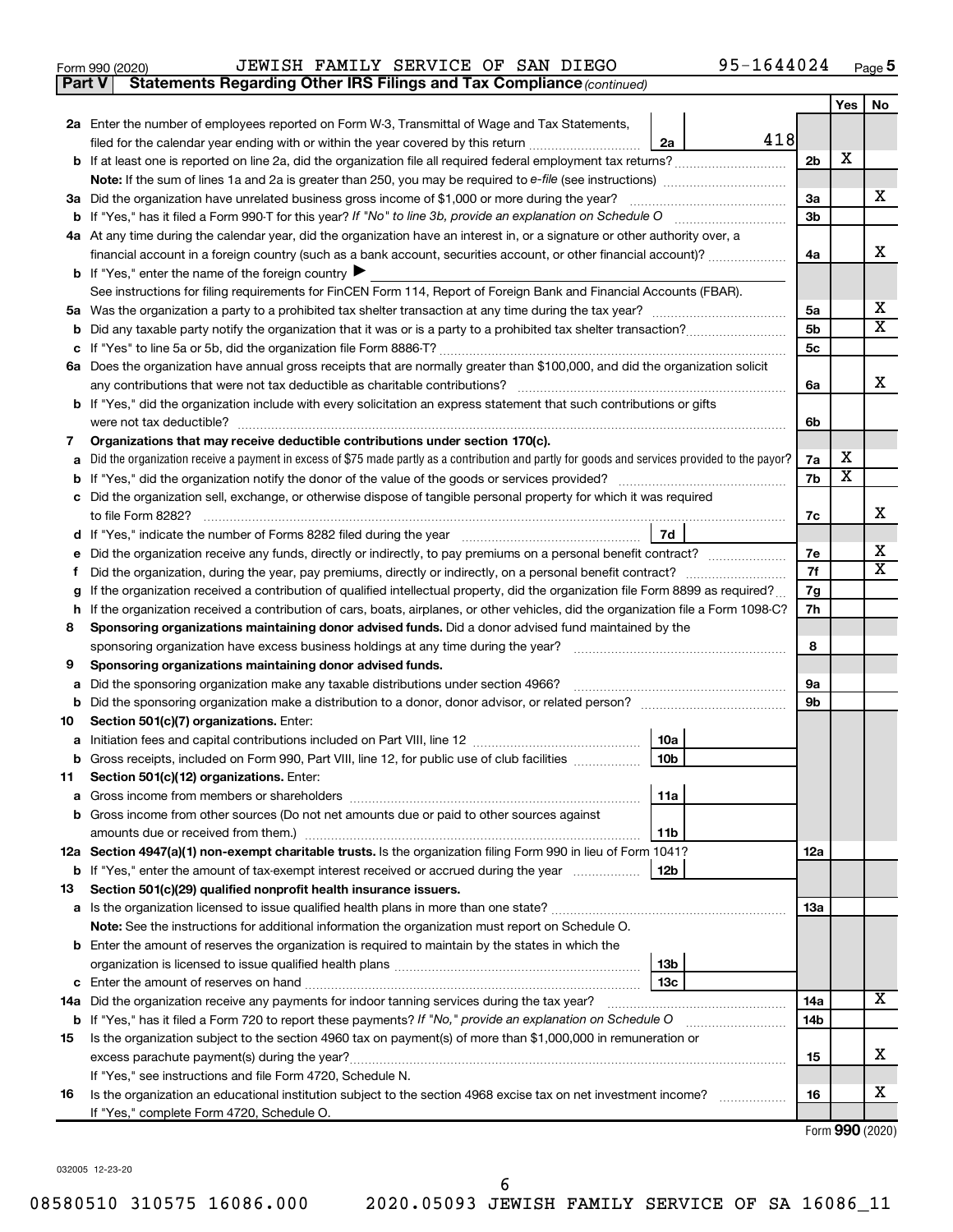| Form 990 (2020) |  |  |  | JEWISH FAMILY SERVICE OF SAN DIEGO |  |  |  | 95-1644024 | Page |  |
|-----------------|--|--|--|------------------------------------|--|--|--|------------|------|--|
|-----------------|--|--|--|------------------------------------|--|--|--|------------|------|--|

**Part V Statements Regarding Other IRS Filings and Tax Compliance**

*(continued)*

|         |                                                                                                                                                 |                      | Yes                     | No                      |  |  |
|---------|-------------------------------------------------------------------------------------------------------------------------------------------------|----------------------|-------------------------|-------------------------|--|--|
|         | 2a Enter the number of employees reported on Form W-3, Transmittal of Wage and Tax Statements,                                                  |                      |                         |                         |  |  |
|         | 418<br>filed for the calendar year ending with or within the year covered by this return<br>2a                                                  |                      |                         |                         |  |  |
|         |                                                                                                                                                 | 2b                   | x                       |                         |  |  |
|         |                                                                                                                                                 |                      |                         |                         |  |  |
|         | 3a Did the organization have unrelated business gross income of \$1,000 or more during the year?                                                | За                   |                         | X                       |  |  |
|         |                                                                                                                                                 | 3b                   |                         |                         |  |  |
|         | 4a At any time during the calendar year, did the organization have an interest in, or a signature or other authority over, a                    |                      |                         |                         |  |  |
|         | financial account in a foreign country (such as a bank account, securities account, or other financial account)?                                | 4a                   |                         | x                       |  |  |
|         | <b>b</b> If "Yes," enter the name of the foreign country $\blacktriangleright$                                                                  |                      |                         |                         |  |  |
|         | See instructions for filing requirements for FinCEN Form 114, Report of Foreign Bank and Financial Accounts (FBAR).                             |                      |                         | х                       |  |  |
|         |                                                                                                                                                 | 5a                   |                         | $\overline{\mathbf{X}}$ |  |  |
| b       |                                                                                                                                                 | 5b<br>5 <sub>c</sub> |                         |                         |  |  |
|         | 6a Does the organization have annual gross receipts that are normally greater than \$100,000, and did the organization solicit                  |                      |                         |                         |  |  |
|         | any contributions that were not tax deductible as charitable contributions?                                                                     |                      |                         |                         |  |  |
|         | b If "Yes," did the organization include with every solicitation an express statement that such contributions or gifts                          |                      |                         |                         |  |  |
|         | were not tax deductible?                                                                                                                        | 6b                   |                         |                         |  |  |
| 7       | Organizations that may receive deductible contributions under section 170(c).                                                                   |                      |                         |                         |  |  |
| a       | Did the organization receive a payment in excess of \$75 made partly as a contribution and partly for goods and services provided to the payor? | 7a                   | х                       |                         |  |  |
| b       |                                                                                                                                                 | 7b                   | $\overline{\textbf{x}}$ |                         |  |  |
| c       | Did the organization sell, exchange, or otherwise dispose of tangible personal property for which it was required                               |                      |                         |                         |  |  |
|         | to file Form 8282?                                                                                                                              | 7c                   |                         | x                       |  |  |
| d       | 7d                                                                                                                                              |                      |                         |                         |  |  |
|         |                                                                                                                                                 | 7e                   |                         | x<br>$\mathbf x$        |  |  |
|         |                                                                                                                                                 |                      |                         |                         |  |  |
| g       | If the organization received a contribution of qualified intellectual property, did the organization file Form 8899 as required?                |                      |                         |                         |  |  |
| h.      | If the organization received a contribution of cars, boats, airplanes, or other vehicles, did the organization file a Form 1098-C?              |                      |                         |                         |  |  |
| 8       | Sponsoring organizations maintaining donor advised funds. Did a donor advised fund maintained by the                                            |                      |                         |                         |  |  |
|         | sponsoring organization have excess business holdings at any time during the year?                                                              | 8                    |                         |                         |  |  |
| 9       | Sponsoring organizations maintaining donor advised funds.                                                                                       |                      |                         |                         |  |  |
| a       | Did the sponsoring organization make any taxable distributions under section 4966?                                                              | 9а                   |                         |                         |  |  |
| b       |                                                                                                                                                 | 9b                   |                         |                         |  |  |
| 10      | Section 501(c)(7) organizations. Enter:                                                                                                         |                      |                         |                         |  |  |
| а       | 10a<br>10 <sub>b</sub>                                                                                                                          |                      |                         |                         |  |  |
| b<br>11 | Gross receipts, included on Form 990, Part VIII, line 12, for public use of club facilities<br>Section 501(c)(12) organizations. Enter:         |                      |                         |                         |  |  |
|         | 11a                                                                                                                                             |                      |                         |                         |  |  |
|         | b Gross income from other sources (Do not net amounts due or paid to other sources against                                                      |                      |                         |                         |  |  |
|         | amounts due or received from them.)<br>11b                                                                                                      |                      |                         |                         |  |  |
|         | 12a Section 4947(a)(1) non-exempt charitable trusts. Is the organization filing Form 990 in lieu of Form 1041?                                  | 12a                  |                         |                         |  |  |
|         | <b>b</b> If "Yes," enter the amount of tax-exempt interest received or accrued during the year<br>12b                                           |                      |                         |                         |  |  |
| 13      | Section 501(c)(29) qualified nonprofit health insurance issuers.                                                                                |                      |                         |                         |  |  |
|         | a Is the organization licensed to issue qualified health plans in more than one state?                                                          | 1За                  |                         |                         |  |  |
|         | Note: See the instructions for additional information the organization must report on Schedule O.                                               |                      |                         |                         |  |  |
|         | <b>b</b> Enter the amount of reserves the organization is required to maintain by the states in which the                                       |                      |                         |                         |  |  |
|         | 13 <sub>b</sub>                                                                                                                                 |                      |                         |                         |  |  |
| c       | 13c                                                                                                                                             |                      |                         | x                       |  |  |
|         | 14a Did the organization receive any payments for indoor tanning services during the tax year?                                                  |                      |                         |                         |  |  |
|         | <b>b</b> If "Yes," has it filed a Form 720 to report these payments? If "No," provide an explanation on Schedule O                              |                      |                         |                         |  |  |
| 15      | Is the organization subject to the section 4960 tax on payment(s) of more than \$1,000,000 in remuneration or                                   |                      |                         |                         |  |  |
|         | excess parachute payment(s) during the year?                                                                                                    | 15                   |                         | x                       |  |  |
|         | If "Yes," see instructions and file Form 4720, Schedule N.                                                                                      |                      |                         |                         |  |  |
| 16      | Is the organization an educational institution subject to the section 4968 excise tax on net investment income?                                 | 16                   |                         | х                       |  |  |
|         | If "Yes," complete Form 4720, Schedule O.                                                                                                       |                      |                         |                         |  |  |

Form (2020) **990**

032005 12-23-20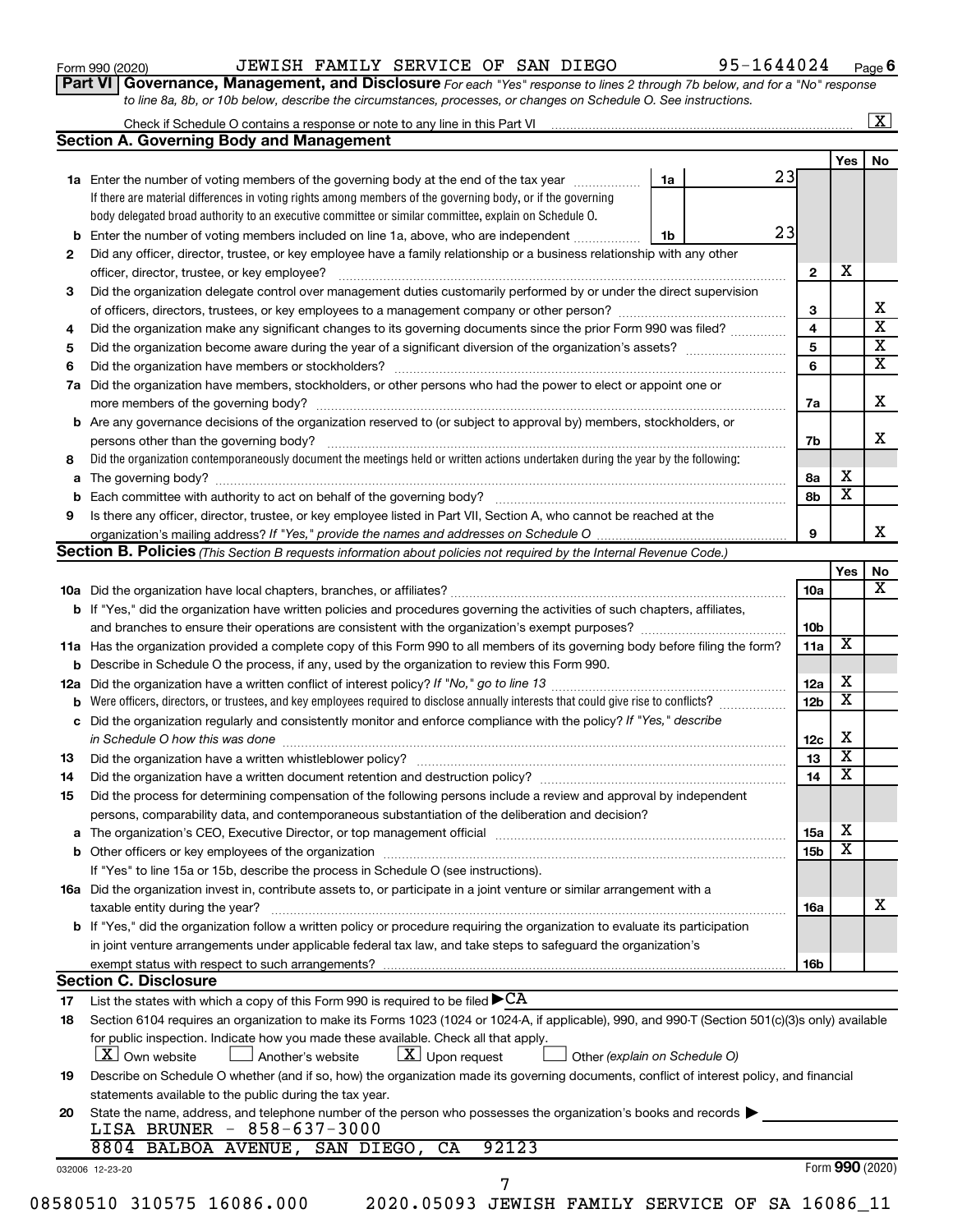| Form 990 (2020) |  |  |
|-----------------|--|--|
|-----------------|--|--|

### Form 990 (2020)  $JEWISH$  FAMILY SERVICE OF SAN DIEGO  $95-1644024$  Page

**Part VI** Governance, Management, and Disclosure For each "Yes" response to lines 2 through 7b below, and for a "No" response *to line 8a, 8b, or 10b below, describe the circumstances, processes, or changes on Schedule O. See instructions.*

|     | Check if Schedule O contains a response or note to any line in this Part VI                                                                                                                                                    |    |    |                         |                         |    |
|-----|--------------------------------------------------------------------------------------------------------------------------------------------------------------------------------------------------------------------------------|----|----|-------------------------|-------------------------|----|
|     | <b>Section A. Governing Body and Management</b>                                                                                                                                                                                |    |    |                         |                         |    |
|     |                                                                                                                                                                                                                                |    |    |                         | Yes                     | No |
|     | 1a Enter the number of voting members of the governing body at the end of the tax year <i>manument</i>                                                                                                                         | 1a | 23 |                         |                         |    |
|     | If there are material differences in voting rights among members of the governing body, or if the governing                                                                                                                    |    |    |                         |                         |    |
|     | body delegated broad authority to an executive committee or similar committee, explain on Schedule O.                                                                                                                          |    |    |                         |                         |    |
| b   | Enter the number of voting members included on line 1a, above, who are independent                                                                                                                                             | 1b | 23 |                         |                         |    |
| 2   | Did any officer, director, trustee, or key employee have a family relationship or a business relationship with any other                                                                                                       |    |    |                         |                         |    |
|     |                                                                                                                                                                                                                                |    |    | $\mathbf{2}$            | X                       |    |
| 3   | Did the organization delegate control over management duties customarily performed by or under the direct supervision                                                                                                          |    |    |                         |                         |    |
|     |                                                                                                                                                                                                                                |    |    | 3                       |                         |    |
| 4   | Did the organization make any significant changes to its governing documents since the prior Form 990 was filed?                                                                                                               |    |    | $\overline{\mathbf{4}}$ |                         |    |
| 5   |                                                                                                                                                                                                                                |    |    | 5                       |                         |    |
| 6   |                                                                                                                                                                                                                                |    |    | 6                       |                         |    |
| 7a  | Did the organization have members, stockholders, or other persons who had the power to elect or appoint one or                                                                                                                 |    |    |                         |                         |    |
|     |                                                                                                                                                                                                                                |    |    | 7a                      |                         |    |
| b   | Are any governance decisions of the organization reserved to (or subject to approval by) members, stockholders, or                                                                                                             |    |    |                         |                         |    |
|     | persons other than the governing body?                                                                                                                                                                                         |    |    | 7b                      |                         |    |
| 8   | Did the organization contemporaneously document the meetings held or written actions undertaken during the year by the following:                                                                                              |    |    |                         |                         |    |
| а   |                                                                                                                                                                                                                                |    |    | 8a                      | х                       |    |
| b   |                                                                                                                                                                                                                                |    |    | 8b                      | $\overline{\mathbf{x}}$ |    |
| 9   | Is there any officer, director, trustee, or key employee listed in Part VII, Section A, who cannot be reached at the                                                                                                           |    |    |                         |                         |    |
|     | organization's mailing address? If "Yes," provide the names and addresses on Schedule O.                                                                                                                                       |    |    | 9                       |                         |    |
|     | Section B. Policies (This Section B requests information about policies not required by the Internal Revenue Code.)                                                                                                            |    |    |                         |                         |    |
|     |                                                                                                                                                                                                                                |    |    |                         | Yes                     |    |
|     |                                                                                                                                                                                                                                |    |    | 10a                     |                         |    |
|     | <b>b</b> If "Yes," did the organization have written policies and procedures governing the activities of such chapters, affiliates,                                                                                            |    |    |                         |                         |    |
|     |                                                                                                                                                                                                                                |    |    | 10b                     |                         |    |
|     | 11a Has the organization provided a complete copy of this Form 990 to all members of its governing body before filing the form?                                                                                                |    |    | 11a                     | х                       |    |
|     | <b>b</b> Describe in Schedule O the process, if any, used by the organization to review this Form 990.                                                                                                                         |    |    |                         |                         |    |
| 12a |                                                                                                                                                                                                                                |    |    | 12a                     | х                       |    |
|     | Were officers, directors, or trustees, and key employees required to disclose annually interests that could give rise to conflicts?                                                                                            |    |    | 12 <sub>b</sub>         | $\overline{\mathbf{x}}$ |    |
| с   | Did the organization regularly and consistently monitor and enforce compliance with the policy? If "Yes," describe                                                                                                             |    |    |                         |                         |    |
|     | in Schedule O how this was done <i>machine and accordinational content of the setter and the setter and the setter</i>                                                                                                         |    |    | 12c                     | X                       |    |
| 13  |                                                                                                                                                                                                                                |    |    | 13                      | $\overline{\mathbf{X}}$ |    |
| 14  |                                                                                                                                                                                                                                |    |    | 14                      | $\overline{\mathbf{X}}$ |    |
| 15  | Did the process for determining compensation of the following persons include a review and approval by independent                                                                                                             |    |    |                         |                         |    |
|     | persons, comparability data, and contemporaneous substantiation of the deliberation and decision?                                                                                                                              |    |    |                         |                         |    |
|     | The organization's CEO, Executive Director, or top management official manufacture content content of the organization's CEO, Executive Director, or top management official manufacture content of the original content of th |    |    | <b>15a</b>              | х                       |    |
| а   |                                                                                                                                                                                                                                |    |    | 15 <sub>b</sub>         | $\overline{\textbf{x}}$ |    |
|     | If "Yes" to line 15a or 15b, describe the process in Schedule O (see instructions).                                                                                                                                            |    |    |                         |                         |    |
|     |                                                                                                                                                                                                                                |    |    |                         |                         |    |
|     | 16a Did the organization invest in, contribute assets to, or participate in a joint venture or similar arrangement with a                                                                                                      |    |    |                         |                         |    |
|     | taxable entity during the year?<br>b If "Yes," did the organization follow a written policy or procedure requiring the organization to evaluate its participation                                                              |    |    | <b>16a</b>              |                         |    |
|     |                                                                                                                                                                                                                                |    |    |                         |                         |    |
|     | in joint venture arrangements under applicable federal tax law, and take steps to safeguard the organization's                                                                                                                 |    |    |                         |                         |    |
|     | <b>Section C. Disclosure</b>                                                                                                                                                                                                   |    |    | 16 <sub>b</sub>         |                         |    |
|     |                                                                                                                                                                                                                                |    |    |                         |                         |    |
| 17  | List the states with which a copy of this Form 990 is required to be filed $\blacktriangleright$ CA                                                                                                                            |    |    |                         |                         |    |
| 18  | Section 6104 requires an organization to make its Forms 1023 (1024 or 1024-A, if applicable), 990, and 990-T (Section 501(c)(3)s only) available                                                                               |    |    |                         |                         |    |
|     | for public inspection. Indicate how you made these available. Check all that apply.                                                                                                                                            |    |    |                         |                         |    |
|     | $\lfloor x \rfloor$ Upon request<br>  X   Own website<br>Another's website<br>Other (explain on Schedule O)                                                                                                                    |    |    |                         |                         |    |
| 19  | Describe on Schedule O whether (and if so, how) the organization made its governing documents, conflict of interest policy, and financial                                                                                      |    |    |                         |                         |    |
|     | statements available to the public during the tax year.                                                                                                                                                                        |    |    |                         |                         |    |
| 20  | State the name, address, and telephone number of the person who possesses the organization's books and records                                                                                                                 |    |    |                         |                         |    |
|     | LISA BRUNER - 858-637-3000                                                                                                                                                                                                     |    |    |                         |                         |    |
|     | 8804 BALBOA AVENUE, SAN DIEGO, CA<br>92123                                                                                                                                                                                     |    |    |                         |                         |    |
|     | 032006 12-23-20                                                                                                                                                                                                                |    |    |                         | Form 990 (2020)         |    |
|     | 7<br>08580510 310575 16086.000<br>2020.05093 JEWISH FAMILY SERVICE OF SA 16086_11                                                                                                                                              |    |    |                         |                         |    |
|     |                                                                                                                                                                                                                                |    |    |                         |                         |    |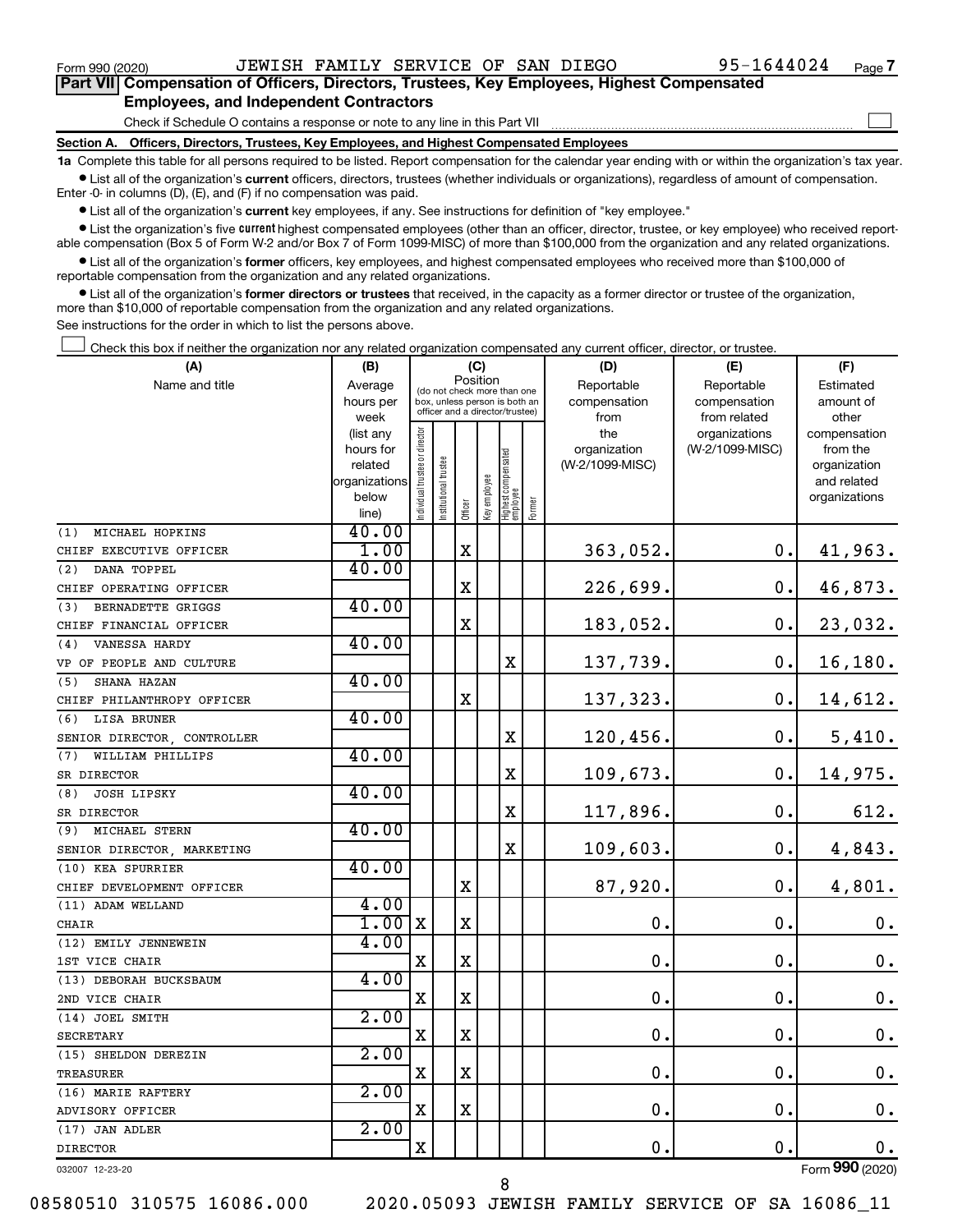$\Box$ 

| Part VII Compensation of Officers, Directors, Trustees, Key Employees, Highest Compensated |
|--------------------------------------------------------------------------------------------|
| <b>Employees, and Independent Contractors</b>                                              |

Check if Schedule O contains a response or note to any line in this Part VII

**Section A. Officers, Directors, Trustees, Key Employees, and Highest Compensated Employees**

**1a**  Complete this table for all persons required to be listed. Report compensation for the calendar year ending with or within the organization's tax year.  $\bullet$  List all of the organization's current officers, directors, trustees (whether individuals or organizations), regardless of amount of compensation.

Enter -0- in columns (D), (E), and (F) if no compensation was paid.

**•** List all of the organization's current key employees, if any. See instructions for definition of "key employee."

• List the organization's five *current* highest compensated employees (other than an officer, director, trustee, or key employee) who received reportable compensation (Box 5 of Form W-2 and/or Box 7 of Form 1099-MISC) of more than \$100,000 from the organization and any related organizations.

 $\bullet$  List all of the organization's former officers, key employees, and highest compensated employees who received more than \$100,000 of reportable compensation from the organization and any related organizations.

**•** List all of the organization's former directors or trustees that received, in the capacity as a former director or trustee of the organization, more than \$10,000 of reportable compensation from the organization and any related organizations.

See instructions for the order in which to list the persons above.

Check this box if neither the organization nor any related organization compensated any current officer, director, or trustee.  $\Box$ 

| (A)                         | (B)               |                               |                                                                  | (C)         |              |                                 |        | (D)             | (E)                           | (F)                    |
|-----------------------------|-------------------|-------------------------------|------------------------------------------------------------------|-------------|--------------|---------------------------------|--------|-----------------|-------------------------------|------------------------|
| Name and title              | Average           |                               | (do not check more than one                                      |             | Position     |                                 |        | Reportable      | Reportable                    | Estimated              |
|                             | hours per         |                               | box, unless person is both an<br>officer and a director/trustee) |             |              |                                 |        | compensation    | compensation                  | amount of              |
|                             | week<br>(list any |                               |                                                                  |             |              |                                 |        | from<br>the     | from related<br>organizations | other<br>compensation  |
|                             | hours for         |                               |                                                                  |             |              |                                 |        | organization    | (W-2/1099-MISC)               | from the               |
|                             | related           |                               |                                                                  |             |              |                                 |        | (W-2/1099-MISC) |                               | organization           |
|                             | organizations     |                               |                                                                  |             |              |                                 |        |                 |                               | and related            |
|                             | below             | ndividual trustee or director | nstitutional trustee                                             | Officer     | Key employee | Highest compensated<br>employee | Former |                 |                               | organizations          |
|                             | line)             |                               |                                                                  |             |              |                                 |        |                 |                               |                        |
| (1)<br>MICHAEL HOPKINS      | 40.00             |                               |                                                                  |             |              |                                 |        |                 |                               |                        |
| CHIEF EXECUTIVE OFFICER     | 1.00              |                               |                                                                  | $\mathbf x$ |              |                                 |        | 363,052.        | О.                            | 41,963.                |
| DANA TOPPEL<br>(2)          | 40.00             |                               |                                                                  |             |              |                                 |        |                 |                               |                        |
| CHIEF OPERATING OFFICER     |                   |                               |                                                                  | $\mathbf X$ |              |                                 |        | 226,699.        | $\mathbf 0$ .                 | 46,873.                |
| BERNADETTE GRIGGS<br>(3)    | 40.00             |                               |                                                                  |             |              |                                 |        |                 |                               |                        |
| CHIEF FINANCIAL OFFICER     |                   |                               |                                                                  | $\rm X$     |              |                                 |        | 183,052.        | 0.                            | 23,032.                |
| VANESSA HARDY<br>(4)        | 40.00             |                               |                                                                  |             |              |                                 |        |                 |                               |                        |
| VP OF PEOPLE AND CULTURE    |                   |                               |                                                                  |             |              | $\mathbf X$                     |        | 137,739.        | $\mathbf 0$ .                 | 16,180.                |
| SHANA HAZAN<br>(5)          | 40.00             |                               |                                                                  |             |              |                                 |        |                 |                               |                        |
| CHIEF PHILANTHROPY OFFICER  |                   |                               |                                                                  | X           |              |                                 |        | 137,323.        | $\mathbf 0$ .                 | 14,612.                |
| <b>LISA BRUNER</b><br>(6)   | 40.00             |                               |                                                                  |             |              |                                 |        |                 |                               |                        |
| SENIOR DIRECTOR, CONTROLLER |                   |                               |                                                                  |             |              | X                               |        | 120,456.        | $\mathbf{0}$ .                | 5,410.                 |
| WILLIAM PHILLIPS<br>(7)     | 40.00             |                               |                                                                  |             |              |                                 |        |                 |                               |                        |
| SR DIRECTOR                 |                   |                               |                                                                  |             |              | X                               |        | 109,673.        | $\mathbf 0$ .                 | 14,975.                |
| (8)<br><b>JOSH LIPSKY</b>   | 40.00             |                               |                                                                  |             |              |                                 |        |                 |                               |                        |
| SR DIRECTOR                 |                   |                               |                                                                  |             |              | X                               |        | 117,896.        | 0.                            | 612.                   |
| MICHAEL STERN<br>(9)        | 40.00             |                               |                                                                  |             |              |                                 |        |                 |                               |                        |
| SENIOR DIRECTOR, MARKETING  |                   |                               |                                                                  |             |              | Χ                               |        | 109,603.        | 0.                            | 4,843.                 |
| (10) KEA SPURRIER           | 40.00             |                               |                                                                  |             |              |                                 |        |                 |                               |                        |
| CHIEF DEVELOPMENT OFFICER   |                   |                               |                                                                  | $\mathbf X$ |              |                                 |        | 87,920.         | $\mathbf 0$ .                 | 4,801.                 |
| (11) ADAM WELLAND           | 4.00              |                               |                                                                  |             |              |                                 |        |                 |                               |                        |
| <b>CHAIR</b>                | $1.00$ X          |                               |                                                                  | X           |              |                                 |        | $\mathbf 0$ .   | 0.                            | $\boldsymbol{0}$ .     |
| (12) EMILY JENNEWEIN        | 4.00              |                               |                                                                  |             |              |                                 |        |                 |                               |                        |
| 1ST VICE CHAIR              |                   | X                             |                                                                  | X           |              |                                 |        | $\mathbf 0$ .   | $\mathbf 0$ .                 | $\mathbf 0$ .          |
| (13) DEBORAH BUCKSBAUM      | 4.00              |                               |                                                                  |             |              |                                 |        |                 |                               |                        |
| 2ND VICE CHAIR              |                   | X                             |                                                                  | X           |              |                                 |        | $\mathbf 0$ .   | $\mathbf 0$ .                 | $\mathbf 0$ .          |
| (14) JOEL SMITH             | 2.00              |                               |                                                                  |             |              |                                 |        |                 |                               |                        |
| <b>SECRETARY</b>            |                   | $\mathbf X$                   |                                                                  | $\mathbf X$ |              |                                 |        | $\mathbf 0$ .   | $\mathbf 0$ .                 | $\mathbf 0$ .          |
| (15) SHELDON DEREZIN        | 2.00              |                               |                                                                  |             |              |                                 |        |                 |                               |                        |
| <b>TREASURER</b>            |                   | X                             |                                                                  | X           |              |                                 |        | $\mathbf 0$ .   | $\mathbf 0$ .                 | $\mathbf 0$ .          |
| (16) MARIE RAFTERY          | 2.00              |                               |                                                                  |             |              |                                 |        |                 |                               |                        |
| ADVISORY OFFICER            |                   | $\mathbf X$                   |                                                                  | X           |              |                                 |        | $\mathbf 0$     | $\mathbf 0$ .                 | $\mathbf 0$ .          |
| (17) JAN ADLER              | 2.00              |                               |                                                                  |             |              |                                 |        |                 |                               |                        |
| <b>DIRECTOR</b>             |                   | X                             |                                                                  |             |              |                                 |        | $\mathbf 0$ .   | $\mathbf 0$ .                 | 0.<br>$\overline{000}$ |

032007 12-23-20

08580510 310575 16086.000 2020.05093 JEWISH FAMILY SERVICE OF SA 16086\_11

8

Form (2020) **990**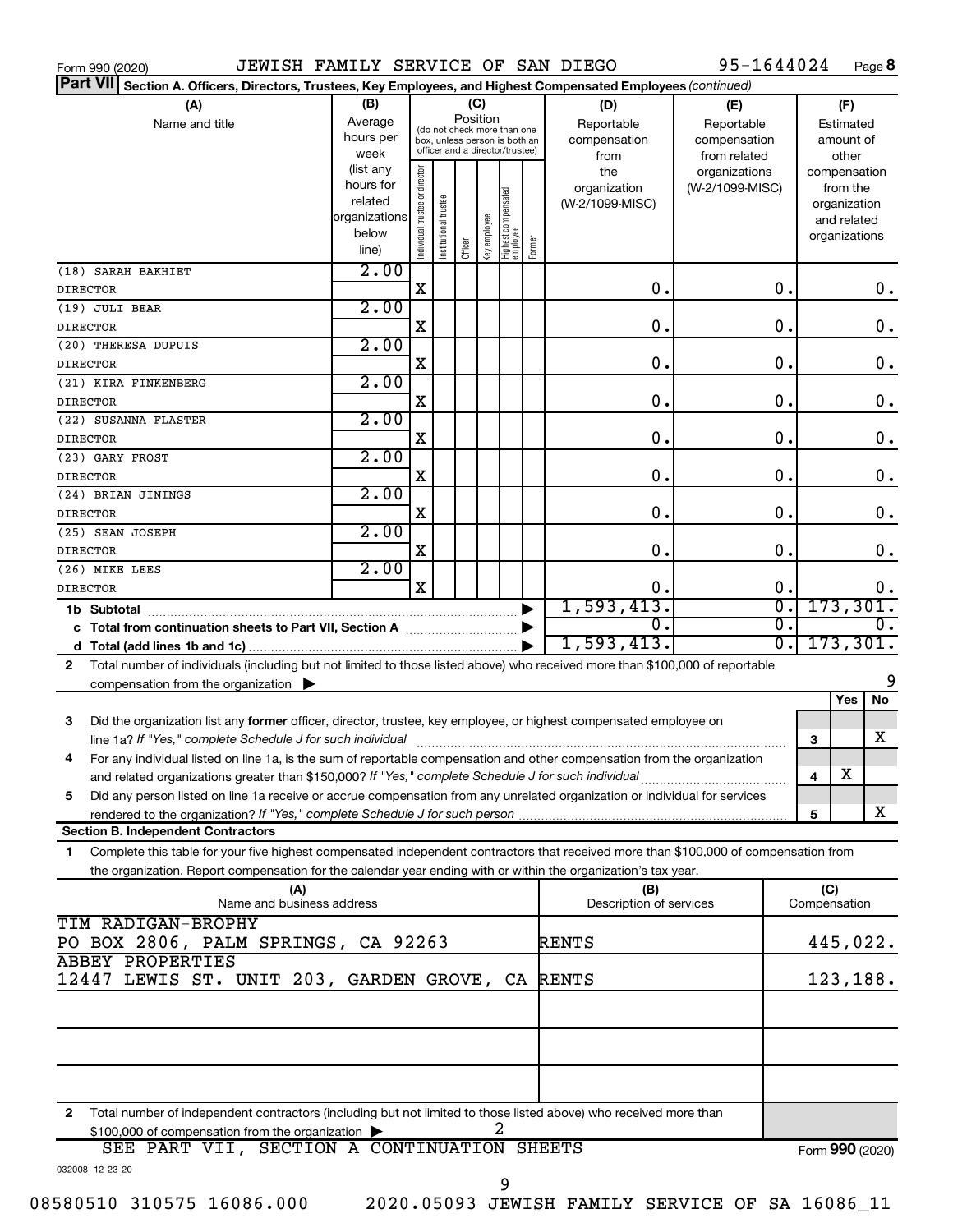| JEWISH FAMILY SERVICE OF SAN DIEGO<br>Form 990 (2020)                                                                                                                                       |                        |                                |                       |                                                                  |              |                                 |        |                                 | 95-1644024                  |   |                             | Page 8          |
|---------------------------------------------------------------------------------------------------------------------------------------------------------------------------------------------|------------------------|--------------------------------|-----------------------|------------------------------------------------------------------|--------------|---------------------------------|--------|---------------------------------|-----------------------------|---|-----------------------------|-----------------|
| Part VII Section A. Officers, Directors, Trustees, Key Employees, and Highest Compensated Employees (continued)                                                                             |                        |                                |                       |                                                                  |              |                                 |        |                                 |                             |   |                             |                 |
| (A)                                                                                                                                                                                         | (B)                    |                                |                       | (C)                                                              |              |                                 |        | (D)                             | (E)                         |   | (F)                         |                 |
| Name and title                                                                                                                                                                              | Average                |                                |                       | Position<br>(do not check more than one                          |              |                                 |        | Reportable                      | Reportable                  |   | Estimated                   |                 |
|                                                                                                                                                                                             | hours per              |                                |                       | box, unless person is both an<br>officer and a director/trustee) |              |                                 |        | compensation                    | compensation                |   | amount of                   |                 |
|                                                                                                                                                                                             | week                   |                                |                       |                                                                  |              |                                 |        | from                            | from related                |   | other                       |                 |
|                                                                                                                                                                                             | (list any<br>hours for |                                |                       |                                                                  |              |                                 |        | the                             | organizations               |   | compensation                |                 |
|                                                                                                                                                                                             | related                |                                |                       |                                                                  |              |                                 |        | organization<br>(W-2/1099-MISC) | (W-2/1099-MISC)             |   | from the                    |                 |
|                                                                                                                                                                                             | organizations          |                                |                       |                                                                  |              |                                 |        |                                 |                             |   | organization<br>and related |                 |
|                                                                                                                                                                                             | below                  |                                |                       |                                                                  |              |                                 |        |                                 |                             |   | organizations               |                 |
|                                                                                                                                                                                             | line)                  | Individual trustee or director | Institutional trustee | Officer                                                          | key employee | Highest compensated<br>employee | Former |                                 |                             |   |                             |                 |
| (18) SARAH BAKHIET                                                                                                                                                                          | 2.00                   |                                |                       |                                                                  |              |                                 |        |                                 |                             |   |                             |                 |
| <b>DIRECTOR</b>                                                                                                                                                                             |                        | X                              |                       |                                                                  |              |                                 |        | 0.                              | $\mathbf 0$ .               |   |                             | 0.              |
| (19) JULI BEAR                                                                                                                                                                              | 2.00                   |                                |                       |                                                                  |              |                                 |        |                                 |                             |   |                             |                 |
| <b>DIRECTOR</b>                                                                                                                                                                             |                        | X                              |                       |                                                                  |              |                                 |        | 0.                              | $\mathbf 0$ .               |   |                             | $\mathbf 0$ .   |
| (20) THERESA DUPUIS                                                                                                                                                                         | 2.00                   |                                |                       |                                                                  |              |                                 |        |                                 |                             |   |                             |                 |
| <b>DIRECTOR</b>                                                                                                                                                                             |                        | X                              |                       |                                                                  |              |                                 |        | 0.                              | $\mathbf 0$ .               |   |                             | $\mathbf 0$ .   |
| (21) KIRA FINKENBERG                                                                                                                                                                        | 2.00                   |                                |                       |                                                                  |              |                                 |        |                                 |                             |   |                             |                 |
| <b>DIRECTOR</b>                                                                                                                                                                             |                        | X                              |                       |                                                                  |              |                                 |        | $\mathbf 0$ .                   | $\mathbf 0$ .               |   |                             | $\mathbf 0$ .   |
| (22) SUSANNA FLASTER                                                                                                                                                                        | 2.00                   |                                |                       |                                                                  |              |                                 |        |                                 |                             |   |                             |                 |
| <b>DIRECTOR</b>                                                                                                                                                                             |                        | X                              |                       |                                                                  |              |                                 |        | $\mathbf 0$ .                   | О.                          |   |                             | $\mathbf 0$ .   |
| (23) GARY FROST                                                                                                                                                                             | 2.00                   |                                |                       |                                                                  |              |                                 |        |                                 |                             |   |                             |                 |
| <b>DIRECTOR</b>                                                                                                                                                                             |                        | X                              |                       |                                                                  |              |                                 |        | $\mathbf 0$ .                   | О.                          |   |                             | $\mathbf 0$ .   |
| (24) BRIAN JININGS                                                                                                                                                                          | 2.00                   |                                |                       |                                                                  |              |                                 |        |                                 |                             |   |                             |                 |
| <b>DIRECTOR</b>                                                                                                                                                                             |                        | X                              |                       |                                                                  |              |                                 |        | $\mathbf 0$ .                   | О.                          |   |                             | $\mathbf 0$ .   |
| (25) SEAN JOSEPH                                                                                                                                                                            | 2.00                   |                                |                       |                                                                  |              |                                 |        |                                 |                             |   |                             |                 |
| <b>DIRECTOR</b>                                                                                                                                                                             |                        | X                              |                       |                                                                  |              |                                 |        | $\mathbf 0$ .                   | О.                          |   |                             | $0$ .           |
| (26) MIKE LEES                                                                                                                                                                              | 2.00                   |                                |                       |                                                                  |              |                                 |        |                                 |                             |   |                             |                 |
| <b>DIRECTOR</b>                                                                                                                                                                             |                        | X                              |                       |                                                                  |              |                                 |        | 0.                              | $\mathbf 0$ .               |   |                             | 0.              |
| 1b Subtotal                                                                                                                                                                                 |                        |                                |                       |                                                                  |              |                                 |        | 1,593,413.                      | $\overline{\mathfrak{o}}$ . |   |                             | 173,301.        |
|                                                                                                                                                                                             |                        |                                |                       |                                                                  |              |                                 |        | $\Omega$ .                      | σ.                          |   |                             | 0.              |
|                                                                                                                                                                                             |                        |                                |                       |                                                                  |              |                                 |        | 1,593,413.                      | σ.                          |   |                             | 173,301.        |
| Total number of individuals (including but not limited to those listed above) who received more than \$100,000 of reportable<br>2                                                           |                        |                                |                       |                                                                  |              |                                 |        |                                 |                             |   |                             |                 |
| compensation from the organization $\blacktriangleright$                                                                                                                                    |                        |                                |                       |                                                                  |              |                                 |        |                                 |                             |   |                             | 9               |
|                                                                                                                                                                                             |                        |                                |                       |                                                                  |              |                                 |        |                                 |                             |   | Yes                         | No              |
| 3<br>Did the organization list any former officer, director, trustee, key employee, or highest compensated employee on                                                                      |                        |                                |                       |                                                                  |              |                                 |        |                                 |                             |   |                             |                 |
|                                                                                                                                                                                             |                        |                                |                       |                                                                  |              |                                 |        |                                 |                             | 3 |                             | x               |
| 4<br>For any individual listed on line 1a, is the sum of reportable compensation and other compensation from the organization                                                               |                        |                                |                       |                                                                  |              |                                 |        |                                 |                             |   |                             |                 |
|                                                                                                                                                                                             |                        |                                |                       |                                                                  |              |                                 |        |                                 |                             | 4 | х                           |                 |
| Did any person listed on line 1a receive or accrue compensation from any unrelated organization or individual for services<br>5                                                             |                        |                                |                       |                                                                  |              |                                 |        |                                 |                             |   |                             |                 |
| rendered to the organization? If "Yes," complete Schedule J for such person manufaction content to the organization? If "Yes," complete Schedule J for such person manufaction manufaction. |                        |                                |                       |                                                                  |              |                                 |        |                                 |                             | 5 |                             | x               |
| <b>Section B. Independent Contractors</b>                                                                                                                                                   |                        |                                |                       |                                                                  |              |                                 |        |                                 |                             |   |                             |                 |
| Complete this table for your five highest compensated independent contractors that received more than \$100,000 of compensation from<br>1                                                   |                        |                                |                       |                                                                  |              |                                 |        |                                 |                             |   |                             |                 |
| the organization. Report compensation for the calendar year ending with or within the organization's tax year.                                                                              |                        |                                |                       |                                                                  |              |                                 |        |                                 |                             |   |                             |                 |
| (A)                                                                                                                                                                                         |                        |                                |                       |                                                                  |              |                                 |        | (B)                             |                             |   | (C)                         |                 |
| Name and business address                                                                                                                                                                   |                        |                                |                       |                                                                  |              |                                 |        | Description of services         |                             |   | Compensation                |                 |
| TIM RADIGAN-BROPHY                                                                                                                                                                          |                        |                                |                       |                                                                  |              |                                 |        |                                 |                             |   |                             |                 |
| PO BOX 2806, PALM SPRINGS, CA 92263                                                                                                                                                         |                        |                                |                       |                                                                  |              |                                 |        | <b>RENTS</b>                    |                             |   |                             | 445,022.        |
| <b>ABBEY PROPERTIES</b>                                                                                                                                                                     |                        |                                |                       |                                                                  |              |                                 |        |                                 |                             |   |                             |                 |
| 12447 LEWIS ST. UNIT 203, GARDEN GROVE, CA RENTS                                                                                                                                            |                        |                                |                       |                                                                  |              |                                 |        |                                 |                             |   |                             | 123,188.        |
|                                                                                                                                                                                             |                        |                                |                       |                                                                  |              |                                 |        |                                 |                             |   |                             |                 |
|                                                                                                                                                                                             |                        |                                |                       |                                                                  |              |                                 |        |                                 |                             |   |                             |                 |
|                                                                                                                                                                                             |                        |                                |                       |                                                                  |              |                                 |        |                                 |                             |   |                             |                 |
|                                                                                                                                                                                             |                        |                                |                       |                                                                  |              |                                 |        |                                 |                             |   |                             |                 |
|                                                                                                                                                                                             |                        |                                |                       |                                                                  |              |                                 |        |                                 |                             |   |                             |                 |
|                                                                                                                                                                                             |                        |                                |                       |                                                                  |              |                                 |        |                                 |                             |   |                             |                 |
| Total number of independent contractors (including but not limited to those listed above) who received more than<br>2                                                                       |                        |                                |                       |                                                                  |              |                                 |        |                                 |                             |   |                             |                 |
| \$100,000 of compensation from the organization<br>SEE PART VII, SECTION A CONTINUATION SHEETS                                                                                              |                        |                                |                       |                                                                  |              |                                 |        |                                 |                             |   |                             |                 |
|                                                                                                                                                                                             |                        |                                |                       |                                                                  |              |                                 |        |                                 |                             |   |                             | Form 990 (2020) |
| 032008 12-23-20                                                                                                                                                                             |                        |                                |                       |                                                                  |              |                                 |        |                                 |                             |   |                             |                 |

9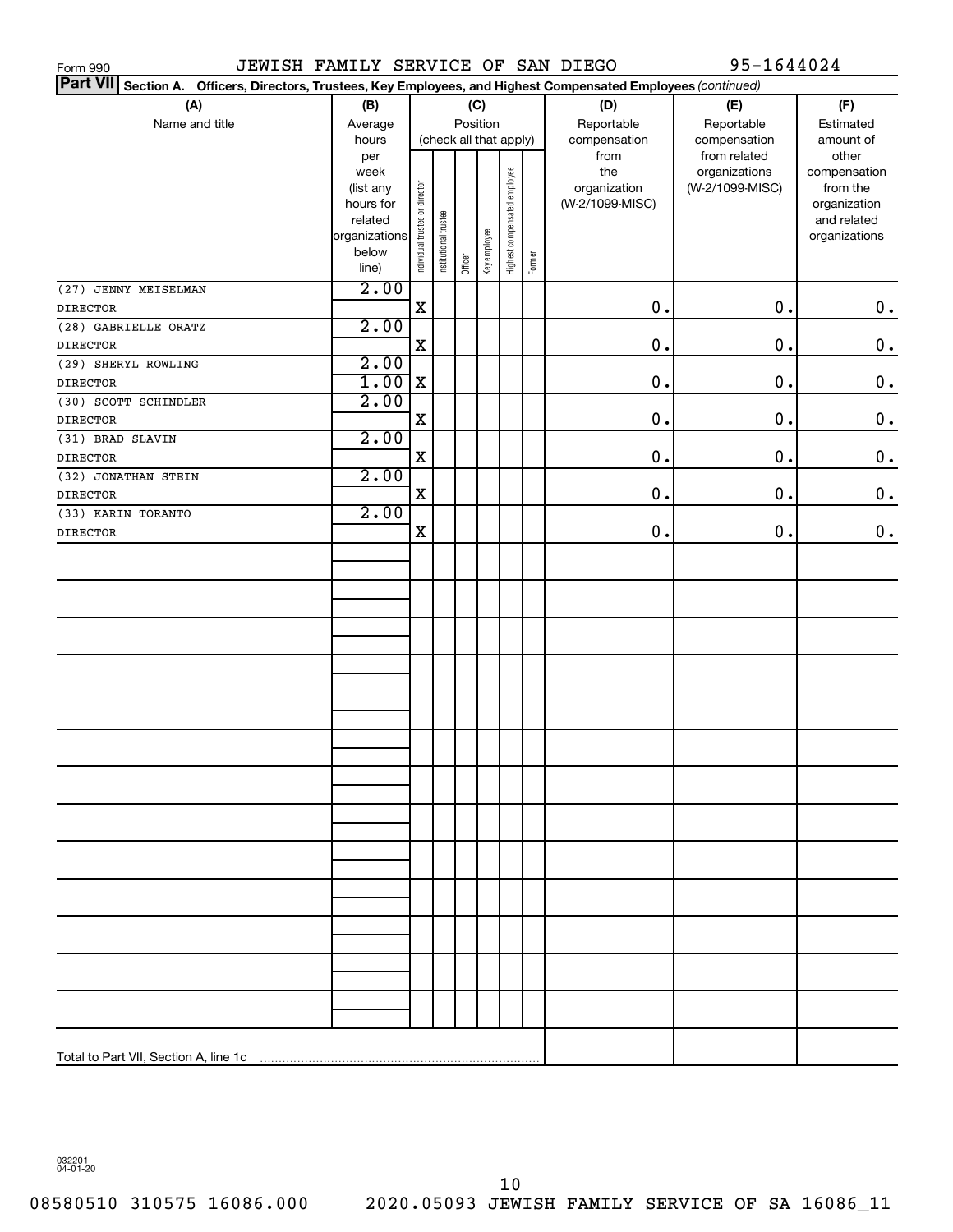| JEWISH FAMILY SERVICE OF SAN DIEGO<br>Form 990                                                                            |               |                                |                       |         |              |                              |        |                 | 95-1644024                    |                          |  |
|---------------------------------------------------------------------------------------------------------------------------|---------------|--------------------------------|-----------------------|---------|--------------|------------------------------|--------|-----------------|-------------------------------|--------------------------|--|
| <b>Part VII</b><br>Section A. Officers, Directors, Trustees, Key Employees, and Highest Compensated Employees (continued) |               |                                |                       |         |              |                              |        |                 |                               |                          |  |
| (A)                                                                                                                       | (B)           |                                | (C)<br>Position       |         |              |                              |        | (D)             | (E)                           | (F)                      |  |
| Name and title                                                                                                            | Average       |                                |                       |         |              |                              |        | Reportable      | Reportable                    | Estimated                |  |
|                                                                                                                           | hours         |                                |                       |         |              | (check all that apply)       |        | compensation    | compensation                  | amount of                |  |
|                                                                                                                           | per<br>week   |                                |                       |         |              |                              |        | from<br>the     | from related<br>organizations | other                    |  |
|                                                                                                                           | (list any     |                                |                       |         |              |                              |        | organization    | (W-2/1099-MISC)               | compensation<br>from the |  |
|                                                                                                                           | hours for     |                                |                       |         |              |                              |        | (W-2/1099-MISC) |                               | organization             |  |
|                                                                                                                           | related       |                                |                       |         |              |                              |        |                 |                               | and related              |  |
|                                                                                                                           | organizations |                                |                       |         |              |                              |        |                 |                               | organizations            |  |
|                                                                                                                           | below         | Individual trustee or director | Institutional trustee | Officer | Key employee | Highest compensated employee | Former |                 |                               |                          |  |
|                                                                                                                           | line)         |                                |                       |         |              |                              |        |                 |                               |                          |  |
| (27) JENNY MEISELMAN                                                                                                      | 2.00          | $\mathbf X$                    |                       |         |              |                              |        | 0.              | 0.                            |                          |  |
| <b>DIRECTOR</b>                                                                                                           | 2.00          |                                |                       |         |              |                              |        |                 |                               | $\boldsymbol{0}$ .       |  |
| (28) GABRIELLE ORATZ                                                                                                      |               | $\mathbf X$                    |                       |         |              |                              |        | 0.              | 0.                            |                          |  |
| <b>DIRECTOR</b>                                                                                                           |               |                                |                       |         |              |                              |        |                 |                               | $\mathbf 0$ .            |  |
| (29) SHERYL ROWLING                                                                                                       | 2.00          |                                |                       |         |              |                              |        |                 |                               |                          |  |
| <b>DIRECTOR</b>                                                                                                           | 1.00          | X                              |                       |         |              |                              |        | 0.              | 0.                            | $\mathbf 0$ .            |  |
| (30) SCOTT SCHINDLER                                                                                                      | 2.00          |                                |                       |         |              |                              |        |                 |                               |                          |  |
| <b>DIRECTOR</b>                                                                                                           |               | $\mathbf X$                    |                       |         |              |                              |        | 0.              | 0.                            | $\mathbf 0$ .            |  |
| (31) BRAD SLAVIN                                                                                                          | 2.00          |                                |                       |         |              |                              |        |                 |                               |                          |  |
| <b>DIRECTOR</b>                                                                                                           |               | $\mathbf X$                    |                       |         |              |                              |        | 0.              | 0.                            | $\mathbf 0$ .            |  |
| (32) JONATHAN STEIN                                                                                                       | 2.00          |                                |                       |         |              |                              |        | 0.              | $\mathbf 0$ .                 |                          |  |
| <b>DIRECTOR</b><br>(33) KARIN TORANTO                                                                                     | 2.00          | $\mathbf X$                    |                       |         |              |                              |        |                 |                               | $\mathbf 0$ .            |  |
| <b>DIRECTOR</b>                                                                                                           |               | X                              |                       |         |              |                              |        | 0.              | 0.                            | $\mathbf 0$ .            |  |
|                                                                                                                           |               |                                |                       |         |              |                              |        |                 |                               |                          |  |
|                                                                                                                           |               |                                |                       |         |              |                              |        |                 |                               |                          |  |
|                                                                                                                           |               |                                |                       |         |              |                              |        |                 |                               |                          |  |
|                                                                                                                           |               |                                |                       |         |              |                              |        |                 |                               |                          |  |
|                                                                                                                           |               |                                |                       |         |              |                              |        |                 |                               |                          |  |
|                                                                                                                           |               |                                |                       |         |              |                              |        |                 |                               |                          |  |
|                                                                                                                           |               |                                |                       |         |              |                              |        |                 |                               |                          |  |
|                                                                                                                           |               |                                |                       |         |              |                              |        |                 |                               |                          |  |
|                                                                                                                           |               |                                |                       |         |              |                              |        |                 |                               |                          |  |
|                                                                                                                           |               |                                |                       |         |              |                              |        |                 |                               |                          |  |
|                                                                                                                           |               |                                |                       |         |              |                              |        |                 |                               |                          |  |
|                                                                                                                           |               |                                |                       |         |              |                              |        |                 |                               |                          |  |
|                                                                                                                           |               |                                |                       |         |              |                              |        |                 |                               |                          |  |
|                                                                                                                           |               |                                |                       |         |              |                              |        |                 |                               |                          |  |
|                                                                                                                           |               |                                |                       |         |              |                              |        |                 |                               |                          |  |
|                                                                                                                           |               |                                |                       |         |              |                              |        |                 |                               |                          |  |
|                                                                                                                           |               |                                |                       |         |              |                              |        |                 |                               |                          |  |
|                                                                                                                           |               |                                |                       |         |              |                              |        |                 |                               |                          |  |
|                                                                                                                           |               |                                |                       |         |              |                              |        |                 |                               |                          |  |
|                                                                                                                           |               |                                |                       |         |              |                              |        |                 |                               |                          |  |
|                                                                                                                           |               |                                |                       |         |              |                              |        |                 |                               |                          |  |
|                                                                                                                           |               |                                |                       |         |              |                              |        |                 |                               |                          |  |
|                                                                                                                           |               |                                |                       |         |              |                              |        |                 |                               |                          |  |
|                                                                                                                           |               |                                |                       |         |              |                              |        |                 |                               |                          |  |
|                                                                                                                           |               |                                |                       |         |              |                              |        |                 |                               |                          |  |
|                                                                                                                           |               |                                |                       |         |              |                              |        |                 |                               |                          |  |

032201 04-01-20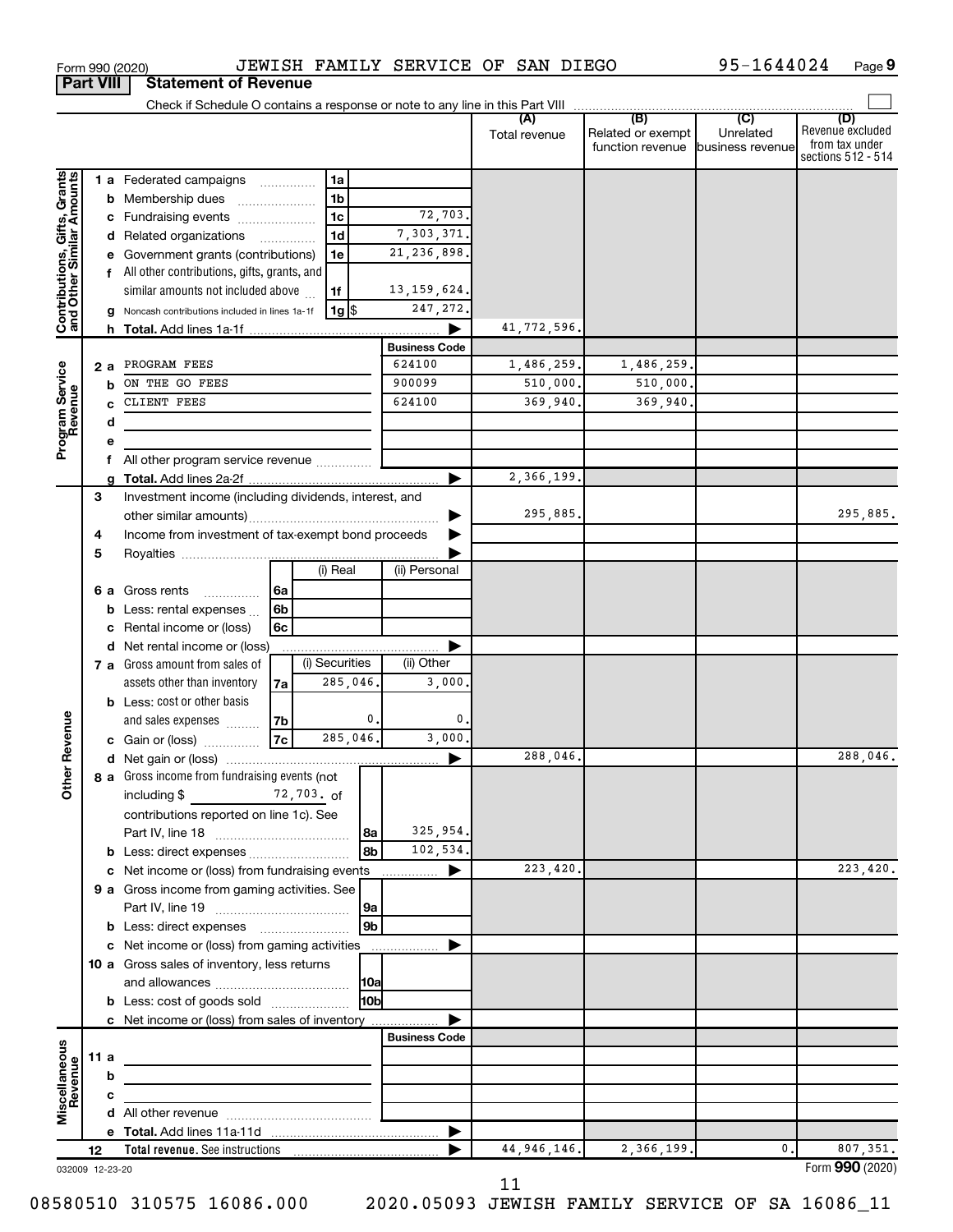|                                                           | <b>Part VIII</b> |   | <b>Statement of Revenue</b>                           |                |                 |          |                      |                      |                                                               |                  |                                                                 |
|-----------------------------------------------------------|------------------|---|-------------------------------------------------------|----------------|-----------------|----------|----------------------|----------------------|---------------------------------------------------------------|------------------|-----------------------------------------------------------------|
|                                                           |                  |   |                                                       |                |                 |          |                      |                      |                                                               |                  |                                                                 |
|                                                           |                  |   |                                                       |                |                 |          |                      | (A)<br>Total revenue | (B)<br>Related or exempt<br>function revenue business revenue | (C)<br>Unrelated | (D)<br>Revenue excluded<br>from tax under<br>sections 512 - 514 |
|                                                           |                  |   | 1 a Federated campaigns                               |                | 1a              |          |                      |                      |                                                               |                  |                                                                 |
| Contributions, Gifts, Grants<br>and Other Similar Amounts |                  |   | <b>b</b> Membership dues                              |                | 1 <sub>b</sub>  |          |                      |                      |                                                               |                  |                                                                 |
|                                                           |                  |   | c Fundraising events                                  |                | $\overline{1c}$ |          | 72,703.              |                      |                                                               |                  |                                                                 |
|                                                           |                  |   | d Related organizations                               |                | 1 <sub>d</sub>  |          | 7,303,371            |                      |                                                               |                  |                                                                 |
|                                                           |                  |   | e Government grants (contributions)                   |                | 1e              |          | 21, 236, 898         |                      |                                                               |                  |                                                                 |
|                                                           |                  |   | f All other contributions, gifts, grants, and         |                |                 |          |                      |                      |                                                               |                  |                                                                 |
|                                                           |                  |   | similar amounts not included above                    |                | 1f              |          | 13, 159, 624.        |                      |                                                               |                  |                                                                 |
|                                                           |                  |   | g Noncash contributions included in lines 1a-1f       |                | 1g   \$         |          | 247,272.             |                      |                                                               |                  |                                                                 |
|                                                           |                  |   |                                                       |                |                 |          |                      | 41,772,596.          |                                                               |                  |                                                                 |
|                                                           |                  |   |                                                       |                |                 |          | <b>Business Code</b> |                      |                                                               |                  |                                                                 |
|                                                           | 2 a              |   | PROGRAM FEES                                          |                |                 |          | 624100               | 1,486,259.           | 1,486,259.                                                    |                  |                                                                 |
|                                                           |                  | b | ON THE GO FEES                                        |                |                 |          | 900099               | 510,000.             | 510,000.                                                      |                  |                                                                 |
|                                                           |                  |   | CLIENT FEES                                           |                |                 |          | 624100               | 369,940.             | 369,940.                                                      |                  |                                                                 |
|                                                           |                  | d |                                                       |                |                 |          |                      |                      |                                                               |                  |                                                                 |
| Program Service<br>Revenue                                |                  | е |                                                       |                |                 |          |                      |                      |                                                               |                  |                                                                 |
|                                                           |                  |   | All other program service revenue                     |                |                 |          |                      | 2,366,199.           |                                                               |                  |                                                                 |
|                                                           | 3                | a | Investment income (including dividends, interest, and |                |                 |          |                      |                      |                                                               |                  |                                                                 |
|                                                           |                  |   |                                                       |                |                 |          |                      | 295,885.             |                                                               |                  | 295,885.                                                        |
|                                                           | 4                |   | Income from investment of tax-exempt bond proceeds    |                |                 |          |                      |                      |                                                               |                  |                                                                 |
|                                                           | 5                |   |                                                       |                |                 |          |                      |                      |                                                               |                  |                                                                 |
|                                                           |                  |   |                                                       |                | (i) Real        |          | (ii) Personal        |                      |                                                               |                  |                                                                 |
|                                                           |                  |   | 6 a Gross rents<br>.                                  | l 6a           |                 |          |                      |                      |                                                               |                  |                                                                 |
|                                                           |                  |   | <b>b</b> Less: rental expenses $\ldots$               | 6 <sub>b</sub> |                 |          |                      |                      |                                                               |                  |                                                                 |
|                                                           |                  | с | Rental income or (loss)                               | 6c             |                 |          |                      |                      |                                                               |                  |                                                                 |
|                                                           |                  |   | d Net rental income or (loss)                         |                |                 |          |                      |                      |                                                               |                  |                                                                 |
|                                                           |                  |   | 7 a Gross amount from sales of                        |                | (i) Securities  |          | (ii) Other           |                      |                                                               |                  |                                                                 |
|                                                           |                  |   | assets other than inventory                           | 7a             | 285,046.        |          | 3,000                |                      |                                                               |                  |                                                                 |
|                                                           |                  |   | <b>b</b> Less: cost or other basis                    |                |                 |          |                      |                      |                                                               |                  |                                                                 |
|                                                           |                  |   | and sales expenses                                    | 7b             |                 | 0.       | $\mathbf{0}$         |                      |                                                               |                  |                                                                 |
| Revenue                                                   |                  |   | c Gain or (loss)                                      | 7c             | 285,046.        |          | 3,000                |                      |                                                               |                  |                                                                 |
|                                                           |                  |   |                                                       |                |                 |          |                      | 288,046.             |                                                               |                  | 288,046.                                                        |
| <b>Other</b>                                              |                  |   | 8 a Gross income from fundraising events (not         |                |                 |          |                      |                      |                                                               |                  |                                                                 |
|                                                           |                  |   | including $$$<br>72,703. of                           |                |                 |          |                      |                      |                                                               |                  |                                                                 |
|                                                           |                  |   | contributions reported on line 1c). See               |                |                 |          |                      |                      |                                                               |                  |                                                                 |
|                                                           |                  |   |                                                       |                |                 | 8a       | 325,954.             |                      |                                                               |                  |                                                                 |
|                                                           |                  |   | <b>b</b> Less: direct expenses <b>constants</b> b     |                |                 | 8b       | 102,534.             |                      |                                                               |                  |                                                                 |
|                                                           |                  |   | c Net income or (loss) from fundraising events        |                |                 |          | ▶<br>.               | 223,420.             |                                                               |                  | 223,420.                                                        |
|                                                           |                  |   | 9 a Gross income from gaming activities. See          |                |                 |          |                      |                      |                                                               |                  |                                                                 |
|                                                           |                  |   |                                                       |                |                 | 9a<br>9b |                      |                      |                                                               |                  |                                                                 |
|                                                           |                  |   | c Net income or (loss) from gaming activities         |                |                 |          | ▶                    |                      |                                                               |                  |                                                                 |
|                                                           |                  |   | 10 a Gross sales of inventory, less returns           |                |                 |          |                      |                      |                                                               |                  |                                                                 |
|                                                           |                  |   |                                                       |                |                 | 10a      |                      |                      |                                                               |                  |                                                                 |
|                                                           |                  |   | <b>b</b> Less: cost of goods sold                     |                |                 | l10bl    |                      |                      |                                                               |                  |                                                                 |
|                                                           |                  |   | c Net income or (loss) from sales of inventory        |                |                 |          |                      |                      |                                                               |                  |                                                                 |
|                                                           |                  |   |                                                       |                |                 |          | <b>Business Code</b> |                      |                                                               |                  |                                                                 |
| Miscellaneous<br>Revenue                                  | 11 a             |   |                                                       |                |                 |          |                      |                      |                                                               |                  |                                                                 |
|                                                           |                  | b |                                                       |                |                 |          |                      |                      |                                                               |                  |                                                                 |
|                                                           |                  | C |                                                       |                |                 |          |                      |                      |                                                               |                  |                                                                 |
|                                                           |                  |   |                                                       |                |                 |          |                      |                      |                                                               |                  |                                                                 |
|                                                           |                  |   |                                                       |                |                 |          | ▶                    |                      |                                                               |                  |                                                                 |
|                                                           | 12               |   |                                                       |                |                 |          |                      | 44, 946, 146.        | 2,366,199.                                                    | $\mathbf 0$ .    | 807,351.                                                        |
| 032009 12-23-20                                           |                  |   |                                                       |                |                 |          |                      |                      |                                                               |                  | Form 990 (2020)                                                 |

Form 990 (2020) JEWISH FAMILY SERVICE OF SAN DIEGO 95-1644024 Page

95-1644024 Page 9

032009 12-23-20

 <sup>11</sup>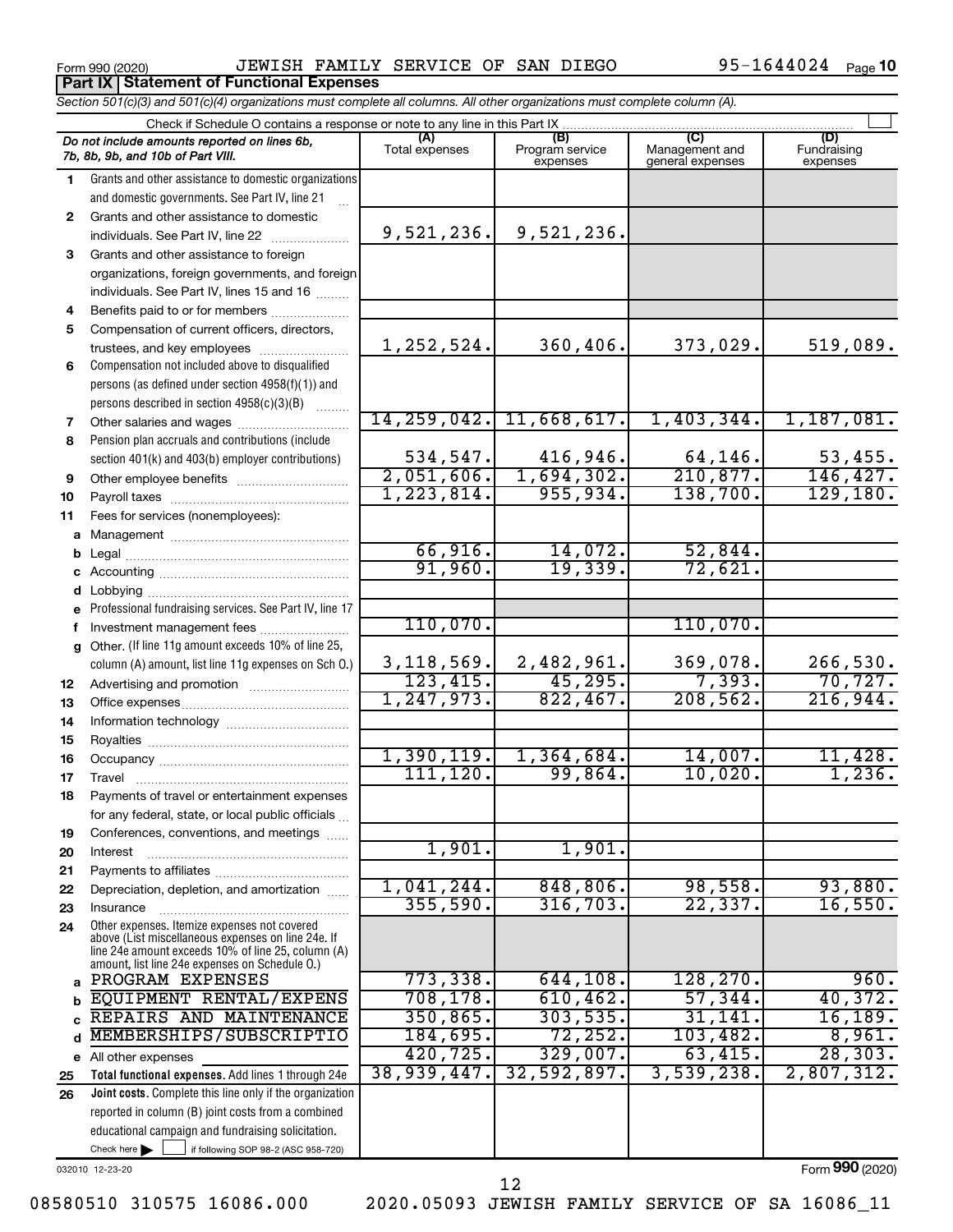**Part IX Statement of Functional Expenses**

Form 990 (2020) JEWISH FAMILY SERVICE OF SAN DIEGO 95-1644024 Page

95-1644024 Page 10

|                                                                              | Section 501(c)(3) and 501(c)(4) organizations must complete all columns. All other organizations must complete column (A). |                           |                                    |                                           |                                |  |  |  |  |  |  |  |
|------------------------------------------------------------------------------|----------------------------------------------------------------------------------------------------------------------------|---------------------------|------------------------------------|-------------------------------------------|--------------------------------|--|--|--|--|--|--|--|
| Check if Schedule O contains a response or note to any line in this Part IX. |                                                                                                                            |                           |                                    |                                           |                                |  |  |  |  |  |  |  |
|                                                                              | Do not include amounts reported on lines 6b,<br>7b, 8b, 9b, and 10b of Part VIII.                                          | (A)<br>Total expenses     | (B)<br>Program service<br>expenses | (C)<br>Management and<br>general expenses | (D)<br>Fundraising<br>expenses |  |  |  |  |  |  |  |
| 1                                                                            | Grants and other assistance to domestic organizations                                                                      |                           |                                    |                                           |                                |  |  |  |  |  |  |  |
|                                                                              | and domestic governments. See Part IV, line 21                                                                             |                           |                                    |                                           |                                |  |  |  |  |  |  |  |
| $\mathbf{2}$                                                                 | Grants and other assistance to domestic                                                                                    |                           |                                    |                                           |                                |  |  |  |  |  |  |  |
|                                                                              | individuals. See Part IV, line 22                                                                                          | 9,521,236.                | 9,521,236.                         |                                           |                                |  |  |  |  |  |  |  |
| 3                                                                            | Grants and other assistance to foreign                                                                                     |                           |                                    |                                           |                                |  |  |  |  |  |  |  |
|                                                                              | organizations, foreign governments, and foreign                                                                            |                           |                                    |                                           |                                |  |  |  |  |  |  |  |
|                                                                              | individuals. See Part IV, lines 15 and 16                                                                                  |                           |                                    |                                           |                                |  |  |  |  |  |  |  |
| 4                                                                            | Benefits paid to or for members                                                                                            |                           |                                    |                                           |                                |  |  |  |  |  |  |  |
| 5                                                                            | Compensation of current officers, directors,                                                                               |                           |                                    |                                           |                                |  |  |  |  |  |  |  |
|                                                                              | trustees, and key employees                                                                                                | 1,252,524.                | 360,406.                           | 373,029.                                  | 519,089.                       |  |  |  |  |  |  |  |
| 6                                                                            | Compensation not included above to disqualified                                                                            |                           |                                    |                                           |                                |  |  |  |  |  |  |  |
|                                                                              | persons (as defined under section 4958(f)(1)) and                                                                          |                           |                                    |                                           |                                |  |  |  |  |  |  |  |
|                                                                              | persons described in section 4958(c)(3)(B)                                                                                 |                           |                                    |                                           |                                |  |  |  |  |  |  |  |
| 7                                                                            | Other salaries and wages                                                                                                   |                           | 14, 259, 042. 11, 668, 617.        | 1,403,344.                                | 1,187,081.                     |  |  |  |  |  |  |  |
| 8                                                                            | Pension plan accruals and contributions (include                                                                           |                           |                                    |                                           |                                |  |  |  |  |  |  |  |
|                                                                              | section 401(k) and 403(b) employer contributions)                                                                          | 534, 547.                 | 416,946.                           | $\frac{64,146}{210,877}$ .                | 53,455.                        |  |  |  |  |  |  |  |
| 9                                                                            | Other employee benefits                                                                                                    | 2,051,606.                | 1,694,302.                         |                                           | 146,427.                       |  |  |  |  |  |  |  |
| 10                                                                           |                                                                                                                            | 1, 223, 814.              | 955,934.                           | 138,700.                                  | 129, 180.                      |  |  |  |  |  |  |  |
| 11                                                                           | Fees for services (nonemployees):                                                                                          |                           |                                    |                                           |                                |  |  |  |  |  |  |  |
|                                                                              |                                                                                                                            |                           |                                    |                                           |                                |  |  |  |  |  |  |  |
|                                                                              |                                                                                                                            | $\frac{66,916.}{91,960.}$ | $\frac{14,072.}{19,339.}$          | 52,844.                                   |                                |  |  |  |  |  |  |  |
|                                                                              |                                                                                                                            |                           |                                    | 72,621.                                   |                                |  |  |  |  |  |  |  |
|                                                                              |                                                                                                                            |                           |                                    |                                           |                                |  |  |  |  |  |  |  |
|                                                                              | e Professional fundraising services. See Part IV, line 17                                                                  |                           |                                    |                                           |                                |  |  |  |  |  |  |  |
|                                                                              | Investment management fees                                                                                                 | 110,070.                  |                                    | 110,070.                                  |                                |  |  |  |  |  |  |  |
|                                                                              | g Other. (If line 11g amount exceeds 10% of line 25,                                                                       |                           |                                    |                                           |                                |  |  |  |  |  |  |  |
|                                                                              | column (A) amount, list line 11g expenses on Sch O.)                                                                       | 3,118,569.<br>123,415.    | $\frac{2,482,961}{45,295}$         | $\frac{369,078.}{7,393.}$                 | 266,530.                       |  |  |  |  |  |  |  |
| 12                                                                           |                                                                                                                            | 1, 247, 973.              | 822,467.                           | 208,562.                                  | 70, 727.<br>216,944.           |  |  |  |  |  |  |  |
| 13                                                                           |                                                                                                                            |                           |                                    |                                           |                                |  |  |  |  |  |  |  |
| 14                                                                           |                                                                                                                            |                           |                                    |                                           |                                |  |  |  |  |  |  |  |
| 15                                                                           |                                                                                                                            | 1,390,119.                | 1,364,684.                         | 14,007.                                   | 11,428.                        |  |  |  |  |  |  |  |
| 16                                                                           |                                                                                                                            | 111, 120.                 | 99,864.                            | 10,020.                                   | 1,236.                         |  |  |  |  |  |  |  |
| 17                                                                           |                                                                                                                            |                           |                                    |                                           |                                |  |  |  |  |  |  |  |
| 18                                                                           | Payments of travel or entertainment expenses                                                                               |                           |                                    |                                           |                                |  |  |  |  |  |  |  |
| 19                                                                           | for any federal, state, or local public officials<br>Conferences, conventions, and meetings                                |                           |                                    |                                           |                                |  |  |  |  |  |  |  |
| 20                                                                           | Interest                                                                                                                   | 1,901.                    | 1,901.                             |                                           |                                |  |  |  |  |  |  |  |
| 21                                                                           |                                                                                                                            |                           |                                    |                                           |                                |  |  |  |  |  |  |  |
| 22                                                                           | Depreciation, depletion, and amortization                                                                                  | $1,041,244$ .             | 848, 806.                          | 98,558.                                   | 93,880.                        |  |  |  |  |  |  |  |
| 23                                                                           | Insurance                                                                                                                  | 355,590.                  | 316, 703.                          | 22, 337.                                  | 16,550.                        |  |  |  |  |  |  |  |
| 24                                                                           | Other expenses. Itemize expenses not covered                                                                               |                           |                                    |                                           |                                |  |  |  |  |  |  |  |
|                                                                              | above (List miscellaneous expenses on line 24e. If                                                                         |                           |                                    |                                           |                                |  |  |  |  |  |  |  |
|                                                                              | line 24e amount exceeds 10% of line 25, column (A)<br>amount, list line 24e expenses on Schedule O.)                       |                           |                                    |                                           |                                |  |  |  |  |  |  |  |
|                                                                              | PROGRAM EXPENSES                                                                                                           | 773,338.                  | 644, 108.                          | 128, 270.                                 | 960.                           |  |  |  |  |  |  |  |
|                                                                              | EQUIPMENT RENTAL/EXPENS                                                                                                    | 708, 178.                 | 610, 462.                          | 57,344.                                   | 40,372.                        |  |  |  |  |  |  |  |
|                                                                              | REPAIRS AND MAINTENANCE                                                                                                    | 350, 865.                 | 303,535.                           | 31,141.                                   | 16, 189.                       |  |  |  |  |  |  |  |
| d                                                                            | MEMBERSHIPS/SUBSCRIPTIO                                                                                                    | 184,695.                  | 72, 252.                           | 103,482.                                  | 8,961.                         |  |  |  |  |  |  |  |
|                                                                              | e All other expenses                                                                                                       | 420, 725.                 | 329,007.                           | 63,415.                                   | 28, 303.                       |  |  |  |  |  |  |  |
| 25                                                                           | Total functional expenses. Add lines 1 through 24e                                                                         | 38,939,447.               | 32,592,897.                        | 3,539,238.                                | 2,807,312.                     |  |  |  |  |  |  |  |
| 26                                                                           | Joint costs. Complete this line only if the organization                                                                   |                           |                                    |                                           |                                |  |  |  |  |  |  |  |
|                                                                              | reported in column (B) joint costs from a combined                                                                         |                           |                                    |                                           |                                |  |  |  |  |  |  |  |
|                                                                              | educational campaign and fundraising solicitation.                                                                         |                           |                                    |                                           |                                |  |  |  |  |  |  |  |
|                                                                              | Check here $\blacktriangleright$<br>if following SOP 98-2 (ASC 958-720)                                                    |                           |                                    |                                           |                                |  |  |  |  |  |  |  |

032010 12-23-20

Form (2020) **990**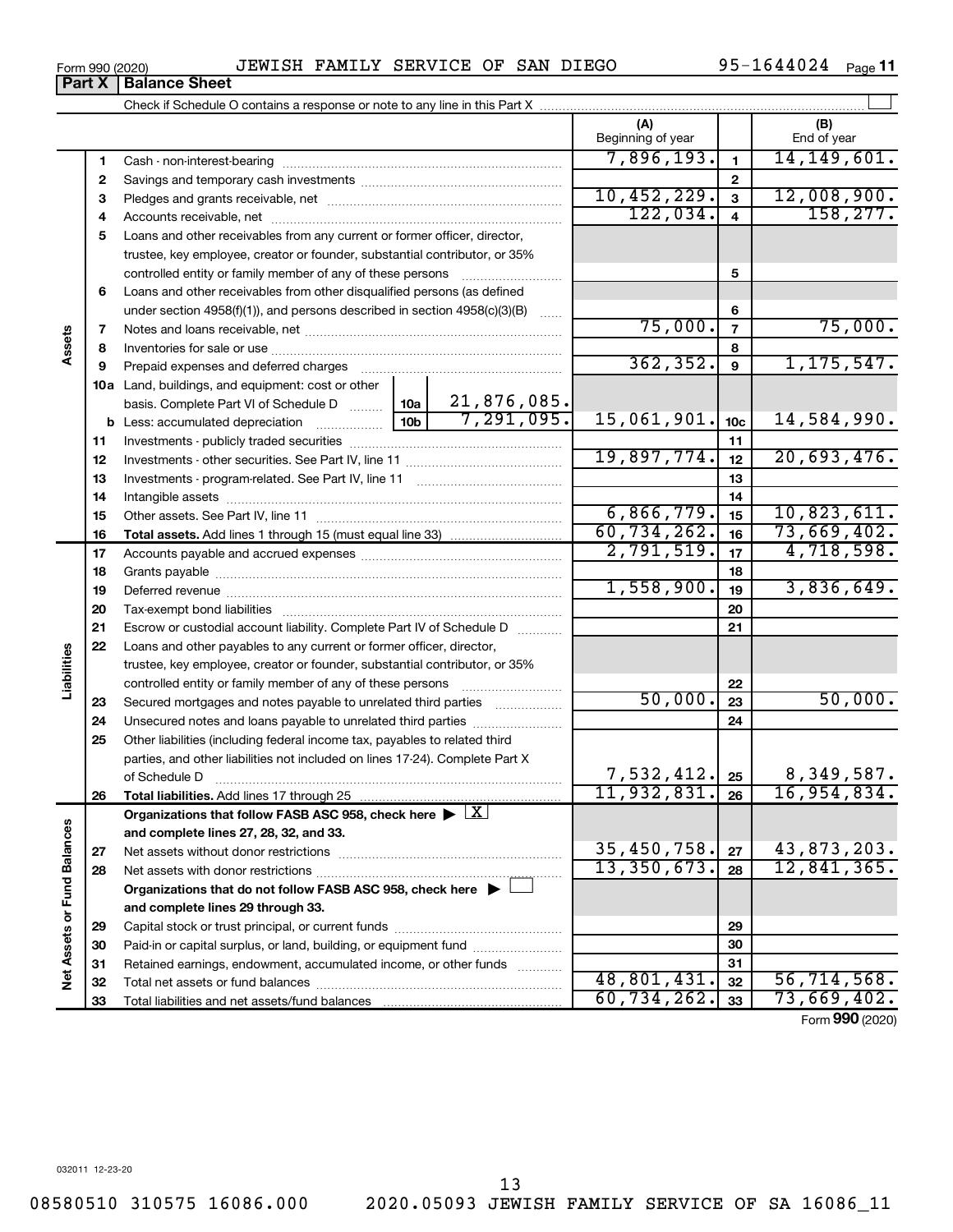Form 990 (2020) JEWISH FAMILY SERVICE OF SAN DIEGO 95-1644024 Page

95-1644024 Page 11

|                             | Part A       | <b>Balance Sheet</b>                                                                                   |             |                           |                            |                         |                    |
|-----------------------------|--------------|--------------------------------------------------------------------------------------------------------|-------------|---------------------------|----------------------------|-------------------------|--------------------|
|                             |              |                                                                                                        |             |                           |                            |                         |                    |
|                             |              |                                                                                                        |             |                           | (A)<br>Beginning of year   |                         | (B)<br>End of year |
|                             | 1            |                                                                                                        |             |                           | 7,896,193.                 | 1                       | 14, 149, 601.      |
|                             | $\mathbf{2}$ |                                                                                                        |             |                           |                            | $\mathbf{2}$            |                    |
|                             | з            |                                                                                                        |             |                           | 10,452,229.                | 3                       | 12,008,900.        |
|                             | 4            |                                                                                                        |             |                           | 122,034.                   | $\overline{\mathbf{4}}$ | 158, 277.          |
|                             | 5            | Loans and other receivables from any current or former officer, director,                              |             |                           |                            |                         |                    |
|                             |              | trustee, key employee, creator or founder, substantial contributor, or 35%                             |             |                           |                            |                         |                    |
|                             |              | controlled entity or family member of any of these persons                                             |             |                           |                            | 5                       |                    |
|                             | 6            | Loans and other receivables from other disqualified persons (as defined                                |             |                           |                            |                         |                    |
|                             |              | under section $4958(f)(1)$ , and persons described in section $4958(c)(3)(B)$                          |             | <b>Service</b>            |                            | 6                       |                    |
|                             | 7            |                                                                                                        |             |                           | 75,000.                    | $\overline{7}$          | 75,000.            |
| Assets                      | 8            |                                                                                                        |             |                           | 8                          |                         |                    |
|                             | 9            |                                                                                                        |             |                           | 362, 352.                  | $\boldsymbol{9}$        | 1, 175, 547.       |
|                             |              | 10a Land, buildings, and equipment: cost or other                                                      |             |                           |                            |                         |                    |
|                             |              | basis. Complete Part VI of Schedule D    10a                                                           |             | 21,876,085.<br>7,291,095. |                            |                         |                    |
|                             |              |                                                                                                        | 15,061,901. | 10 <sub>c</sub>           | 14,584,990.                |                         |                    |
|                             | 11           |                                                                                                        |             |                           |                            | 11                      |                    |
|                             | 12           |                                                                                                        |             | 19,897,774.               | 12                         | 20,693,476.             |                    |
|                             | 13           |                                                                                                        |             |                           | 13                         |                         |                    |
|                             | 14           |                                                                                                        |             |                           | 14                         |                         |                    |
|                             | 15           |                                                                                                        |             |                           | 6,866,779.                 | 15                      | 10,823,611.        |
|                             | 16           |                                                                                                        |             |                           | 60,734,262.                | 16                      | 73,669,402.        |
|                             | 17           |                                                                                                        |             |                           | 2,791,519.                 | 17                      | 4,718,598.         |
|                             | 18           |                                                                                                        |             | 18                        |                            |                         |                    |
|                             | 19           |                                                                                                        | 1,558,900.  | 19                        | 3,836,649.                 |                         |                    |
|                             | 20           |                                                                                                        |             |                           |                            | 20                      |                    |
|                             | 21           | Escrow or custodial account liability. Complete Part IV of Schedule D                                  |             |                           |                            | 21                      |                    |
|                             | 22           | Loans and other payables to any current or former officer, director,                                   |             |                           |                            |                         |                    |
| Liabilities                 |              | trustee, key employee, creator or founder, substantial contributor, or 35%                             |             |                           |                            |                         |                    |
|                             |              | controlled entity or family member of any of these persons                                             |             |                           |                            | 22                      |                    |
|                             | 23           | Secured mortgages and notes payable to unrelated third parties                                         |             |                           | 50,000.                    | 23                      | 50,000.            |
|                             | 24           | Unsecured notes and loans payable to unrelated third parties                                           |             |                           |                            | 24                      |                    |
|                             | 25           | Other liabilities (including federal income tax, payables to related third                             |             |                           |                            |                         |                    |
|                             |              | parties, and other liabilities not included on lines 17-24). Complete Part X                           |             |                           |                            |                         |                    |
|                             |              | of Schedule D                                                                                          |             |                           | $7,532,412$ , $25$         |                         | 8,349,587.         |
|                             | 26           | Total liabilities. Add lines 17 through 25                                                             |             |                           | 11,932,831.                | 26                      | 16,954,834.        |
|                             |              | Organizations that follow FASB ASC 958, check here $\blacktriangleright \lfloor \underline{X} \rfloor$ |             |                           |                            |                         |                    |
|                             |              | and complete lines 27, 28, 32, and 33.                                                                 |             |                           |                            |                         |                    |
|                             | 27           | Net assets without donor restrictions                                                                  |             |                           | 35,450,758.<br>13,350,673. | 27                      | 43,873,203.        |
|                             | 28           |                                                                                                        |             |                           |                            | 28                      | 12,841,365.        |
|                             |              | Organizations that do not follow FASB ASC 958, check here $\blacktriangleright \perp$                  |             |                           |                            |                         |                    |
|                             |              | and complete lines 29 through 33.                                                                      |             |                           |                            |                         |                    |
|                             | 29           |                                                                                                        |             |                           |                            | 29                      |                    |
|                             | 30           | Paid-in or capital surplus, or land, building, or equipment fund                                       |             |                           | 30                         |                         |                    |
| Net Assets or Fund Balances | 31           | Retained earnings, endowment, accumulated income, or other funds                                       |             |                           | 48,801,431.                | 31                      | 56, 714, 568.      |
|                             | 32           |                                                                                                        |             |                           | 60, 734, 262.              | 32                      | 73,669,402.        |
|                             | 33           |                                                                                                        |             |                           |                            | 33                      |                    |
|                             |              |                                                                                                        |             |                           |                            |                         | Form 990 (2020)    |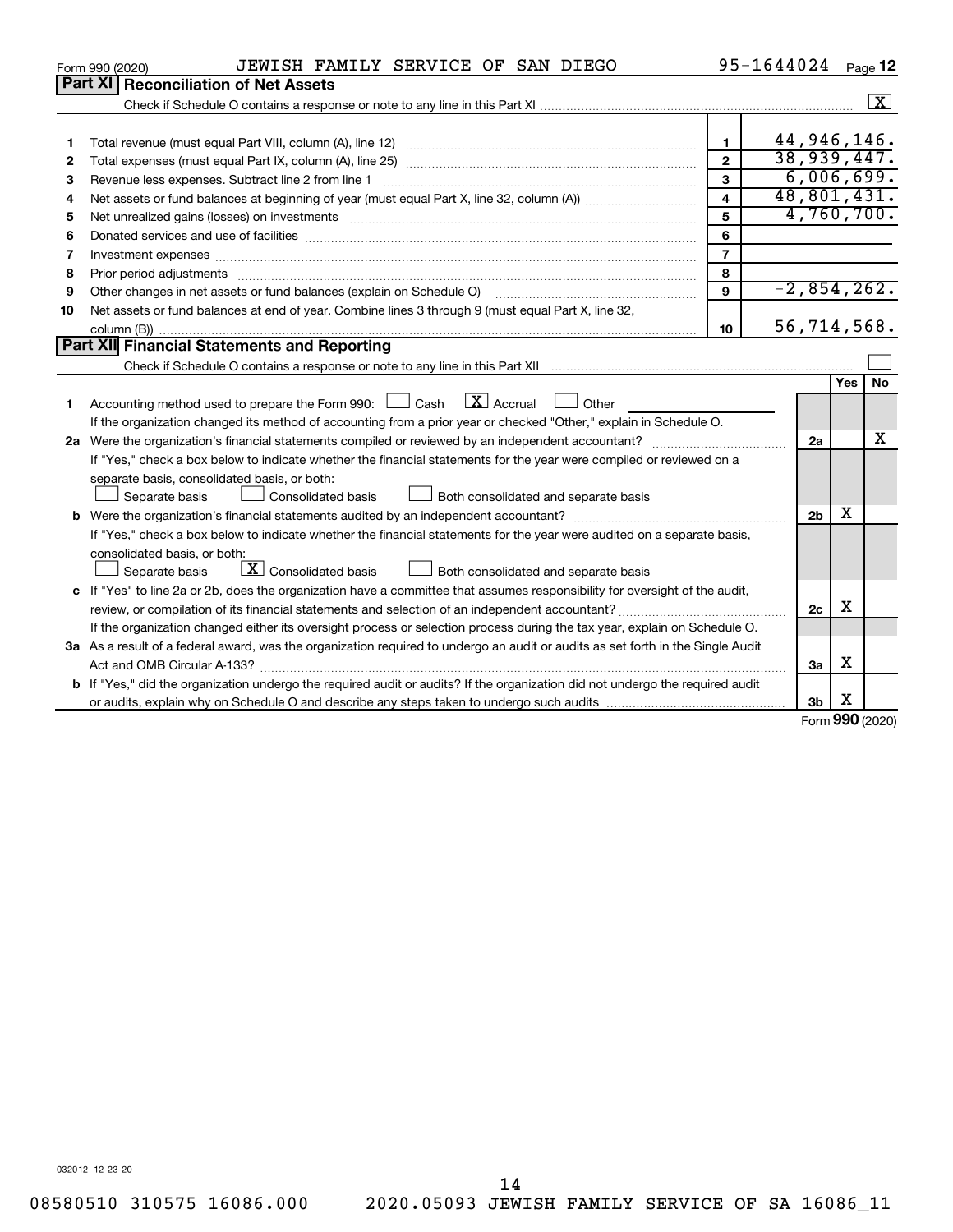|    | JEWISH FAMILY SERVICE OF SAN DIEGO<br>Form 990 (2020)                                                                                                                                                                          |                | 95-1644024     |     | Page 12              |
|----|--------------------------------------------------------------------------------------------------------------------------------------------------------------------------------------------------------------------------------|----------------|----------------|-----|----------------------|
|    | Part XI<br><b>Reconciliation of Net Assets</b>                                                                                                                                                                                 |                |                |     |                      |
|    |                                                                                                                                                                                                                                |                |                |     | $\boxed{\textbf{X}}$ |
|    |                                                                                                                                                                                                                                |                |                |     |                      |
| 1  |                                                                                                                                                                                                                                | $\mathbf{1}$   | 44,946,146.    |     |                      |
| 2  |                                                                                                                                                                                                                                | $\mathbf{2}$   | 38,939,447.    |     |                      |
| 3  | Revenue less expenses. Subtract line 2 from line 1                                                                                                                                                                             | 3              | 6,006,699.     |     |                      |
| 4  |                                                                                                                                                                                                                                | 4              | 48,801,431.    |     |                      |
| 5  | Net unrealized gains (losses) on investments [111] www.marting.community.community.community.community.communi                                                                                                                 | 5              | 4,760,700.     |     |                      |
| 6  |                                                                                                                                                                                                                                | 6              |                |     |                      |
| 7  | Investment expenses www.communication.com/www.communication.com/www.communication.com/www.com                                                                                                                                  | $\overline{7}$ |                |     |                      |
| 8  | Prior period adjustments material contents and content and content and content and content and content and content and content and content and content and content and content and content and content and content and content | 8              |                |     |                      |
| 9  | Other changes in net assets or fund balances (explain on Schedule O)                                                                                                                                                           | 9              | $-2,854,262.$  |     |                      |
| 10 | Net assets or fund balances at end of year. Combine lines 3 through 9 (must equal Part X, line 32,                                                                                                                             |                |                |     |                      |
|    |                                                                                                                                                                                                                                | 10             | 56,714,568.    |     |                      |
|    | Part XII Financial Statements and Reporting                                                                                                                                                                                    |                |                |     |                      |
|    |                                                                                                                                                                                                                                |                |                |     |                      |
|    |                                                                                                                                                                                                                                |                |                | Yes | No                   |
| 1  | $\lfloor x \rfloor$ Accrual<br>Accounting method used to prepare the Form 990: [130] Cash<br>Other<br><b>Contract</b>                                                                                                          |                |                |     |                      |
|    | If the organization changed its method of accounting from a prior year or checked "Other," explain in Schedule O.                                                                                                              |                |                |     |                      |
|    |                                                                                                                                                                                                                                |                | 2a             |     | x                    |
|    | If "Yes," check a box below to indicate whether the financial statements for the year were compiled or reviewed on a                                                                                                           |                |                |     |                      |
|    | separate basis, consolidated basis, or both:                                                                                                                                                                                   |                |                |     |                      |
|    | Consolidated basis<br>Both consolidated and separate basis<br>Separate basis                                                                                                                                                   |                |                |     |                      |
|    |                                                                                                                                                                                                                                |                | 2 <sub>b</sub> | x   |                      |
|    | If "Yes," check a box below to indicate whether the financial statements for the year were audited on a separate basis,                                                                                                        |                |                |     |                      |
|    | consolidated basis, or both:                                                                                                                                                                                                   |                |                |     |                      |
|    | $\boxed{\textbf{X}}$ Consolidated basis<br>Both consolidated and separate basis<br>Separate basis                                                                                                                              |                |                |     |                      |
|    | c If "Yes" to line 2a or 2b, does the organization have a committee that assumes responsibility for oversight of the audit,                                                                                                    |                |                |     |                      |
|    |                                                                                                                                                                                                                                |                | 2 <sub>c</sub> | х   |                      |
|    | If the organization changed either its oversight process or selection process during the tax year, explain on Schedule O.                                                                                                      |                |                |     |                      |
|    | 3a As a result of a federal award, was the organization required to undergo an audit or audits as set forth in the Single Audit                                                                                                |                |                |     |                      |
|    | Act and OMB Circular A-133?                                                                                                                                                                                                    |                | За             | х   |                      |
|    | <b>b</b> If "Yes," did the organization undergo the required audit or audits? If the organization did not undergo the required audit                                                                                           |                |                |     |                      |
|    |                                                                                                                                                                                                                                |                | 3b             | X   | $000 \text{ hours}$  |
|    |                                                                                                                                                                                                                                |                |                |     |                      |

Form (2020) **990**

032012 12-23-20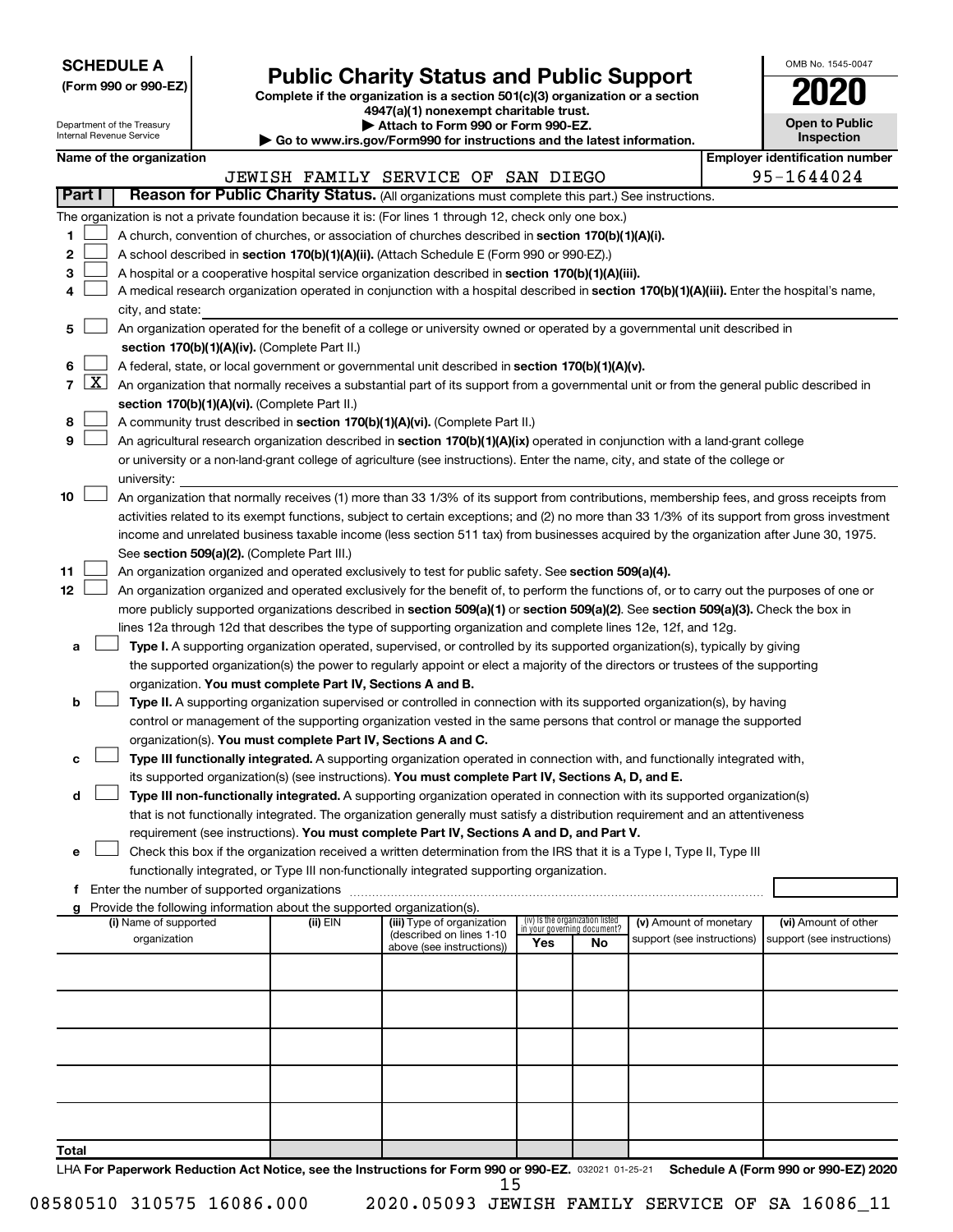| <b>SCHEDULE A</b> |  |
|-------------------|--|
|-------------------|--|

## Form 990 or 990-EZ) **Public Charity Status and Public Support**<br>
Complete if the organization is a section 501(c)(3) organization or a section<br> **2020**

**4947(a)(1) nonexempt charitable trust.**

| OMB No 1545-0047             |
|------------------------------|
| 2020                         |
| <b>Open to Public</b><br>n o |

| Department of the Treasury<br>Attach to Form 990 or Form 990-EZ.<br>Internal Revenue Service<br>Go to www.irs.gov/Form990 for instructions and the latest information. |                     |                          |  |                                                                        |                                                                                                                                              |     |                                                                |                            | <b>Open to Public</b><br>Inspection   |  |
|------------------------------------------------------------------------------------------------------------------------------------------------------------------------|---------------------|--------------------------|--|------------------------------------------------------------------------|----------------------------------------------------------------------------------------------------------------------------------------------|-----|----------------------------------------------------------------|----------------------------|---------------------------------------|--|
|                                                                                                                                                                        |                     | Name of the organization |  |                                                                        |                                                                                                                                              |     |                                                                |                            | <b>Employer identification number</b> |  |
|                                                                                                                                                                        |                     |                          |  |                                                                        | JEWISH FAMILY SERVICE OF SAN DIEGO                                                                                                           |     |                                                                |                            | 95-1644024                            |  |
| <b>Part I</b>                                                                                                                                                          |                     |                          |  |                                                                        | Reason for Public Charity Status. (All organizations must complete this part.) See instructions.                                             |     |                                                                |                            |                                       |  |
|                                                                                                                                                                        |                     |                          |  |                                                                        | The organization is not a private foundation because it is: (For lines 1 through 12, check only one box.)                                    |     |                                                                |                            |                                       |  |
| 1                                                                                                                                                                      |                     |                          |  |                                                                        | A church, convention of churches, or association of churches described in section 170(b)(1)(A)(i).                                           |     |                                                                |                            |                                       |  |
| 2                                                                                                                                                                      |                     |                          |  |                                                                        | A school described in section 170(b)(1)(A)(ii). (Attach Schedule E (Form 990 or 990-EZ).)                                                    |     |                                                                |                            |                                       |  |
| 3                                                                                                                                                                      |                     |                          |  |                                                                        | A hospital or a cooperative hospital service organization described in section 170(b)(1)(A)(iii).                                            |     |                                                                |                            |                                       |  |
| 4                                                                                                                                                                      |                     |                          |  |                                                                        | A medical research organization operated in conjunction with a hospital described in section 170(b)(1)(A)(iii). Enter the hospital's name,   |     |                                                                |                            |                                       |  |
|                                                                                                                                                                        |                     | city, and state:         |  |                                                                        |                                                                                                                                              |     |                                                                |                            |                                       |  |
| 5                                                                                                                                                                      |                     |                          |  |                                                                        | An organization operated for the benefit of a college or university owned or operated by a governmental unit described in                    |     |                                                                |                            |                                       |  |
|                                                                                                                                                                        |                     |                          |  | section 170(b)(1)(A)(iv). (Complete Part II.)                          |                                                                                                                                              |     |                                                                |                            |                                       |  |
| 6                                                                                                                                                                      |                     |                          |  |                                                                        | A federal, state, or local government or governmental unit described in section 170(b)(1)(A)(v).                                             |     |                                                                |                            |                                       |  |
| $\overline{7}$                                                                                                                                                         | $\lfloor x \rfloor$ |                          |  |                                                                        | An organization that normally receives a substantial part of its support from a governmental unit or from the general public described in    |     |                                                                |                            |                                       |  |
|                                                                                                                                                                        |                     |                          |  | section 170(b)(1)(A)(vi). (Complete Part II.)                          |                                                                                                                                              |     |                                                                |                            |                                       |  |
| 8                                                                                                                                                                      |                     |                          |  |                                                                        | A community trust described in section 170(b)(1)(A)(vi). (Complete Part II.)                                                                 |     |                                                                |                            |                                       |  |
| 9                                                                                                                                                                      |                     |                          |  |                                                                        | An agricultural research organization described in section 170(b)(1)(A)(ix) operated in conjunction with a land-grant college                |     |                                                                |                            |                                       |  |
|                                                                                                                                                                        |                     |                          |  |                                                                        | or university or a non-land-grant college of agriculture (see instructions). Enter the name, city, and state of the college or               |     |                                                                |                            |                                       |  |
|                                                                                                                                                                        |                     | university:              |  |                                                                        |                                                                                                                                              |     |                                                                |                            |                                       |  |
| 10                                                                                                                                                                     |                     |                          |  |                                                                        | An organization that normally receives (1) more than 33 1/3% of its support from contributions, membership fees, and gross receipts from     |     |                                                                |                            |                                       |  |
|                                                                                                                                                                        |                     |                          |  |                                                                        | activities related to its exempt functions, subject to certain exceptions; and (2) no more than 33 1/3% of its support from gross investment |     |                                                                |                            |                                       |  |
|                                                                                                                                                                        |                     |                          |  |                                                                        | income and unrelated business taxable income (less section 511 tax) from businesses acquired by the organization after June 30, 1975.        |     |                                                                |                            |                                       |  |
|                                                                                                                                                                        |                     |                          |  | See section 509(a)(2). (Complete Part III.)                            |                                                                                                                                              |     |                                                                |                            |                                       |  |
| 11                                                                                                                                                                     |                     |                          |  |                                                                        | An organization organized and operated exclusively to test for public safety. See section 509(a)(4).                                         |     |                                                                |                            |                                       |  |
| 12                                                                                                                                                                     |                     |                          |  |                                                                        | An organization organized and operated exclusively for the benefit of, to perform the functions of, or to carry out the purposes of one or   |     |                                                                |                            |                                       |  |
|                                                                                                                                                                        |                     |                          |  |                                                                        | more publicly supported organizations described in section 509(a)(1) or section 509(a)(2). See section 509(a)(3). Check the box in           |     |                                                                |                            |                                       |  |
|                                                                                                                                                                        |                     |                          |  |                                                                        | lines 12a through 12d that describes the type of supporting organization and complete lines 12e, 12f, and 12g.                               |     |                                                                |                            |                                       |  |
| а                                                                                                                                                                      |                     |                          |  |                                                                        | Type I. A supporting organization operated, supervised, or controlled by its supported organization(s), typically by giving                  |     |                                                                |                            |                                       |  |
|                                                                                                                                                                        |                     |                          |  |                                                                        | the supported organization(s) the power to regularly appoint or elect a majority of the directors or trustees of the supporting              |     |                                                                |                            |                                       |  |
|                                                                                                                                                                        |                     |                          |  | organization. You must complete Part IV, Sections A and B.             |                                                                                                                                              |     |                                                                |                            |                                       |  |
| b                                                                                                                                                                      |                     |                          |  |                                                                        | Type II. A supporting organization supervised or controlled in connection with its supported organization(s), by having                      |     |                                                                |                            |                                       |  |
|                                                                                                                                                                        |                     |                          |  |                                                                        | control or management of the supporting organization vested in the same persons that control or manage the supported                         |     |                                                                |                            |                                       |  |
|                                                                                                                                                                        |                     |                          |  | organization(s). You must complete Part IV, Sections A and C.          |                                                                                                                                              |     |                                                                |                            |                                       |  |
| с                                                                                                                                                                      |                     |                          |  |                                                                        | Type III functionally integrated. A supporting organization operated in connection with, and functionally integrated with,                   |     |                                                                |                            |                                       |  |
|                                                                                                                                                                        |                     |                          |  |                                                                        | its supported organization(s) (see instructions). You must complete Part IV, Sections A, D, and E.                                           |     |                                                                |                            |                                       |  |
| d                                                                                                                                                                      |                     |                          |  |                                                                        | Type III non-functionally integrated. A supporting organization operated in connection with its supported organization(s)                    |     |                                                                |                            |                                       |  |
|                                                                                                                                                                        |                     |                          |  |                                                                        | that is not functionally integrated. The organization generally must satisfy a distribution requirement and an attentiveness                 |     |                                                                |                            |                                       |  |
|                                                                                                                                                                        |                     |                          |  |                                                                        | requirement (see instructions). You must complete Part IV, Sections A and D, and Part V.                                                     |     |                                                                |                            |                                       |  |
| е                                                                                                                                                                      |                     |                          |  |                                                                        | Check this box if the organization received a written determination from the IRS that it is a Type I, Type II, Type III                      |     |                                                                |                            |                                       |  |
|                                                                                                                                                                        |                     |                          |  |                                                                        | functionally integrated, or Type III non-functionally integrated supporting organization.                                                    |     |                                                                |                            |                                       |  |
| f                                                                                                                                                                      |                     |                          |  |                                                                        |                                                                                                                                              |     |                                                                |                            |                                       |  |
| a                                                                                                                                                                      |                     |                          |  | Provide the following information about the supported organization(s). |                                                                                                                                              |     |                                                                |                            |                                       |  |
|                                                                                                                                                                        |                     | (i) Name of supported    |  | (ii) EIN                                                               | (iii) Type of organization                                                                                                                   |     | (iv) Is the organization listed<br>in your governing document? | (v) Amount of monetary     | (vi) Amount of other                  |  |
|                                                                                                                                                                        |                     | organization             |  |                                                                        | (described on lines 1-10<br>above (see instructions))                                                                                        | Yes | No                                                             | support (see instructions) | support (see instructions)            |  |
|                                                                                                                                                                        |                     |                          |  |                                                                        |                                                                                                                                              |     |                                                                |                            |                                       |  |
|                                                                                                                                                                        |                     |                          |  |                                                                        |                                                                                                                                              |     |                                                                |                            |                                       |  |
|                                                                                                                                                                        |                     |                          |  |                                                                        |                                                                                                                                              |     |                                                                |                            |                                       |  |
|                                                                                                                                                                        |                     |                          |  |                                                                        |                                                                                                                                              |     |                                                                |                            |                                       |  |
|                                                                                                                                                                        |                     |                          |  |                                                                        |                                                                                                                                              |     |                                                                |                            |                                       |  |
|                                                                                                                                                                        |                     |                          |  |                                                                        |                                                                                                                                              |     |                                                                |                            |                                       |  |
|                                                                                                                                                                        |                     |                          |  |                                                                        |                                                                                                                                              |     |                                                                |                            |                                       |  |
|                                                                                                                                                                        |                     |                          |  |                                                                        |                                                                                                                                              |     |                                                                |                            |                                       |  |
|                                                                                                                                                                        |                     |                          |  |                                                                        |                                                                                                                                              |     |                                                                |                            |                                       |  |
|                                                                                                                                                                        |                     |                          |  |                                                                        |                                                                                                                                              |     |                                                                |                            |                                       |  |
| Total                                                                                                                                                                  |                     |                          |  |                                                                        |                                                                                                                                              |     |                                                                |                            |                                       |  |

LHA For Paperwork Reduction Act Notice, see the Instructions for Form 990 or 990-EZ. 032021 01-25-21 Schedule A (Form 990 or 990-EZ) 2020 15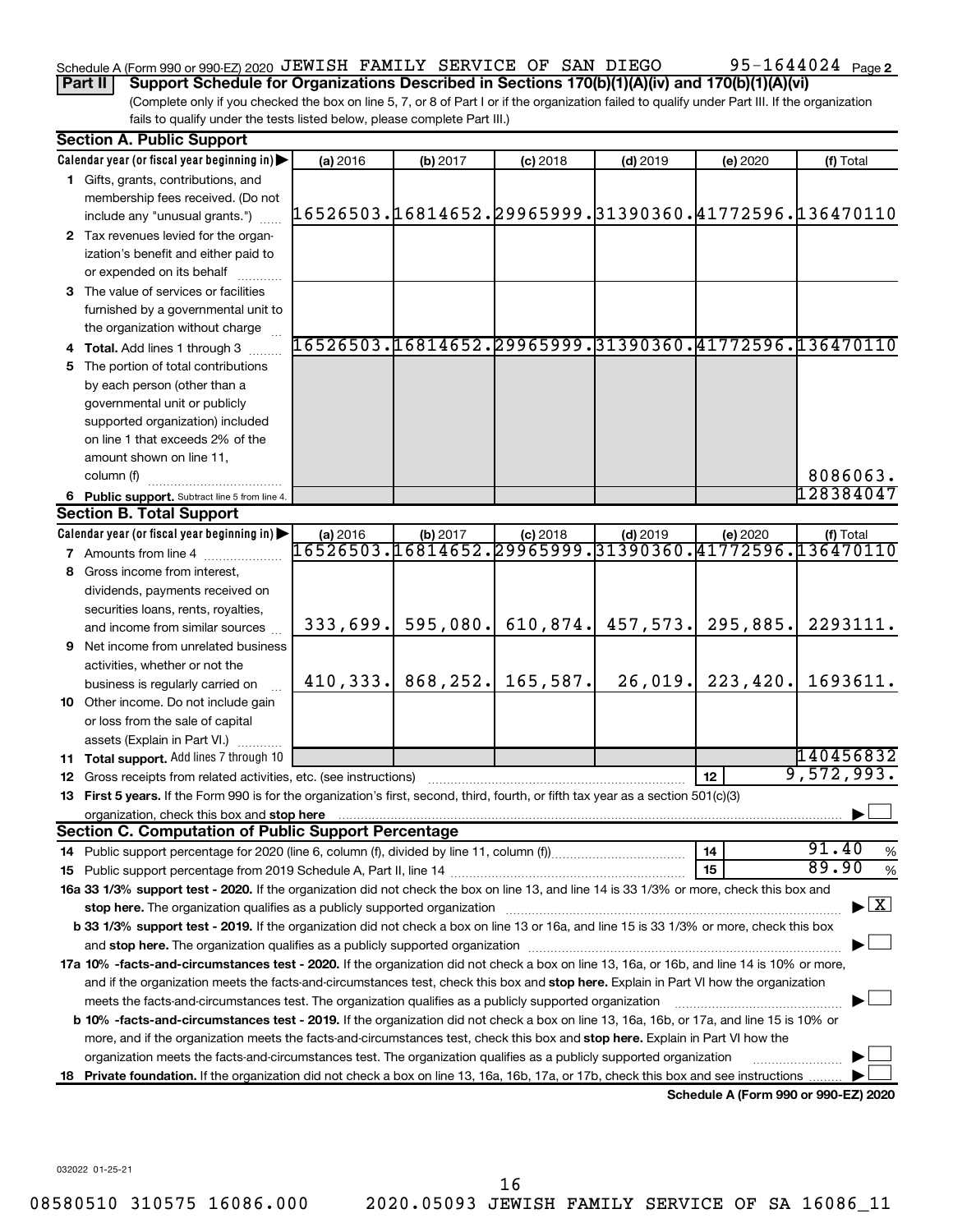### Schedule A (Form 990 or 990-EZ) 2020 JEWISH FAMILY SERVICE OF SAN DIEGO  $95-1644024$  Page

**Part II Support Schedule for Organizations Described in Sections 170(b)(1)(A)(iv) and 170(b)(1)(A)(vi)**

(Complete only if you checked the box on line 5, 7, or 8 of Part I or if the organization failed to qualify under Part III. If the organization fails to qualify under the tests listed below, please complete Part III.)

| <b>Section A. Public Support</b>                                                                                                           |          |                      |                                                                      |            |           |                                                        |
|--------------------------------------------------------------------------------------------------------------------------------------------|----------|----------------------|----------------------------------------------------------------------|------------|-----------|--------------------------------------------------------|
| Calendar year (or fiscal year beginning in)                                                                                                | (a) 2016 | (b) 2017             | $(c)$ 2018                                                           | $(d)$ 2019 | (e) 2020  | (f) Total                                              |
| 1 Gifts, grants, contributions, and                                                                                                        |          |                      |                                                                      |            |           |                                                        |
| membership fees received. (Do not                                                                                                          |          |                      |                                                                      |            |           |                                                        |
| include any "unusual grants.")                                                                                                             |          |                      |                                                                      |            |           | 16526503.16814652.29965999.31390360.41772596.136470110 |
| 2 Tax revenues levied for the organ-                                                                                                       |          |                      |                                                                      |            |           |                                                        |
| ization's benefit and either paid to                                                                                                       |          |                      |                                                                      |            |           |                                                        |
| or expended on its behalf                                                                                                                  |          |                      |                                                                      |            |           |                                                        |
| 3 The value of services or facilities                                                                                                      |          |                      |                                                                      |            |           |                                                        |
| furnished by a governmental unit to                                                                                                        |          |                      |                                                                      |            |           |                                                        |
| the organization without charge                                                                                                            |          |                      |                                                                      |            |           |                                                        |
| 4 Total. Add lines 1 through 3                                                                                                             |          |                      |                                                                      |            |           | 16526503.16814652.29965999.31390360.41772596.136470110 |
| 5 The portion of total contributions                                                                                                       |          |                      |                                                                      |            |           |                                                        |
| by each person (other than a                                                                                                               |          |                      |                                                                      |            |           |                                                        |
| governmental unit or publicly                                                                                                              |          |                      |                                                                      |            |           |                                                        |
| supported organization) included                                                                                                           |          |                      |                                                                      |            |           |                                                        |
| on line 1 that exceeds 2% of the                                                                                                           |          |                      |                                                                      |            |           |                                                        |
| amount shown on line 11,                                                                                                                   |          |                      |                                                                      |            |           |                                                        |
| column (f)                                                                                                                                 |          |                      |                                                                      |            |           | 8086063.                                               |
| 6 Public support. Subtract line 5 from line 4.                                                                                             |          |                      |                                                                      |            |           | 128384047                                              |
| <b>Section B. Total Support</b>                                                                                                            |          |                      |                                                                      |            |           |                                                        |
| Calendar year (or fiscal year beginning in)                                                                                                | (a) 2016 | (b) 2017             | $(c)$ 2018<br>16526503.16814652.29965999.31390360.41772596.136470110 | $(d)$ 2019 | (e) 2020  | (f) Total                                              |
| 7 Amounts from line 4                                                                                                                      |          |                      |                                                                      |            |           |                                                        |
| 8 Gross income from interest,                                                                                                              |          |                      |                                                                      |            |           |                                                        |
| dividends, payments received on                                                                                                            |          |                      |                                                                      |            |           |                                                        |
| securities loans, rents, royalties,                                                                                                        |          |                      |                                                                      |            |           |                                                        |
| and income from similar sources                                                                                                            | 333,699. | 595,080.             | 610,874.                                                             | 457,573.   | 295,885.  | 2293111.                                               |
| 9 Net income from unrelated business                                                                                                       |          |                      |                                                                      |            |           |                                                        |
| activities, whether or not the                                                                                                             |          | $410,333.$ 868, 252. | 165,587.                                                             | 26,019.    | 223, 420. | 1693611.                                               |
| business is regularly carried on                                                                                                           |          |                      |                                                                      |            |           |                                                        |
| 10 Other income. Do not include gain                                                                                                       |          |                      |                                                                      |            |           |                                                        |
| or loss from the sale of capital                                                                                                           |          |                      |                                                                      |            |           |                                                        |
| assets (Explain in Part VI.)                                                                                                               |          |                      |                                                                      |            |           | 140456832                                              |
| 11 Total support. Add lines 7 through 10<br><b>12</b> Gross receipts from related activities, etc. (see instructions)                      |          |                      |                                                                      |            | 12        | 9,572,993.                                             |
| 13 First 5 years. If the Form 990 is for the organization's first, second, third, fourth, or fifth tax year as a section 501(c)(3)         |          |                      |                                                                      |            |           |                                                        |
| organization, check this box and stop here                                                                                                 |          |                      |                                                                      |            |           |                                                        |
| <b>Section C. Computation of Public Support Percentage</b>                                                                                 |          |                      |                                                                      |            |           |                                                        |
|                                                                                                                                            |          |                      |                                                                      |            | 14        | 91.40<br>%                                             |
|                                                                                                                                            |          |                      |                                                                      |            | 15        | 89.90<br>%                                             |
| 16a 33 1/3% support test - 2020. If the organization did not check the box on line 13, and line 14 is 33 1/3% or more, check this box and  |          |                      |                                                                      |            |           |                                                        |
| stop here. The organization qualifies as a publicly supported organization                                                                 |          |                      |                                                                      |            |           | $\blacktriangleright$ $\mathbf{X}$                     |
| b 33 1/3% support test - 2019. If the organization did not check a box on line 13 or 16a, and line 15 is 33 1/3% or more, check this box   |          |                      |                                                                      |            |           |                                                        |
|                                                                                                                                            |          |                      |                                                                      |            |           |                                                        |
| 17a 10% -facts-and-circumstances test - 2020. If the organization did not check a box on line 13, 16a, or 16b, and line 14 is 10% or more, |          |                      |                                                                      |            |           |                                                        |
| and if the organization meets the facts-and-circumstances test, check this box and stop here. Explain in Part VI how the organization      |          |                      |                                                                      |            |           |                                                        |
| meets the facts-and-circumstances test. The organization qualifies as a publicly supported organization                                    |          |                      |                                                                      |            |           |                                                        |
| b 10% -facts-and-circumstances test - 2019. If the organization did not check a box on line 13, 16a, 16b, or 17a, and line 15 is 10% or    |          |                      |                                                                      |            |           |                                                        |
| more, and if the organization meets the facts-and-circumstances test, check this box and stop here. Explain in Part VI how the             |          |                      |                                                                      |            |           |                                                        |
| organization meets the facts-and-circumstances test. The organization qualifies as a publicly supported organization                       |          |                      |                                                                      |            |           |                                                        |
| 18 Private foundation. If the organization did not check a box on line 13, 16a, 16b, 17a, or 17b, check this box and see instructions.     |          |                      |                                                                      |            |           |                                                        |
|                                                                                                                                            |          |                      |                                                                      |            |           | Schedule A (Form 990 or 990-EZ) 2020                   |

**Schedule A (Form 990 or 990-EZ) 2020**

032022 01-25-21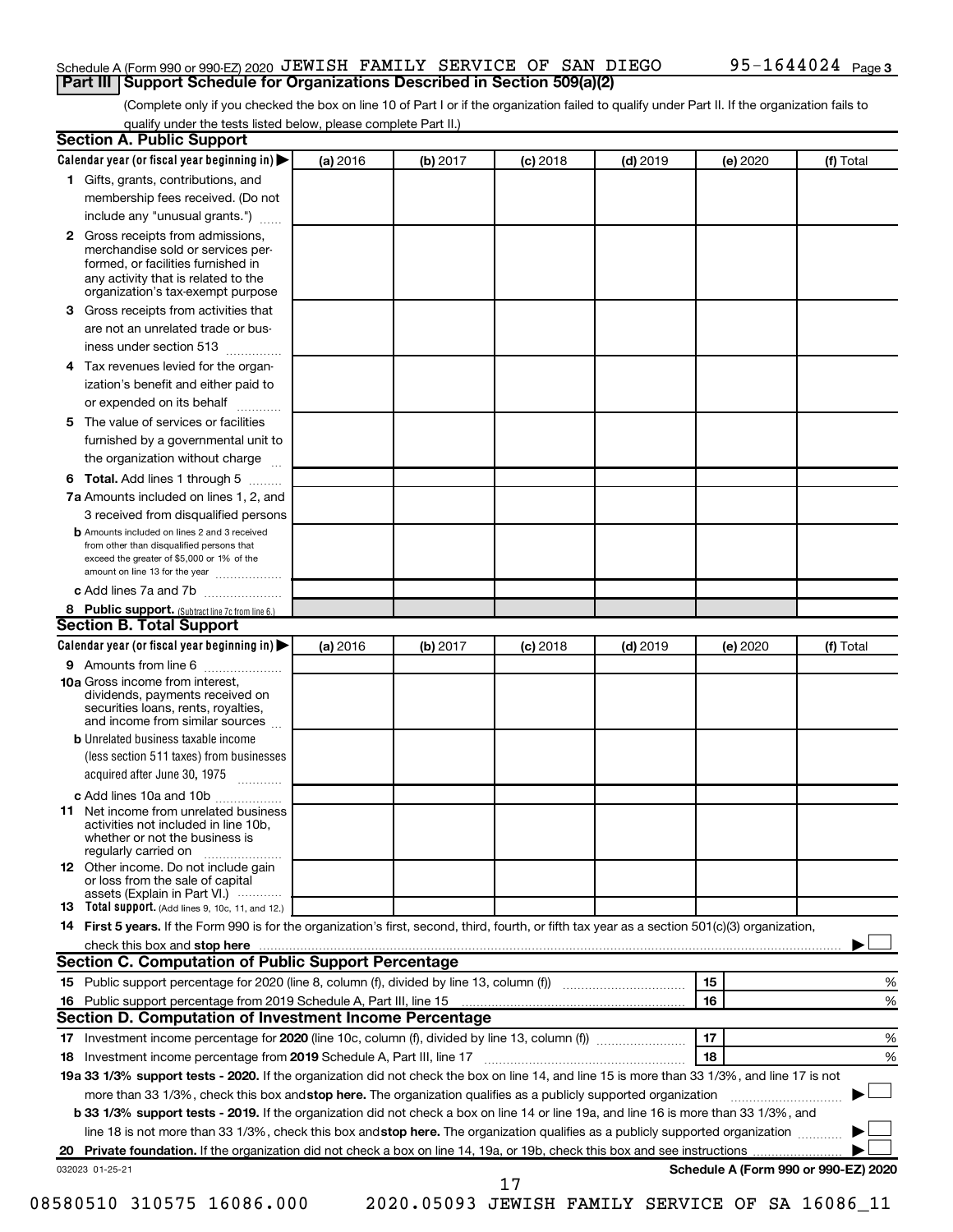### Schedule A (Form 990 or 990-EZ) 2020 JEWISH FAMILY SERVICE OF SAN DIEGO  $95-1644024$  Page **Part III Support Schedule for Organizations Described in Section 509(a)(2)**

(Complete only if you checked the box on line 10 of Part I or if the organization failed to qualify under Part II. If the organization fails to qualify under the tests listed below, please complete Part II.)

| <b>Section A. Public Support</b>                                                                                                                                                                                              |          |          |            |            |          |                                      |
|-------------------------------------------------------------------------------------------------------------------------------------------------------------------------------------------------------------------------------|----------|----------|------------|------------|----------|--------------------------------------|
| Calendar year (or fiscal year beginning in)                                                                                                                                                                                   | (a) 2016 | (b) 2017 | $(c)$ 2018 | $(d)$ 2019 | (e) 2020 | (f) Total                            |
| 1 Gifts, grants, contributions, and                                                                                                                                                                                           |          |          |            |            |          |                                      |
| membership fees received. (Do not                                                                                                                                                                                             |          |          |            |            |          |                                      |
| include any "unusual grants.")                                                                                                                                                                                                |          |          |            |            |          |                                      |
| 2 Gross receipts from admissions,<br>merchandise sold or services per-<br>formed, or facilities furnished in<br>any activity that is related to the<br>organization's tax-exempt purpose                                      |          |          |            |            |          |                                      |
| 3 Gross receipts from activities that                                                                                                                                                                                         |          |          |            |            |          |                                      |
| are not an unrelated trade or bus-                                                                                                                                                                                            |          |          |            |            |          |                                      |
| iness under section 513                                                                                                                                                                                                       |          |          |            |            |          |                                      |
| 4 Tax revenues levied for the organ-                                                                                                                                                                                          |          |          |            |            |          |                                      |
| ization's benefit and either paid to                                                                                                                                                                                          |          |          |            |            |          |                                      |
| or expended on its behalf                                                                                                                                                                                                     |          |          |            |            |          |                                      |
| 5 The value of services or facilities                                                                                                                                                                                         |          |          |            |            |          |                                      |
| furnished by a governmental unit to                                                                                                                                                                                           |          |          |            |            |          |                                      |
| the organization without charge                                                                                                                                                                                               |          |          |            |            |          |                                      |
| 6 Total. Add lines 1 through 5                                                                                                                                                                                                |          |          |            |            |          |                                      |
| 7a Amounts included on lines 1, 2, and                                                                                                                                                                                        |          |          |            |            |          |                                      |
| 3 received from disqualified persons                                                                                                                                                                                          |          |          |            |            |          |                                      |
| <b>b</b> Amounts included on lines 2 and 3 received<br>from other than disqualified persons that<br>exceed the greater of \$5,000 or 1% of the<br>amount on line 13 for the year                                              |          |          |            |            |          |                                      |
| c Add lines 7a and 7b                                                                                                                                                                                                         |          |          |            |            |          |                                      |
| 8 Public support. (Subtract line 7c from line 6.)                                                                                                                                                                             |          |          |            |            |          |                                      |
| <b>Section B. Total Support</b>                                                                                                                                                                                               |          |          |            |            |          |                                      |
| Calendar year (or fiscal year beginning in)                                                                                                                                                                                   | (a) 2016 | (b) 2017 | $(c)$ 2018 | $(d)$ 2019 | (e) 2020 | (f) Total                            |
| <b>9</b> Amounts from line 6                                                                                                                                                                                                  |          |          |            |            |          |                                      |
| <b>10a</b> Gross income from interest,<br>dividends, payments received on<br>securities loans, rents, royalties,<br>and income from similar sources                                                                           |          |          |            |            |          |                                      |
| <b>b</b> Unrelated business taxable income<br>(less section 511 taxes) from businesses                                                                                                                                        |          |          |            |            |          |                                      |
| acquired after June 30, 1975<br>$\overline{\phantom{a}}$                                                                                                                                                                      |          |          |            |            |          |                                      |
| c Add lines 10a and 10b                                                                                                                                                                                                       |          |          |            |            |          |                                      |
| 11 Net income from unrelated business<br>activities not included in line 10b.<br>whether or not the business is<br>regularly carried on                                                                                       |          |          |            |            |          |                                      |
| <b>12</b> Other income. Do not include gain<br>or loss from the sale of capital<br>assets (Explain in Part VI.)                                                                                                               |          |          |            |            |          |                                      |
| <b>13</b> Total support. (Add lines 9, 10c, 11, and 12.)                                                                                                                                                                      |          |          |            |            |          |                                      |
| 14 First 5 years. If the Form 990 is for the organization's first, second, third, fourth, or fifth tax year as a section 501(c)(3) organization,                                                                              |          |          |            |            |          |                                      |
| check this box and stop here manufactured and stop here and stop here are constructed and stop here and stop here and stop here and stop here and stop here and stop here and stop here and stop here are all the stop of the |          |          |            |            |          |                                      |
| Section C. Computation of Public Support Percentage                                                                                                                                                                           |          |          |            |            |          |                                      |
|                                                                                                                                                                                                                               |          |          |            |            | 15       | ℅                                    |
| 16 Public support percentage from 2019 Schedule A, Part III, line 15                                                                                                                                                          |          |          |            |            | 16       | %                                    |
| Section D. Computation of Investment Income Percentage                                                                                                                                                                        |          |          |            |            |          |                                      |
|                                                                                                                                                                                                                               |          |          |            |            | 17       | %                                    |
| 18 Investment income percentage from 2019 Schedule A, Part III, line 17                                                                                                                                                       |          |          |            |            | 18       | %                                    |
| 19a 33 1/3% support tests - 2020. If the organization did not check the box on line 14, and line 15 is more than 33 1/3%, and line 17 is not                                                                                  |          |          |            |            |          |                                      |
| more than 33 1/3%, check this box and stop here. The organization qualifies as a publicly supported organization                                                                                                              |          |          |            |            |          |                                      |
| b 33 1/3% support tests - 2019. If the organization did not check a box on line 14 or line 19a, and line 16 is more than 33 1/3%, and                                                                                         |          |          |            |            |          |                                      |
| line 18 is not more than 33 1/3%, check this box and stop here. The organization qualifies as a publicly supported organization                                                                                               |          |          |            |            |          |                                      |
|                                                                                                                                                                                                                               |          |          |            |            |          |                                      |
| 032023 01-25-21                                                                                                                                                                                                               |          |          | 17         |            |          | Schedule A (Form 990 or 990-EZ) 2020 |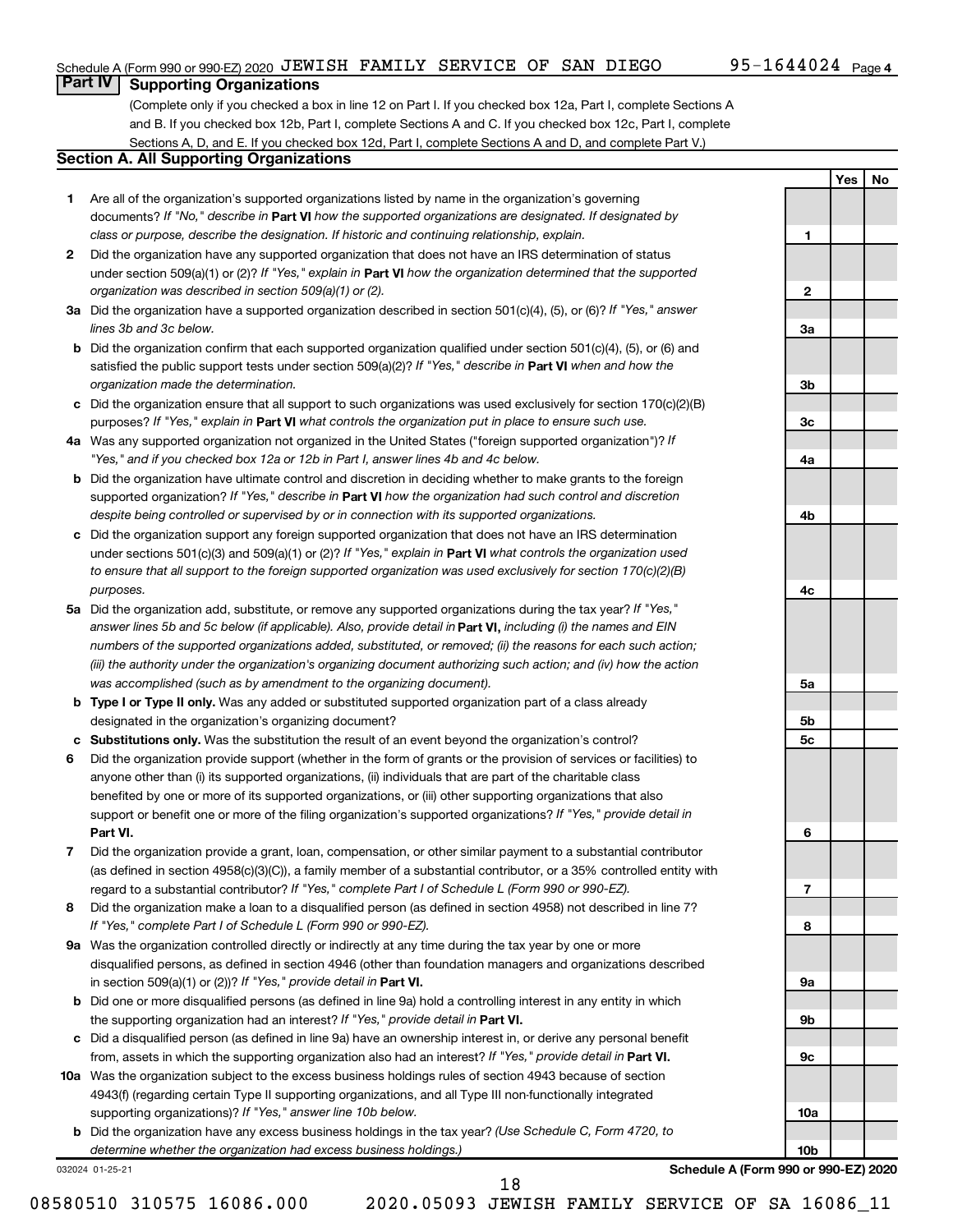**1**

**2**

**3a**

**3b**

**3c**

**4a**

**4b**

**4c**

**5a**

**5b 5c**

**6**

**7**

**8**

**9a**

**9b**

**9c**

**10a**

**10b**

**Yes No**

### **Part IV Supporting Organizations**

(Complete only if you checked a box in line 12 on Part I. If you checked box 12a, Part I, complete Sections A and B. If you checked box 12b, Part I, complete Sections A and C. If you checked box 12c, Part I, complete Sections A, D, and E. If you checked box 12d, Part I, complete Sections A and D, and complete Part V.)

### **Section A. All Supporting Organizations**

- **1** Are all of the organization's supported organizations listed by name in the organization's governing documents? If "No," describe in Part VI how the supported organizations are designated. If designated by *class or purpose, describe the designation. If historic and continuing relationship, explain.*
- **2** Did the organization have any supported organization that does not have an IRS determination of status under section 509(a)(1) or (2)? If "Yes," explain in Part **VI** how the organization determined that the supported *organization was described in section 509(a)(1) or (2).*
- **3a** Did the organization have a supported organization described in section 501(c)(4), (5), or (6)? If "Yes," answer *lines 3b and 3c below.*
- **b** Did the organization confirm that each supported organization qualified under section 501(c)(4), (5), or (6) and satisfied the public support tests under section 509(a)(2)? If "Yes," describe in Part VI when and how the *organization made the determination.*
- **c** Did the organization ensure that all support to such organizations was used exclusively for section 170(c)(2)(B) purposes? If "Yes," explain in Part VI what controls the organization put in place to ensure such use.
- **4 a** *If* Was any supported organization not organized in the United States ("foreign supported organization")? *"Yes," and if you checked box 12a or 12b in Part I, answer lines 4b and 4c below.*
- **b** Did the organization have ultimate control and discretion in deciding whether to make grants to the foreign supported organization? If "Yes," describe in Part VI how the organization had such control and discretion *despite being controlled or supervised by or in connection with its supported organizations.*
- **c** Did the organization support any foreign supported organization that does not have an IRS determination under sections 501(c)(3) and 509(a)(1) or (2)? If "Yes," explain in Part VI what controls the organization used *to ensure that all support to the foreign supported organization was used exclusively for section 170(c)(2)(B) purposes.*
- **5a** Did the organization add, substitute, or remove any supported organizations during the tax year? If "Yes," answer lines 5b and 5c below (if applicable). Also, provide detail in **Part VI,** including (i) the names and EIN *numbers of the supported organizations added, substituted, or removed; (ii) the reasons for each such action; (iii) the authority under the organization's organizing document authorizing such action; and (iv) how the action was accomplished (such as by amendment to the organizing document).*
- **b Type I or Type II only.** Was any added or substituted supported organization part of a class already designated in the organization's organizing document?
- **c Substitutions only.**  Was the substitution the result of an event beyond the organization's control?
- **6** Did the organization provide support (whether in the form of grants or the provision of services or facilities) to **Part VI.** support or benefit one or more of the filing organization's supported organizations? If "Yes," provide detail in anyone other than (i) its supported organizations, (ii) individuals that are part of the charitable class benefited by one or more of its supported organizations, or (iii) other supporting organizations that also
- **7** Did the organization provide a grant, loan, compensation, or other similar payment to a substantial contributor regard to a substantial contributor? If "Yes," complete Part I of Schedule L (Form 990 or 990-EZ). (as defined in section 4958(c)(3)(C)), a family member of a substantial contributor, or a 35% controlled entity with
- **8** Did the organization make a loan to a disqualified person (as defined in section 4958) not described in line 7? *If "Yes," complete Part I of Schedule L (Form 990 or 990-EZ).*
- **9 a** Was the organization controlled directly or indirectly at any time during the tax year by one or more in section 509(a)(1) or (2))? If "Yes," provide detail in **Part VI.** disqualified persons, as defined in section 4946 (other than foundation managers and organizations described
- **b** Did one or more disqualified persons (as defined in line 9a) hold a controlling interest in any entity in which the supporting organization had an interest? If "Yes," provide detail in Part VI.
- **c** Did a disqualified person (as defined in line 9a) have an ownership interest in, or derive any personal benefit from, assets in which the supporting organization also had an interest? If "Yes," provide detail in Part VI.
- **10 a** Was the organization subject to the excess business holdings rules of section 4943 because of section supporting organizations)? If "Yes," answer line 10b below. 4943(f) (regarding certain Type II supporting organizations, and all Type III non-functionally integrated
	- **b** Did the organization have any excess business holdings in the tax year? (Use Schedule C, Form 4720, to *determine whether the organization had excess business holdings.)*

032024 01-25-21

**Schedule A (Form 990 or 990-EZ) 2020**

08580510 310575 16086.000 2020.05093 JEWISH FAMILY SERVICE OF SA 16086\_11

18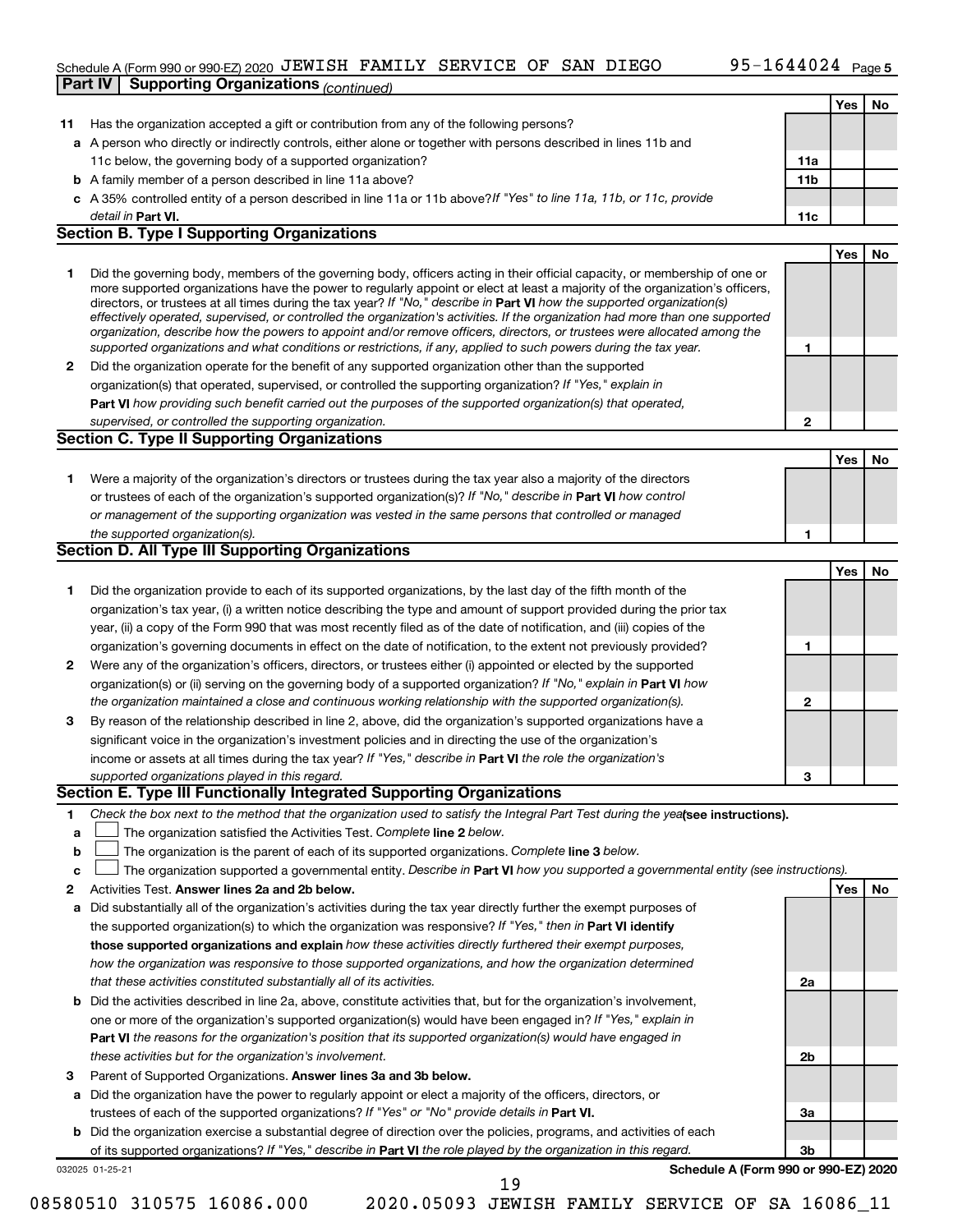### Schedule A (Form 990 or 990-EZ) 2020 JEWISH FAMILY SERVICE OF SAN DIEGO  $95-1644024$  Page **Part IV Supporting Organizations** *(continued)*

|              |                                                                                                                                                                                                                                                                                                                                                                                                                                                                                                                                                                                                                                                                                                                                                                          |             | Yes | No |
|--------------|--------------------------------------------------------------------------------------------------------------------------------------------------------------------------------------------------------------------------------------------------------------------------------------------------------------------------------------------------------------------------------------------------------------------------------------------------------------------------------------------------------------------------------------------------------------------------------------------------------------------------------------------------------------------------------------------------------------------------------------------------------------------------|-------------|-----|----|
| 11           | Has the organization accepted a gift or contribution from any of the following persons?                                                                                                                                                                                                                                                                                                                                                                                                                                                                                                                                                                                                                                                                                  |             |     |    |
|              | a A person who directly or indirectly controls, either alone or together with persons described in lines 11b and                                                                                                                                                                                                                                                                                                                                                                                                                                                                                                                                                                                                                                                         |             |     |    |
|              | 11c below, the governing body of a supported organization?                                                                                                                                                                                                                                                                                                                                                                                                                                                                                                                                                                                                                                                                                                               | 11a         |     |    |
|              | <b>b</b> A family member of a person described in line 11a above?                                                                                                                                                                                                                                                                                                                                                                                                                                                                                                                                                                                                                                                                                                        | 11b         |     |    |
|              | c A 35% controlled entity of a person described in line 11a or 11b above? If "Yes" to line 11a, 11b, or 11c, provide                                                                                                                                                                                                                                                                                                                                                                                                                                                                                                                                                                                                                                                     |             |     |    |
|              | detail in Part VI.                                                                                                                                                                                                                                                                                                                                                                                                                                                                                                                                                                                                                                                                                                                                                       | 11c         |     |    |
|              | <b>Section B. Type I Supporting Organizations</b>                                                                                                                                                                                                                                                                                                                                                                                                                                                                                                                                                                                                                                                                                                                        |             |     |    |
|              |                                                                                                                                                                                                                                                                                                                                                                                                                                                                                                                                                                                                                                                                                                                                                                          |             | Yes | No |
| 1            | Did the governing body, members of the governing body, officers acting in their official capacity, or membership of one or<br>more supported organizations have the power to regularly appoint or elect at least a majority of the organization's officers,<br>directors, or trustees at all times during the tax year? If "No," describe in Part VI how the supported organization(s)<br>effectively operated, supervised, or controlled the organization's activities. If the organization had more than one supported<br>organization, describe how the powers to appoint and/or remove officers, directors, or trustees were allocated among the<br>supported organizations and what conditions or restrictions, if any, applied to such powers during the tax year. | 1           |     |    |
| 2            | Did the organization operate for the benefit of any supported organization other than the supported                                                                                                                                                                                                                                                                                                                                                                                                                                                                                                                                                                                                                                                                      |             |     |    |
|              | organization(s) that operated, supervised, or controlled the supporting organization? If "Yes," explain in                                                                                                                                                                                                                                                                                                                                                                                                                                                                                                                                                                                                                                                               |             |     |    |
|              | Part VI how providing such benefit carried out the purposes of the supported organization(s) that operated,                                                                                                                                                                                                                                                                                                                                                                                                                                                                                                                                                                                                                                                              |             |     |    |
|              | supervised, or controlled the supporting organization.                                                                                                                                                                                                                                                                                                                                                                                                                                                                                                                                                                                                                                                                                                                   | $\mathbf 2$ |     |    |
|              | <b>Section C. Type II Supporting Organizations</b>                                                                                                                                                                                                                                                                                                                                                                                                                                                                                                                                                                                                                                                                                                                       |             |     |    |
|              |                                                                                                                                                                                                                                                                                                                                                                                                                                                                                                                                                                                                                                                                                                                                                                          |             | Yes | No |
| 1            | Were a majority of the organization's directors or trustees during the tax year also a majority of the directors<br>or trustees of each of the organization's supported organization(s)? If "No," describe in Part VI how control<br>or management of the supporting organization was vested in the same persons that controlled or managed                                                                                                                                                                                                                                                                                                                                                                                                                              |             |     |    |
|              | the supported organization(s).<br>Section D. All Type III Supporting Organizations                                                                                                                                                                                                                                                                                                                                                                                                                                                                                                                                                                                                                                                                                       | 1           |     |    |
|              |                                                                                                                                                                                                                                                                                                                                                                                                                                                                                                                                                                                                                                                                                                                                                                          |             |     |    |
|              |                                                                                                                                                                                                                                                                                                                                                                                                                                                                                                                                                                                                                                                                                                                                                                          |             | Yes | No |
| 1            | Did the organization provide to each of its supported organizations, by the last day of the fifth month of the<br>organization's tax year, (i) a written notice describing the type and amount of support provided during the prior tax<br>year, (ii) a copy of the Form 990 that was most recently filed as of the date of notification, and (iii) copies of the                                                                                                                                                                                                                                                                                                                                                                                                        |             |     |    |
|              | organization's governing documents in effect on the date of notification, to the extent not previously provided?                                                                                                                                                                                                                                                                                                                                                                                                                                                                                                                                                                                                                                                         | 1           |     |    |
| 2            | Were any of the organization's officers, directors, or trustees either (i) appointed or elected by the supported                                                                                                                                                                                                                                                                                                                                                                                                                                                                                                                                                                                                                                                         |             |     |    |
|              | organization(s) or (ii) serving on the governing body of a supported organization? If "No," explain in Part VI how                                                                                                                                                                                                                                                                                                                                                                                                                                                                                                                                                                                                                                                       |             |     |    |
|              | the organization maintained a close and continuous working relationship with the supported organization(s).                                                                                                                                                                                                                                                                                                                                                                                                                                                                                                                                                                                                                                                              | $\mathbf 2$ |     |    |
| 3            | By reason of the relationship described in line 2, above, did the organization's supported organizations have a                                                                                                                                                                                                                                                                                                                                                                                                                                                                                                                                                                                                                                                          |             |     |    |
|              | significant voice in the organization's investment policies and in directing the use of the organization's                                                                                                                                                                                                                                                                                                                                                                                                                                                                                                                                                                                                                                                               |             |     |    |
|              | income or assets at all times during the tax year? If "Yes," describe in Part VI the role the organization's                                                                                                                                                                                                                                                                                                                                                                                                                                                                                                                                                                                                                                                             |             |     |    |
|              | supported organizations played in this regard.                                                                                                                                                                                                                                                                                                                                                                                                                                                                                                                                                                                                                                                                                                                           | 3           |     |    |
|              | Section E. Type III Functionally Integrated Supporting Organizations                                                                                                                                                                                                                                                                                                                                                                                                                                                                                                                                                                                                                                                                                                     |             |     |    |
| 1.<br>а<br>b | Check the box next to the method that the organization used to satisfy the Integral Part Test during the yealsee instructions).<br>The organization satisfied the Activities Test. Complete line 2 below.<br>The organization is the parent of each of its supported organizations. Complete line 3 below.                                                                                                                                                                                                                                                                                                                                                                                                                                                               |             |     |    |
| c            | The organization supported a governmental entity. Describe in Part VI how you supported a governmental entity (see instructions).                                                                                                                                                                                                                                                                                                                                                                                                                                                                                                                                                                                                                                        |             |     |    |
| 2            | Activities Test. Answer lines 2a and 2b below.                                                                                                                                                                                                                                                                                                                                                                                                                                                                                                                                                                                                                                                                                                                           |             | Yes | No |
| а            | Did substantially all of the organization's activities during the tax year directly further the exempt purposes of                                                                                                                                                                                                                                                                                                                                                                                                                                                                                                                                                                                                                                                       |             |     |    |
|              | the supported organization(s) to which the organization was responsive? If "Yes," then in Part VI identify                                                                                                                                                                                                                                                                                                                                                                                                                                                                                                                                                                                                                                                               |             |     |    |
|              | those supported organizations and explain how these activities directly furthered their exempt purposes,                                                                                                                                                                                                                                                                                                                                                                                                                                                                                                                                                                                                                                                                 |             |     |    |
|              | how the organization was responsive to those supported organizations, and how the organization determined                                                                                                                                                                                                                                                                                                                                                                                                                                                                                                                                                                                                                                                                |             |     |    |
|              | that these activities constituted substantially all of its activities.                                                                                                                                                                                                                                                                                                                                                                                                                                                                                                                                                                                                                                                                                                   | 2a          |     |    |
| b            | Did the activities described in line 2a, above, constitute activities that, but for the organization's involvement,                                                                                                                                                                                                                                                                                                                                                                                                                                                                                                                                                                                                                                                      |             |     |    |
|              | one or more of the organization's supported organization(s) would have been engaged in? If "Yes," explain in                                                                                                                                                                                                                                                                                                                                                                                                                                                                                                                                                                                                                                                             |             |     |    |
|              | <b>Part VI</b> the reasons for the organization's position that its supported organization(s) would have engaged in                                                                                                                                                                                                                                                                                                                                                                                                                                                                                                                                                                                                                                                      |             |     |    |
|              | these activities but for the organization's involvement.                                                                                                                                                                                                                                                                                                                                                                                                                                                                                                                                                                                                                                                                                                                 | 2b          |     |    |
| з            | Parent of Supported Organizations. Answer lines 3a and 3b below.                                                                                                                                                                                                                                                                                                                                                                                                                                                                                                                                                                                                                                                                                                         |             |     |    |
| a            | Did the organization have the power to regularly appoint or elect a majority of the officers, directors, or                                                                                                                                                                                                                                                                                                                                                                                                                                                                                                                                                                                                                                                              |             |     |    |
|              | trustees of each of the supported organizations? If "Yes" or "No" provide details in Part VI.                                                                                                                                                                                                                                                                                                                                                                                                                                                                                                                                                                                                                                                                            | За          |     |    |
| b            | Did the organization exercise a substantial degree of direction over the policies, programs, and activities of each                                                                                                                                                                                                                                                                                                                                                                                                                                                                                                                                                                                                                                                      |             |     |    |
|              | of its supported organizations? If "Yes," describe in Part VI the role played by the organization in this regard.                                                                                                                                                                                                                                                                                                                                                                                                                                                                                                                                                                                                                                                        | 3b          |     |    |
|              | Schedule A (Form 990 or 990-EZ) 2020<br>032025 01-25-21<br>19                                                                                                                                                                                                                                                                                                                                                                                                                                                                                                                                                                                                                                                                                                            |             |     |    |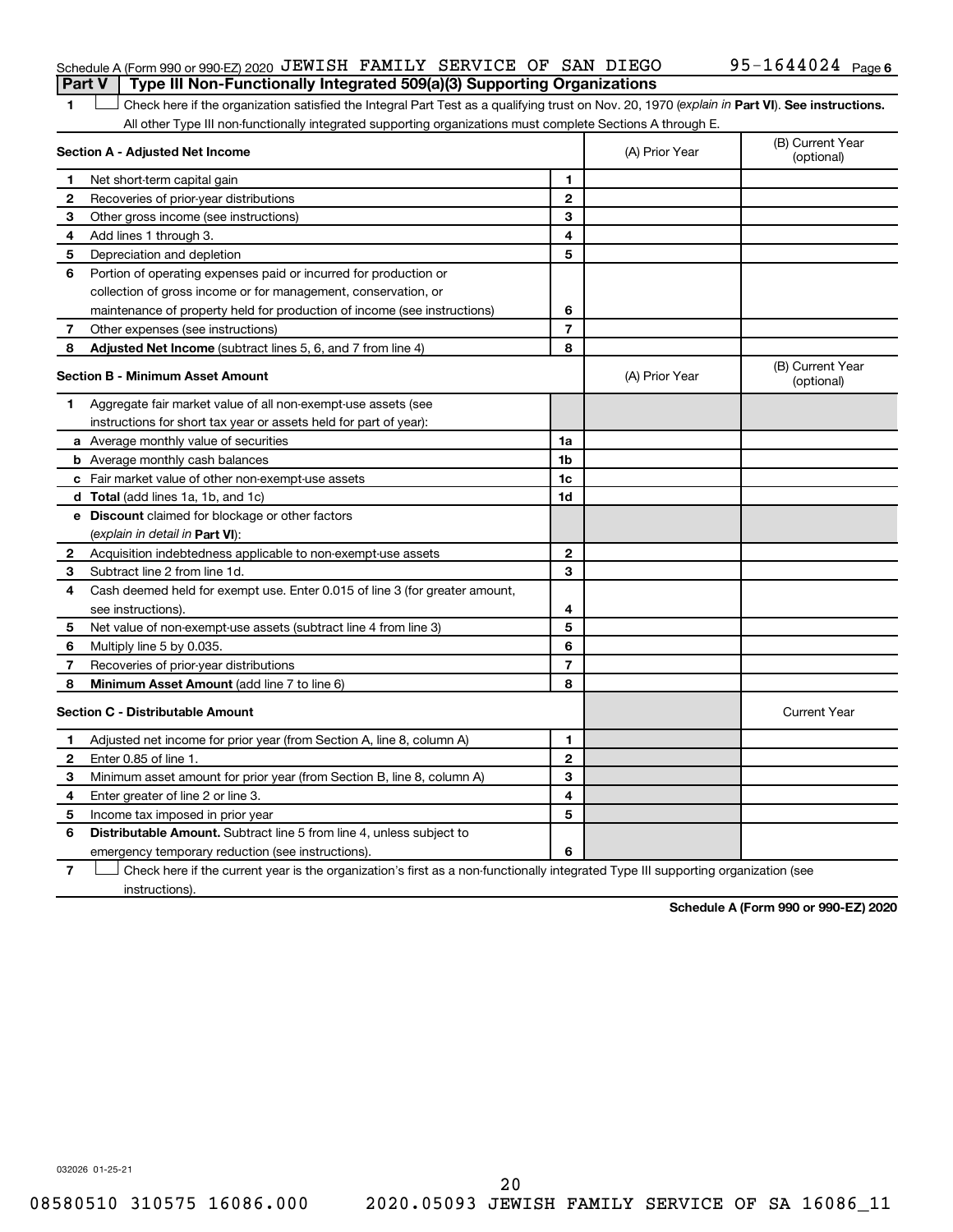### Schedule A (Form 990 or 990-EZ) 2020 JEWISH FAMILY SERVICE OF SAN DIEGO  $95-1644024$  Page **Part V Type III Non-Functionally Integrated 509(a)(3) Supporting Organizations**

1 **Letter See instructions.** Check here if the organization satisfied the Integral Part Test as a qualifying trust on Nov. 20, 1970 (*explain in* Part **VI**). See instructions. All other Type III non-functionally integrated supporting organizations must complete Sections A through E.

|              | Section A - Adjusted Net Income                                                                                                   | (A) Prior Year           | (B) Current Year<br>(optional) |                                |
|--------------|-----------------------------------------------------------------------------------------------------------------------------------|--------------------------|--------------------------------|--------------------------------|
| 1            | Net short-term capital gain                                                                                                       | 1                        |                                |                                |
| 2            | Recoveries of prior-year distributions                                                                                            | $\mathbf{2}$             |                                |                                |
| 3            | Other gross income (see instructions)                                                                                             | 3                        |                                |                                |
| 4            | Add lines 1 through 3.                                                                                                            | 4                        |                                |                                |
| 5            | Depreciation and depletion                                                                                                        | 5                        |                                |                                |
| 6            | Portion of operating expenses paid or incurred for production or                                                                  |                          |                                |                                |
|              | collection of gross income or for management, conservation, or                                                                    |                          |                                |                                |
|              | maintenance of property held for production of income (see instructions)                                                          | 6                        |                                |                                |
| 7            | Other expenses (see instructions)                                                                                                 | $\overline{\phantom{a}}$ |                                |                                |
| 8            | Adjusted Net Income (subtract lines 5, 6, and 7 from line 4)                                                                      | 8                        |                                |                                |
|              | <b>Section B - Minimum Asset Amount</b>                                                                                           |                          | (A) Prior Year                 | (B) Current Year<br>(optional) |
| 1.           | Aggregate fair market value of all non-exempt-use assets (see                                                                     |                          |                                |                                |
|              | instructions for short tax year or assets held for part of year):                                                                 |                          |                                |                                |
|              | <b>a</b> Average monthly value of securities                                                                                      | 1a                       |                                |                                |
|              | <b>b</b> Average monthly cash balances                                                                                            | 1 <sub>b</sub>           |                                |                                |
|              | c Fair market value of other non-exempt-use assets                                                                                | 1c                       |                                |                                |
|              | d Total (add lines 1a, 1b, and 1c)                                                                                                | 1d                       |                                |                                |
|              | e Discount claimed for blockage or other factors                                                                                  |                          |                                |                                |
|              | (explain in detail in Part VI):                                                                                                   |                          |                                |                                |
| 2            | Acquisition indebtedness applicable to non-exempt-use assets                                                                      | $\mathbf{2}$             |                                |                                |
| 3            | Subtract line 2 from line 1d.                                                                                                     | 3                        |                                |                                |
| 4            | Cash deemed held for exempt use. Enter 0.015 of line 3 (for greater amount,                                                       |                          |                                |                                |
|              | see instructions).                                                                                                                | 4                        |                                |                                |
| 5            | Net value of non-exempt-use assets (subtract line 4 from line 3)                                                                  | 5                        |                                |                                |
| 6            | Multiply line 5 by 0.035.                                                                                                         | 6                        |                                |                                |
| 7            | Recoveries of prior-year distributions                                                                                            | 7                        |                                |                                |
| 8            | Minimum Asset Amount (add line 7 to line 6)                                                                                       | 8                        |                                |                                |
|              | <b>Section C - Distributable Amount</b>                                                                                           |                          |                                | <b>Current Year</b>            |
| 1.           | Adjusted net income for prior year (from Section A, line 8, column A)                                                             | $\mathbf{1}$             |                                |                                |
| $\mathbf{2}$ | Enter 0.85 of line 1.                                                                                                             | $\mathbf{2}$             |                                |                                |
| 3            | Minimum asset amount for prior year (from Section B, line 8, column A)                                                            | 3                        |                                |                                |
| 4            | Enter greater of line 2 or line 3.                                                                                                | 4                        |                                |                                |
| 5            | Income tax imposed in prior year                                                                                                  | 5                        |                                |                                |
| 6            | <b>Distributable Amount.</b> Subtract line 5 from line 4, unless subject to                                                       |                          |                                |                                |
|              | emergency temporary reduction (see instructions).                                                                                 | 6                        |                                |                                |
| 7            | Check here if the current year is the organization's first as a non-functionally integrated Type III supporting organization (see |                          |                                |                                |

instructions).

**Schedule A (Form 990 or 990-EZ) 2020**

032026 01-25-21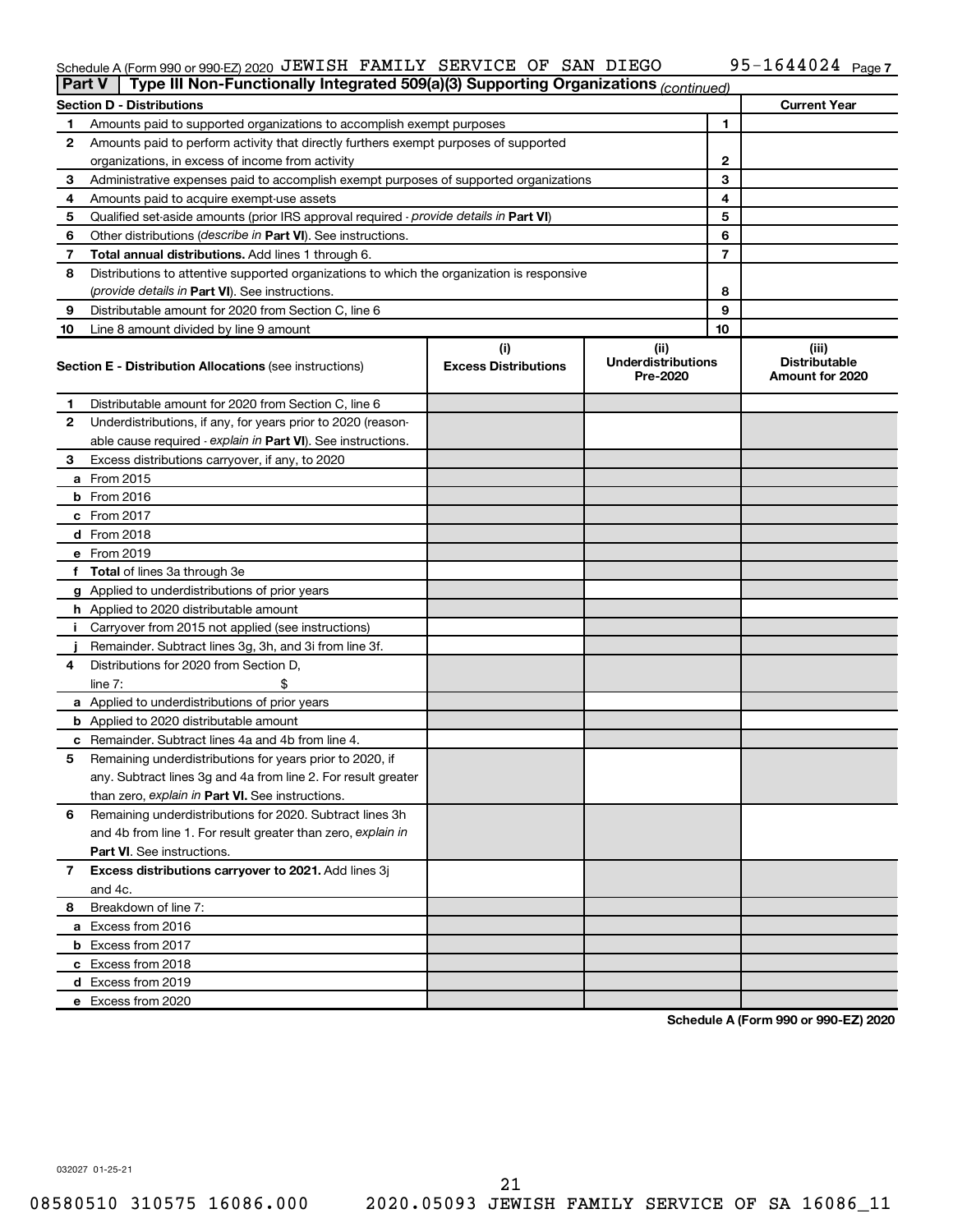### Schedule A (Form 990 or 990-EZ) 2020 Page JEWISH FAMILY SERVICE OF SAN DIEGO 95-1644024

| <b>Part V</b> | Type III Non-Functionally Integrated 509(a)(3) Supporting Organizations (continued)        |                             |                                       |    |                                         |
|---------------|--------------------------------------------------------------------------------------------|-----------------------------|---------------------------------------|----|-----------------------------------------|
|               | <b>Section D - Distributions</b>                                                           |                             |                                       |    | <b>Current Year</b>                     |
| 1             | Amounts paid to supported organizations to accomplish exempt purposes                      |                             | 1                                     |    |                                         |
| 2             | Amounts paid to perform activity that directly furthers exempt purposes of supported       |                             |                                       |    |                                         |
|               | organizations, in excess of income from activity                                           |                             | 2                                     |    |                                         |
| 3             | Administrative expenses paid to accomplish exempt purposes of supported organizations      |                             | 3                                     |    |                                         |
| 4             | Amounts paid to acquire exempt-use assets                                                  |                             |                                       | 4  |                                         |
| 5             | Qualified set-aside amounts (prior IRS approval required - provide details in Part VI)     |                             |                                       | 5  |                                         |
| 6             | Other distributions ( <i>describe in Part VI</i> ). See instructions.                      |                             |                                       | 6  |                                         |
| 7             | Total annual distributions. Add lines 1 through 6.                                         |                             |                                       | 7  |                                         |
| 8             | Distributions to attentive supported organizations to which the organization is responsive |                             |                                       |    |                                         |
|               | (provide details in Part VI). See instructions.                                            |                             |                                       | 8  |                                         |
| 9             | Distributable amount for 2020 from Section C, line 6                                       |                             |                                       | 9  |                                         |
| 10            | Line 8 amount divided by line 9 amount                                                     |                             |                                       | 10 |                                         |
|               |                                                                                            | (i)                         | (ii)                                  |    | (iii)                                   |
|               | <b>Section E - Distribution Allocations (see instructions)</b>                             | <b>Excess Distributions</b> | <b>Underdistributions</b><br>Pre-2020 |    | <b>Distributable</b><br>Amount for 2020 |
| 1             | Distributable amount for 2020 from Section C, line 6                                       |                             |                                       |    |                                         |
| 2             | Underdistributions, if any, for years prior to 2020 (reason-                               |                             |                                       |    |                                         |
|               | able cause required - explain in Part VI). See instructions.                               |                             |                                       |    |                                         |
| 3             | Excess distributions carryover, if any, to 2020                                            |                             |                                       |    |                                         |
|               | a From 2015                                                                                |                             |                                       |    |                                         |
|               | $b$ From 2016                                                                              |                             |                                       |    |                                         |
|               | c From 2017                                                                                |                             |                                       |    |                                         |
|               | <b>d</b> From 2018                                                                         |                             |                                       |    |                                         |
|               | e From 2019                                                                                |                             |                                       |    |                                         |
|               | f Total of lines 3a through 3e                                                             |                             |                                       |    |                                         |
|               | g Applied to underdistributions of prior years                                             |                             |                                       |    |                                         |
|               | <b>h</b> Applied to 2020 distributable amount                                              |                             |                                       |    |                                         |
| Ť.            | Carryover from 2015 not applied (see instructions)                                         |                             |                                       |    |                                         |
|               | Remainder. Subtract lines 3g, 3h, and 3i from line 3f.                                     |                             |                                       |    |                                         |
| 4             | Distributions for 2020 from Section D,                                                     |                             |                                       |    |                                         |
|               | line 7:                                                                                    |                             |                                       |    |                                         |
|               | a Applied to underdistributions of prior years                                             |                             |                                       |    |                                         |
|               | <b>b</b> Applied to 2020 distributable amount                                              |                             |                                       |    |                                         |
|               | c Remainder. Subtract lines 4a and 4b from line 4.                                         |                             |                                       |    |                                         |
| 5             | Remaining underdistributions for years prior to 2020, if                                   |                             |                                       |    |                                         |
|               | any. Subtract lines 3g and 4a from line 2. For result greater                              |                             |                                       |    |                                         |
|               | than zero, explain in Part VI. See instructions.                                           |                             |                                       |    |                                         |
| 6             | Remaining underdistributions for 2020. Subtract lines 3h                                   |                             |                                       |    |                                         |
|               | and 4b from line 1. For result greater than zero, explain in                               |                             |                                       |    |                                         |
|               | <b>Part VI.</b> See instructions.                                                          |                             |                                       |    |                                         |
| 7             | Excess distributions carryover to 2021. Add lines 3j                                       |                             |                                       |    |                                         |
|               | and 4c.                                                                                    |                             |                                       |    |                                         |
| 8             | Breakdown of line 7:                                                                       |                             |                                       |    |                                         |
|               | a Excess from 2016                                                                         |                             |                                       |    |                                         |
|               | <b>b</b> Excess from 2017                                                                  |                             |                                       |    |                                         |
|               | c Excess from 2018                                                                         |                             |                                       |    |                                         |
|               |                                                                                            |                             |                                       |    |                                         |
|               | d Excess from 2019<br>e Excess from 2020                                                   |                             |                                       |    |                                         |
|               |                                                                                            |                             |                                       |    |                                         |

**Schedule A (Form 990 or 990-EZ) 2020**

032027 01-25-21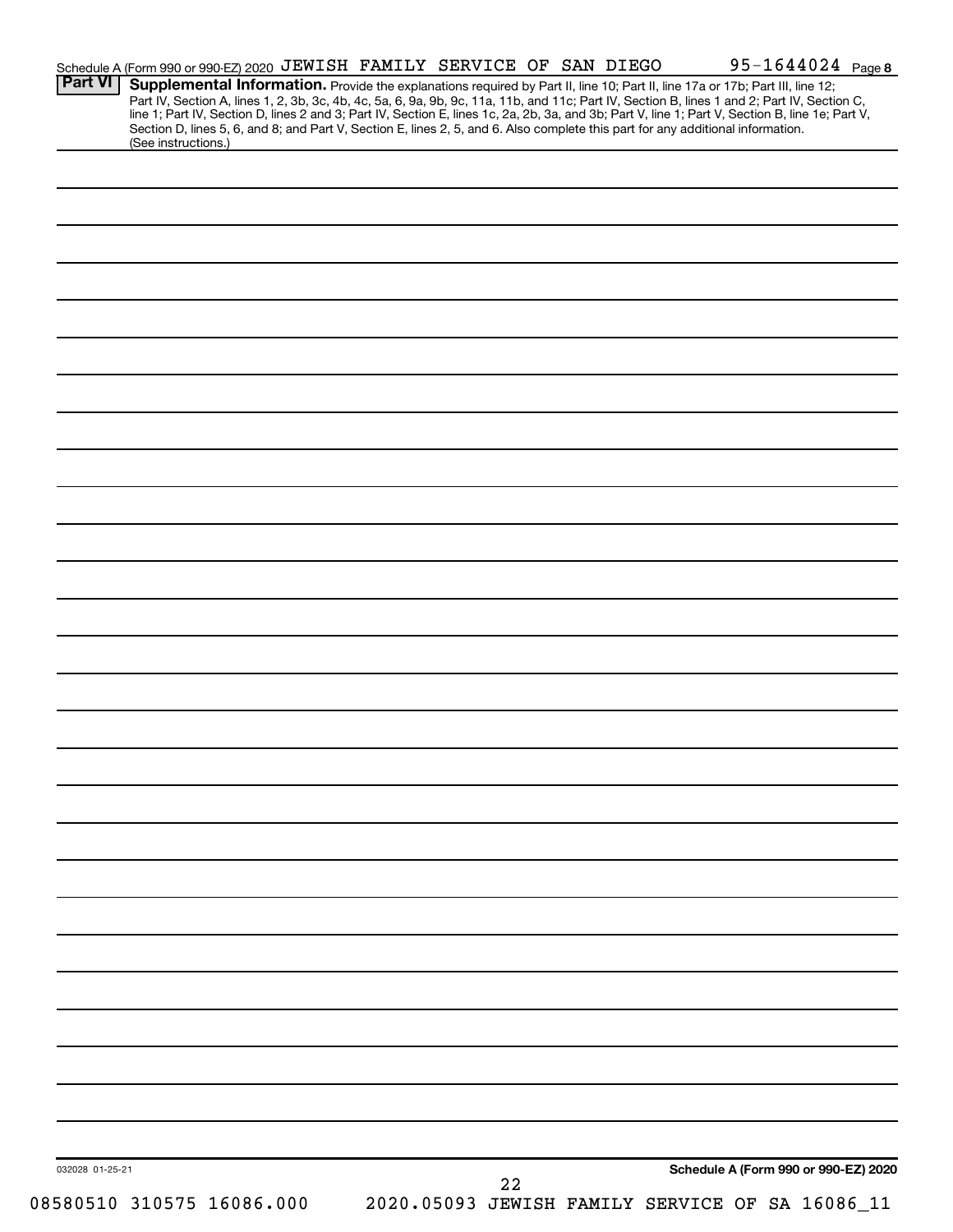| <b>Part VI</b>  |                           | Schedule A (Form 990 or 990-EZ) 2020 JEWISH FAMILY SERVICE OF SAN DIEGO                                                         |  |    |  | 95-1644024 Page 8                                                                                                                                                                                                                                                             |  |
|-----------------|---------------------------|---------------------------------------------------------------------------------------------------------------------------------|--|----|--|-------------------------------------------------------------------------------------------------------------------------------------------------------------------------------------------------------------------------------------------------------------------------------|--|
|                 |                           |                                                                                                                                 |  |    |  | Supplemental Information. Provide the explanations required by Part II, line 10; Part II, line 17a or 17b; Part III, line 12;<br>Part IV, Section A, lines 1, 2, 3b, 3c, 4b, 4c, 5a, 6, 9a, 9b, 9c, 11a, 11b, and 11c; Part IV, Section B, lines 1 and 2; Part IV, Section C, |  |
|                 |                           |                                                                                                                                 |  |    |  | line 1; Part IV, Section D, lines 2 and 3; Part IV, Section E, lines 1c, 2a, 2b, 3a, and 3b; Part V, line 1; Part V, Section B, line 1e; Part V,                                                                                                                              |  |
|                 | (See instructions.)       | Section D, lines 5, 6, and 8; and Part V, Section E, lines 2, 5, and 6. Also complete this part for any additional information. |  |    |  |                                                                                                                                                                                                                                                                               |  |
|                 |                           |                                                                                                                                 |  |    |  |                                                                                                                                                                                                                                                                               |  |
|                 |                           |                                                                                                                                 |  |    |  |                                                                                                                                                                                                                                                                               |  |
|                 |                           |                                                                                                                                 |  |    |  |                                                                                                                                                                                                                                                                               |  |
|                 |                           |                                                                                                                                 |  |    |  |                                                                                                                                                                                                                                                                               |  |
|                 |                           |                                                                                                                                 |  |    |  |                                                                                                                                                                                                                                                                               |  |
|                 |                           |                                                                                                                                 |  |    |  |                                                                                                                                                                                                                                                                               |  |
|                 |                           |                                                                                                                                 |  |    |  |                                                                                                                                                                                                                                                                               |  |
|                 |                           |                                                                                                                                 |  |    |  |                                                                                                                                                                                                                                                                               |  |
|                 |                           |                                                                                                                                 |  |    |  |                                                                                                                                                                                                                                                                               |  |
|                 |                           |                                                                                                                                 |  |    |  |                                                                                                                                                                                                                                                                               |  |
|                 |                           |                                                                                                                                 |  |    |  |                                                                                                                                                                                                                                                                               |  |
|                 |                           |                                                                                                                                 |  |    |  |                                                                                                                                                                                                                                                                               |  |
|                 |                           |                                                                                                                                 |  |    |  |                                                                                                                                                                                                                                                                               |  |
|                 |                           |                                                                                                                                 |  |    |  |                                                                                                                                                                                                                                                                               |  |
|                 |                           |                                                                                                                                 |  |    |  |                                                                                                                                                                                                                                                                               |  |
|                 |                           |                                                                                                                                 |  |    |  |                                                                                                                                                                                                                                                                               |  |
|                 |                           |                                                                                                                                 |  |    |  |                                                                                                                                                                                                                                                                               |  |
|                 |                           |                                                                                                                                 |  |    |  |                                                                                                                                                                                                                                                                               |  |
|                 |                           |                                                                                                                                 |  |    |  |                                                                                                                                                                                                                                                                               |  |
|                 |                           |                                                                                                                                 |  |    |  |                                                                                                                                                                                                                                                                               |  |
|                 |                           |                                                                                                                                 |  |    |  |                                                                                                                                                                                                                                                                               |  |
|                 |                           |                                                                                                                                 |  |    |  |                                                                                                                                                                                                                                                                               |  |
|                 |                           |                                                                                                                                 |  |    |  |                                                                                                                                                                                                                                                                               |  |
|                 |                           |                                                                                                                                 |  |    |  |                                                                                                                                                                                                                                                                               |  |
|                 |                           |                                                                                                                                 |  |    |  |                                                                                                                                                                                                                                                                               |  |
|                 |                           |                                                                                                                                 |  |    |  |                                                                                                                                                                                                                                                                               |  |
|                 |                           |                                                                                                                                 |  |    |  |                                                                                                                                                                                                                                                                               |  |
|                 |                           |                                                                                                                                 |  |    |  |                                                                                                                                                                                                                                                                               |  |
|                 |                           |                                                                                                                                 |  |    |  |                                                                                                                                                                                                                                                                               |  |
|                 |                           |                                                                                                                                 |  |    |  |                                                                                                                                                                                                                                                                               |  |
|                 |                           |                                                                                                                                 |  |    |  |                                                                                                                                                                                                                                                                               |  |
|                 |                           |                                                                                                                                 |  |    |  |                                                                                                                                                                                                                                                                               |  |
|                 |                           |                                                                                                                                 |  |    |  |                                                                                                                                                                                                                                                                               |  |
|                 |                           |                                                                                                                                 |  |    |  |                                                                                                                                                                                                                                                                               |  |
|                 |                           |                                                                                                                                 |  |    |  |                                                                                                                                                                                                                                                                               |  |
|                 |                           |                                                                                                                                 |  |    |  |                                                                                                                                                                                                                                                                               |  |
|                 |                           |                                                                                                                                 |  |    |  |                                                                                                                                                                                                                                                                               |  |
|                 |                           |                                                                                                                                 |  |    |  |                                                                                                                                                                                                                                                                               |  |
|                 |                           |                                                                                                                                 |  |    |  |                                                                                                                                                                                                                                                                               |  |
|                 |                           |                                                                                                                                 |  |    |  |                                                                                                                                                                                                                                                                               |  |
|                 |                           |                                                                                                                                 |  |    |  |                                                                                                                                                                                                                                                                               |  |
|                 |                           |                                                                                                                                 |  |    |  |                                                                                                                                                                                                                                                                               |  |
|                 |                           |                                                                                                                                 |  |    |  |                                                                                                                                                                                                                                                                               |  |
|                 |                           |                                                                                                                                 |  |    |  |                                                                                                                                                                                                                                                                               |  |
|                 |                           |                                                                                                                                 |  |    |  |                                                                                                                                                                                                                                                                               |  |
|                 |                           |                                                                                                                                 |  |    |  |                                                                                                                                                                                                                                                                               |  |
|                 |                           |                                                                                                                                 |  |    |  |                                                                                                                                                                                                                                                                               |  |
|                 |                           |                                                                                                                                 |  |    |  |                                                                                                                                                                                                                                                                               |  |
|                 |                           |                                                                                                                                 |  |    |  |                                                                                                                                                                                                                                                                               |  |
|                 |                           |                                                                                                                                 |  |    |  |                                                                                                                                                                                                                                                                               |  |
|                 |                           |                                                                                                                                 |  |    |  |                                                                                                                                                                                                                                                                               |  |
| 032028 01-25-21 |                           |                                                                                                                                 |  | 22 |  | Schedule A (Form 990 or 990-EZ) 2020                                                                                                                                                                                                                                          |  |
|                 | 08580510 310575 16086.000 |                                                                                                                                 |  |    |  | 2020.05093 JEWISH FAMILY SERVICE OF SA 16086_11                                                                                                                                                                                                                               |  |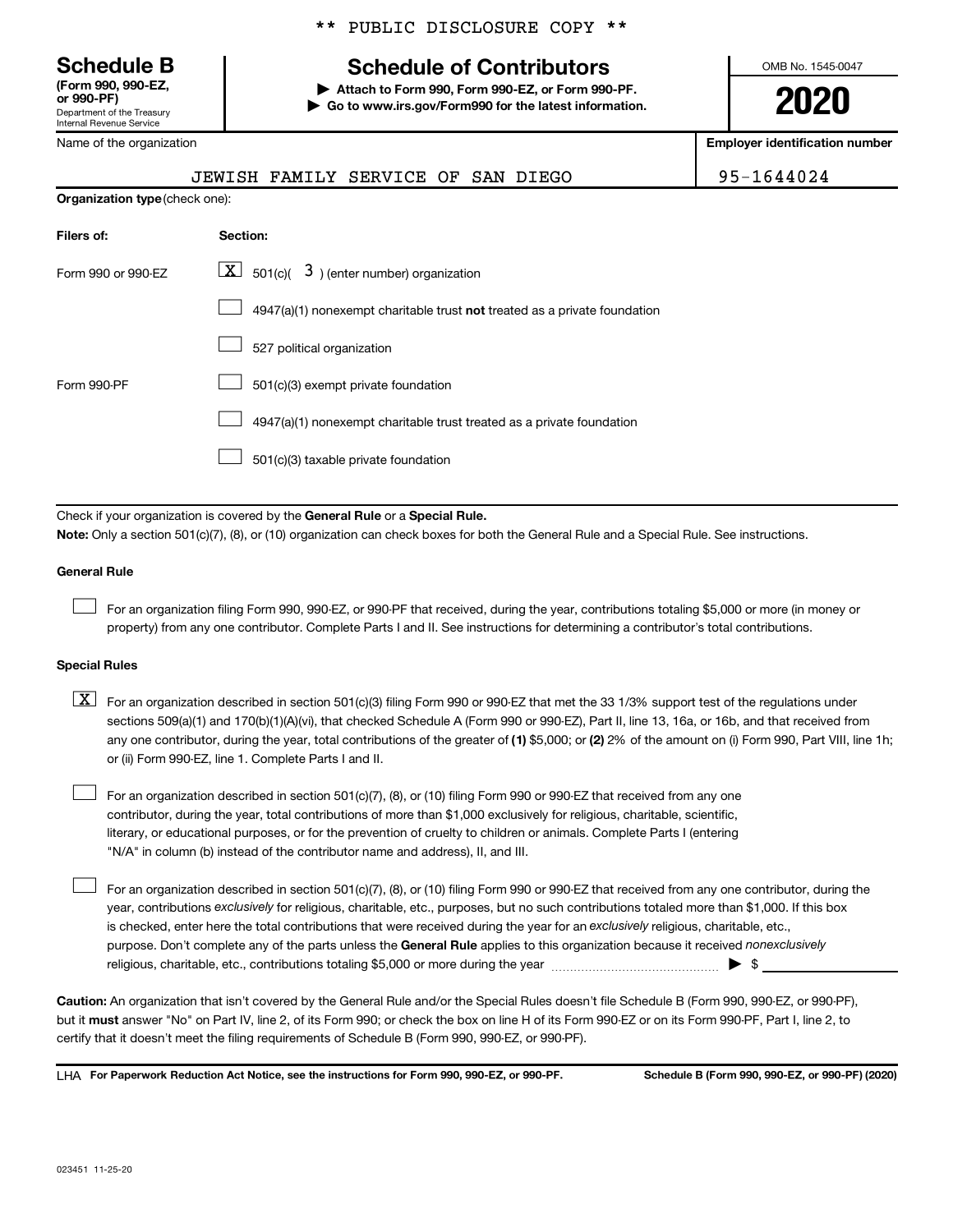**(Form 990, 990-EZ,**

Department of the Treasury Internal Revenue Service

Name of the organization

**Organization type** (check one):

### \*\* PUBLIC DISCLOSURE COPY \*\*

### **Schedule B Schedule of Contributors**

**or 990-PF) | Attach to Form 990, Form 990-EZ, or Form 990-PF. | Go to www.irs.gov/Form990 for the latest information.** OMB No. 1545-0047

**2020**

**Employer identification number**

|          | JEWISH FAMILY SERVICE OF SAN DIEGO |  | 95-1644024 |
|----------|------------------------------------|--|------------|
| ak ana). |                                    |  |            |

| Filers of:         | Section:                                                                  |
|--------------------|---------------------------------------------------------------------------|
| Form 990 or 990-FZ | $\lfloor x \rfloor$ 501(c)( 3) (enter number) organization                |
|                    | 4947(a)(1) nonexempt charitable trust not treated as a private foundation |
|                    | 527 political organization                                                |
| Form 990-PF        | 501(c)(3) exempt private foundation                                       |
|                    | 4947(a)(1) nonexempt charitable trust treated as a private foundation     |
|                    | 501(c)(3) taxable private foundation                                      |

Check if your organization is covered by the General Rule or a Special Rule.

**Note:**  Only a section 501(c)(7), (8), or (10) organization can check boxes for both the General Rule and a Special Rule. See instructions.

### **General Rule**

 $\Box$ 

 $\Box$ 

For an organization filing Form 990, 990-EZ, or 990-PF that received, during the year, contributions totaling \$5,000 or more (in money or property) from any one contributor. Complete Parts I and II. See instructions for determining a contributor's total contributions.

### **Special Rules**

any one contributor, during the year, total contributions of the greater of (1) \$5,000; or (2) 2% of the amount on (i) Form 990, Part VIII, line 1h;  $\boxed{\text{X}}$  For an organization described in section 501(c)(3) filing Form 990 or 990-EZ that met the 33 1/3% support test of the regulations under sections 509(a)(1) and 170(b)(1)(A)(vi), that checked Schedule A (Form 990 or 990-EZ), Part II, line 13, 16a, or 16b, and that received from or (ii) Form 990-EZ, line 1. Complete Parts I and II.

For an organization described in section 501(c)(7), (8), or (10) filing Form 990 or 990-EZ that received from any one contributor, during the year, total contributions of more than \$1,000 exclusively for religious, charitable, scientific, literary, or educational purposes, or for the prevention of cruelty to children or animals. Complete Parts I (entering "N/A" in column (b) instead of the contributor name and address), II, and III.  $\Box$ 

purpose. Don't complete any of the parts unless the General Rule applies to this organization because it received nonexclusively year, contributions exclusively for religious, charitable, etc., purposes, but no such contributions totaled more than \$1,000. If this box is checked, enter here the total contributions that were received during the year for an exclusively religious, charitable, etc., For an organization described in section 501(c)(7), (8), or (10) filing Form 990 or 990-EZ that received from any one contributor, during the religious, charitable, etc., contributions totaling \$5,000 or more during the year  $\ldots$  $\ldots$  $\ldots$  $\ldots$  $\ldots$  $\ldots$ 

**Caution:**  An organization that isn't covered by the General Rule and/or the Special Rules doesn't file Schedule B (Form 990, 990-EZ, or 990-PF),  **must** but it answer "No" on Part IV, line 2, of its Form 990; or check the box on line H of its Form 990-EZ or on its Form 990-PF, Part I, line 2, to certify that it doesn't meet the filing requirements of Schedule B (Form 990, 990-EZ, or 990-PF).

**For Paperwork Reduction Act Notice, see the instructions for Form 990, 990-EZ, or 990-PF. Schedule B (Form 990, 990-EZ, or 990-PF) (2020)** LHA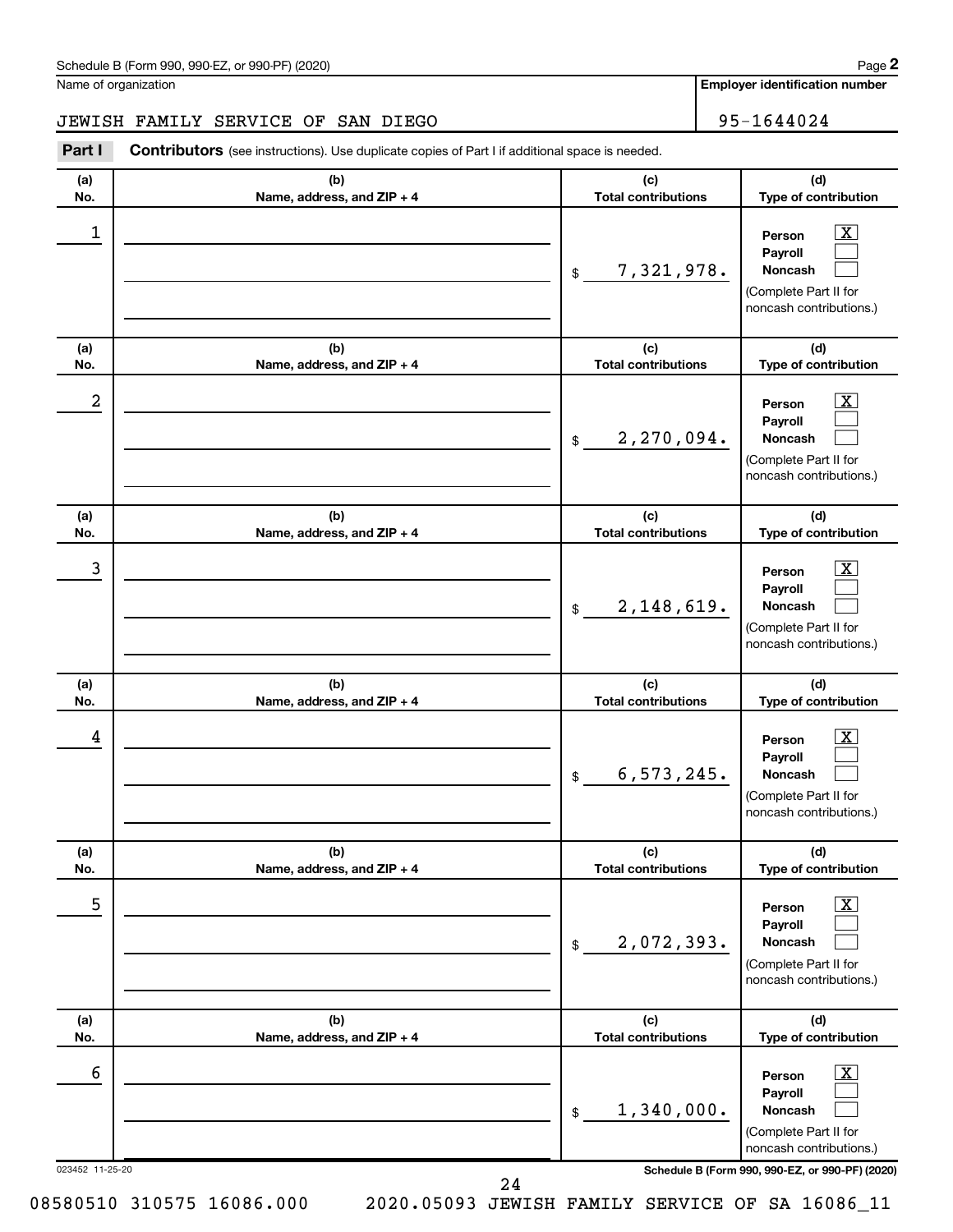**Employer identification number**

### JEWISH FAMILY SERVICE OF SAN DIEGO<br>
95-1644024

**Part I** Contributors (see instructions). Use duplicate copies of Part I if additional space is needed.

| (a)<br>No.           | (b)<br>Name, address, and ZIP + 4 | (c)<br><b>Total contributions</b> | (d)<br>Type of contribution                                                                                                                               |
|----------------------|-----------------------------------|-----------------------------------|-----------------------------------------------------------------------------------------------------------------------------------------------------------|
| 1                    |                                   | 7,321,978.<br>\$                  | $\mathbf{X}$<br>Person<br>Payroll<br>Noncash<br>(Complete Part II for<br>noncash contributions.)                                                          |
| (a)<br>No.           | (b)<br>Name, address, and ZIP + 4 | (c)<br><b>Total contributions</b> | (d)<br>Type of contribution                                                                                                                               |
| 2                    |                                   | 2,270,094.<br>$\frac{1}{2}$       | X<br>Person<br>Payroll<br>Noncash<br>(Complete Part II for<br>noncash contributions.)                                                                     |
| (a)<br>No.           | (b)<br>Name, address, and ZIP + 4 | (c)<br><b>Total contributions</b> | (d)<br>Type of contribution                                                                                                                               |
| 3                    |                                   | 2,148,619.<br>$\frac{1}{2}$       | X<br>Person<br>Payroll<br>Noncash<br>(Complete Part II for<br>noncash contributions.)                                                                     |
| (a)<br>No.           | (b)<br>Name, address, and ZIP + 4 | (c)<br><b>Total contributions</b> | (d)<br>Type of contribution                                                                                                                               |
| 4                    |                                   | 6, 573, 245.<br>\$                | $\overline{\mathbf{X}}$<br>Person<br>Payroll<br><b>Noncash</b><br>(Complete Part II for<br>noncash contributions.)                                        |
| (a)<br>No.           | (b)<br>Name, address, and ZIP + 4 | (c)<br><b>Total contributions</b> | (d)<br>Type of contribution                                                                                                                               |
| 5                    |                                   | 2,072,393.<br>$$\mathbb{S}$$      | $\boxed{\textbf{X}}$<br>Person<br>Payroll<br>Noncash<br>(Complete Part II for<br>noncash contributions.)                                                  |
| (a)<br>No.           | (b)<br>Name, address, and ZIP + 4 | (c)<br><b>Total contributions</b> | (d)<br>Type of contribution                                                                                                                               |
| 6<br>023452 11-25-20 |                                   | 1,340,000.<br>$$\mathbb{S}$$      | $\boxed{\text{X}}$<br>Person<br>Payroll<br>Noncash<br>(Complete Part II for<br>noncash contributions.)<br>Schedule B (Form 990, 990-EZ, or 990-PF) (2020) |
|                      | 24                                |                                   |                                                                                                                                                           |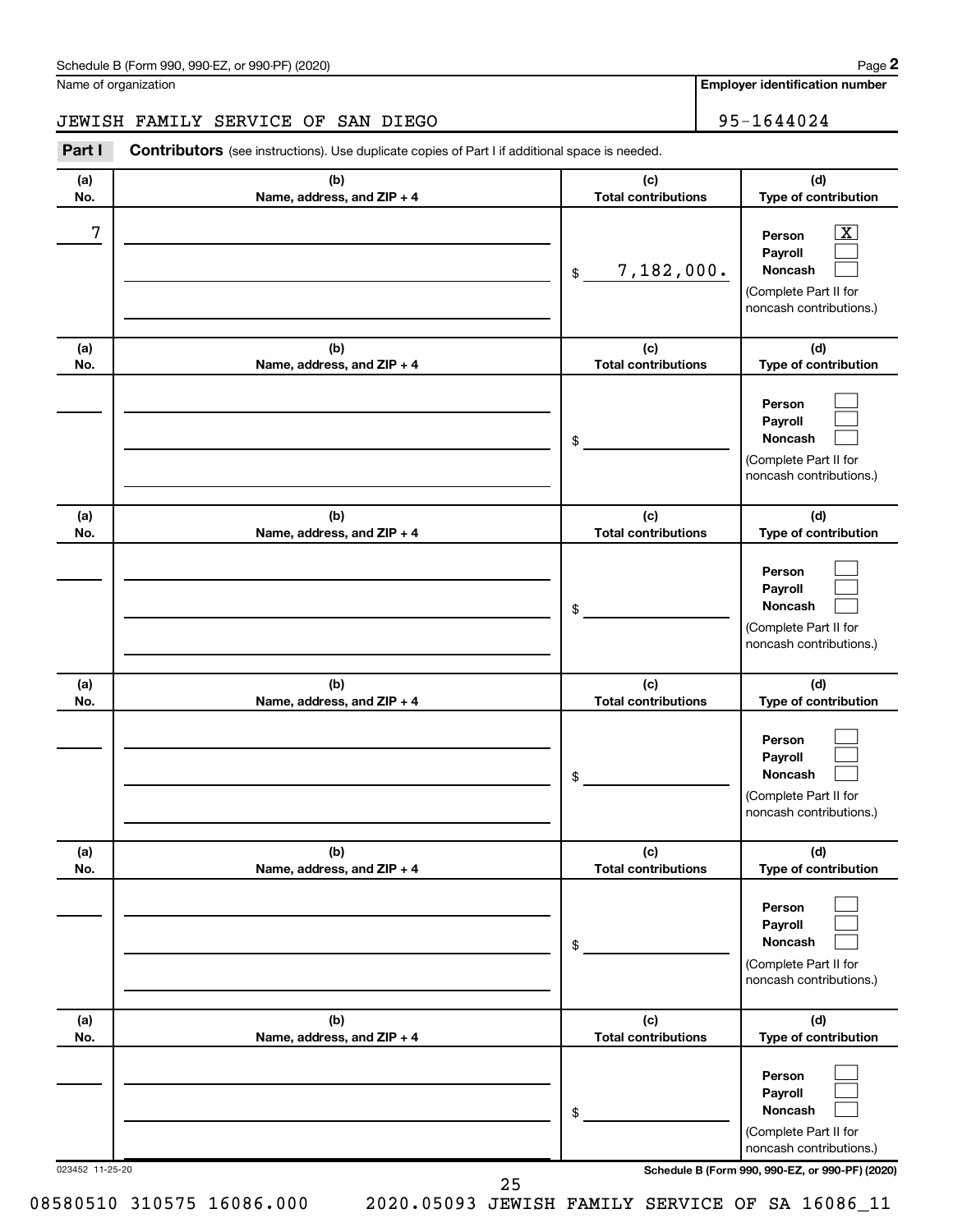**Employer identification number**

### JEWISH FAMILY SERVICE OF SAN DIEGO<br>
95-1644024

**Part I** Contributors (see instructions). Use duplicate copies of Part I if additional space is needed.

| (b)<br>Name, address, and ZIP + 4<br>(b)<br>Name, address, and ZIP + 4 | (c)<br><b>Total contributions</b><br>7,182,000.<br>$$\mathbb{S}$$                                                    | (d)<br>Type of contribution<br>$\overline{\mathbf{X}}$<br>Person<br>Payroll<br><b>Noncash</b><br>(Complete Part II for<br>noncash contributions.) |
|------------------------------------------------------------------------|----------------------------------------------------------------------------------------------------------------------|---------------------------------------------------------------------------------------------------------------------------------------------------|
|                                                                        |                                                                                                                      |                                                                                                                                                   |
|                                                                        |                                                                                                                      |                                                                                                                                                   |
|                                                                        | (c)<br><b>Total contributions</b>                                                                                    | (d)<br>Type of contribution                                                                                                                       |
|                                                                        | \$                                                                                                                   | Person<br>Payroll<br>Noncash<br>(Complete Part II for<br>noncash contributions.)                                                                  |
| (b)                                                                    | (c)                                                                                                                  | (d)<br>Type of contribution                                                                                                                       |
|                                                                        | \$                                                                                                                   | Person<br>Payroll<br><b>Noncash</b><br>(Complete Part II for<br>noncash contributions.)                                                           |
| (b)                                                                    | (c)                                                                                                                  | (d)<br>Type of contribution                                                                                                                       |
|                                                                        | \$                                                                                                                   | Person<br>Payroll<br><b>Noncash</b><br>(Complete Part II for<br>noncash contributions.)                                                           |
| (b)                                                                    | (c)<br><b>Total contributions</b>                                                                                    | (d)<br>Type of contribution                                                                                                                       |
|                                                                        | \$                                                                                                                   | Person<br>Payroll<br><b>Noncash</b><br>(Complete Part II for<br>noncash contributions.)                                                           |
| (b)                                                                    | (c)                                                                                                                  | (d)<br>Type of contribution                                                                                                                       |
|                                                                        | \$                                                                                                                   | Person<br>Payroll<br><b>Noncash</b><br>(Complete Part II for<br>noncash contributions.)                                                           |
|                                                                        | Name, address, and ZIP + 4<br>Name, address, and ZIP + 4<br>Name, address, and ZIP + 4<br>Name, address, and ZIP + 4 | <b>Total contributions</b><br><b>Total contributions</b><br><b>Total contributions</b><br>Schedule B (Form 990, 990-EZ, or 990-PF) (2020)         |

25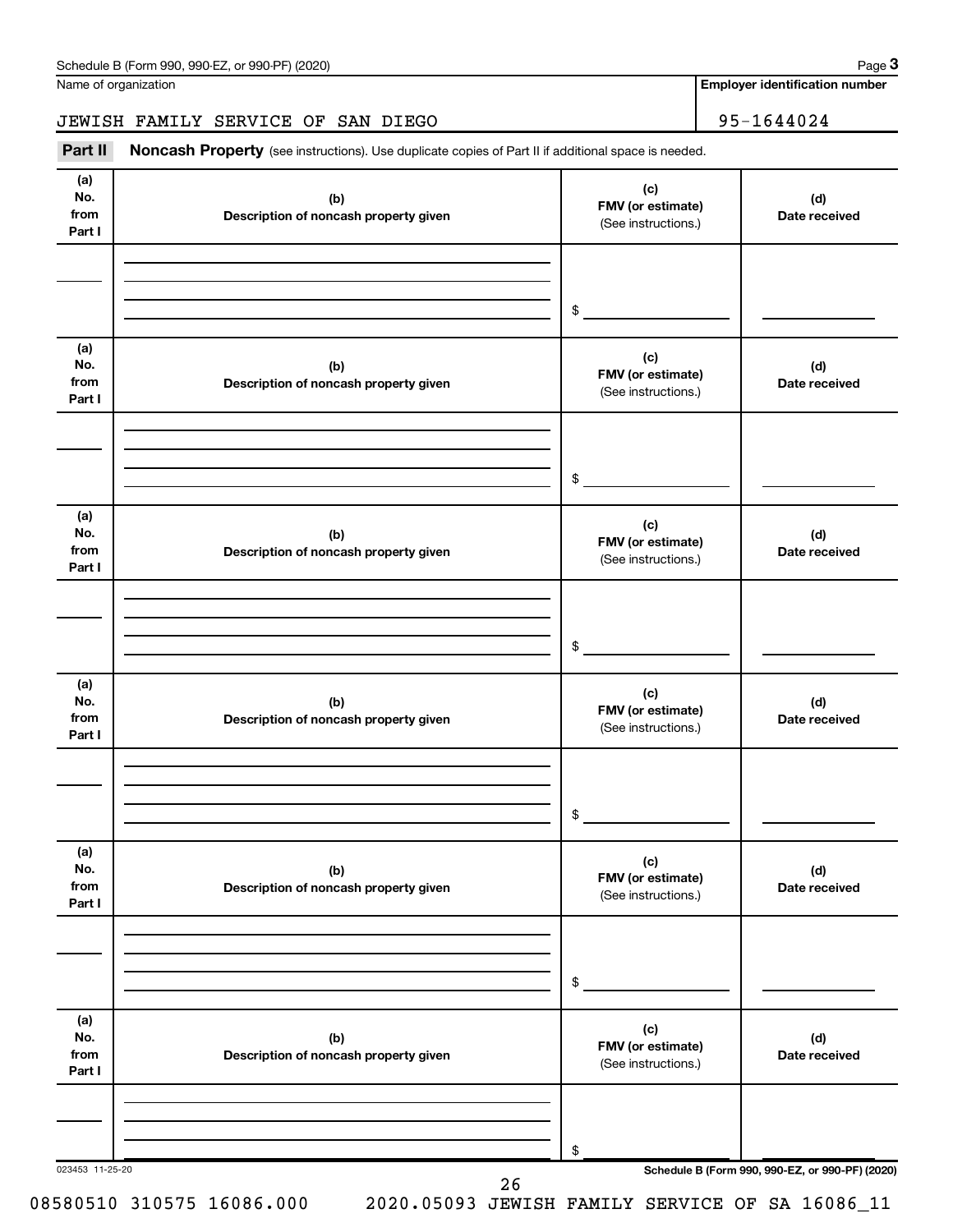### JEWISH FAMILY SERVICE OF SAN DIEGO 95-1644024

Part II Noncash Property (see instructions). Use duplicate copies of Part II if additional space is needed.

| (a)<br>No.<br>from<br>Part I | (b)<br>Description of noncash property given | (c)<br>FMV (or estimate)<br>(See instructions.) | (d)<br>Date received                            |
|------------------------------|----------------------------------------------|-------------------------------------------------|-------------------------------------------------|
|                              |                                              |                                                 |                                                 |
|                              |                                              | \$                                              |                                                 |
| (a)<br>No.<br>from<br>Part I | (b)<br>Description of noncash property given | (c)<br>FMV (or estimate)<br>(See instructions.) | (d)<br>Date received                            |
|                              |                                              |                                                 |                                                 |
|                              |                                              | \$                                              |                                                 |
| (a)<br>No.<br>from<br>Part I | (b)<br>Description of noncash property given | (c)<br>FMV (or estimate)<br>(See instructions.) | (d)<br>Date received                            |
|                              |                                              |                                                 |                                                 |
|                              |                                              | \$                                              |                                                 |
| (a)<br>No.<br>from<br>Part I | (b)<br>Description of noncash property given | (c)<br>FMV (or estimate)<br>(See instructions.) | (d)<br>Date received                            |
|                              |                                              |                                                 |                                                 |
|                              |                                              | \$                                              |                                                 |
| (a)<br>No.<br>from<br>Part I | (b)<br>Description of noncash property given | (c)<br>FMV (or estimate)<br>(See instructions.) | (d)<br>Date received                            |
|                              |                                              |                                                 |                                                 |
|                              |                                              | \$                                              |                                                 |
| (a)<br>No.<br>from<br>Part I | (b)<br>Description of noncash property given | (c)<br>FMV (or estimate)<br>(See instructions.) | (d)<br>Date received                            |
|                              |                                              |                                                 |                                                 |
|                              |                                              | \$                                              |                                                 |
| 023453 11-25-20              | 26                                           |                                                 | Schedule B (Form 990, 990-EZ, or 990-PF) (2020) |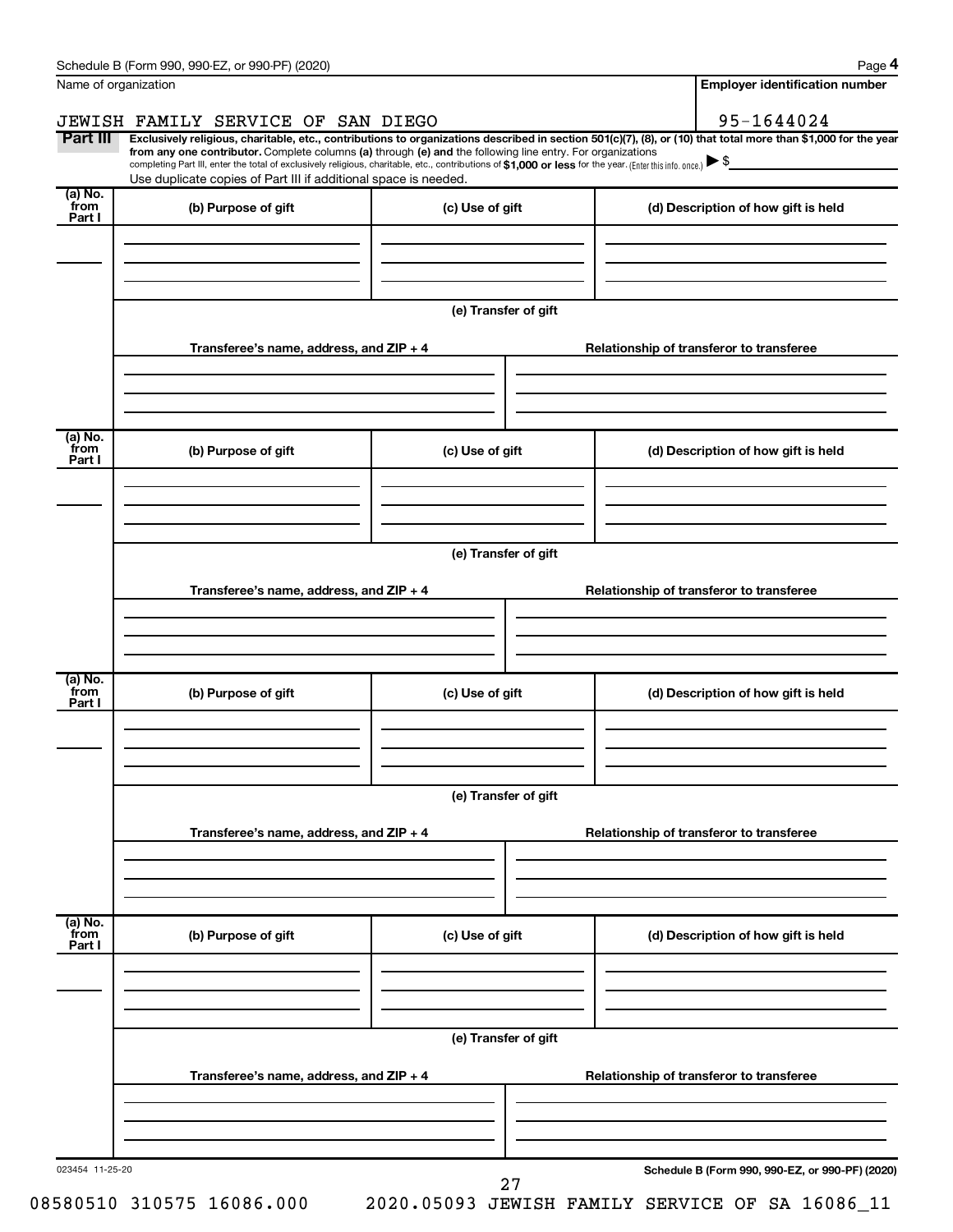| Name of organization      | Schedule B (Form 990, 990-EZ, or 990-PF) (2020)                                                                                                                                                                                                                                                                                           |                                          | <b>Employer identification number</b>                                                                                                                          |  |  |  |  |  |
|---------------------------|-------------------------------------------------------------------------------------------------------------------------------------------------------------------------------------------------------------------------------------------------------------------------------------------------------------------------------------------|------------------------------------------|----------------------------------------------------------------------------------------------------------------------------------------------------------------|--|--|--|--|--|
|                           | JEWISH FAMILY SERVICE OF SAN DIEGO                                                                                                                                                                                                                                                                                                        |                                          | 95-1644024                                                                                                                                                     |  |  |  |  |  |
| Part III                  | from any one contributor. Complete columns (a) through (e) and the following line entry. For organizations<br>completing Part III, enter the total of exclusively religious, charitable, etc., contributions of \$1,000 or less for the year. (Enter this info. once.)<br>Use duplicate copies of Part III if additional space is needed. |                                          | Exclusively religious, charitable, etc., contributions to organizations described in section 501(c)(7), (8), or (10) that total more than \$1,000 for the year |  |  |  |  |  |
| (a) No.<br>from<br>Part I | (b) Purpose of gift                                                                                                                                                                                                                                                                                                                       | (c) Use of gift                          | (d) Description of how gift is held                                                                                                                            |  |  |  |  |  |
|                           |                                                                                                                                                                                                                                                                                                                                           |                                          |                                                                                                                                                                |  |  |  |  |  |
|                           |                                                                                                                                                                                                                                                                                                                                           | (e) Transfer of gift                     |                                                                                                                                                                |  |  |  |  |  |
|                           | Transferee's name, address, and $ZIP + 4$                                                                                                                                                                                                                                                                                                 | Relationship of transferor to transferee |                                                                                                                                                                |  |  |  |  |  |
| (a) No.                   |                                                                                                                                                                                                                                                                                                                                           |                                          |                                                                                                                                                                |  |  |  |  |  |
| from<br>Part I            | (b) Purpose of gift                                                                                                                                                                                                                                                                                                                       | (c) Use of gift                          | (d) Description of how gift is held                                                                                                                            |  |  |  |  |  |
|                           |                                                                                                                                                                                                                                                                                                                                           | (e) Transfer of gift                     |                                                                                                                                                                |  |  |  |  |  |
|                           | Transferee's name, address, and $ZIP + 4$                                                                                                                                                                                                                                                                                                 |                                          | Relationship of transferor to transferee                                                                                                                       |  |  |  |  |  |
|                           |                                                                                                                                                                                                                                                                                                                                           |                                          |                                                                                                                                                                |  |  |  |  |  |
| (a) No.<br>from<br>Part I | (b) Purpose of gift                                                                                                                                                                                                                                                                                                                       | (c) Use of gift                          | (d) Description of how gift is held                                                                                                                            |  |  |  |  |  |
|                           |                                                                                                                                                                                                                                                                                                                                           |                                          |                                                                                                                                                                |  |  |  |  |  |
|                           | (e) Transfer of gift                                                                                                                                                                                                                                                                                                                      |                                          |                                                                                                                                                                |  |  |  |  |  |
|                           | Transferee's name, address, and $ZIP + 4$                                                                                                                                                                                                                                                                                                 |                                          | Relationship of transferor to transferee                                                                                                                       |  |  |  |  |  |
|                           |                                                                                                                                                                                                                                                                                                                                           |                                          |                                                                                                                                                                |  |  |  |  |  |
| (a) No.<br>from<br>Part I | (b) Purpose of gift                                                                                                                                                                                                                                                                                                                       | (c) Use of gift                          | (d) Description of how gift is held                                                                                                                            |  |  |  |  |  |
|                           |                                                                                                                                                                                                                                                                                                                                           | (e) Transfer of gift                     |                                                                                                                                                                |  |  |  |  |  |
|                           | Transferee's name, address, and ZIP + 4                                                                                                                                                                                                                                                                                                   | Relationship of transferor to transferee |                                                                                                                                                                |  |  |  |  |  |
|                           |                                                                                                                                                                                                                                                                                                                                           |                                          |                                                                                                                                                                |  |  |  |  |  |
| 023454 11-25-20           |                                                                                                                                                                                                                                                                                                                                           |                                          | Schedule B (Form 990, 990-EZ, or 990-PF) (2020)                                                                                                                |  |  |  |  |  |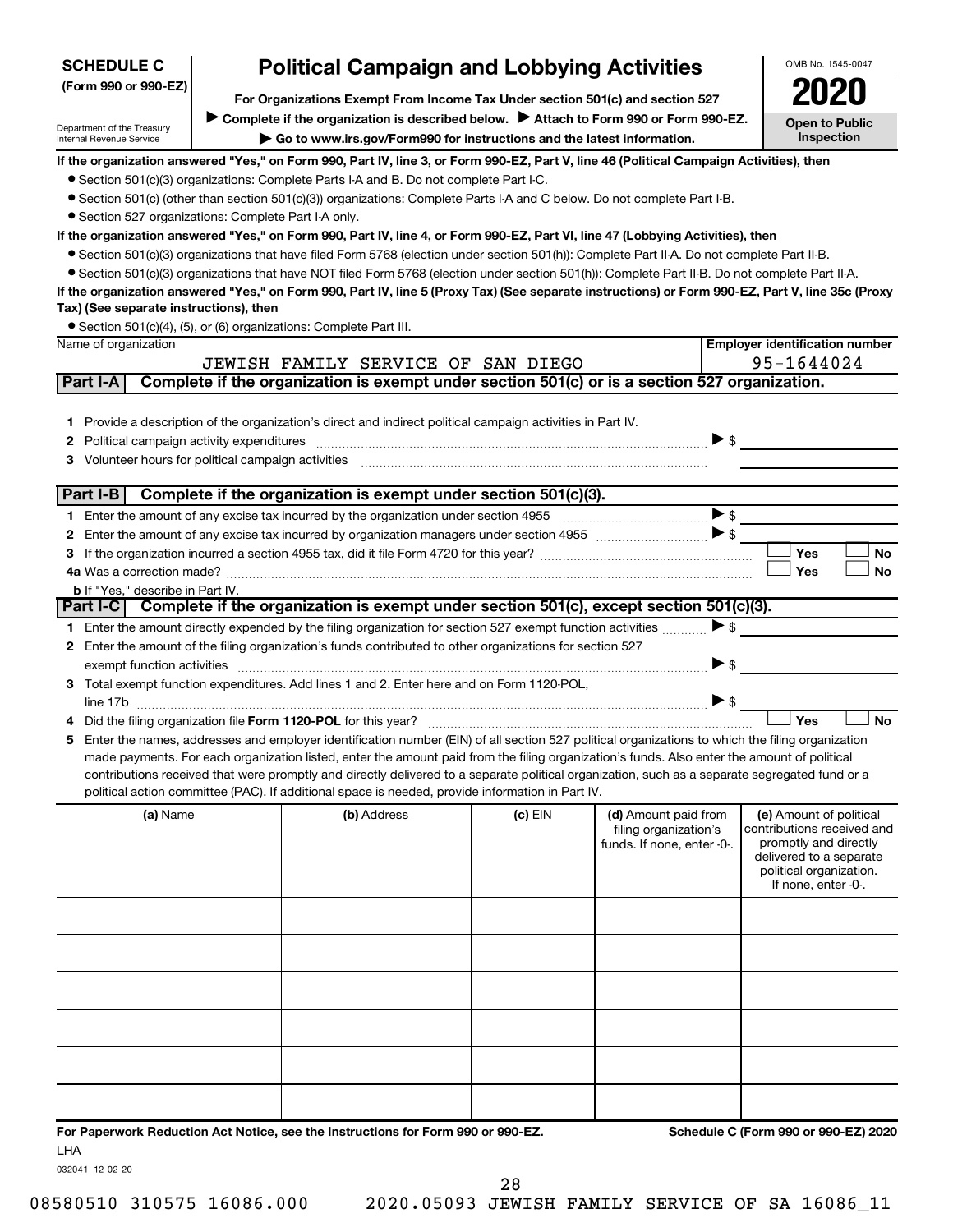| <b>SCHEDULE C</b>                                      | <b>Political Campaign and Lobbying Activities</b>                             |                                                                                                                                                                                                                                                    |         |                                               |                          |                                                       |  |  |  |  |
|--------------------------------------------------------|-------------------------------------------------------------------------------|----------------------------------------------------------------------------------------------------------------------------------------------------------------------------------------------------------------------------------------------------|---------|-----------------------------------------------|--------------------------|-------------------------------------------------------|--|--|--|--|
| (Form 990 or 990-EZ)                                   | For Organizations Exempt From Income Tax Under section 501(c) and section 527 |                                                                                                                                                                                                                                                    |         |                                               |                          |                                                       |  |  |  |  |
|                                                        |                                                                               | Complete if the organization is described below.<br>Attach to Form 990 or Form 990-EZ.                                                                                                                                                             |         |                                               |                          | <b>Open to Public</b>                                 |  |  |  |  |
| Department of the Treasury<br>Internal Revenue Service |                                                                               | Go to www.irs.gov/Form990 for instructions and the latest information.                                                                                                                                                                             |         |                                               |                          | Inspection                                            |  |  |  |  |
|                                                        |                                                                               | If the organization answered "Yes," on Form 990, Part IV, line 3, or Form 990-EZ, Part V, line 46 (Political Campaign Activities), then                                                                                                            |         |                                               |                          |                                                       |  |  |  |  |
|                                                        |                                                                               | • Section 501(c)(3) organizations: Complete Parts I-A and B. Do not complete Part I-C.                                                                                                                                                             |         |                                               |                          |                                                       |  |  |  |  |
|                                                        |                                                                               | • Section 501(c) (other than section 501(c)(3)) organizations: Complete Parts I-A and C below. Do not complete Part I-B.                                                                                                                           |         |                                               |                          |                                                       |  |  |  |  |
|                                                        | • Section 527 organizations: Complete Part I-A only.                          |                                                                                                                                                                                                                                                    |         |                                               |                          |                                                       |  |  |  |  |
|                                                        |                                                                               | If the organization answered "Yes," on Form 990, Part IV, line 4, or Form 990-EZ, Part VI, line 47 (Lobbying Activities), then                                                                                                                     |         |                                               |                          |                                                       |  |  |  |  |
|                                                        |                                                                               | • Section 501(c)(3) organizations that have filed Form 5768 (election under section 501(h)): Complete Part II-A. Do not complete Part II-B.                                                                                                        |         |                                               |                          |                                                       |  |  |  |  |
|                                                        |                                                                               | • Section 501(c)(3) organizations that have NOT filed Form 5768 (election under section 501(h)): Complete Part II-B. Do not complete Part II-A.                                                                                                    |         |                                               |                          |                                                       |  |  |  |  |
|                                                        |                                                                               | If the organization answered "Yes," on Form 990, Part IV, line 5 (Proxy Tax) (See separate instructions) or Form 990-EZ, Part V, line 35c (Proxy                                                                                                   |         |                                               |                          |                                                       |  |  |  |  |
| Tax) (See separate instructions), then                 |                                                                               | • Section 501(c)(4), (5), or (6) organizations: Complete Part III.                                                                                                                                                                                 |         |                                               |                          |                                                       |  |  |  |  |
| Name of organization                                   |                                                                               |                                                                                                                                                                                                                                                    |         |                                               |                          | <b>Employer identification number</b>                 |  |  |  |  |
|                                                        |                                                                               | JEWISH FAMILY SERVICE OF SAN DIEGO                                                                                                                                                                                                                 |         |                                               |                          | 95-1644024                                            |  |  |  |  |
| Part I-A                                               |                                                                               | Complete if the organization is exempt under section 501(c) or is a section 527 organization.                                                                                                                                                      |         |                                               |                          |                                                       |  |  |  |  |
|                                                        |                                                                               |                                                                                                                                                                                                                                                    |         |                                               |                          |                                                       |  |  |  |  |
|                                                        |                                                                               | 1 Provide a description of the organization's direct and indirect political campaign activities in Part IV.                                                                                                                                        |         |                                               |                          |                                                       |  |  |  |  |
| 2                                                      |                                                                               |                                                                                                                                                                                                                                                    |         |                                               | $\triangleright$ s       |                                                       |  |  |  |  |
| 3                                                      |                                                                               |                                                                                                                                                                                                                                                    |         |                                               |                          |                                                       |  |  |  |  |
|                                                        |                                                                               |                                                                                                                                                                                                                                                    |         |                                               |                          |                                                       |  |  |  |  |
| Part I-B                                               |                                                                               | Complete if the organization is exempt under section 501(c)(3).                                                                                                                                                                                    |         |                                               |                          |                                                       |  |  |  |  |
|                                                        |                                                                               |                                                                                                                                                                                                                                                    |         |                                               | $\blacktriangleright$ \$ |                                                       |  |  |  |  |
| 2                                                      |                                                                               |                                                                                                                                                                                                                                                    |         |                                               |                          |                                                       |  |  |  |  |
| 3                                                      |                                                                               |                                                                                                                                                                                                                                                    |         |                                               |                          | Yes<br>No                                             |  |  |  |  |
| <b>b</b> If "Yes," describe in Part IV.                |                                                                               |                                                                                                                                                                                                                                                    |         |                                               |                          | Yes<br>No                                             |  |  |  |  |
|                                                        |                                                                               | Part I-C Complete if the organization is exempt under section 501(c), except section 501(c)(3).                                                                                                                                                    |         |                                               |                          |                                                       |  |  |  |  |
|                                                        |                                                                               | 1 Enter the amount directly expended by the filing organization for section 527 exempt function activities                                                                                                                                         |         |                                               | $\blacktriangleright$ \$ |                                                       |  |  |  |  |
|                                                        |                                                                               | 2 Enter the amount of the filing organization's funds contributed to other organizations for section 527                                                                                                                                           |         |                                               |                          |                                                       |  |  |  |  |
|                                                        |                                                                               |                                                                                                                                                                                                                                                    |         |                                               | $\blacktriangleright$ \$ |                                                       |  |  |  |  |
|                                                        |                                                                               | 3 Total exempt function expenditures. Add lines 1 and 2. Enter here and on Form 1120-POL,                                                                                                                                                          |         |                                               |                          |                                                       |  |  |  |  |
|                                                        |                                                                               |                                                                                                                                                                                                                                                    |         |                                               | $\triangleright$ \$      |                                                       |  |  |  |  |
|                                                        |                                                                               |                                                                                                                                                                                                                                                    |         |                                               |                          | Yes<br><b>No</b>                                      |  |  |  |  |
| 5.                                                     |                                                                               | Enter the names, addresses and employer identification number (EIN) of all section 527 political organizations to which the filing organization                                                                                                    |         |                                               |                          |                                                       |  |  |  |  |
|                                                        |                                                                               | made payments. For each organization listed, enter the amount paid from the filing organization's funds. Also enter the amount of political                                                                                                        |         |                                               |                          |                                                       |  |  |  |  |
|                                                        |                                                                               | contributions received that were promptly and directly delivered to a separate political organization, such as a separate segregated fund or a<br>political action committee (PAC). If additional space is needed, provide information in Part IV. |         |                                               |                          |                                                       |  |  |  |  |
|                                                        |                                                                               |                                                                                                                                                                                                                                                    |         |                                               |                          |                                                       |  |  |  |  |
| (a) Name                                               |                                                                               | (b) Address                                                                                                                                                                                                                                        | (c) EIN | (d) Amount paid from<br>filing organization's |                          | (e) Amount of political<br>contributions received and |  |  |  |  |
|                                                        |                                                                               |                                                                                                                                                                                                                                                    |         | funds. If none, enter -0-.                    |                          | promptly and directly                                 |  |  |  |  |
|                                                        |                                                                               |                                                                                                                                                                                                                                                    |         |                                               |                          | delivered to a separate<br>political organization.    |  |  |  |  |
|                                                        |                                                                               |                                                                                                                                                                                                                                                    |         |                                               |                          | If none, enter -0-.                                   |  |  |  |  |
|                                                        |                                                                               |                                                                                                                                                                                                                                                    |         |                                               |                          |                                                       |  |  |  |  |
|                                                        |                                                                               |                                                                                                                                                                                                                                                    |         |                                               |                          |                                                       |  |  |  |  |
|                                                        |                                                                               |                                                                                                                                                                                                                                                    |         |                                               |                          |                                                       |  |  |  |  |
|                                                        |                                                                               |                                                                                                                                                                                                                                                    |         |                                               |                          |                                                       |  |  |  |  |
|                                                        |                                                                               |                                                                                                                                                                                                                                                    |         |                                               |                          |                                                       |  |  |  |  |
|                                                        |                                                                               |                                                                                                                                                                                                                                                    |         |                                               |                          |                                                       |  |  |  |  |
|                                                        |                                                                               |                                                                                                                                                                                                                                                    |         |                                               |                          |                                                       |  |  |  |  |
|                                                        |                                                                               |                                                                                                                                                                                                                                                    |         |                                               |                          |                                                       |  |  |  |  |
|                                                        |                                                                               |                                                                                                                                                                                                                                                    |         |                                               |                          |                                                       |  |  |  |  |
|                                                        |                                                                               |                                                                                                                                                                                                                                                    |         |                                               |                          |                                                       |  |  |  |  |
|                                                        |                                                                               |                                                                                                                                                                                                                                                    |         |                                               |                          |                                                       |  |  |  |  |

**For Paperwork Reduction Act Notice, see the Instructions for Form 990 or 990-EZ. Schedule C (Form 990 or 990-EZ) 2020** LHA

032041 12-02-20

### 28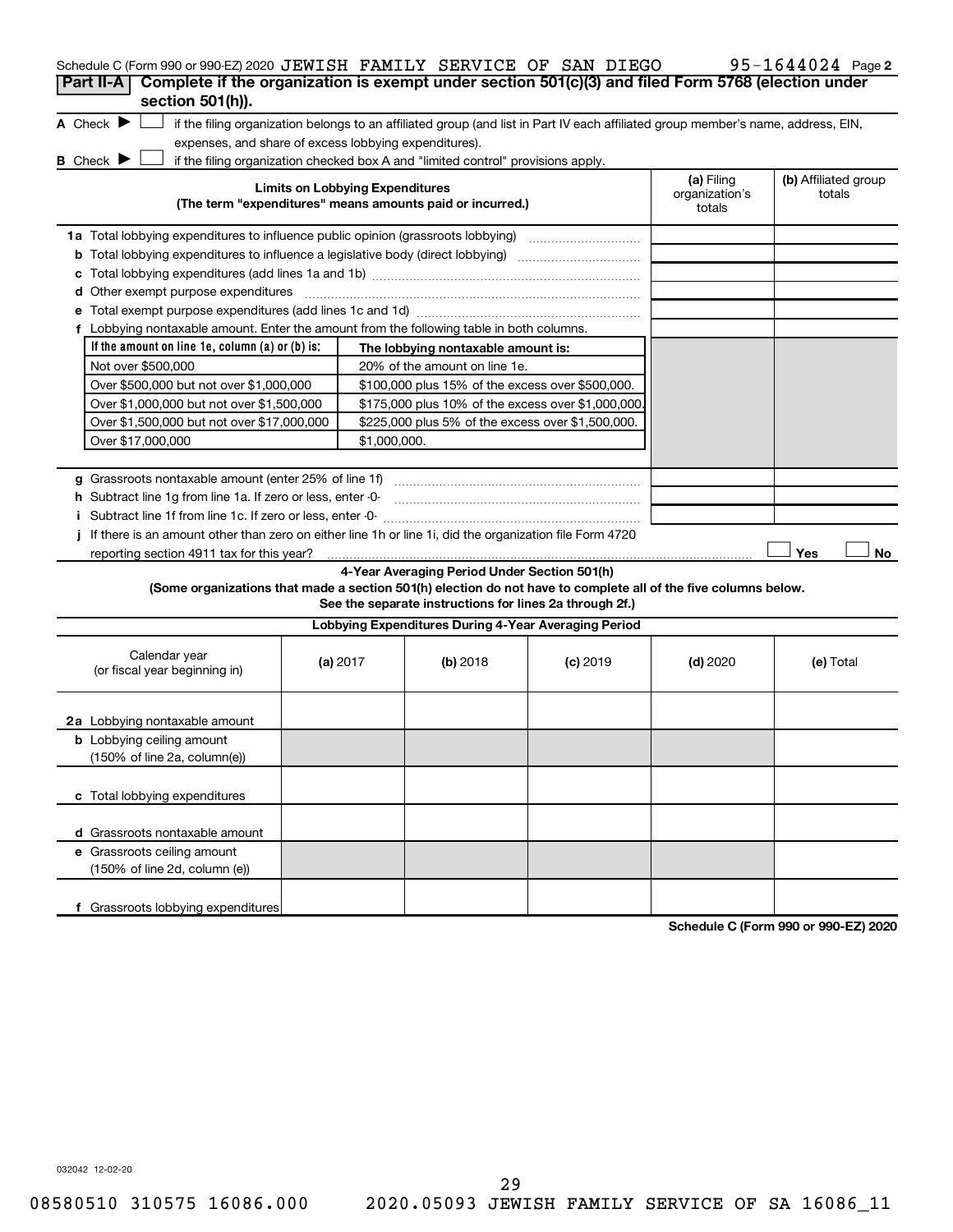| Schedule C (Form 990 or 990-EZ) 2020 JEWISH FAMILY SERVICE OF SAN DIEGO                                                                                            |                                        |                                                         |            |            | 95-1644024 Page 2 |  |  |  |
|--------------------------------------------------------------------------------------------------------------------------------------------------------------------|----------------------------------------|---------------------------------------------------------|------------|------------|-------------------|--|--|--|
| Complete if the organization is exempt under section 501(c)(3) and filed Form 5768 (election under<br>Part II-A                                                    |                                        |                                                         |            |            |                   |  |  |  |
| section 501(h)).                                                                                                                                                   |                                        |                                                         |            |            |                   |  |  |  |
| A Check $\blacktriangleright$<br>if the filing organization belongs to an affiliated group (and list in Part IV each affiliated group member's name, address, EIN, |                                        |                                                         |            |            |                   |  |  |  |
| expenses, and share of excess lobbying expenditures).                                                                                                              |                                        |                                                         |            |            |                   |  |  |  |
| <b>B</b> Check <b>D</b><br>if the filing organization checked box A and "limited control" provisions apply.                                                        |                                        |                                                         |            |            |                   |  |  |  |
| <b>Limits on Lobbying Expenditures</b><br>(The term "expenditures" means amounts paid or incurred.)                                                                | (a) Filing<br>organization's<br>totals | (b) Affiliated group<br>totals                          |            |            |                   |  |  |  |
| <b>1a</b> Total lobbying expenditures to influence public opinion (grassroots lobbying)                                                                            |                                        |                                                         |            |            |                   |  |  |  |
| <b>b</b> Total lobbying expenditures to influence a legislative body (direct lobbying) <i>manumumumum</i>                                                          |                                        |                                                         |            |            |                   |  |  |  |
| c                                                                                                                                                                  |                                        |                                                         |            |            |                   |  |  |  |
| Other exempt purpose expenditures<br>d                                                                                                                             |                                        |                                                         |            |            |                   |  |  |  |
|                                                                                                                                                                    |                                        |                                                         |            |            |                   |  |  |  |
| f Lobbying nontaxable amount. Enter the amount from the following table in both columns.                                                                           |                                        |                                                         |            |            |                   |  |  |  |
| If the amount on line $1e$ , column $(a)$ or $(b)$ is:                                                                                                             |                                        | The lobbying nontaxable amount is:                      |            |            |                   |  |  |  |
| Not over \$500,000                                                                                                                                                 |                                        | 20% of the amount on line 1e.                           |            |            |                   |  |  |  |
| Over \$500,000 but not over \$1,000,000                                                                                                                            |                                        | \$100,000 plus 15% of the excess over \$500,000.        |            |            |                   |  |  |  |
| Over \$1,000,000 but not over \$1,500,000                                                                                                                          |                                        | \$175,000 plus 10% of the excess over \$1,000,000       |            |            |                   |  |  |  |
| Over \$1,500,000 but not over \$17,000,000                                                                                                                         |                                        | \$225,000 plus 5% of the excess over \$1,500,000.       |            |            |                   |  |  |  |
| Over \$17,000,000                                                                                                                                                  | \$1,000,000.                           |                                                         |            |            |                   |  |  |  |
|                                                                                                                                                                    |                                        |                                                         |            |            |                   |  |  |  |
|                                                                                                                                                                    |                                        |                                                         |            |            |                   |  |  |  |
| h Subtract line 1g from line 1a. If zero or less, enter -0-                                                                                                        |                                        |                                                         |            |            |                   |  |  |  |
|                                                                                                                                                                    |                                        |                                                         |            |            |                   |  |  |  |
| If there is an amount other than zero on either line 1h or line 1i, did the organization file Form 4720                                                            |                                        |                                                         |            |            |                   |  |  |  |
| reporting section 4911 tax for this year?                                                                                                                          |                                        |                                                         |            |            | Yes<br>No         |  |  |  |
|                                                                                                                                                                    |                                        | 4-Year Averaging Period Under Section 501(h)            |            |            |                   |  |  |  |
| (Some organizations that made a section 501(h) election do not have to complete all of the five columns below.                                                     |                                        | See the separate instructions for lines 2a through 2f.) |            |            |                   |  |  |  |
|                                                                                                                                                                    |                                        | Lobbying Expenditures During 4-Year Averaging Period    |            |            |                   |  |  |  |
| Calendar year<br>(or fiscal year beginning in)                                                                                                                     | (a) $2017$                             | (b) 2018                                                | $(c)$ 2019 | $(d)$ 2020 | (e) Total         |  |  |  |
| 2a Lobbying nontaxable amount                                                                                                                                      |                                        |                                                         |            |            |                   |  |  |  |
| <b>b</b> Lobbying ceiling amount<br>(150% of line 2a, column(e))                                                                                                   |                                        |                                                         |            |            |                   |  |  |  |
| c Total lobbying expenditures                                                                                                                                      |                                        |                                                         |            |            |                   |  |  |  |
| d Grassroots nontaxable amount                                                                                                                                     |                                        |                                                         |            |            |                   |  |  |  |
| e Grassroots ceiling amount<br>(150% of line 2d, column (e))                                                                                                       |                                        |                                                         |            |            |                   |  |  |  |
| f Grassroots lobbying expenditures                                                                                                                                 |                                        |                                                         |            |            |                   |  |  |  |

**Schedule C (Form 990 or 990-EZ) 2020**

032042 12-02-20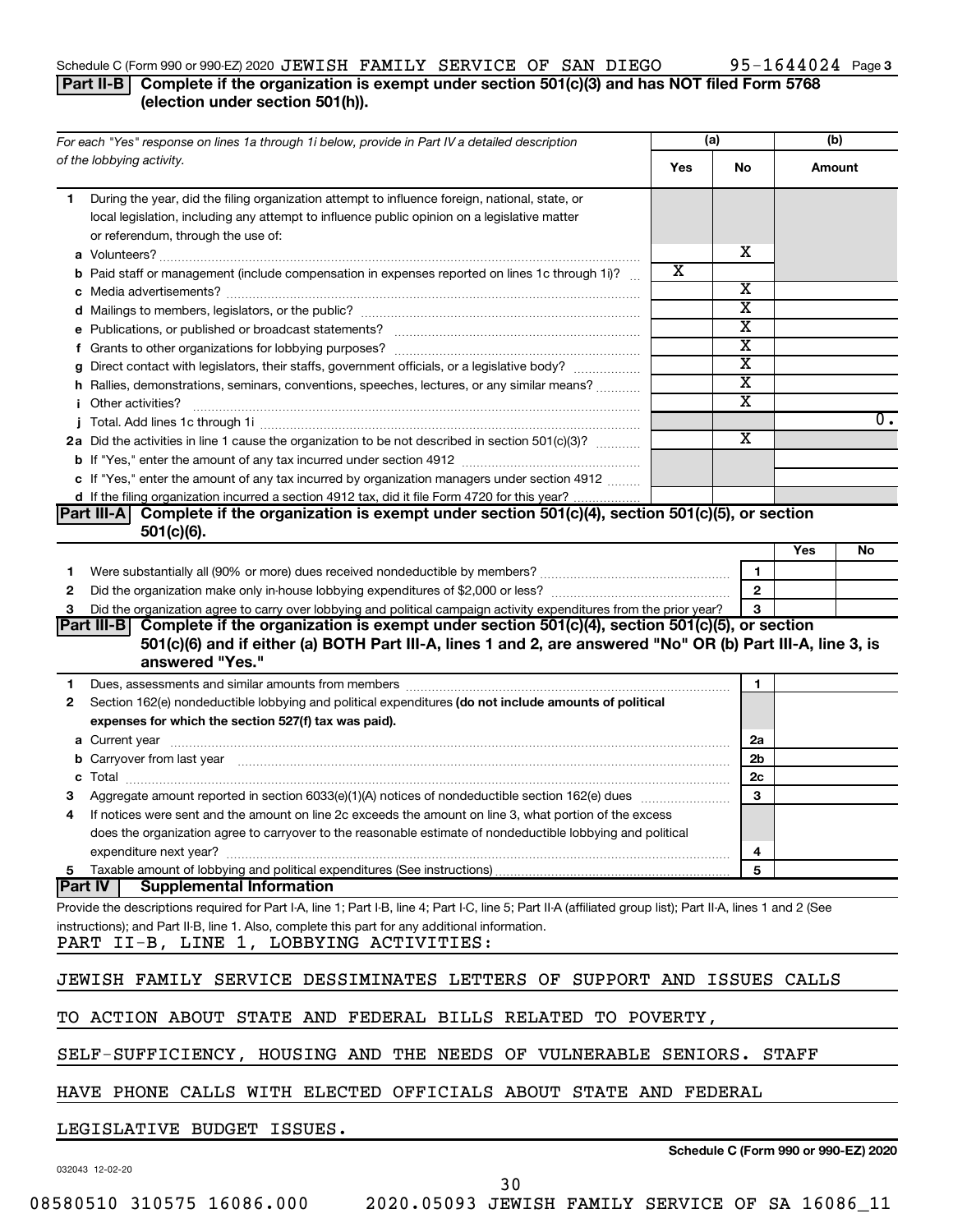### Schedule C (Form 990 or 990-EZ) 2020  ${\tt JEWISH}$   ${\tt FAMILY}$   ${\tt SERVICE}$   ${\tt OF}$   ${\tt SAN}$   ${\tt DLEGO}$   $95-1644024$  Page

### 95-1644024 Page 3

### **Part II-B Complete if the organization is exempt under section 501(c)(3) and has NOT filed Form 5768 (election under section 501(h)).**

| For each "Yes" response on lines 1a through 1i below, provide in Part IV a detailed description                                                                                                                                           |     | (a)                     | (b)    |                                      |
|-------------------------------------------------------------------------------------------------------------------------------------------------------------------------------------------------------------------------------------------|-----|-------------------------|--------|--------------------------------------|
| of the lobbying activity.                                                                                                                                                                                                                 | Yes | No                      | Amount |                                      |
| During the year, did the filing organization attempt to influence foreign, national, state, or<br>1<br>local legislation, including any attempt to influence public opinion on a legislative matter<br>or referendum, through the use of: |     | х                       |        |                                      |
|                                                                                                                                                                                                                                           | х   |                         |        |                                      |
| <b>b</b> Paid staff or management (include compensation in expenses reported on lines 1c through 1i)?                                                                                                                                     |     | х                       |        |                                      |
|                                                                                                                                                                                                                                           |     | $\overline{\text{x}}$   |        |                                      |
|                                                                                                                                                                                                                                           |     | $\overline{\text{x}}$   |        |                                      |
|                                                                                                                                                                                                                                           |     | $\overline{\text{x}}$   |        |                                      |
| g Direct contact with legislators, their staffs, government officials, or a legislative body?                                                                                                                                             |     | $\overline{\text{x}}$   |        |                                      |
| h Rallies, demonstrations, seminars, conventions, speeches, lectures, or any similar means?                                                                                                                                               |     | $\overline{\text{x}}$   |        |                                      |
| <i>i</i> Other activities?                                                                                                                                                                                                                |     | $\overline{\text{x}}$   |        |                                      |
|                                                                                                                                                                                                                                           |     |                         |        | $0$ .                                |
| 2a Did the activities in line 1 cause the organization to be not described in section 501(c)(3)?                                                                                                                                          |     | $\overline{\mathbf{X}}$ |        |                                      |
|                                                                                                                                                                                                                                           |     |                         |        |                                      |
| c If "Yes," enter the amount of any tax incurred by organization managers under section 4912                                                                                                                                              |     |                         |        |                                      |
| d If the filing organization incurred a section 4912 tax, did it file Form 4720 for this year?                                                                                                                                            |     |                         |        |                                      |
| Complete if the organization is exempt under section 501(c)(4), section 501(c)(5), or section<br><b>Part III-A</b> I                                                                                                                      |     |                         |        |                                      |
| $501(c)(6)$ .                                                                                                                                                                                                                             |     |                         |        |                                      |
|                                                                                                                                                                                                                                           |     |                         | Yes    | No                                   |
| 1                                                                                                                                                                                                                                         |     | 1                       |        |                                      |
| 2                                                                                                                                                                                                                                         |     | $\mathbf{2}$            |        |                                      |
| Did the organization agree to carry over lobbying and political campaign activity expenditures from the prior year?<br>З                                                                                                                  |     | 3                       |        |                                      |
| Complete if the organization is exempt under section 501(c)(4), section 501(c)(5), or section<br><b>Part III-B</b>                                                                                                                        |     |                         |        |                                      |
| 501(c)(6) and if either (a) BOTH Part III-A, lines 1 and 2, are answered "No" OR (b) Part III-A, line 3, is                                                                                                                               |     |                         |        |                                      |
| answered "Yes."                                                                                                                                                                                                                           |     |                         |        |                                      |
| Dues, assessments and similar amounts from members [111] Dues, assessments and similar amounts and similar amounts from members [111] Dues, assessments and similar amounts from members [11] Dues and Supply and Supply and S<br>1       |     | 1                       |        |                                      |
| Section 162(e) nondeductible lobbying and political expenditures (do not include amounts of political<br>2                                                                                                                                |     |                         |        |                                      |
| expenses for which the section 527(f) tax was paid).                                                                                                                                                                                      |     |                         |        |                                      |
|                                                                                                                                                                                                                                           |     | 2a                      |        |                                      |
| b Carryover from last year manufactured and content to content the content of the content of the content of the content of the content of the content of the content of the content of the content of the content of the conte            |     | 2b                      |        |                                      |
|                                                                                                                                                                                                                                           |     | 2c                      |        |                                      |
|                                                                                                                                                                                                                                           |     | 3                       |        |                                      |
| If notices were sent and the amount on line 2c exceeds the amount on line 3, what portion of the excess<br>4                                                                                                                              |     |                         |        |                                      |
| does the organization agree to carryover to the reasonable estimate of nondeductible lobbying and political                                                                                                                               |     |                         |        |                                      |
|                                                                                                                                                                                                                                           |     | 4                       |        |                                      |
|                                                                                                                                                                                                                                           |     | 5                       |        |                                      |
| <b>Part IV</b><br><b>Supplemental Information</b>                                                                                                                                                                                         |     |                         |        |                                      |
| Provide the descriptions required for Part I-A, line 1; Part I-B, line 4; Part I-C, line 5; Part II-A (affiliated group list); Part II-A, lines 1 and 2 (See                                                                              |     |                         |        |                                      |
| instructions); and Part II-B, line 1. Also, complete this part for any additional information.                                                                                                                                            |     |                         |        |                                      |
| PART II-B, LINE 1, LOBBYING ACTIVITIES:                                                                                                                                                                                                   |     |                         |        |                                      |
| JEWISH FAMILY SERVICE DESSIMINATES LETTERS OF SUPPORT AND ISSUES CALLS                                                                                                                                                                    |     |                         |        |                                      |
| TO ACTION ABOUT STATE AND FEDERAL BILLS RELATED TO POVERTY,                                                                                                                                                                               |     |                         |        |                                      |
| SELF-SUFFICIENCY, HOUSING AND THE NEEDS OF VULNERABLE SENIORS. STAFF                                                                                                                                                                      |     |                         |        |                                      |
| HAVE PHONE CALLS WITH ELECTED OFFICIALS ABOUT STATE AND FEDERAL                                                                                                                                                                           |     |                         |        |                                      |
| LEGISLATIVE BUDGET ISSUES.                                                                                                                                                                                                                |     |                         |        |                                      |
|                                                                                                                                                                                                                                           |     |                         |        | Schedule C (Form 990 or 990-EZ) 2020 |

032043 12-02-20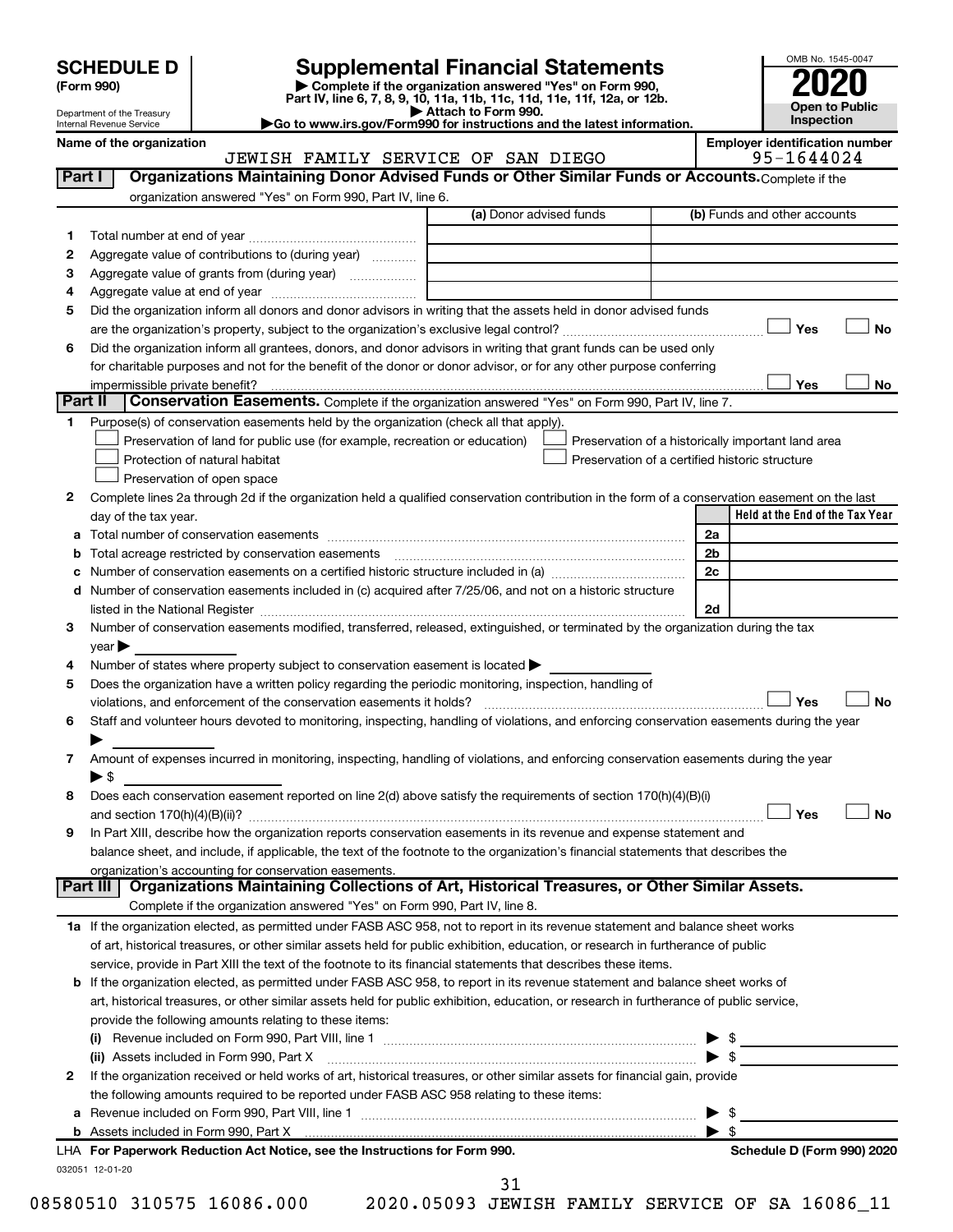| (Form 990) |  |
|------------|--|
|------------|--|

## **SCHEDULE D Supplemental Financial Statements**<br> **Form 990 2020**<br> **Part IV** line 6.7.8.9.10, 11a, 11b, 11d, 11d, 11d, 11d, 11d, 12a, 0r, 12b

**(Form 990) | Complete if the organization answered "Yes" on Form 990, Part IV, line 6, 7, 8, 9, 10, 11a, 11b, 11c, 11d, 11e, 11f, 12a, or 12b.**

**| Attach to Form 990. |Go to www.irs.gov/Form990 for instructions and the latest information.**



Department of the Treasury Internal Revenue Service

Name of the organization<br>**JEWISH FAMILY SERVICE OF SAN DIEGO** 95-1644024 JEWISH FAMILY SERVICE OF SAN DIEGO

| Part I   | Organizations Maintaining Donor Advised Funds or Other Similar Funds or Accounts. Complete if the                                                                             |                         |                                                    |                                 |
|----------|-------------------------------------------------------------------------------------------------------------------------------------------------------------------------------|-------------------------|----------------------------------------------------|---------------------------------|
|          | organization answered "Yes" on Form 990, Part IV, line 6.                                                                                                                     |                         |                                                    |                                 |
|          |                                                                                                                                                                               | (a) Donor advised funds | (b) Funds and other accounts                       |                                 |
| 1.       |                                                                                                                                                                               |                         |                                                    |                                 |
| 2        | Aggregate value of contributions to (during year)                                                                                                                             |                         |                                                    |                                 |
| з        | Aggregate value of grants from (during year)                                                                                                                                  |                         |                                                    |                                 |
| 4        |                                                                                                                                                                               |                         |                                                    |                                 |
| 5        | Did the organization inform all donors and donor advisors in writing that the assets held in donor advised funds                                                              |                         |                                                    |                                 |
|          |                                                                                                                                                                               |                         | Yes                                                | No                              |
| 6        | Did the organization inform all grantees, donors, and donor advisors in writing that grant funds can be used only                                                             |                         |                                                    |                                 |
|          | for charitable purposes and not for the benefit of the donor or donor advisor, or for any other purpose conferring                                                            |                         |                                                    |                                 |
|          | impermissible private benefit?                                                                                                                                                |                         | Yes                                                | No                              |
| Part II  | Conservation Easements. Complete if the organization answered "Yes" on Form 990, Part IV, line 7.                                                                             |                         |                                                    |                                 |
| 1.       | Purpose(s) of conservation easements held by the organization (check all that apply).                                                                                         |                         |                                                    |                                 |
|          | Preservation of land for public use (for example, recreation or education)                                                                                                    |                         | Preservation of a historically important land area |                                 |
|          | Protection of natural habitat                                                                                                                                                 |                         | Preservation of a certified historic structure     |                                 |
|          | Preservation of open space                                                                                                                                                    |                         |                                                    |                                 |
| 2        | Complete lines 2a through 2d if the organization held a qualified conservation contribution in the form of a conservation easement on the last                                |                         |                                                    |                                 |
|          | day of the tax year.                                                                                                                                                          |                         |                                                    | Held at the End of the Tax Year |
|          |                                                                                                                                                                               |                         | 2a                                                 |                                 |
| b        | Total acreage restricted by conservation easements                                                                                                                            |                         | 2 <sub>b</sub>                                     |                                 |
| c        | Number of conservation easements on a certified historic structure included in (a) manufacture included in (a)                                                                |                         | 2c                                                 |                                 |
|          | d Number of conservation easements included in (c) acquired after 7/25/06, and not on a historic structure                                                                    |                         |                                                    |                                 |
|          |                                                                                                                                                                               |                         | 2d                                                 |                                 |
| 3        | Number of conservation easements modified, transferred, released, extinguished, or terminated by the organization during the tax                                              |                         |                                                    |                                 |
|          | $year \blacktriangleright$                                                                                                                                                    |                         |                                                    |                                 |
| 4        | Number of states where property subject to conservation easement is located >                                                                                                 |                         |                                                    |                                 |
| 5        | Does the organization have a written policy regarding the periodic monitoring, inspection, handling of<br>violations, and enforcement of the conservation easements it holds? |                         | Yes                                                | No                              |
| 6        | Staff and volunteer hours devoted to monitoring, inspecting, handling of violations, and enforcing conservation easements during the year                                     |                         |                                                    |                                 |
|          |                                                                                                                                                                               |                         |                                                    |                                 |
| 7        | Amount of expenses incurred in monitoring, inspecting, handling of violations, and enforcing conservation easements during the year                                           |                         |                                                    |                                 |
|          | $\blacktriangleright$ \$                                                                                                                                                      |                         |                                                    |                                 |
| 8        | Does each conservation easement reported on line 2(d) above satisfy the requirements of section 170(h)(4)(B)(i)                                                               |                         |                                                    |                                 |
|          |                                                                                                                                                                               |                         | Yes                                                | No                              |
| 9        | In Part XIII, describe how the organization reports conservation easements in its revenue and expense statement and                                                           |                         |                                                    |                                 |
|          | balance sheet, and include, if applicable, the text of the footnote to the organization's financial statements that describes the                                             |                         |                                                    |                                 |
|          | organization's accounting for conservation easements.                                                                                                                         |                         |                                                    |                                 |
| Part III | Organizations Maintaining Collections of Art, Historical Treasures, or Other Similar Assets.                                                                                  |                         |                                                    |                                 |
|          | Complete if the organization answered "Yes" on Form 990, Part IV, line 8.                                                                                                     |                         |                                                    |                                 |
|          | 1a If the organization elected, as permitted under FASB ASC 958, not to report in its revenue statement and balance sheet works                                               |                         |                                                    |                                 |
|          | of art, historical treasures, or other similar assets held for public exhibition, education, or research in furtherance of public                                             |                         |                                                    |                                 |
|          | service, provide in Part XIII the text of the footnote to its financial statements that describes these items.                                                                |                         |                                                    |                                 |
|          | <b>b</b> If the organization elected, as permitted under FASB ASC 958, to report in its revenue statement and balance sheet works of                                          |                         |                                                    |                                 |
|          | art, historical treasures, or other similar assets held for public exhibition, education, or research in furtherance of public service,                                       |                         |                                                    |                                 |
|          | provide the following amounts relating to these items:                                                                                                                        |                         |                                                    |                                 |
|          |                                                                                                                                                                               |                         |                                                    |                                 |
|          | (ii) Assets included in Form 990, Part X [11] [12] Assets included in Form 990, Part X                                                                                        |                         | $\blacktriangleright$ s                            |                                 |
| 2        | If the organization received or held works of art, historical treasures, or other similar assets for financial gain, provide                                                  |                         |                                                    |                                 |
|          | the following amounts required to be reported under FASB ASC 958 relating to these items:                                                                                     |                         |                                                    |                                 |
|          |                                                                                                                                                                               |                         | \$                                                 |                                 |
|          | LHA For Paperwork Reduction Act Notice, see the Instructions for Form 990.                                                                                                    |                         |                                                    | Schedule D (Form 990) 2020      |
|          | 032051 12-01-20                                                                                                                                                               |                         |                                                    |                                 |
|          |                                                                                                                                                                               | 31                      |                                                    |                                 |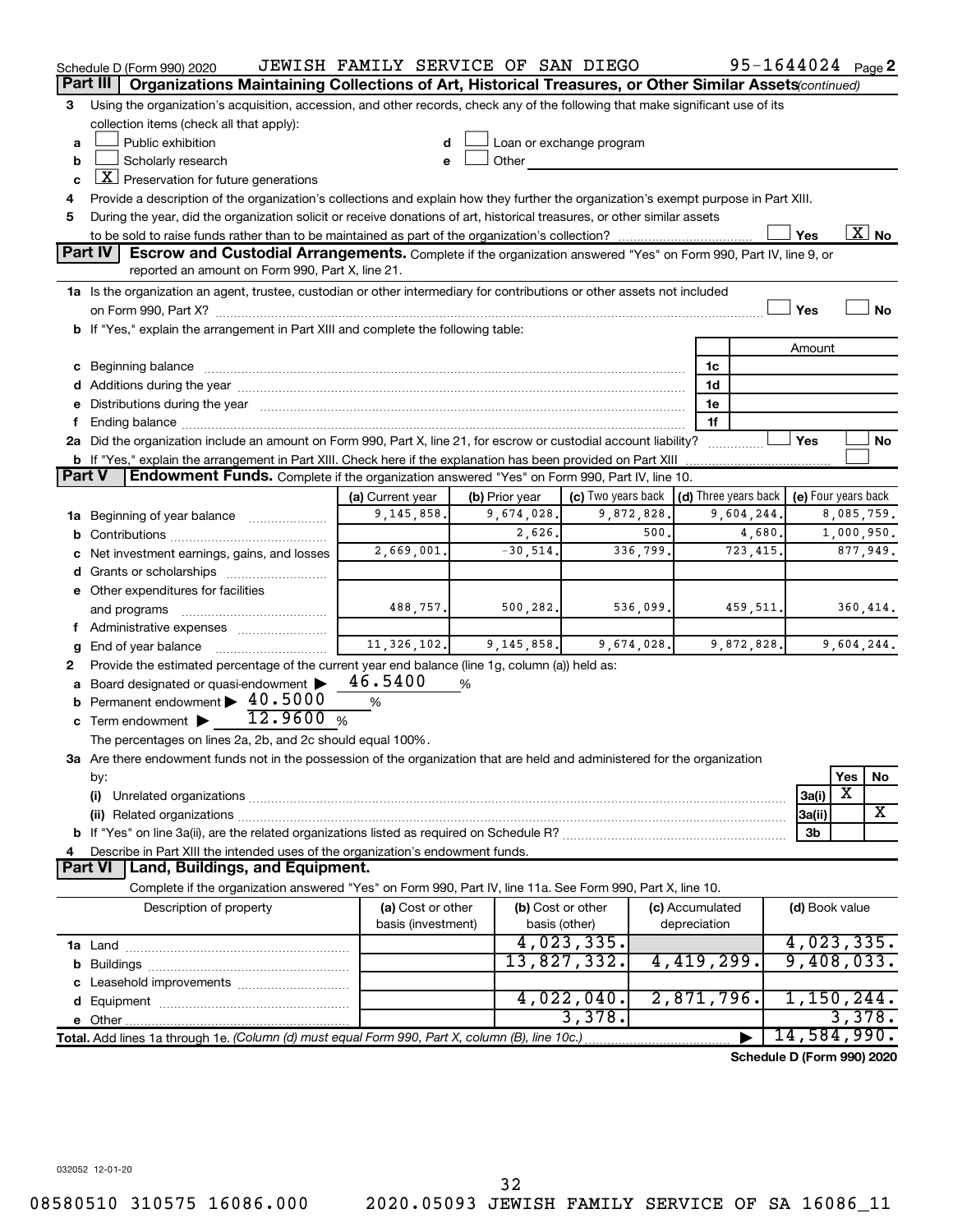|               | Schedule D (Form 990) 2020                                                                                                                                                                                                    | JEWISH FAMILY SERVICE OF SAN DIEGO |   |                |                                                         |            |                 | 95-1644024 Page 2          |                     |            |                          |
|---------------|-------------------------------------------------------------------------------------------------------------------------------------------------------------------------------------------------------------------------------|------------------------------------|---|----------------|---------------------------------------------------------|------------|-----------------|----------------------------|---------------------|------------|--------------------------|
|               | Part III<br>Organizations Maintaining Collections of Art, Historical Treasures, or Other Similar Assets (continued)                                                                                                           |                                    |   |                |                                                         |            |                 |                            |                     |            |                          |
| 3             | Using the organization's acquisition, accession, and other records, check any of the following that make significant use of its                                                                                               |                                    |   |                |                                                         |            |                 |                            |                     |            |                          |
|               | collection items (check all that apply):                                                                                                                                                                                      |                                    |   |                |                                                         |            |                 |                            |                     |            |                          |
| a             | Public exhibition                                                                                                                                                                                                             |                                    |   |                | Loan or exchange program                                |            |                 |                            |                     |            |                          |
| b             | Scholarly research                                                                                                                                                                                                            |                                    |   | Other          |                                                         |            |                 |                            |                     |            |                          |
| C             | $\boxed{\textbf{X}}$ Preservation for future generations                                                                                                                                                                      |                                    |   |                |                                                         |            |                 |                            |                     |            |                          |
| 4             | Provide a description of the organization's collections and explain how they further the organization's exempt purpose in Part XIII.                                                                                          |                                    |   |                |                                                         |            |                 |                            |                     |            |                          |
| 5             | During the year, did the organization solicit or receive donations of art, historical treasures, or other similar assets                                                                                                      |                                    |   |                |                                                         |            |                 |                            |                     |            |                          |
|               |                                                                                                                                                                                                                               |                                    |   |                |                                                         |            |                 |                            | Yes                 |            | $\overline{\text{X}}$ No |
|               | <b>Part IV</b><br><b>Escrow and Custodial Arrangements.</b> Complete if the organization answered "Yes" on Form 990, Part IV, line 9, or                                                                                      |                                    |   |                |                                                         |            |                 |                            |                     |            |                          |
|               | reported an amount on Form 990, Part X, line 21.                                                                                                                                                                              |                                    |   |                |                                                         |            |                 |                            |                     |            |                          |
|               | 1a Is the organization an agent, trustee, custodian or other intermediary for contributions or other assets not included                                                                                                      |                                    |   |                |                                                         |            |                 |                            |                     |            |                          |
|               |                                                                                                                                                                                                                               |                                    |   |                |                                                         |            |                 |                            | Yes                 |            | No                       |
|               | b If "Yes," explain the arrangement in Part XIII and complete the following table:                                                                                                                                            |                                    |   |                |                                                         |            |                 |                            |                     |            |                          |
|               |                                                                                                                                                                                                                               |                                    |   |                |                                                         |            |                 |                            | Amount              |            |                          |
|               |                                                                                                                                                                                                                               |                                    |   |                |                                                         |            | 1c              |                            |                     |            |                          |
|               |                                                                                                                                                                                                                               |                                    |   |                |                                                         |            | 1d              |                            |                     |            |                          |
|               | e Distributions during the year manufactured and continuum control of the control of the control of the state of the control of the control of the control of the control of the control of the control of the control of the |                                    |   |                |                                                         |            | 1e<br>1f        |                            |                     |            |                          |
|               | 2a Did the organization include an amount on Form 990, Part X, line 21, for escrow or custodial account liability?                                                                                                            |                                    |   |                |                                                         |            |                 |                            | Yes                 |            | No                       |
|               | <b>b</b> If "Yes," explain the arrangement in Part XIII. Check here if the explanation has been provided on Part XIII                                                                                                         |                                    |   |                |                                                         |            |                 |                            |                     |            |                          |
| <b>Part V</b> | <b>Endowment Funds.</b> Complete if the organization answered "Yes" on Form 990, Part IV, line 10.                                                                                                                            |                                    |   |                |                                                         |            |                 |                            |                     |            |                          |
|               |                                                                                                                                                                                                                               | (a) Current year                   |   | (b) Prior year | (c) Two years back $\vert$ (d) Three years back $\vert$ |            |                 |                            | (e) Four years back |            |                          |
|               | <b>1a</b> Beginning of year balance <i>manumum</i>                                                                                                                                                                            | 9,145,858.                         |   | 9,674,028.     |                                                         | 9,872,828. |                 | 9,604,244.                 |                     | 8,085,759. |                          |
|               |                                                                                                                                                                                                                               |                                    |   | 2,626.         |                                                         | 500.       |                 | 4,680.                     |                     | 1,000,950. |                          |
|               | c Net investment earnings, gains, and losses                                                                                                                                                                                  | 2,669,001.                         |   | $-30,514.$     |                                                         | 336,799.   |                 | 723,415.                   |                     |            | 877,949.                 |
|               |                                                                                                                                                                                                                               |                                    |   |                |                                                         |            |                 |                            |                     |            |                          |
|               | e Other expenditures for facilities                                                                                                                                                                                           |                                    |   |                |                                                         |            |                 |                            |                     |            |                          |
|               | and programs                                                                                                                                                                                                                  | 488,757.                           |   | 500, 282.      |                                                         | 536,099.   |                 | 459,511.                   |                     |            | 360, 414.                |
|               |                                                                                                                                                                                                                               |                                    |   |                |                                                         |            |                 |                            |                     |            |                          |
| g             |                                                                                                                                                                                                                               | 11, 326, 102.                      |   | 9,145,858.     |                                                         | 9,674,028. |                 | 9,872,828.                 |                     | 9,604,244. |                          |
| 2             | Provide the estimated percentage of the current year end balance (line 1g, column (a)) held as:                                                                                                                               |                                    |   |                |                                                         |            |                 |                            |                     |            |                          |
|               | a Board designated or quasi-endowment >                                                                                                                                                                                       | 46.5400                            | % |                |                                                         |            |                 |                            |                     |            |                          |
|               | <b>b</b> Permanent endowment $\blacktriangleright$ 40.5000                                                                                                                                                                    | %                                  |   |                |                                                         |            |                 |                            |                     |            |                          |
|               | 12.9600%<br>c Term endowment $\blacktriangleright$                                                                                                                                                                            |                                    |   |                |                                                         |            |                 |                            |                     |            |                          |
|               | The percentages on lines 2a, 2b, and 2c should equal 100%.                                                                                                                                                                    |                                    |   |                |                                                         |            |                 |                            |                     |            |                          |
|               | 3a Are there endowment funds not in the possession of the organization that are held and administered for the organization                                                                                                    |                                    |   |                |                                                         |            |                 |                            |                     |            |                          |
|               | by:                                                                                                                                                                                                                           |                                    |   |                |                                                         |            |                 |                            |                     | Yes        | No                       |
|               | (i)                                                                                                                                                                                                                           |                                    |   |                |                                                         |            |                 |                            | 3a(i)               | X          |                          |
|               |                                                                                                                                                                                                                               |                                    |   |                |                                                         |            |                 |                            | 3a(ii)              |            | X                        |
|               |                                                                                                                                                                                                                               |                                    |   |                |                                                         |            |                 |                            | 3b                  |            |                          |
| 4             | Describe in Part XIII the intended uses of the organization's endowment funds.                                                                                                                                                |                                    |   |                |                                                         |            |                 |                            |                     |            |                          |
|               | Land, Buildings, and Equipment.<br><b>Part VI</b>                                                                                                                                                                             |                                    |   |                |                                                         |            |                 |                            |                     |            |                          |
|               | Complete if the organization answered "Yes" on Form 990, Part IV, line 11a. See Form 990, Part X, line 10.                                                                                                                    |                                    |   |                |                                                         |            |                 |                            |                     |            |                          |
|               | Description of property                                                                                                                                                                                                       | (a) Cost or other                  |   |                | (b) Cost or other                                       |            | (c) Accumulated |                            | (d) Book value      |            |                          |
|               |                                                                                                                                                                                                                               | basis (investment)                 |   |                | basis (other)                                           |            | depreciation    |                            |                     |            |                          |
|               |                                                                                                                                                                                                                               |                                    |   |                | 4,023,335.                                              |            |                 |                            | 4,023,335.          |            |                          |
|               |                                                                                                                                                                                                                               |                                    |   |                | 13,827,332.                                             |            | 4,419,299.      |                            | 9,408,033.          |            |                          |
|               |                                                                                                                                                                                                                               |                                    |   |                | 4,022,040.                                              |            | 2,871,796.      |                            | 1,150,244.          |            |                          |
|               |                                                                                                                                                                                                                               |                                    |   |                | 3,378.                                                  |            |                 |                            |                     | 3,378.     |                          |
|               |                                                                                                                                                                                                                               |                                    |   |                |                                                         |            |                 |                            | 14,584,990.         |            |                          |
|               | Total. Add lines 1a through 1e. (Column (d) must equal Form 990, Part X, column (B), line 10c.)                                                                                                                               |                                    |   |                |                                                         |            |                 |                            |                     |            |                          |
|               |                                                                                                                                                                                                                               |                                    |   |                |                                                         |            |                 | Schedule D (Form 990) 2020 |                     |            |                          |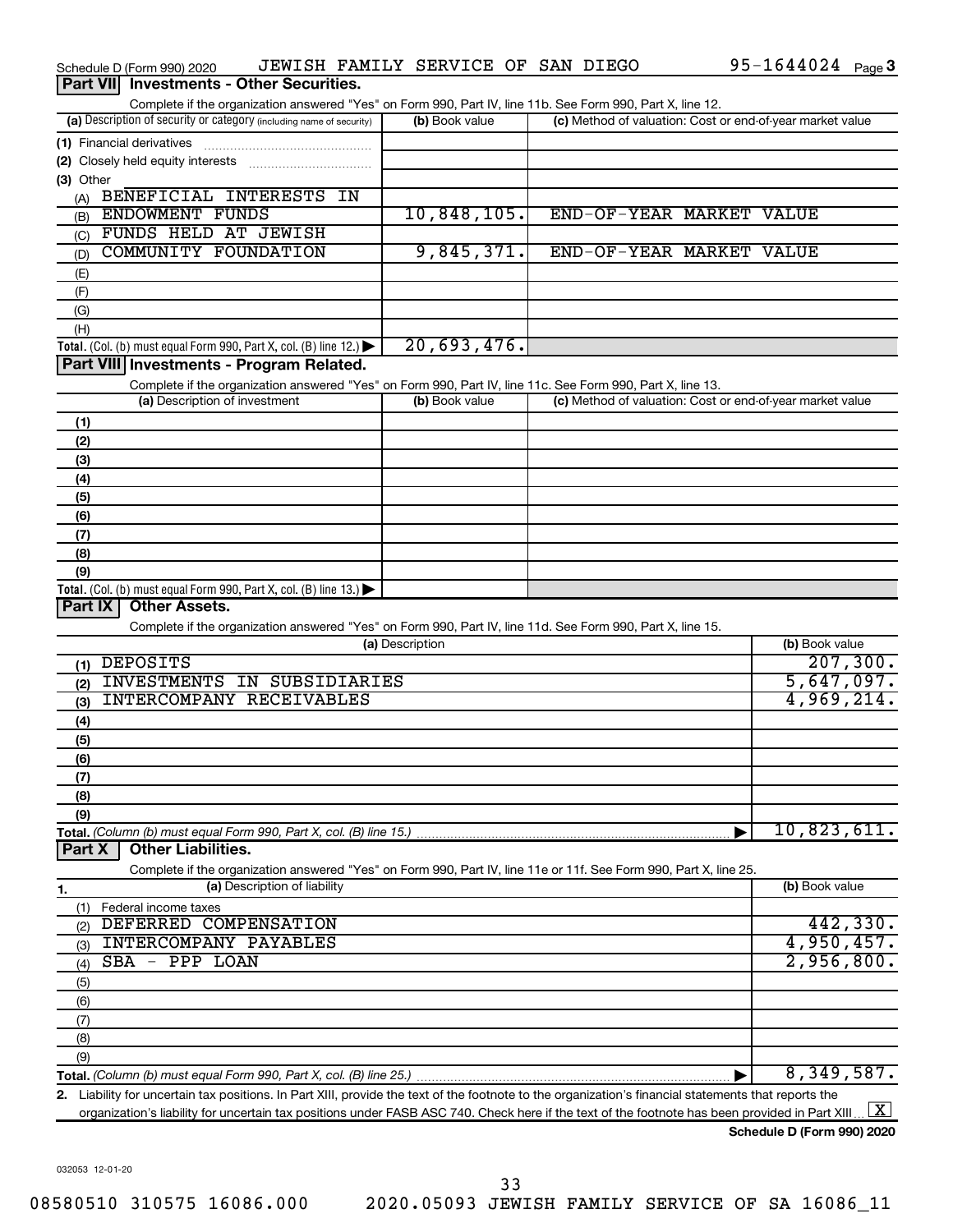|                  | Schedule D (Form 990) 2020                                                                                                                           |                              |                 | JEWISH FAMILY SERVICE OF SAN DIEGO |  |                                                           | $95 - 1644024$ Page 3 |                     |
|------------------|------------------------------------------------------------------------------------------------------------------------------------------------------|------------------------------|-----------------|------------------------------------|--|-----------------------------------------------------------|-----------------------|---------------------|
| <b>Part VIII</b> | <b>Investments - Other Securities.</b>                                                                                                               |                              |                 |                                    |  |                                                           |                       |                     |
|                  | Complete if the organization answered "Yes" on Form 990, Part IV, line 11b. See Form 990, Part X, line 12.                                           |                              |                 |                                    |  |                                                           |                       |                     |
|                  | (a) Description of security or category (including name of security)                                                                                 |                              |                 | (b) Book value                     |  | (c) Method of valuation: Cost or end-of-year market value |                       |                     |
|                  | (1) Financial derivatives                                                                                                                            |                              |                 |                                    |  |                                                           |                       |                     |
|                  |                                                                                                                                                      |                              |                 |                                    |  |                                                           |                       |                     |
| (3) Other        |                                                                                                                                                      |                              |                 |                                    |  |                                                           |                       |                     |
| (A)              | BENEFICIAL INTERESTS IN                                                                                                                              |                              |                 |                                    |  |                                                           |                       |                     |
| (B)              | <b>ENDOWMENT FUNDS</b>                                                                                                                               |                              |                 | 10,848,105.                        |  | END-OF-YEAR MARKET VALUE                                  |                       |                     |
| (C)              | FUNDS HELD AT JEWISH                                                                                                                                 |                              |                 |                                    |  |                                                           |                       |                     |
| (D)              | COMMUNITY FOUNDATION                                                                                                                                 |                              |                 | 9,845,371.                         |  | END-OF-YEAR MARKET VALUE                                  |                       |                     |
| (E)              |                                                                                                                                                      |                              |                 |                                    |  |                                                           |                       |                     |
| (F)              |                                                                                                                                                      |                              |                 |                                    |  |                                                           |                       |                     |
| (G)              |                                                                                                                                                      |                              |                 |                                    |  |                                                           |                       |                     |
| (H)              |                                                                                                                                                      |                              |                 | 20,693,476.                        |  |                                                           |                       |                     |
|                  | Total. (Col. (b) must equal Form 990, Part X, col. (B) line 12.)<br>Part VIII Investments - Program Related.                                         |                              |                 |                                    |  |                                                           |                       |                     |
|                  |                                                                                                                                                      |                              |                 |                                    |  |                                                           |                       |                     |
|                  | Complete if the organization answered "Yes" on Form 990, Part IV, line 11c. See Form 990, Part X, line 13.<br>(a) Description of investment          |                              |                 | (b) Book value                     |  | (c) Method of valuation: Cost or end-of-year market value |                       |                     |
|                  |                                                                                                                                                      |                              |                 |                                    |  |                                                           |                       |                     |
| (1)              |                                                                                                                                                      |                              |                 |                                    |  |                                                           |                       |                     |
| (2)              |                                                                                                                                                      |                              |                 |                                    |  |                                                           |                       |                     |
| (3)              |                                                                                                                                                      |                              |                 |                                    |  |                                                           |                       |                     |
| (4)              |                                                                                                                                                      |                              |                 |                                    |  |                                                           |                       |                     |
| (5)              |                                                                                                                                                      |                              |                 |                                    |  |                                                           |                       |                     |
| (6)<br>(7)       |                                                                                                                                                      |                              |                 |                                    |  |                                                           |                       |                     |
| (8)              |                                                                                                                                                      |                              |                 |                                    |  |                                                           |                       |                     |
| (9)              |                                                                                                                                                      |                              |                 |                                    |  |                                                           |                       |                     |
|                  | Total. (Col. (b) must equal Form 990, Part X, col. (B) line 13.)                                                                                     |                              |                 |                                    |  |                                                           |                       |                     |
| Part IX          | <b>Other Assets.</b>                                                                                                                                 |                              |                 |                                    |  |                                                           |                       |                     |
|                  | Complete if the organization answered "Yes" on Form 990, Part IV, line 11d. See Form 990, Part X, line 15.                                           |                              |                 |                                    |  |                                                           |                       |                     |
|                  |                                                                                                                                                      |                              | (a) Description |                                    |  |                                                           | (b) Book value        |                     |
|                  | $(1)$ DEPOSITS                                                                                                                                       |                              |                 |                                    |  |                                                           |                       | 207, 300.           |
| (2)              | INVESTMENTS IN SUBSIDIARIES                                                                                                                          |                              |                 |                                    |  |                                                           | 5,647,097.            |                     |
| (3)              | INTERCOMPANY RECEIVABLES                                                                                                                             |                              |                 |                                    |  |                                                           | 4,969,214.            |                     |
| (4)              |                                                                                                                                                      |                              |                 |                                    |  |                                                           |                       |                     |
| (5)              |                                                                                                                                                      |                              |                 |                                    |  |                                                           |                       |                     |
| (6)              |                                                                                                                                                      |                              |                 |                                    |  |                                                           |                       |                     |
| (7)              |                                                                                                                                                      |                              |                 |                                    |  |                                                           |                       |                     |
| (8)              |                                                                                                                                                      |                              |                 |                                    |  |                                                           |                       |                     |
| (9)              |                                                                                                                                                      |                              |                 |                                    |  |                                                           |                       |                     |
|                  |                                                                                                                                                      |                              |                 |                                    |  |                                                           | 10,823,611.           |                     |
| Part X           | <b>Other Liabilities.</b>                                                                                                                            |                              |                 |                                    |  |                                                           |                       |                     |
|                  | Complete if the organization answered "Yes" on Form 990, Part IV, line 11e or 11f. See Form 990, Part X, line 25.                                    |                              |                 |                                    |  |                                                           |                       |                     |
| 1.               |                                                                                                                                                      | (a) Description of liability |                 |                                    |  |                                                           | (b) Book value        |                     |
| (1)              | Federal income taxes                                                                                                                                 |                              |                 |                                    |  |                                                           |                       |                     |
| (2)              | DEFERRED COMPENSATION                                                                                                                                |                              |                 |                                    |  |                                                           |                       | 442,330.            |
| (3)              | INTERCOMPANY PAYABLES                                                                                                                                |                              |                 |                                    |  |                                                           | 4,950,457.            |                     |
| (4)              | SBA - PPP LOAN                                                                                                                                       |                              |                 |                                    |  |                                                           | 2,956,800.            |                     |
| (5)              |                                                                                                                                                      |                              |                 |                                    |  |                                                           |                       |                     |
| (6)              |                                                                                                                                                      |                              |                 |                                    |  |                                                           |                       |                     |
| (7)              |                                                                                                                                                      |                              |                 |                                    |  |                                                           |                       |                     |
| (8)              |                                                                                                                                                      |                              |                 |                                    |  |                                                           |                       |                     |
| (9)              |                                                                                                                                                      |                              |                 |                                    |  |                                                           |                       |                     |
|                  |                                                                                                                                                      |                              |                 |                                    |  |                                                           | 8,349,587.            |                     |
|                  | 2. Liability for uncertain tax positions. In Part XIII, provide the text of the footnote to the organization's financial statements that reports the |                              |                 |                                    |  |                                                           |                       |                     |
|                  | organization's liability for uncertain tax positions under FASB ASC 740. Check here if the text of the footnote has been provided in Part XIII       |                              |                 |                                    |  |                                                           |                       | $\lfloor x \rfloor$ |

**Schedule D (Form 990) 2020**

032053 12-01-20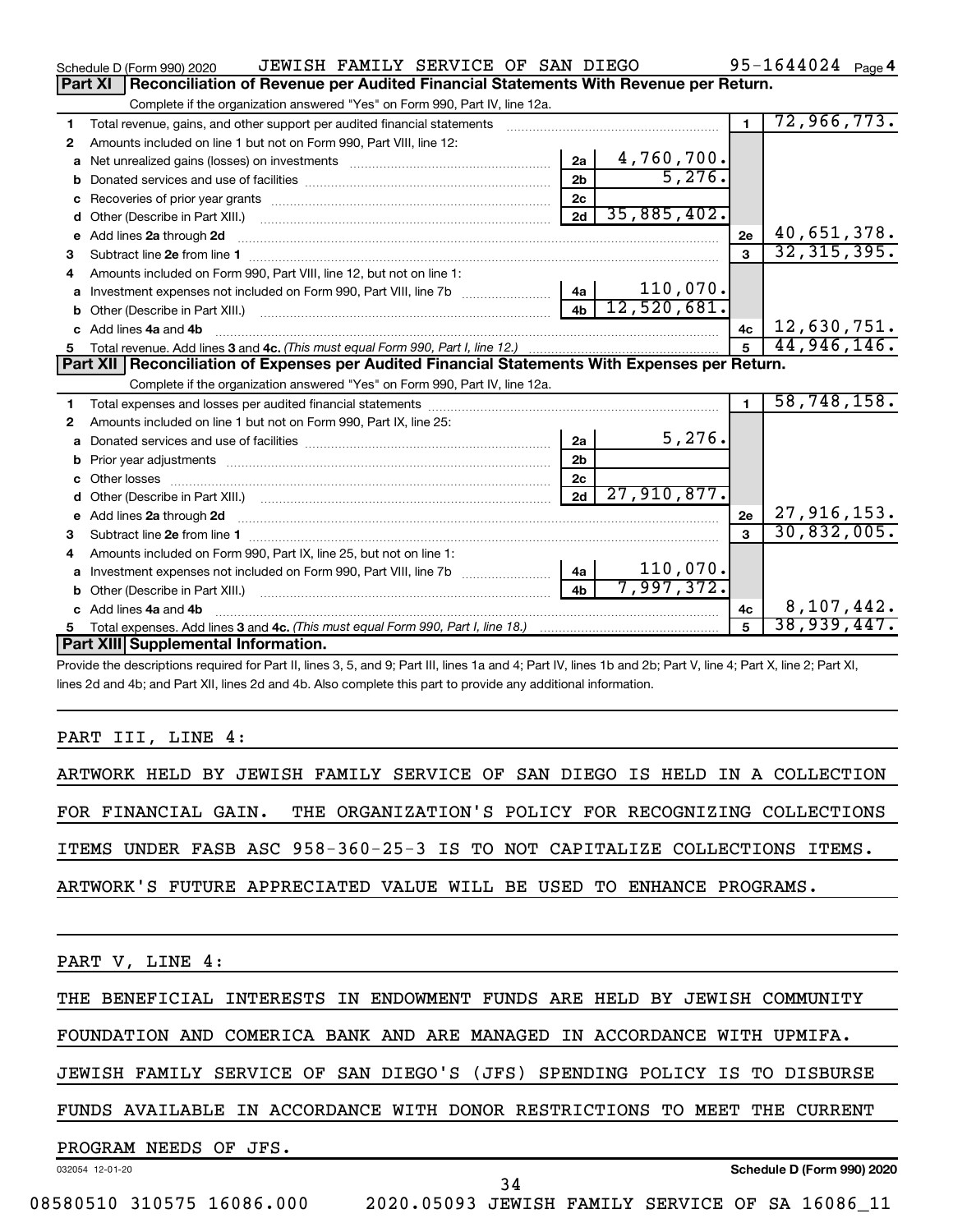|    | JEWISH FAMILY SERVICE OF SAN DIEGO<br>Schedule D (Form 990) 2020                                                                                                                                                                    |                |                 |                | 95-1644024 $_{Page 4}$ |
|----|-------------------------------------------------------------------------------------------------------------------------------------------------------------------------------------------------------------------------------------|----------------|-----------------|----------------|------------------------|
|    | Reconciliation of Revenue per Audited Financial Statements With Revenue per Return.<br>Part XI                                                                                                                                      |                |                 |                |                        |
|    | Complete if the organization answered "Yes" on Form 990, Part IV, line 12a.                                                                                                                                                         |                |                 |                |                        |
| 1  | Total revenue, gains, and other support per audited financial statements                                                                                                                                                            |                |                 | $\blacksquare$ | 72,966,773.            |
| 2  | Amounts included on line 1 but not on Form 990, Part VIII, line 12:                                                                                                                                                                 |                |                 |                |                        |
| a  | Net unrealized gains (losses) on investments [111] [12] matter and all the unrealized gains (losses) on investments                                                                                                                 | 2a             | 4,760,700.      |                |                        |
|    |                                                                                                                                                                                                                                     | 2 <sub>b</sub> | 5,276.          |                |                        |
|    |                                                                                                                                                                                                                                     | 2c             |                 |                |                        |
|    |                                                                                                                                                                                                                                     | 2d             | 35,885,402.     |                |                        |
| е  | Add lines 2a through 2d <b>continuum continuum contracts</b> and an analysis of the contract of the contract of the contract of the contract of the contract of the contract of the contract of the contract of the contract of the |                |                 | 2e             | 40,651,378.            |
| 3  |                                                                                                                                                                                                                                     |                |                 | $\mathbf{a}$   | 32, 315, 395.          |
| 4  | Amounts included on Form 990. Part VIII, line 12, but not on line 1:                                                                                                                                                                |                |                 |                |                        |
|    | Investment expenses not included on Form 990, Part VIII, line 7b [11, 111, 111, 111]                                                                                                                                                |                | 110,070.<br> 4a |                |                        |
|    |                                                                                                                                                                                                                                     | 4 <sub>h</sub> | 12,520,681.     |                |                        |
|    | c Add lines 4a and 4b                                                                                                                                                                                                               |                |                 | 4c             | 12,630,751.            |
|    |                                                                                                                                                                                                                                     |                |                 |                | 44,946,146.            |
|    |                                                                                                                                                                                                                                     |                |                 |                |                        |
|    | Part XII   Reconciliation of Expenses per Audited Financial Statements With Expenses per Return.                                                                                                                                    |                |                 |                |                        |
|    | Complete if the organization answered "Yes" on Form 990, Part IV, line 12a.                                                                                                                                                         |                |                 |                |                        |
| 1. |                                                                                                                                                                                                                                     |                |                 | $\mathbf{1}$   | 58, 748, 158.          |
| 2  | Amounts included on line 1 but not on Form 990, Part IX, line 25:                                                                                                                                                                   |                |                 |                |                        |
| a  |                                                                                                                                                                                                                                     | 2a             | 5,276.          |                |                        |
|    | b Prior year adjustments [111] manufactured and prior year adjustments [11] manufactured and prior year adjustments                                                                                                                 | 2 <sub>b</sub> |                 |                |                        |
|    |                                                                                                                                                                                                                                     | 2 <sub>c</sub> |                 |                |                        |
| d  |                                                                                                                                                                                                                                     | 2d             | 27,910,877.     |                |                        |
|    |                                                                                                                                                                                                                                     |                |                 | 2e             | 27, 916, 153.          |
| 3  |                                                                                                                                                                                                                                     |                |                 |                | 30,832,005.            |
| 4  | Amounts included on Form 990, Part IX, line 25, but not on line 1:                                                                                                                                                                  |                |                 |                |                        |
|    | a Investment expenses not included on Form 990, Part VIII, line 7b [11, 11, 11, 11]                                                                                                                                                 | 4a             | $110,070$ .     |                |                        |
|    |                                                                                                                                                                                                                                     | 4 <sub>h</sub> | 7,997,372.      |                |                        |
|    | c Add lines 4a and 4b                                                                                                                                                                                                               |                |                 | 4c             | 8,107,442.             |
|    | Part XIII Supplemental Information.                                                                                                                                                                                                 |                |                 |                | 38,939,447 <b>.</b>    |

Provide the descriptions required for Part II, lines 3, 5, and 9; Part III, lines 1a and 4; Part IV, lines 1b and 2b; Part V, line 4; Part X, line 2; Part XI, lines 2d and 4b; and Part XII, lines 2d and 4b. Also complete this part to provide any additional information.

### PART III, LINE 4:

ARTWORK HELD BY JEWISH FAMILY SERVICE OF SAN DIEGO IS HELD IN A COLLECTION FOR FINANCIAL GAIN. THE ORGANIZATION'S POLICY FOR RECOGNIZING COLLECTIONS ITEMS UNDER FASB ASC 958-360-25-3 IS TO NOT CAPITALIZE COLLECTIONS ITEMS. ARTWORK'S FUTURE APPRECIATED VALUE WILL BE USED TO ENHANCE PROGRAMS.

PART V, LINE 4:

THE BENEFICIAL INTERESTS IN ENDOWMENT FUNDS ARE HELD BY JEWISH COMMUNITY

FOUNDATION AND COMERICA BANK AND ARE MANAGED IN ACCORDANCE WITH UPMIFA.

JEWISH FAMILY SERVICE OF SAN DIEGO'S (JFS) SPENDING POLICY IS TO DISBURSE

FUNDS AVAILABLE IN ACCORDANCE WITH DONOR RESTRICTIONS TO MEET THE CURRENT

### PROGRAM NEEDS OF JFS.

032054 12-01-20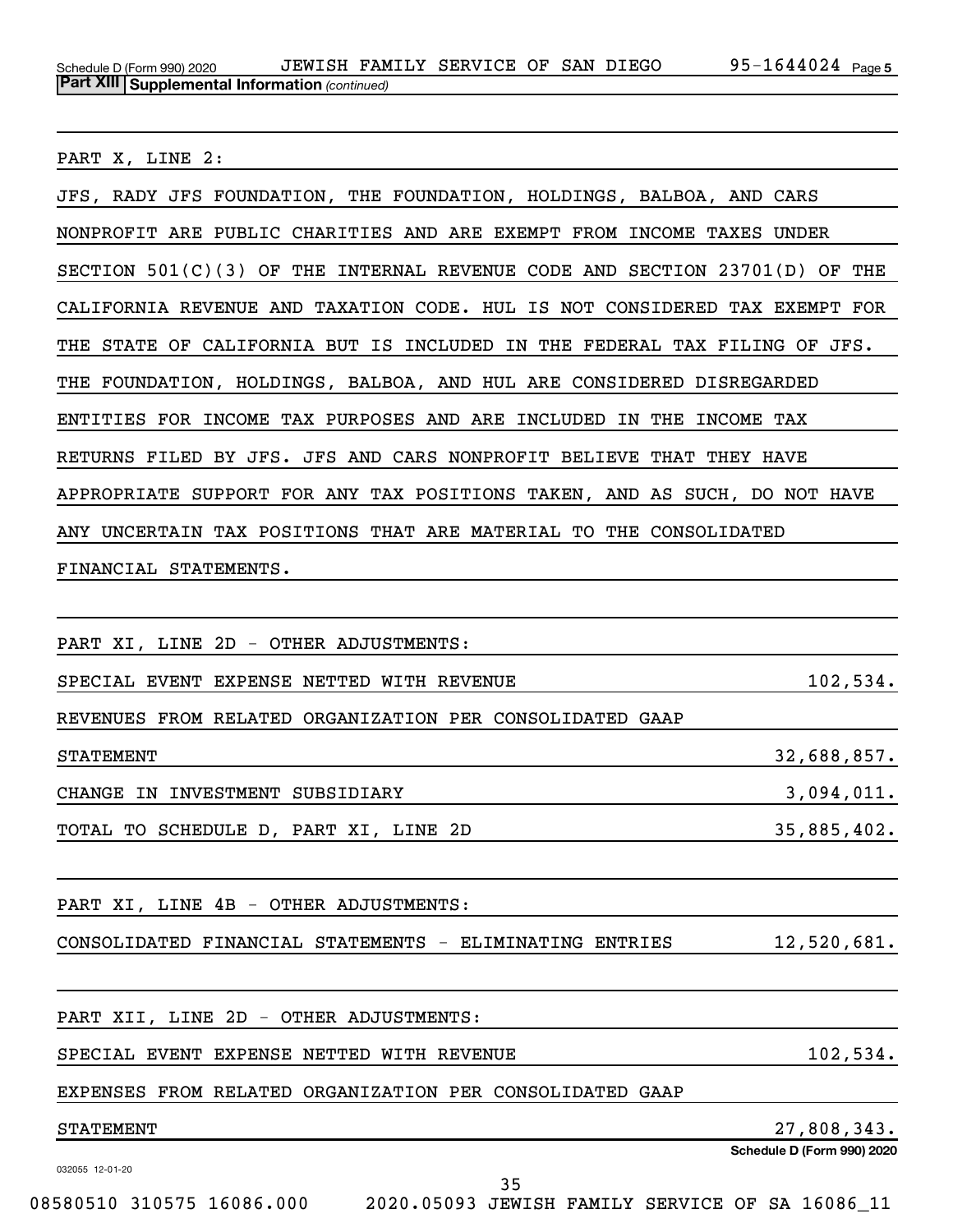PART X, LINE 2:

| JFS, RADY JFS FOUNDATION, THE FOUNDATION, HOLDINGS, BALBOA, AND CARS         |                            |
|------------------------------------------------------------------------------|----------------------------|
| NONPROFIT ARE PUBLIC CHARITIES AND ARE EXEMPT FROM INCOME TAXES UNDER        |                            |
| SECTION $501(C)(3)$ OF THE INTERNAL REVENUE CODE AND SECTION 23701(D) OF THE |                            |
| CALIFORNIA REVENUE AND TAXATION CODE. HUL IS NOT CONSIDERED TAX EXEMPT FOR   |                            |
| THE STATE OF CALIFORNIA BUT IS INCLUDED IN THE FEDERAL TAX FILING OF JFS.    |                            |
| THE FOUNDATION, HOLDINGS, BALBOA, AND HUL ARE CONSIDERED DISREGARDED         |                            |
| ENTITIES FOR INCOME TAX PURPOSES AND ARE INCLUDED IN THE INCOME TAX          |                            |
| RETURNS FILED BY JFS. JFS AND CARS NONPROFIT BELIEVE THAT THEY HAVE          |                            |
| APPROPRIATE SUPPORT FOR ANY TAX POSITIONS TAKEN, AND AS SUCH, DO NOT HAVE    |                            |
| ANY UNCERTAIN TAX POSITIONS THAT ARE MATERIAL TO THE CONSOLIDATED            |                            |
| FINANCIAL STATEMENTS.                                                        |                            |
|                                                                              |                            |
| PART XI, LINE 2D - OTHER ADJUSTMENTS:                                        |                            |
| SPECIAL EVENT EXPENSE NETTED WITH REVENUE                                    | 102,534.                   |
| REVENUES FROM RELATED ORGANIZATION PER CONSOLIDATED GAAP                     |                            |
| <b>STATEMENT</b>                                                             | 32,688,857.                |
| CHANGE IN INVESTMENT SUBSIDIARY                                              | 3,094,011.                 |
| TOTAL TO SCHEDULE D, PART XI, LINE 2D                                        | 35,885,402.                |
|                                                                              |                            |
| PART XI, LINE 4B - OTHER ADJUSTMENTS:                                        |                            |
| CONSOLIDATED FINANCIAL STATEMENTS - ELIMINATING ENTRIES                      | 12,520,681.                |
|                                                                              |                            |
| PART XII, LINE 2D - OTHER ADJUSTMENTS:                                       |                            |
| SPECIAL EVENT EXPENSE NETTED WITH REVENUE                                    | 102,534.                   |
| EXPENSES FROM RELATED ORGANIZATION PER CONSOLIDATED GAAP                     |                            |
| <b>STATEMENT</b>                                                             | 27,808,343.                |
| 032055 12-01-20                                                              | Schedule D (Form 990) 2020 |

35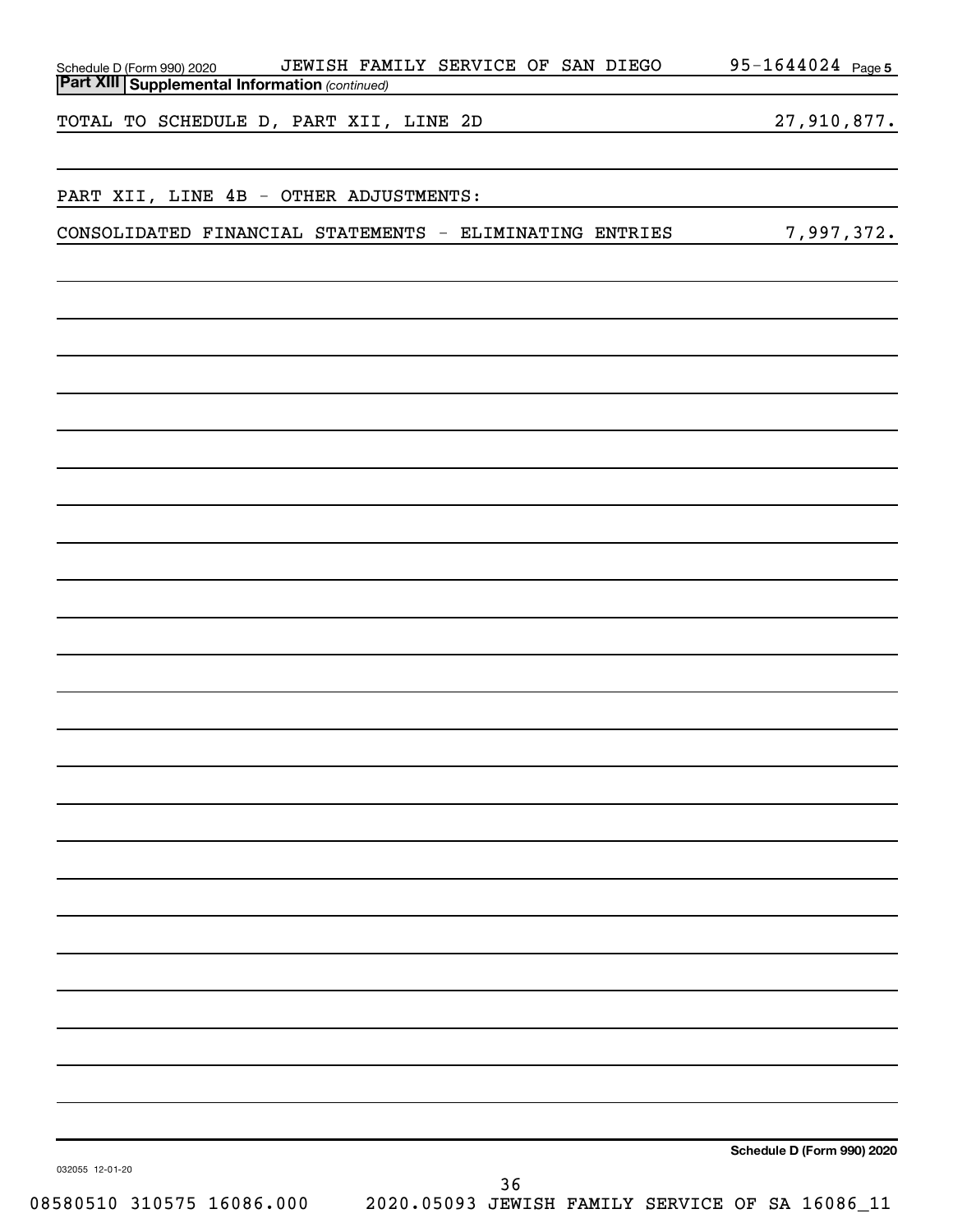| Schedule D (Form 990) 2020                     | JEWISH FAMILY SERVICE OF SAN DIEGO                      | 95-1644024 Page 5          |
|------------------------------------------------|---------------------------------------------------------|----------------------------|
| Part XIII Supplemental Information (continued) |                                                         |                            |
| TOTAL TO SCHEDULE D, PART XII, LINE 2D         |                                                         | 27,910,877.                |
| PART XII, LINE 4B - OTHER ADJUSTMENTS:         |                                                         |                            |
|                                                | CONSOLIDATED FINANCIAL STATEMENTS - ELIMINATING ENTRIES | 7,997,372.                 |
|                                                |                                                         |                            |
|                                                |                                                         |                            |
|                                                |                                                         |                            |
|                                                |                                                         |                            |
|                                                |                                                         |                            |
|                                                |                                                         |                            |
|                                                |                                                         |                            |
|                                                |                                                         |                            |
|                                                |                                                         |                            |
|                                                |                                                         |                            |
|                                                |                                                         |                            |
|                                                |                                                         |                            |
|                                                |                                                         |                            |
|                                                |                                                         |                            |
|                                                |                                                         |                            |
|                                                |                                                         |                            |
|                                                |                                                         |                            |
|                                                |                                                         |                            |
|                                                |                                                         |                            |
|                                                |                                                         |                            |
|                                                |                                                         |                            |
|                                                |                                                         |                            |
|                                                |                                                         |                            |
|                                                |                                                         |                            |
|                                                |                                                         |                            |
|                                                |                                                         |                            |
|                                                |                                                         |                            |
|                                                |                                                         |                            |
|                                                |                                                         |                            |
|                                                |                                                         | Schedule D (Form 990) 2020 |
| 032055 12-01-20                                | 36                                                      |                            |
| 08580510 310575 16086.000                      | 2020.05093 JEWISH FAMILY SERVICE OF SA 16086_11         |                            |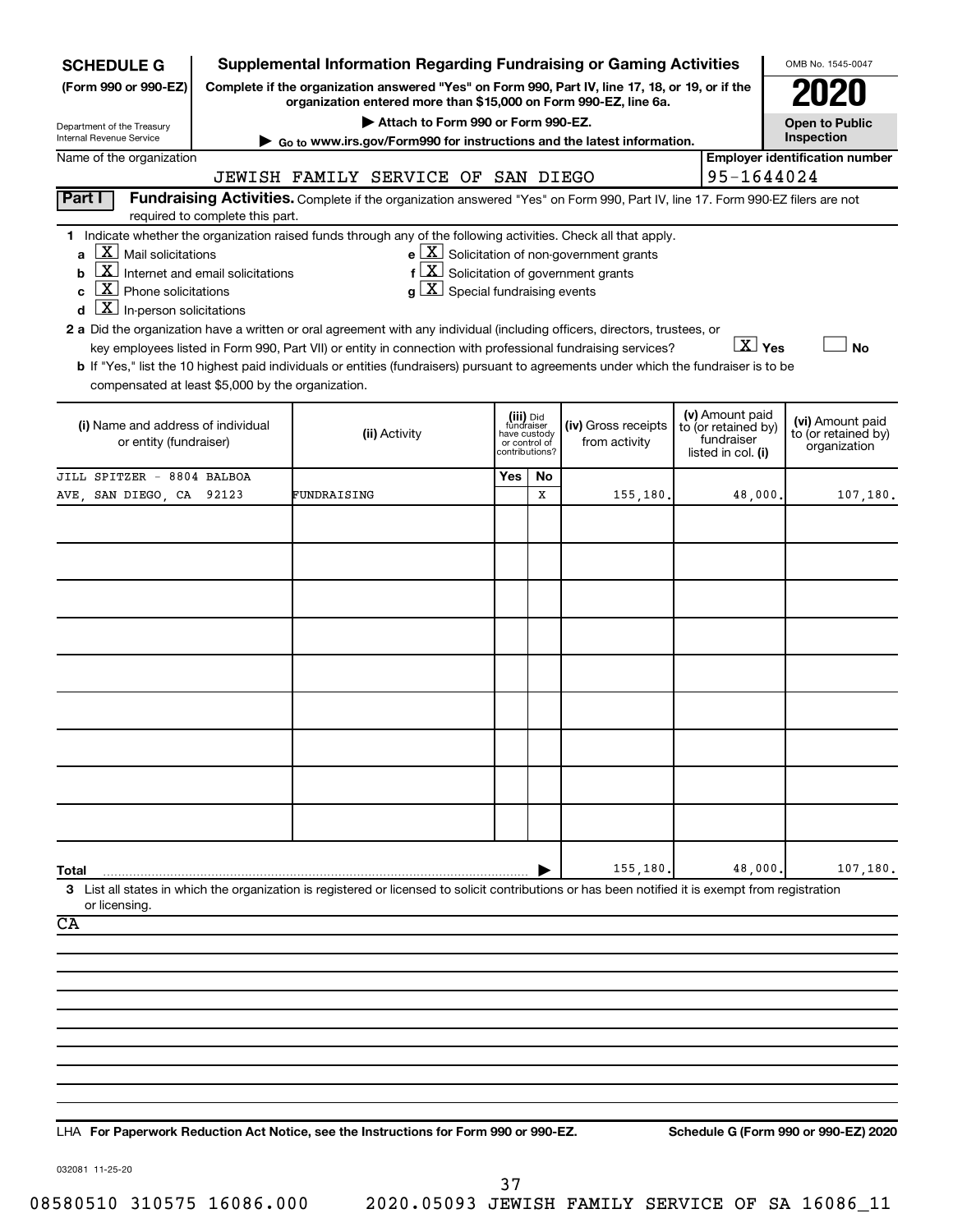| <b>SCHEDULE G</b>                                                                                                                                                                                                                                                                                                                                                                                                                                                                                                                                                                     |                                                                                  |             |                                      |                                                                            |    | <b>Supplemental Information Regarding Fundraising or Gaming Activities</b>                                                                                                                                                            |                                                                            | OMB No. 1545-0047                                       |
|---------------------------------------------------------------------------------------------------------------------------------------------------------------------------------------------------------------------------------------------------------------------------------------------------------------------------------------------------------------------------------------------------------------------------------------------------------------------------------------------------------------------------------------------------------------------------------------|----------------------------------------------------------------------------------|-------------|--------------------------------------|----------------------------------------------------------------------------|----|---------------------------------------------------------------------------------------------------------------------------------------------------------------------------------------------------------------------------------------|----------------------------------------------------------------------------|---------------------------------------------------------|
| (Form 990 or 990-EZ)                                                                                                                                                                                                                                                                                                                                                                                                                                                                                                                                                                  |                                                                                  |             |                                      |                                                                            |    | Complete if the organization answered "Yes" on Form 990, Part IV, line 17, 18, or 19, or if the<br>organization entered more than \$15,000 on Form 990-EZ, line 6a.                                                                   |                                                                            |                                                         |
| Department of the Treasury                                                                                                                                                                                                                                                                                                                                                                                                                                                                                                                                                            |                                                                                  |             | Attach to Form 990 or Form 990-EZ.   |                                                                            |    |                                                                                                                                                                                                                                       |                                                                            | <b>Open to Public</b>                                   |
| Internal Revenue Service                                                                                                                                                                                                                                                                                                                                                                                                                                                                                                                                                              |                                                                                  |             |                                      |                                                                            |    | Go to www.irs.gov/Form990 for instructions and the latest information.                                                                                                                                                                |                                                                            | Inspection                                              |
| Name of the organization                                                                                                                                                                                                                                                                                                                                                                                                                                                                                                                                                              |                                                                                  |             | JEWISH FAMILY SERVICE OF SAN DIEGO   |                                                                            |    |                                                                                                                                                                                                                                       | 95-1644024                                                                 | <b>Employer identification number</b>                   |
| Part I                                                                                                                                                                                                                                                                                                                                                                                                                                                                                                                                                                                | required to complete this part.                                                  |             |                                      |                                                                            |    | Fundraising Activities. Complete if the organization answered "Yes" on Form 990, Part IV, line 17. Form 990-EZ filers are not                                                                                                         |                                                                            |                                                         |
| 1 Indicate whether the organization raised funds through any of the following activities. Check all that apply.<br>$X$ Mail solicitations<br>a<br>b<br>$\boxed{\textbf{X}}$ Phone solicitations<br>C<br>$\boxed{\mathbf{X}}$ In-person solicitations<br>d<br>2 a Did the organization have a written or oral agreement with any individual (including officers, directors, trustees, or<br>b If "Yes," list the 10 highest paid individuals or entities (fundraisers) pursuant to agreements under which the fundraiser is to be<br>compensated at least \$5,000 by the organization. | $\boxed{\textbf{X}}$ Internet and email solicitations                            |             | $g\mid X$ Special fundraising events |                                                                            |    | $e$ $\boxed{X}$ Solicitation of non-government grants<br>$f\left[\frac{X}{X}\right]$ Solicitation of government grants<br>key employees listed in Form 990, Part VII) or entity in connection with professional fundraising services? | $\boxed{\text{X}}$ Yes                                                     | <b>No</b>                                               |
| (i) Name and address of individual<br>or entity (fundraiser)                                                                                                                                                                                                                                                                                                                                                                                                                                                                                                                          |                                                                                  |             | (ii) Activity                        | (iii) Did<br>fundraiser<br>have custody<br>or control of<br>contributions? |    | (iv) Gross receipts<br>from activity                                                                                                                                                                                                  | (v) Amount paid<br>to (or retained by)<br>fundraiser<br>listed in col. (i) | (vi) Amount paid<br>to (or retained by)<br>organization |
| JILL SPITZER - 8804 BALBOA                                                                                                                                                                                                                                                                                                                                                                                                                                                                                                                                                            |                                                                                  |             |                                      | Yes                                                                        | No |                                                                                                                                                                                                                                       |                                                                            |                                                         |
| AVE, SAN DIEGO, CA 92123                                                                                                                                                                                                                                                                                                                                                                                                                                                                                                                                                              |                                                                                  | FUNDRAISING |                                      |                                                                            | x  | 155,180                                                                                                                                                                                                                               | 48,000.                                                                    | 107,180.                                                |
|                                                                                                                                                                                                                                                                                                                                                                                                                                                                                                                                                                                       |                                                                                  |             |                                      |                                                                            |    |                                                                                                                                                                                                                                       |                                                                            |                                                         |
|                                                                                                                                                                                                                                                                                                                                                                                                                                                                                                                                                                                       |                                                                                  |             |                                      |                                                                            |    |                                                                                                                                                                                                                                       |                                                                            |                                                         |
|                                                                                                                                                                                                                                                                                                                                                                                                                                                                                                                                                                                       |                                                                                  |             |                                      |                                                                            |    |                                                                                                                                                                                                                                       |                                                                            |                                                         |
|                                                                                                                                                                                                                                                                                                                                                                                                                                                                                                                                                                                       |                                                                                  |             |                                      |                                                                            |    |                                                                                                                                                                                                                                       |                                                                            |                                                         |
|                                                                                                                                                                                                                                                                                                                                                                                                                                                                                                                                                                                       |                                                                                  |             |                                      |                                                                            |    |                                                                                                                                                                                                                                       |                                                                            |                                                         |
|                                                                                                                                                                                                                                                                                                                                                                                                                                                                                                                                                                                       |                                                                                  |             |                                      |                                                                            |    |                                                                                                                                                                                                                                       |                                                                            |                                                         |
|                                                                                                                                                                                                                                                                                                                                                                                                                                                                                                                                                                                       |                                                                                  |             |                                      |                                                                            |    |                                                                                                                                                                                                                                       |                                                                            |                                                         |
|                                                                                                                                                                                                                                                                                                                                                                                                                                                                                                                                                                                       |                                                                                  |             |                                      |                                                                            |    |                                                                                                                                                                                                                                       |                                                                            |                                                         |
|                                                                                                                                                                                                                                                                                                                                                                                                                                                                                                                                                                                       |                                                                                  |             |                                      |                                                                            |    |                                                                                                                                                                                                                                       |                                                                            |                                                         |
|                                                                                                                                                                                                                                                                                                                                                                                                                                                                                                                                                                                       |                                                                                  |             |                                      |                                                                            |    |                                                                                                                                                                                                                                       |                                                                            |                                                         |
|                                                                                                                                                                                                                                                                                                                                                                                                                                                                                                                                                                                       |                                                                                  |             |                                      |                                                                            |    |                                                                                                                                                                                                                                       |                                                                            |                                                         |
|                                                                                                                                                                                                                                                                                                                                                                                                                                                                                                                                                                                       |                                                                                  |             |                                      |                                                                            |    |                                                                                                                                                                                                                                       |                                                                            |                                                         |
|                                                                                                                                                                                                                                                                                                                                                                                                                                                                                                                                                                                       |                                                                                  |             |                                      |                                                                            |    |                                                                                                                                                                                                                                       |                                                                            |                                                         |
| Total                                                                                                                                                                                                                                                                                                                                                                                                                                                                                                                                                                                 |                                                                                  |             |                                      |                                                                            |    | 155,180                                                                                                                                                                                                                               | 48,000                                                                     | 107,180.                                                |
| 3 List all states in which the organization is registered or licensed to solicit contributions or has been notified it is exempt from registration                                                                                                                                                                                                                                                                                                                                                                                                                                    |                                                                                  |             |                                      |                                                                            |    |                                                                                                                                                                                                                                       |                                                                            |                                                         |
| or licensing.                                                                                                                                                                                                                                                                                                                                                                                                                                                                                                                                                                         |                                                                                  |             |                                      |                                                                            |    |                                                                                                                                                                                                                                       |                                                                            |                                                         |
| CA                                                                                                                                                                                                                                                                                                                                                                                                                                                                                                                                                                                    |                                                                                  |             |                                      |                                                                            |    |                                                                                                                                                                                                                                       |                                                                            |                                                         |
|                                                                                                                                                                                                                                                                                                                                                                                                                                                                                                                                                                                       |                                                                                  |             |                                      |                                                                            |    |                                                                                                                                                                                                                                       |                                                                            |                                                         |
|                                                                                                                                                                                                                                                                                                                                                                                                                                                                                                                                                                                       |                                                                                  |             |                                      |                                                                            |    |                                                                                                                                                                                                                                       |                                                                            |                                                         |
|                                                                                                                                                                                                                                                                                                                                                                                                                                                                                                                                                                                       |                                                                                  |             |                                      |                                                                            |    |                                                                                                                                                                                                                                       |                                                                            |                                                         |
|                                                                                                                                                                                                                                                                                                                                                                                                                                                                                                                                                                                       |                                                                                  |             |                                      |                                                                            |    |                                                                                                                                                                                                                                       |                                                                            |                                                         |
|                                                                                                                                                                                                                                                                                                                                                                                                                                                                                                                                                                                       |                                                                                  |             |                                      |                                                                            |    |                                                                                                                                                                                                                                       |                                                                            |                                                         |
|                                                                                                                                                                                                                                                                                                                                                                                                                                                                                                                                                                                       |                                                                                  |             |                                      |                                                                            |    |                                                                                                                                                                                                                                       |                                                                            |                                                         |
|                                                                                                                                                                                                                                                                                                                                                                                                                                                                                                                                                                                       | expressive Declination. And Notice, and the Instructions for Forms 000 or 000 F7 |             |                                      |                                                                            |    |                                                                                                                                                                                                                                       |                                                                            | Cabadule C (Faum 000 av 000 EZ) 0000                    |

**For Paperwork Reduction Act Notice, see the Instructions for Form 990 or 990-EZ. Schedule G (Form 990 or 990-EZ) 2020** LHA

032081 11-25-20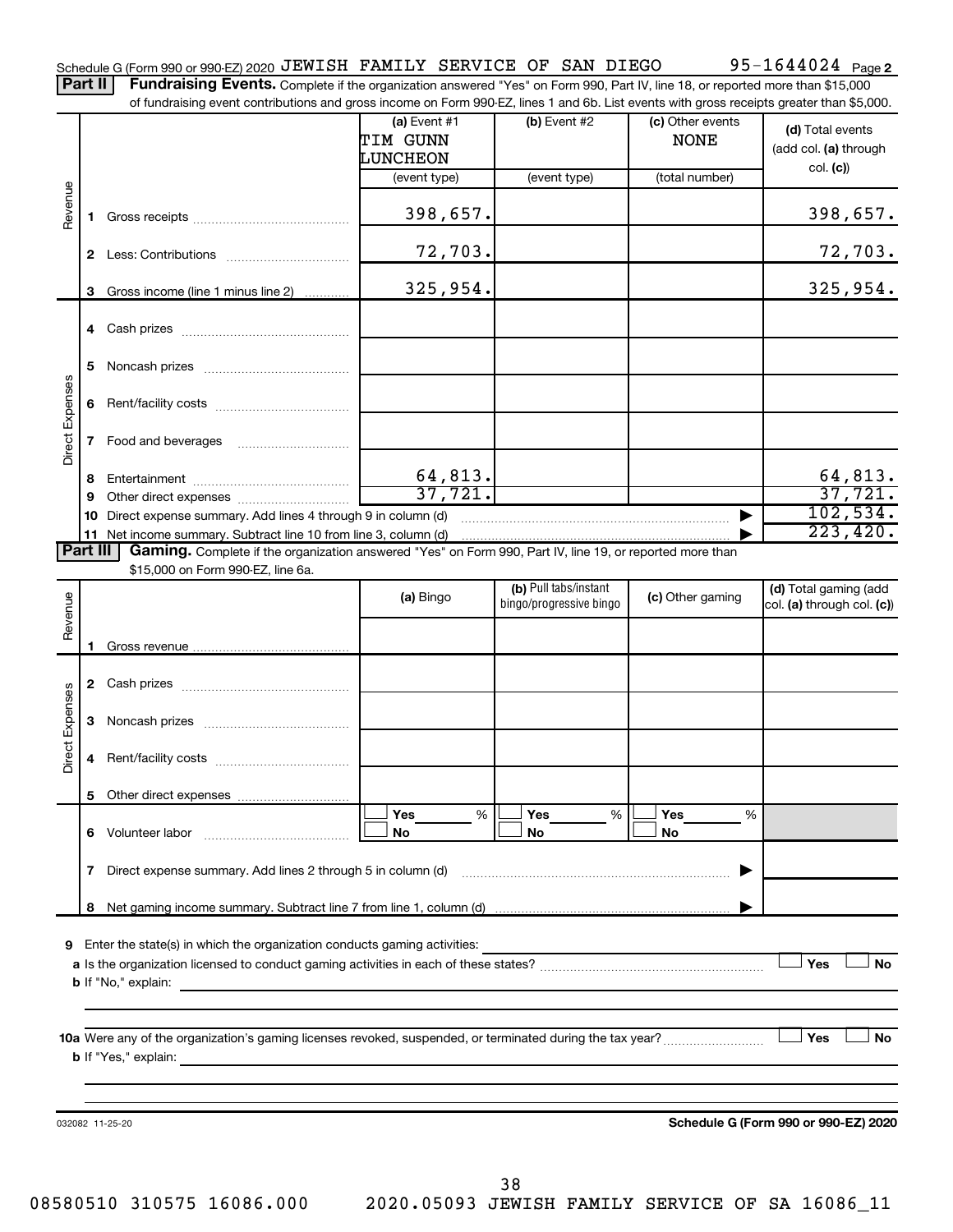Part II | Fundraising Events. Complete if the organization answered "Yes" on Form 990, Part IV, line 18, or reported more than \$15,000 of fundraising event contributions and gross income on Form 990-EZ, lines 1 and 6b. List events with gross receipts greater than \$5,000.

|                 |    |                                                                                                                                                      | (a) Event #1<br>TIM GUNN<br>LUNCHEON | (b) Event #2                                     | (c) Other events<br><b>NONE</b> | (d) Total events<br>(add col. (a) through<br>col. (c) |
|-----------------|----|------------------------------------------------------------------------------------------------------------------------------------------------------|--------------------------------------|--------------------------------------------------|---------------------------------|-------------------------------------------------------|
|                 |    |                                                                                                                                                      | (event type)                         | (event type)                                     | (total number)                  |                                                       |
| Revenue         | 1. |                                                                                                                                                      | 398,657.                             |                                                  |                                 | 398,657.                                              |
|                 | 2  |                                                                                                                                                      | 72,703.                              |                                                  |                                 | 72,703.                                               |
|                 | 3  | Gross income (line 1 minus line 2)                                                                                                                   | 325,954.                             |                                                  |                                 | 325,954.                                              |
|                 | 4  |                                                                                                                                                      |                                      |                                                  |                                 |                                                       |
|                 | 5  |                                                                                                                                                      |                                      |                                                  |                                 |                                                       |
| Direct Expenses | 6  |                                                                                                                                                      |                                      |                                                  |                                 |                                                       |
|                 | 7  |                                                                                                                                                      |                                      |                                                  |                                 |                                                       |
|                 | 8  |                                                                                                                                                      | 64, 813.                             |                                                  |                                 | 64,813.                                               |
|                 | 9  |                                                                                                                                                      | 37,721.                              |                                                  |                                 | 37,721.                                               |
|                 | 10 | Direct expense summary. Add lines 4 through 9 in column (d)                                                                                          |                                      |                                                  |                                 | 102,534.                                              |
|                 |    | 11 Net income summary. Subtract line 10 from line 3, column (d)                                                                                      |                                      |                                                  |                                 | 223, 420.                                             |
| Part III        |    | Gaming. Complete if the organization answered "Yes" on Form 990, Part IV, line 19, or reported more than                                             |                                      |                                                  |                                 |                                                       |
|                 |    | \$15,000 on Form 990-EZ, line 6a.                                                                                                                    |                                      |                                                  |                                 |                                                       |
|                 |    |                                                                                                                                                      | (a) Bingo                            | (b) Pull tabs/instant<br>bingo/progressive bingo | (c) Other gaming                | (d) Total gaming (add                                 |
| Revenue         |    |                                                                                                                                                      |                                      |                                                  |                                 | col. (a) through col. (c))                            |
|                 |    |                                                                                                                                                      |                                      |                                                  |                                 |                                                       |
|                 |    |                                                                                                                                                      |                                      |                                                  |                                 |                                                       |
|                 |    |                                                                                                                                                      |                                      |                                                  |                                 |                                                       |
|                 |    |                                                                                                                                                      |                                      |                                                  |                                 |                                                       |
|                 | 3  |                                                                                                                                                      |                                      |                                                  |                                 |                                                       |
|                 |    |                                                                                                                                                      |                                      |                                                  |                                 |                                                       |
| Direct Expenses | 4  |                                                                                                                                                      |                                      |                                                  |                                 |                                                       |
|                 |    |                                                                                                                                                      |                                      |                                                  |                                 |                                                       |
|                 |    |                                                                                                                                                      | %<br>Yes                             | Yes<br>%                                         | Yes<br>%                        |                                                       |
|                 | 6  | Volunteer labor                                                                                                                                      | No                                   | No                                               | No                              |                                                       |
|                 | 7  | Direct expense summary. Add lines 2 through 5 in column (d)                                                                                          |                                      |                                                  |                                 |                                                       |
|                 |    |                                                                                                                                                      |                                      |                                                  |                                 |                                                       |
|                 | 8  |                                                                                                                                                      |                                      |                                                  |                                 |                                                       |
| 9               |    | Enter the state(s) in which the organization conducts gaming activities:                                                                             |                                      |                                                  |                                 |                                                       |
|                 |    |                                                                                                                                                      |                                      |                                                  |                                 | Yes<br><b>No</b>                                      |
|                 |    | <b>b</b> If "No," explain:<br>the control of the control of the control of the control of the control of the control of                              |                                      |                                                  |                                 |                                                       |
|                 |    |                                                                                                                                                      |                                      |                                                  |                                 |                                                       |
|                 |    |                                                                                                                                                      |                                      |                                                  |                                 |                                                       |
|                 |    |                                                                                                                                                      |                                      |                                                  |                                 | Yes<br>No                                             |
|                 |    | <b>b</b> If "Yes," explain:<br><u> 1989 - Johann Harry Harry Harry Harry Harry Harry Harry Harry Harry Harry Harry Harry Harry Harry Harry Harry</u> |                                      |                                                  |                                 |                                                       |
|                 |    |                                                                                                                                                      |                                      |                                                  |                                 |                                                       |
|                 |    |                                                                                                                                                      |                                      |                                                  |                                 |                                                       |
|                 |    | 032082 11-25-20                                                                                                                                      |                                      |                                                  |                                 | Schedule G (Form 990 or 990-EZ) 2020                  |
|                 |    |                                                                                                                                                      |                                      |                                                  |                                 |                                                       |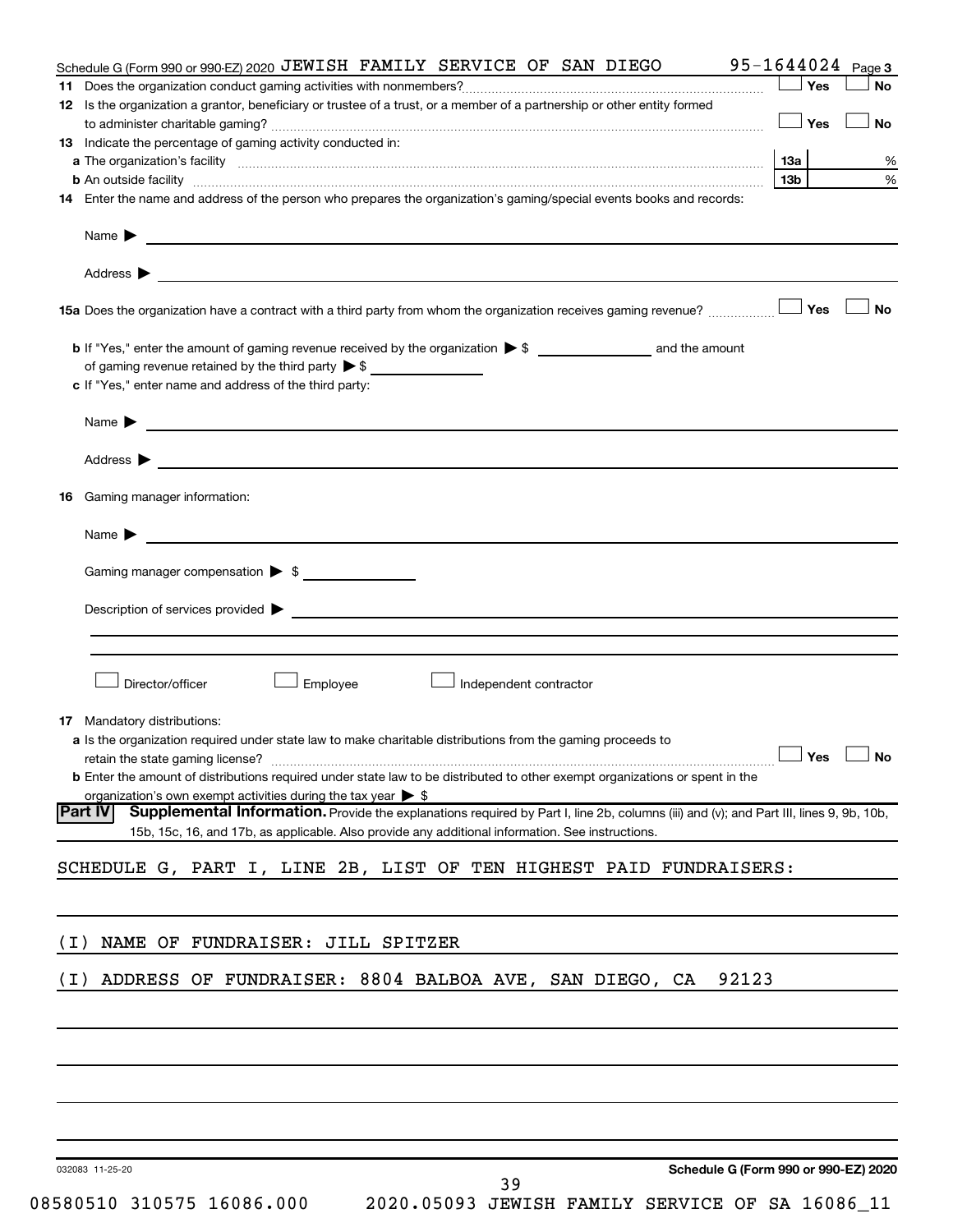|       | Schedule G (Form 990 or 990-EZ) 2020 JEWISH FAMILY SERVICE OF SAN DIEGO                                                                                                                                                        | $95 - 1644024$ Page 3 |           |
|-------|--------------------------------------------------------------------------------------------------------------------------------------------------------------------------------------------------------------------------------|-----------------------|-----------|
| 11    |                                                                                                                                                                                                                                | Yes                   | <b>No</b> |
|       | 12 Is the organization a grantor, beneficiary or trustee of a trust, or a member of a partnership or other entity formed                                                                                                       |                       |           |
|       |                                                                                                                                                                                                                                | — │ Yes               | <b>No</b> |
|       | <b>13</b> Indicate the percentage of gaming activity conducted in:                                                                                                                                                             |                       |           |
|       | a The organization's facility material content and content and content and content and content and content and content and content and content and content and content and content and content and content and content and con | 13a                   | %<br>%    |
|       |                                                                                                                                                                                                                                | 13b l                 |           |
|       | 14 Enter the name and address of the person who prepares the organization's gaming/special events books and records:                                                                                                           |                       |           |
|       | Name $\blacktriangleright$<br><u> 1989 - Johann Harry Harry Harry Harry Harry Harry Harry Harry Harry Harry Harry Harry Harry Harry Harry Harry</u>                                                                            |                       |           |
|       |                                                                                                                                                                                                                                |                       |           |
|       |                                                                                                                                                                                                                                |                       | <b>No</b> |
|       |                                                                                                                                                                                                                                |                       |           |
|       | of gaming revenue retained by the third party $\triangleright$ \$                                                                                                                                                              |                       |           |
|       | c If "Yes," enter name and address of the third party:                                                                                                                                                                         |                       |           |
|       | Name $\blacktriangleright$                                                                                                                                                                                                     |                       |           |
|       | <u> 1989 - Jan Barbara Barat, martin da basar da basar da basar da basar da basar da basar da basar da basar da b</u>                                                                                                          |                       |           |
|       |                                                                                                                                                                                                                                |                       |           |
| 16.   | Gaming manager information:                                                                                                                                                                                                    |                       |           |
|       | Name $\blacktriangleright$<br><u> 1989 - Johann Barbara, martin da kasar Amerikaansk politiker (</u>                                                                                                                           |                       |           |
|       |                                                                                                                                                                                                                                |                       |           |
|       | Gaming manager compensation > \$                                                                                                                                                                                               |                       |           |
|       | Description of services provided states and the contract of the contract of the contract of the contract of the contract of the contract of the contract of the contract of the contract of the contract of the contract of th |                       |           |
|       |                                                                                                                                                                                                                                |                       |           |
|       |                                                                                                                                                                                                                                |                       |           |
|       | Director/officer<br>Employee<br>Independent contractor                                                                                                                                                                         |                       |           |
|       |                                                                                                                                                                                                                                |                       |           |
|       | <b>17</b> Mandatory distributions:                                                                                                                                                                                             |                       |           |
|       | a Is the organization required under state law to make charitable distributions from the gaming proceeds to                                                                                                                    |                       |           |
|       | retain the state gaming license? $\ldots$ No                                                                                                                                                                                   |                       |           |
|       | <b>b</b> Enter the amount of distributions required under state law to be distributed to other exempt organizations or spent in the<br>organization's own exempt activities during the tax year $\triangleright$ \$            |                       |           |
|       | Supplemental Information. Provide the explanations required by Part I, line 2b, columns (iii) and (v); and Part III, lines 9, 9b, 10b,<br> Part IV                                                                             |                       |           |
|       | 15b, 15c, 16, and 17b, as applicable. Also provide any additional information. See instructions.                                                                                                                               |                       |           |
|       |                                                                                                                                                                                                                                |                       |           |
|       | SCHEDULE G, PART I, LINE 2B, LIST OF TEN HIGHEST PAID FUNDRAISERS:                                                                                                                                                             |                       |           |
|       |                                                                                                                                                                                                                                |                       |           |
| ( I ) | NAME OF FUNDRAISER: JILL SPITZER                                                                                                                                                                                               |                       |           |
|       |                                                                                                                                                                                                                                |                       |           |
| ( I ) | ADDRESS OF FUNDRAISER: 8804 BALBOA AVE, SAN DIEGO, CA<br>92123                                                                                                                                                                 |                       |           |
|       |                                                                                                                                                                                                                                |                       |           |
|       |                                                                                                                                                                                                                                |                       |           |
|       |                                                                                                                                                                                                                                |                       |           |
|       |                                                                                                                                                                                                                                |                       |           |
|       |                                                                                                                                                                                                                                |                       |           |
|       | Schedule G (Form 990 or 990-EZ) 2020<br>032083 11-25-20                                                                                                                                                                        |                       |           |
|       | 39                                                                                                                                                                                                                             |                       |           |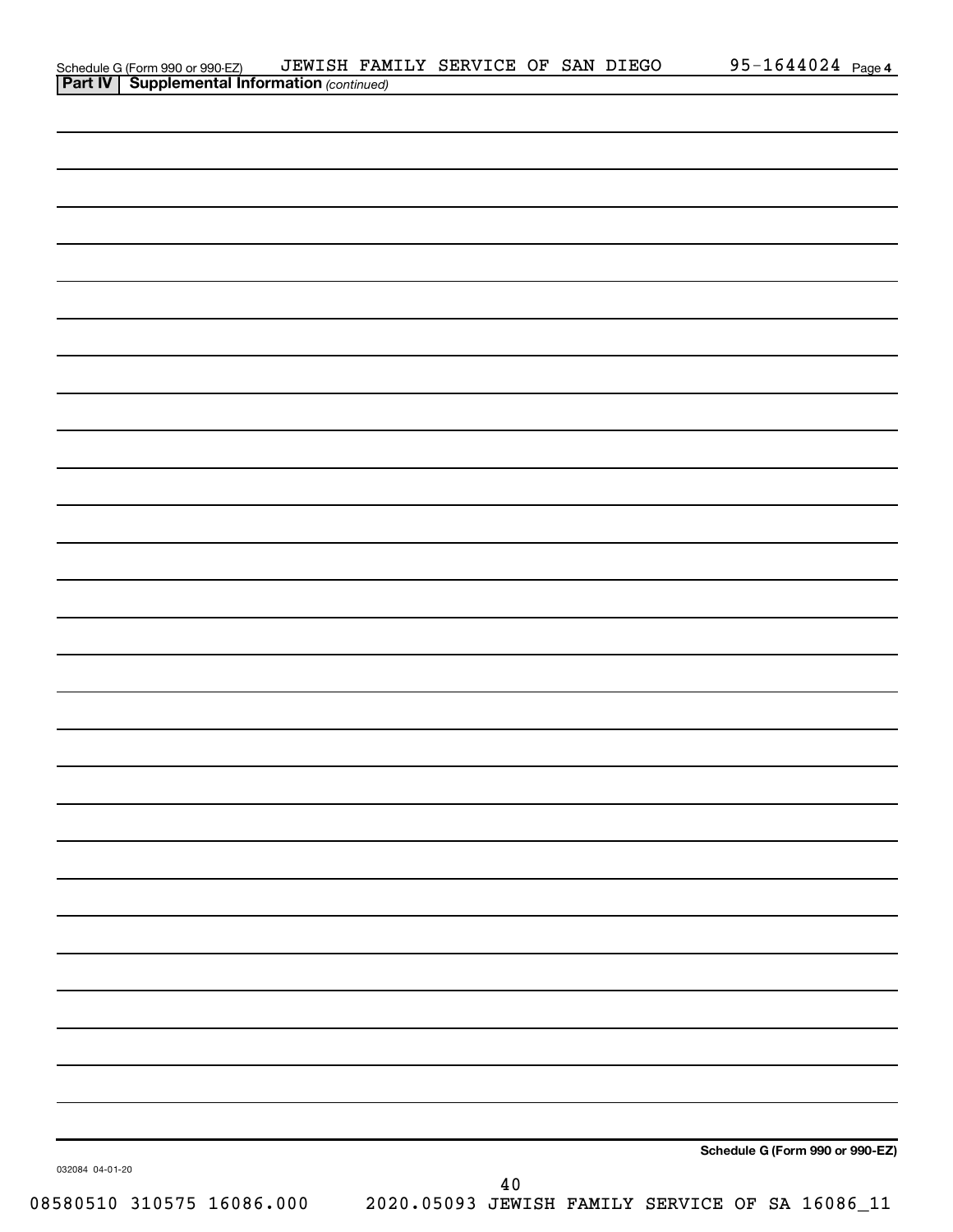| Schedule G (Form 990 or 990-EZ) JEWISH FAM<br><b>Part IV   Supplemental Information</b> (continued) | JEWISH FAMILY SERVICE OF SAN DIEGO |  | 95-1644024 Page 4               |
|-----------------------------------------------------------------------------------------------------|------------------------------------|--|---------------------------------|
|                                                                                                     |                                    |  |                                 |
|                                                                                                     |                                    |  |                                 |
|                                                                                                     |                                    |  |                                 |
|                                                                                                     |                                    |  |                                 |
|                                                                                                     |                                    |  |                                 |
|                                                                                                     |                                    |  |                                 |
|                                                                                                     |                                    |  |                                 |
|                                                                                                     |                                    |  |                                 |
|                                                                                                     |                                    |  |                                 |
|                                                                                                     |                                    |  |                                 |
|                                                                                                     |                                    |  |                                 |
|                                                                                                     |                                    |  |                                 |
|                                                                                                     |                                    |  |                                 |
|                                                                                                     |                                    |  |                                 |
|                                                                                                     |                                    |  |                                 |
|                                                                                                     |                                    |  |                                 |
|                                                                                                     |                                    |  |                                 |
|                                                                                                     |                                    |  |                                 |
|                                                                                                     |                                    |  |                                 |
|                                                                                                     |                                    |  |                                 |
|                                                                                                     |                                    |  |                                 |
|                                                                                                     |                                    |  |                                 |
|                                                                                                     |                                    |  |                                 |
|                                                                                                     |                                    |  |                                 |
|                                                                                                     |                                    |  |                                 |
|                                                                                                     |                                    |  |                                 |
|                                                                                                     |                                    |  |                                 |
|                                                                                                     |                                    |  |                                 |
|                                                                                                     |                                    |  |                                 |
|                                                                                                     |                                    |  |                                 |
|                                                                                                     |                                    |  |                                 |
|                                                                                                     |                                    |  |                                 |
|                                                                                                     |                                    |  |                                 |
|                                                                                                     |                                    |  |                                 |
|                                                                                                     |                                    |  |                                 |
|                                                                                                     |                                    |  |                                 |
|                                                                                                     |                                    |  |                                 |
|                                                                                                     |                                    |  |                                 |
|                                                                                                     |                                    |  |                                 |
|                                                                                                     |                                    |  |                                 |
|                                                                                                     |                                    |  |                                 |
|                                                                                                     |                                    |  |                                 |
|                                                                                                     |                                    |  |                                 |
|                                                                                                     |                                    |  |                                 |
|                                                                                                     |                                    |  |                                 |
|                                                                                                     |                                    |  |                                 |
|                                                                                                     |                                    |  | Schedule G (Form 990 or 990-EZ) |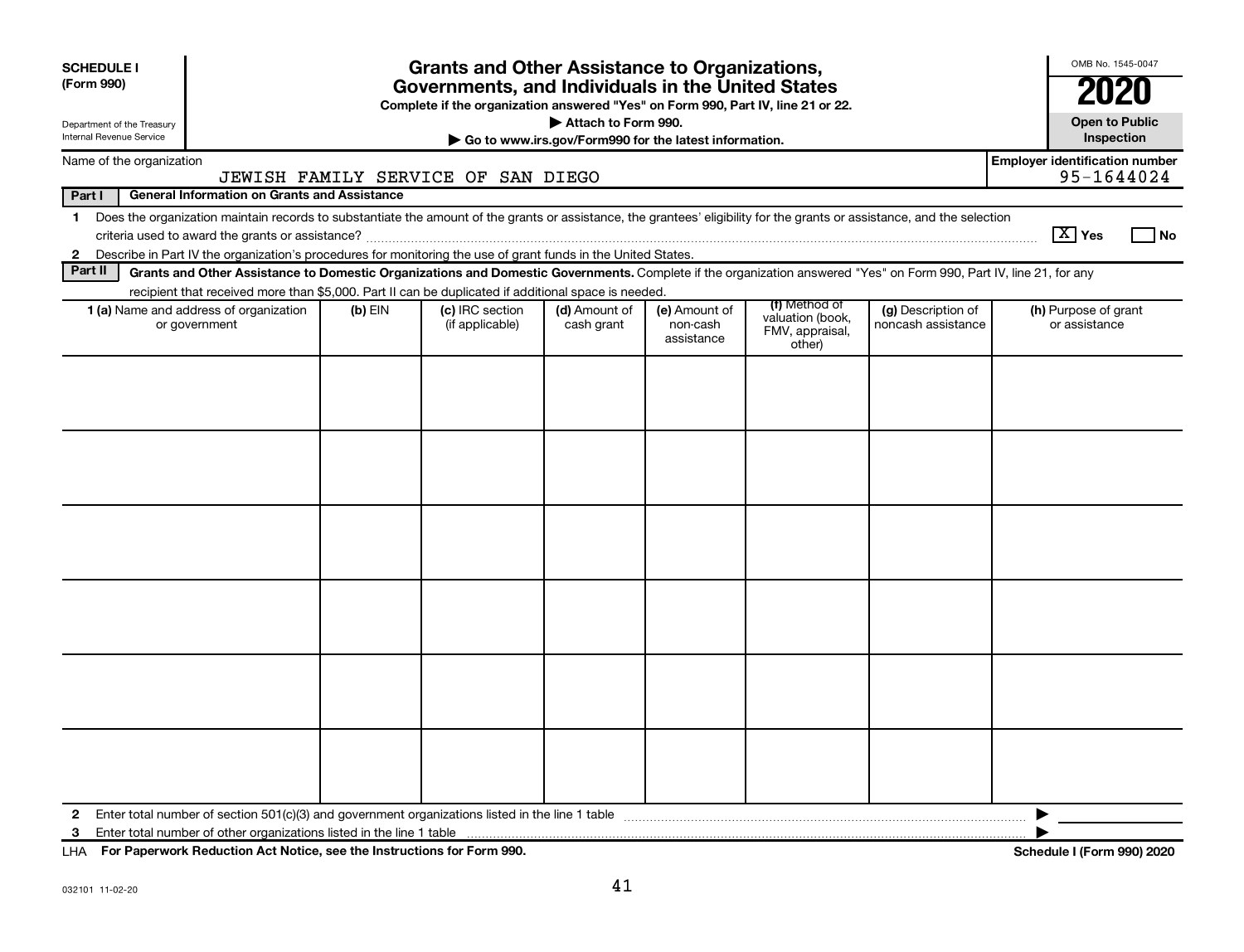| <b>SCHEDULE I</b><br>(Form 990)<br>Department of the Treasury |                                                                                                                                                                                                                                                                                             |           | <b>Grants and Other Assistance to Organizations,</b><br>Governments, and Individuals in the United States<br>Complete if the organization answered "Yes" on Form 990, Part IV, line 21 or 22. | Attach to Form 990.         |                                                       |                                                                |                                          | OMB No. 1545-0047<br><b>Open to Public</b>          |
|---------------------------------------------------------------|---------------------------------------------------------------------------------------------------------------------------------------------------------------------------------------------------------------------------------------------------------------------------------------------|-----------|-----------------------------------------------------------------------------------------------------------------------------------------------------------------------------------------------|-----------------------------|-------------------------------------------------------|----------------------------------------------------------------|------------------------------------------|-----------------------------------------------------|
| <b>Internal Revenue Service</b>                               |                                                                                                                                                                                                                                                                                             |           |                                                                                                                                                                                               |                             | Go to www.irs.gov/Form990 for the latest information. |                                                                |                                          | Inspection                                          |
| Name of the organization                                      |                                                                                                                                                                                                                                                                                             |           | JEWISH FAMILY SERVICE OF SAN DIEGO                                                                                                                                                            |                             |                                                       |                                                                |                                          | <b>Employer identification number</b><br>95-1644024 |
| Part I                                                        | <b>General Information on Grants and Assistance</b>                                                                                                                                                                                                                                         |           |                                                                                                                                                                                               |                             |                                                       |                                                                |                                          |                                                     |
| $\mathbf 1$                                                   | Does the organization maintain records to substantiate the amount of the grants or assistance, the grantees' eligibility for the grants or assistance, and the selection<br>2 Describe in Part IV the organization's procedures for monitoring the use of grant funds in the United States. |           |                                                                                                                                                                                               |                             |                                                       |                                                                |                                          | $\boxed{\text{X}}$ Yes<br>No                        |
| Part II                                                       | Grants and Other Assistance to Domestic Organizations and Domestic Governments. Complete if the organization answered "Yes" on Form 990, Part IV, line 21, for any                                                                                                                          |           |                                                                                                                                                                                               |                             |                                                       |                                                                |                                          |                                                     |
|                                                               | recipient that received more than \$5,000. Part II can be duplicated if additional space is needed.                                                                                                                                                                                         |           |                                                                                                                                                                                               |                             |                                                       |                                                                |                                          |                                                     |
|                                                               | 1 (a) Name and address of organization<br>or government                                                                                                                                                                                                                                     | $(b)$ EIN | (c) IRC section<br>(if applicable)                                                                                                                                                            | (d) Amount of<br>cash grant | (e) Amount of<br>non-cash<br>assistance               | (f) Method of<br>valuation (book,<br>FMV, appraisal,<br>other) | (g) Description of<br>noncash assistance | (h) Purpose of grant<br>or assistance               |
|                                                               |                                                                                                                                                                                                                                                                                             |           |                                                                                                                                                                                               |                             |                                                       |                                                                |                                          |                                                     |
| $\mathbf{2}$<br>3                                             |                                                                                                                                                                                                                                                                                             |           |                                                                                                                                                                                               |                             |                                                       |                                                                |                                          |                                                     |

**For Paperwork Reduction Act Notice, see the Instructions for Form 990. Schedule I (Form 990) 2020** LHA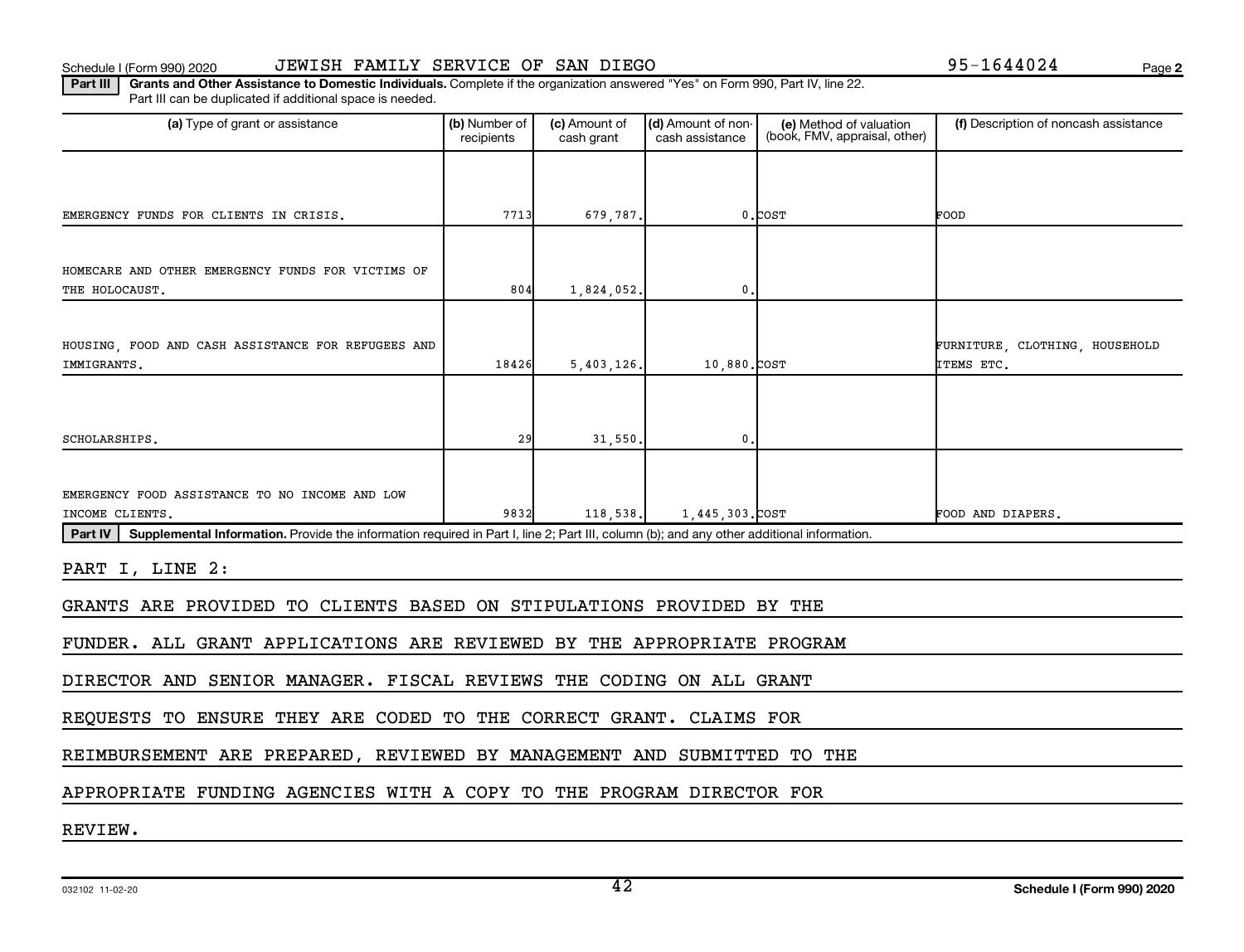### Schedule I (Form 990) 2020 JEWISH FAMILY SERVICE OF SAN DIEGO 95-1644024 Page

**2**

Part III | Grants and Other Assistance to Domestic Individuals. Complete if the organization answered "Yes" on Form 990, Part IV, line 22. Part III can be duplicated if additional space is needed.

| (a) Type of grant or assistance                                                                                                                      | (b) Number of<br>recipients | (c) Amount of<br>cash grant | (d) Amount of non-<br>cash assistance | (e) Method of valuation<br>(book, FMV, appraisal, other) | (f) Description of noncash assistance        |  |
|------------------------------------------------------------------------------------------------------------------------------------------------------|-----------------------------|-----------------------------|---------------------------------------|----------------------------------------------------------|----------------------------------------------|--|
|                                                                                                                                                      |                             |                             |                                       |                                                          |                                              |  |
| EMERGENCY FUNDS FOR CLIENTS IN CRISIS.                                                                                                               | 7713                        | 679,787.                    |                                       | $0$ . $COST$                                             | FOOD                                         |  |
|                                                                                                                                                      |                             |                             |                                       |                                                          |                                              |  |
| HOMECARE AND OTHER EMERGENCY FUNDS FOR VICTIMS OF<br>THE HOLOCAUST.                                                                                  | 804                         | 1,824,052.                  | 0                                     |                                                          |                                              |  |
|                                                                                                                                                      |                             |                             |                                       |                                                          |                                              |  |
| HOUSING, FOOD AND CASH ASSISTANCE FOR REFUGEES AND<br>IMMIGRANTS.                                                                                    | 18426                       | 5,403,126.                  | 10,880.COST                           |                                                          | FURNITURE, CLOTHING, HOUSEHOLD<br>ITEMS ETC. |  |
|                                                                                                                                                      |                             |                             |                                       |                                                          |                                              |  |
|                                                                                                                                                      |                             |                             |                                       |                                                          |                                              |  |
| SCHOLARSHIPS.                                                                                                                                        | 29                          | 31,550.                     | 0.                                    |                                                          |                                              |  |
|                                                                                                                                                      |                             |                             |                                       |                                                          |                                              |  |
| EMERGENCY FOOD ASSISTANCE TO NO INCOME AND LOW                                                                                                       |                             |                             |                                       |                                                          |                                              |  |
| INCOME CLIENTS.                                                                                                                                      | 9832                        | 118,538.                    | 1.445.303.COST                        |                                                          | FOOD AND DIAPERS.                            |  |
| Supplemental Information. Provide the information required in Part I, line 2; Part III, column (b); and any other additional information.<br>Part IV |                             |                             |                                       |                                                          |                                              |  |
| PART I, LINE 2:                                                                                                                                      |                             |                             |                                       |                                                          |                                              |  |
| GRANTS ARE PROVIDED TO CLIENTS BASED ON STIPULATIONS PROVIDED BY THE                                                                                 |                             |                             |                                       |                                                          |                                              |  |
| FUNDER. ALL GRANT APPLICATIONS ARE REVIEWED BY THE APPROPRIATE PROGRAM                                                                               |                             |                             |                                       |                                                          |                                              |  |
| DIRECTOR AND SENIOR MANAGER. FISCAL REVIEWS THE CODING ON ALL GRANT                                                                                  |                             |                             |                                       |                                                          |                                              |  |
| REQUESTS TO ENSURE THEY ARE CODED TO THE CORRECT GRANT. CLAIMS FOR                                                                                   |                             |                             |                                       |                                                          |                                              |  |
|                                                                                                                                                      |                             |                             |                                       |                                                          |                                              |  |
| REIMBURSEMENT ARE PREPARED, REVIEWED BY MANAGEMENT AND SUBMITTED<br>THE<br>TO                                                                        |                             |                             |                                       |                                                          |                                              |  |

APPROPRIATE FUNDING AGENCIES WITH A COPY TO THE PROGRAM DIRECTOR FOR

REVIEW.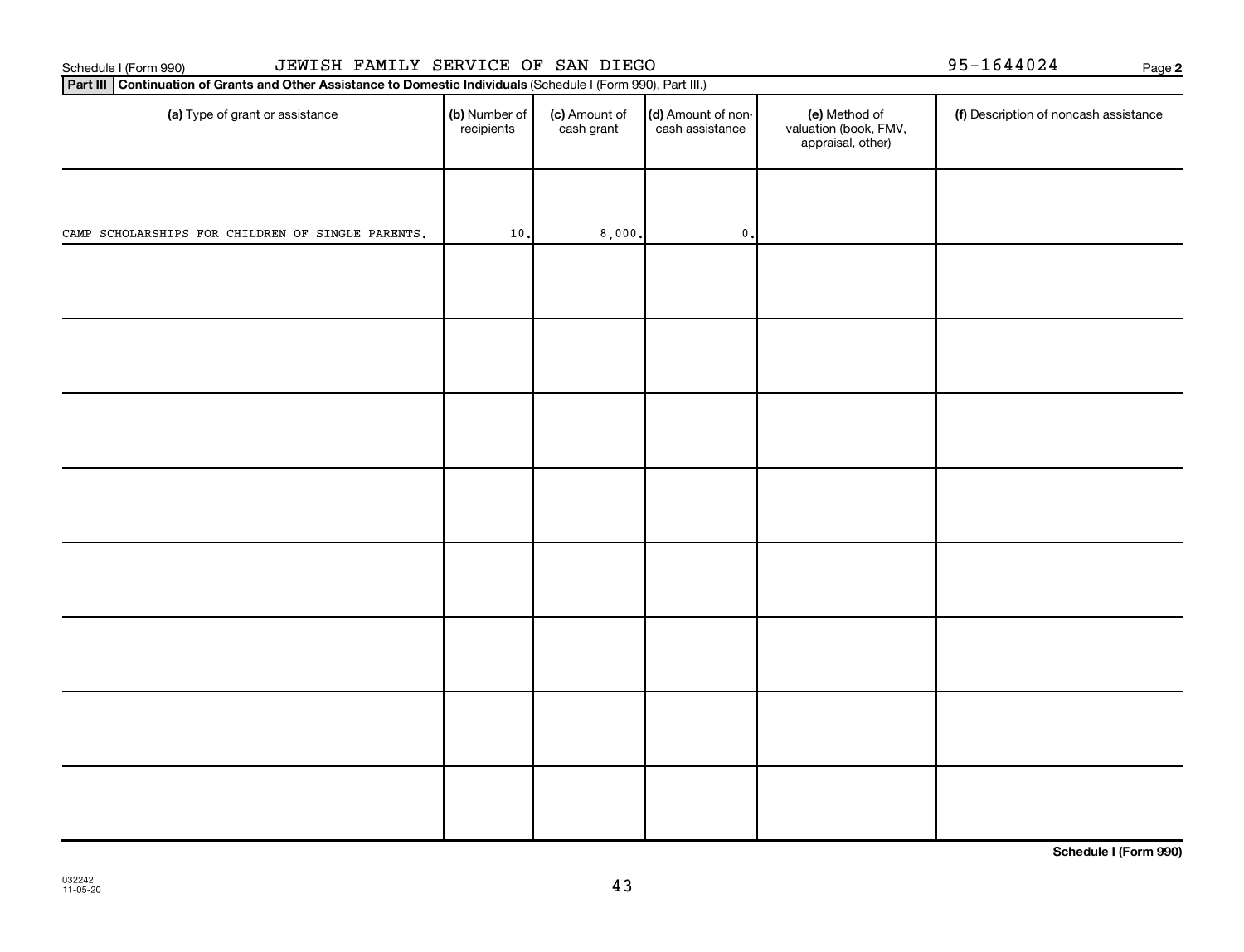| JEWISH FAMILY SERVICE OF SAN DIEGO<br>Schedule I (Form 990)                                                     | 95-1644024                  | Page 2                      |                                       |                                                             |                                       |   |
|-----------------------------------------------------------------------------------------------------------------|-----------------------------|-----------------------------|---------------------------------------|-------------------------------------------------------------|---------------------------------------|---|
| Part III Continuation of Grants and Other Assistance to Domestic Individuals (Schedule I (Form 990), Part III.) |                             |                             |                                       |                                                             |                                       |   |
| (a) Type of grant or assistance                                                                                 | (b) Number of<br>recipients | (c) Amount of<br>cash grant | (d) Amount of non-<br>cash assistance | (e) Method of<br>valuation (book, FMV,<br>appraisal, other) | (f) Description of noncash assistance |   |
|                                                                                                                 |                             |                             |                                       |                                                             |                                       |   |
| CAMP SCHOLARSHIPS FOR CHILDREN OF SINGLE PARENTS.                                                               | $10.$                       | 8,000.                      | $\mathbf 0$ .                         |                                                             |                                       |   |
|                                                                                                                 |                             |                             |                                       |                                                             |                                       |   |
|                                                                                                                 |                             |                             |                                       |                                                             |                                       |   |
|                                                                                                                 |                             |                             |                                       |                                                             |                                       |   |
|                                                                                                                 |                             |                             |                                       |                                                             |                                       |   |
|                                                                                                                 |                             |                             |                                       |                                                             |                                       |   |
|                                                                                                                 |                             |                             |                                       |                                                             |                                       |   |
|                                                                                                                 |                             |                             |                                       |                                                             |                                       |   |
|                                                                                                                 |                             |                             |                                       |                                                             | $\sim$ $\sim$                         | . |

**Schedule I (Form 990)**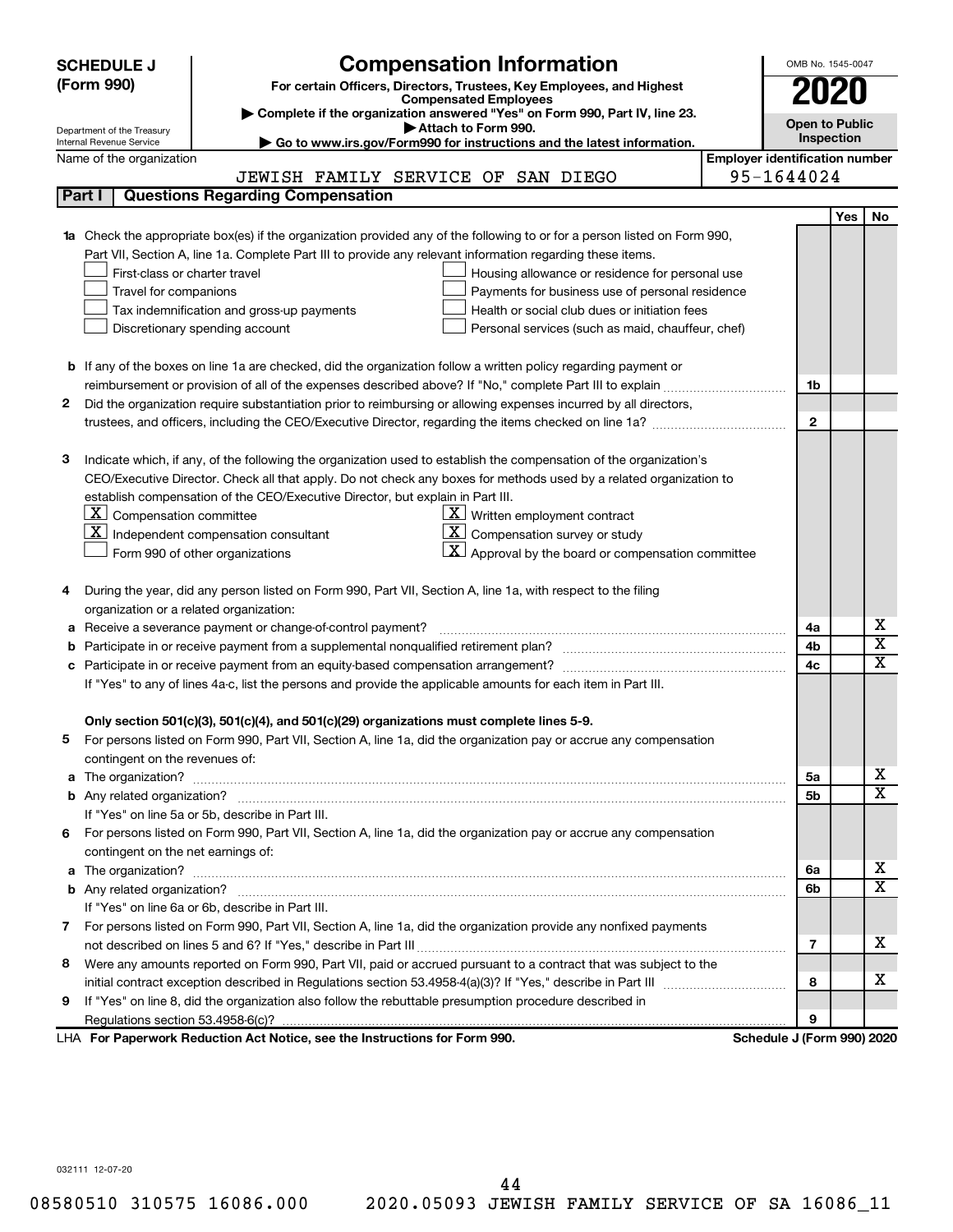| <b>SCHEDULE J</b>                                      | <b>Compensation Information</b>                                                                                                                                                                           |                                       | OMB No. 1545-0047     |            |                         |
|--------------------------------------------------------|-----------------------------------------------------------------------------------------------------------------------------------------------------------------------------------------------------------|---------------------------------------|-----------------------|------------|-------------------------|
| (Form 990)                                             | For certain Officers, Directors, Trustees, Key Employees, and Highest                                                                                                                                     |                                       |                       |            |                         |
|                                                        | <b>Compensated Employees</b>                                                                                                                                                                              |                                       | 2020                  |            |                         |
|                                                        | Complete if the organization answered "Yes" on Form 990, Part IV, line 23.<br>Attach to Form 990.                                                                                                         |                                       | <b>Open to Public</b> |            |                         |
| Department of the Treasury<br>Internal Revenue Service | Go to www.irs.gov/Form990 for instructions and the latest information.                                                                                                                                    |                                       | Inspection            |            |                         |
| Name of the organization                               |                                                                                                                                                                                                           | <b>Employer identification number</b> |                       |            |                         |
|                                                        | JEWISH FAMILY SERVICE OF SAN DIEGO                                                                                                                                                                        | 95-1644024                            |                       |            |                         |
| Part I                                                 | <b>Questions Regarding Compensation</b>                                                                                                                                                                   |                                       |                       |            |                         |
|                                                        |                                                                                                                                                                                                           |                                       |                       | <b>Yes</b> | No                      |
|                                                        | Check the appropriate box(es) if the organization provided any of the following to or for a person listed on Form 990,                                                                                    |                                       |                       |            |                         |
|                                                        | Part VII, Section A, line 1a. Complete Part III to provide any relevant information regarding these items.                                                                                                |                                       |                       |            |                         |
|                                                        | First-class or charter travel<br>Housing allowance or residence for personal use                                                                                                                          |                                       |                       |            |                         |
|                                                        | Travel for companions<br>Payments for business use of personal residence                                                                                                                                  |                                       |                       |            |                         |
|                                                        | Health or social club dues or initiation fees<br>Tax indemnification and gross-up payments                                                                                                                |                                       |                       |            |                         |
|                                                        | Discretionary spending account<br>Personal services (such as maid, chauffeur, chef)                                                                                                                       |                                       |                       |            |                         |
|                                                        |                                                                                                                                                                                                           |                                       |                       |            |                         |
|                                                        | <b>b</b> If any of the boxes on line 1a are checked, did the organization follow a written policy regarding payment or                                                                                    |                                       |                       |            |                         |
|                                                        |                                                                                                                                                                                                           |                                       | 1b                    |            |                         |
| 2                                                      | Did the organization require substantiation prior to reimbursing or allowing expenses incurred by all directors,                                                                                          |                                       |                       |            |                         |
|                                                        |                                                                                                                                                                                                           |                                       | $\mathbf{2}$          |            |                         |
|                                                        |                                                                                                                                                                                                           |                                       |                       |            |                         |
| з                                                      | Indicate which, if any, of the following the organization used to establish the compensation of the organization's                                                                                        |                                       |                       |            |                         |
|                                                        | CEO/Executive Director. Check all that apply. Do not check any boxes for methods used by a related organization to                                                                                        |                                       |                       |            |                         |
|                                                        | establish compensation of the CEO/Executive Director, but explain in Part III.<br>$\lfloor \underline{\textbf{X}} \rfloor$ Compensation committee<br>$\underline{\mathbf{X}}$ Written employment contract |                                       |                       |            |                         |
|                                                        | $ \mathbf{X} $ Independent compensation consultant<br>$ \mathbf{X} $ Compensation survey or study                                                                                                         |                                       |                       |            |                         |
|                                                        | $\lfloor x \rfloor$ Approval by the board or compensation committee                                                                                                                                       |                                       |                       |            |                         |
|                                                        | Form 990 of other organizations                                                                                                                                                                           |                                       |                       |            |                         |
| 4                                                      | During the year, did any person listed on Form 990, Part VII, Section A, line 1a, with respect to the filing                                                                                              |                                       |                       |            |                         |
|                                                        | organization or a related organization:                                                                                                                                                                   |                                       |                       |            |                         |
| а                                                      | Receive a severance payment or change-of-control payment?                                                                                                                                                 |                                       | 4a                    |            | х                       |
| b                                                      |                                                                                                                                                                                                           |                                       | 4b                    |            | $\overline{\textbf{x}}$ |
| c                                                      |                                                                                                                                                                                                           |                                       | 4c                    |            | $\mathbf x$             |
|                                                        | If "Yes" to any of lines 4a-c, list the persons and provide the applicable amounts for each item in Part III.                                                                                             |                                       |                       |            |                         |
|                                                        |                                                                                                                                                                                                           |                                       |                       |            |                         |
|                                                        | Only section 501(c)(3), 501(c)(4), and 501(c)(29) organizations must complete lines 5-9.                                                                                                                  |                                       |                       |            |                         |
| 5                                                      | For persons listed on Form 990, Part VII, Section A, line 1a, did the organization pay or accrue any compensation                                                                                         |                                       |                       |            |                         |
|                                                        | contingent on the revenues of:                                                                                                                                                                            |                                       |                       |            |                         |
| a                                                      |                                                                                                                                                                                                           |                                       | 5a                    |            | х                       |
|                                                        |                                                                                                                                                                                                           |                                       | 5b                    |            | X                       |
|                                                        | If "Yes" on line 5a or 5b, describe in Part III.                                                                                                                                                          |                                       |                       |            |                         |
|                                                        | 6 For persons listed on Form 990, Part VII, Section A, line 1a, did the organization pay or accrue any compensation                                                                                       |                                       |                       |            |                         |
|                                                        | contingent on the net earnings of:                                                                                                                                                                        |                                       |                       |            |                         |
| а                                                      |                                                                                                                                                                                                           |                                       | 6а                    |            | х                       |
|                                                        |                                                                                                                                                                                                           |                                       | 6b                    |            | X                       |
|                                                        | If "Yes" on line 6a or 6b, describe in Part III.                                                                                                                                                          |                                       |                       |            |                         |
|                                                        | 7 For persons listed on Form 990, Part VII, Section A, line 1a, did the organization provide any nonfixed payments                                                                                        |                                       |                       |            |                         |
|                                                        |                                                                                                                                                                                                           |                                       | 7                     |            | x                       |
| 8                                                      | Were any amounts reported on Form 990, Part VII, paid or accrued pursuant to a contract that was subject to the                                                                                           |                                       |                       |            |                         |
|                                                        |                                                                                                                                                                                                           |                                       | 8                     |            | x                       |
| 9                                                      | If "Yes" on line 8, did the organization also follow the rebuttable presumption procedure described in                                                                                                    |                                       |                       |            |                         |
|                                                        |                                                                                                                                                                                                           |                                       | 9                     |            |                         |
|                                                        | LHA For Paperwork Reduction Act Notice, see the Instructions for Form 990.                                                                                                                                | Schedule J (Form 990) 2020            |                       |            |                         |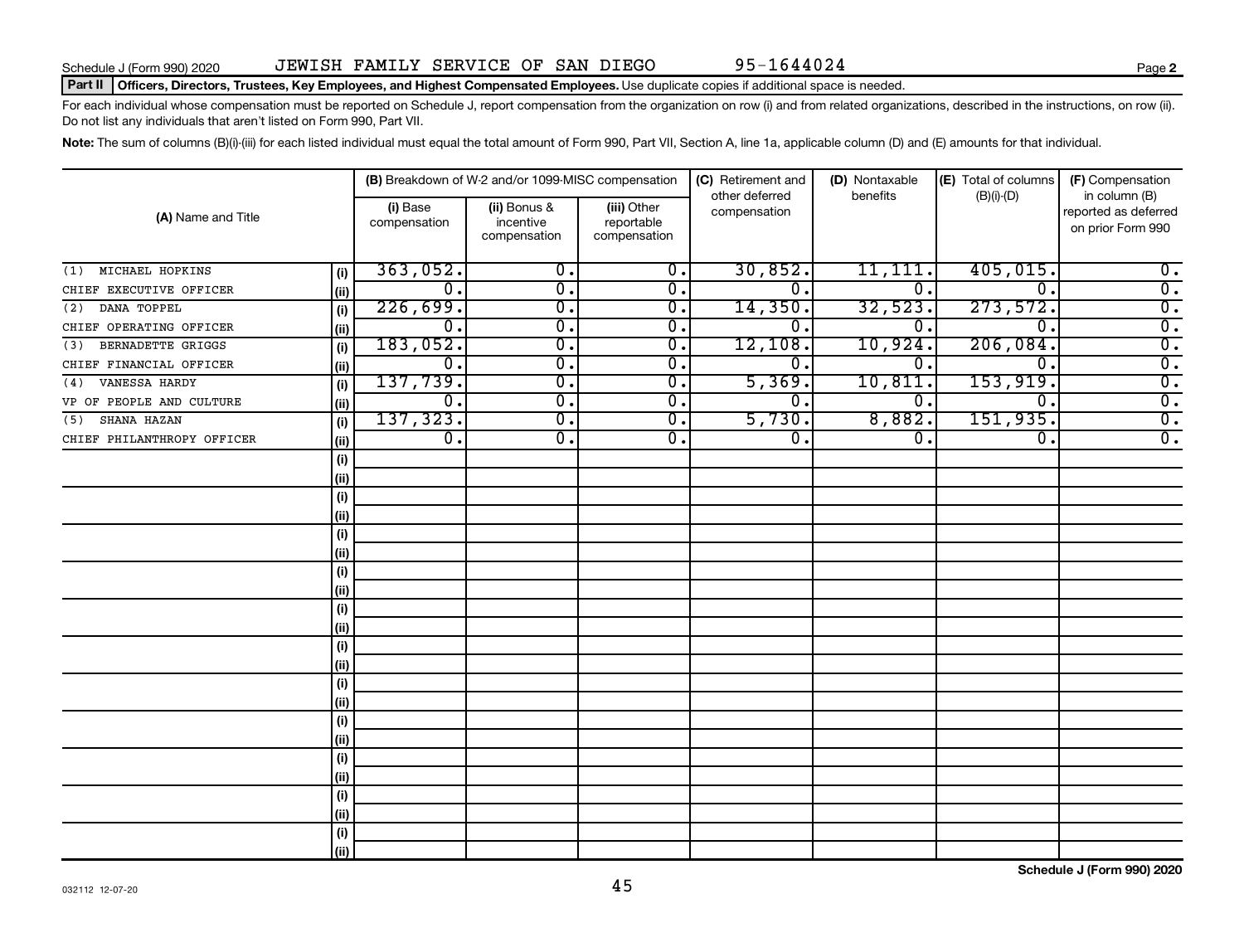### Part II | Officers, Directors, Trustees, Key Employees, and Highest Compensated Employees. Use duplicate copies if additional space is needed.

For each individual whose compensation must be reported on Schedule J, report compensation from the organization on row (i) and from related organizations, described in the instructions, on row (ii). Do not list any individuals that aren't listed on Form 990, Part VII.

Note: The sum of columns (B)(i)-(iii) for each listed individual must equal the total amount of Form 990, Part VII, Section A, line 1a, applicable column (D) and (E) amounts for that individual.

|                                 |      |                          | (B) Breakdown of W-2 and/or 1099-MISC compensation |                                           | (C) Retirement and             | (D) Nontaxable   | (E) Total of columns        | (F) Compensation                                           |  |
|---------------------------------|------|--------------------------|----------------------------------------------------|-------------------------------------------|--------------------------------|------------------|-----------------------------|------------------------------------------------------------|--|
| (A) Name and Title              |      | (i) Base<br>compensation | (ii) Bonus &<br>incentive<br>compensation          | (iii) Other<br>reportable<br>compensation | other deferred<br>compensation | benefits         | $(B)(i)$ - $(D)$            | in column (B)<br>reported as deferred<br>on prior Form 990 |  |
| MICHAEL HOPKINS<br>(1)          | (i)  | 363,052.                 | $\overline{\mathbf{0}}$ .                          | $\overline{0}$ .                          | 30,852.                        | 11,111.          | 405,015.                    | $0$ .                                                      |  |
| CHIEF EXECUTIVE OFFICER         | (ii) | 0.                       | $\overline{0}$ .                                   | $\overline{0}$ .                          | 0.                             | $\overline{0}$ . | $\Omega$ .                  | $\overline{0}$ .                                           |  |
| DANA TOPPEL<br>(2)              | (i)  | 226,699.                 | $\overline{0}$ .                                   | $\overline{0}$ .                          | 14,350                         | 32,523.          | 273,572.                    | $\overline{0}$ .                                           |  |
| CHIEF OPERATING OFFICER         | (ii) | 0.                       | $\overline{0}$ .                                   | $\overline{0}$ .                          | 0                              | 0                | $\Omega$ .                  | $\overline{0}$ .                                           |  |
| <b>BERNADETTE GRIGGS</b><br>(3) | (i)  | 183,052.                 | $\overline{0}$ .                                   | $\overline{0}$ .                          | 12,108                         | 10,924.          | 206,084.                    | $\overline{0}$ .                                           |  |
| CHIEF FINANCIAL OFFICER         | (ii) | 0.                       | $\overline{0}$ .                                   | $\overline{0}$ .                          | 0 <sub>1</sub>                 | 0.               | $\mathbf 0$ .               | $\overline{0}$ .                                           |  |
| VANESSA HARDY<br>(4)            | (i)  | 137,739.                 | $\overline{\mathbf{0}}$ .                          | $\overline{0}$ .                          | 5,369                          | 10,811           | 153,919.                    | $\overline{0}$ .                                           |  |
| VP OF PEOPLE AND CULTURE        | (ii) | 0.                       | 0.                                                 | $\overline{0}$ .                          | 0.                             | 0.               | $\overline{0}$ .            | $\overline{0}$ .                                           |  |
| SHANA HAZAN<br>(5)              | (i)  | 137, 323.                | $\overline{0}$ .                                   | $\overline{0}$ .                          | 5,730.                         | 8,882.           | 151,935.                    | $\overline{0}$ .                                           |  |
| CHIEF PHILANTHROPY OFFICER      | (ii) | $\overline{0}$ .         | $\overline{0}$ .                                   | $\overline{0}$ .                          | $\overline{0}$ .               | $\overline{0}$ . | $\overline{\mathfrak{o}}$ . | $\overline{0}$ .                                           |  |
|                                 | (i)  |                          |                                                    |                                           |                                |                  |                             |                                                            |  |
|                                 | (ii) |                          |                                                    |                                           |                                |                  |                             |                                                            |  |
|                                 | (i)  |                          |                                                    |                                           |                                |                  |                             |                                                            |  |
|                                 | (ii) |                          |                                                    |                                           |                                |                  |                             |                                                            |  |
|                                 | (i)  |                          |                                                    |                                           |                                |                  |                             |                                                            |  |
|                                 | (ii) |                          |                                                    |                                           |                                |                  |                             |                                                            |  |
|                                 | (i)  |                          |                                                    |                                           |                                |                  |                             |                                                            |  |
|                                 | (ii) |                          |                                                    |                                           |                                |                  |                             |                                                            |  |
|                                 | (i)  |                          |                                                    |                                           |                                |                  |                             |                                                            |  |
|                                 | (ii) |                          |                                                    |                                           |                                |                  |                             |                                                            |  |
|                                 | (i)  |                          |                                                    |                                           |                                |                  |                             |                                                            |  |
|                                 | (ii) |                          |                                                    |                                           |                                |                  |                             |                                                            |  |
|                                 | (i)  |                          |                                                    |                                           |                                |                  |                             |                                                            |  |
|                                 | (ii) |                          |                                                    |                                           |                                |                  |                             |                                                            |  |
|                                 | (i)  |                          |                                                    |                                           |                                |                  |                             |                                                            |  |
|                                 | (ii) |                          |                                                    |                                           |                                |                  |                             |                                                            |  |
|                                 | (i)  |                          |                                                    |                                           |                                |                  |                             |                                                            |  |
|                                 | (ii) |                          |                                                    |                                           |                                |                  |                             |                                                            |  |
|                                 | (i)  |                          |                                                    |                                           |                                |                  |                             |                                                            |  |
|                                 | (ii) |                          |                                                    |                                           |                                |                  |                             |                                                            |  |
|                                 | (i)  |                          |                                                    |                                           |                                |                  |                             |                                                            |  |
|                                 | (ii) |                          |                                                    |                                           |                                |                  |                             |                                                            |  |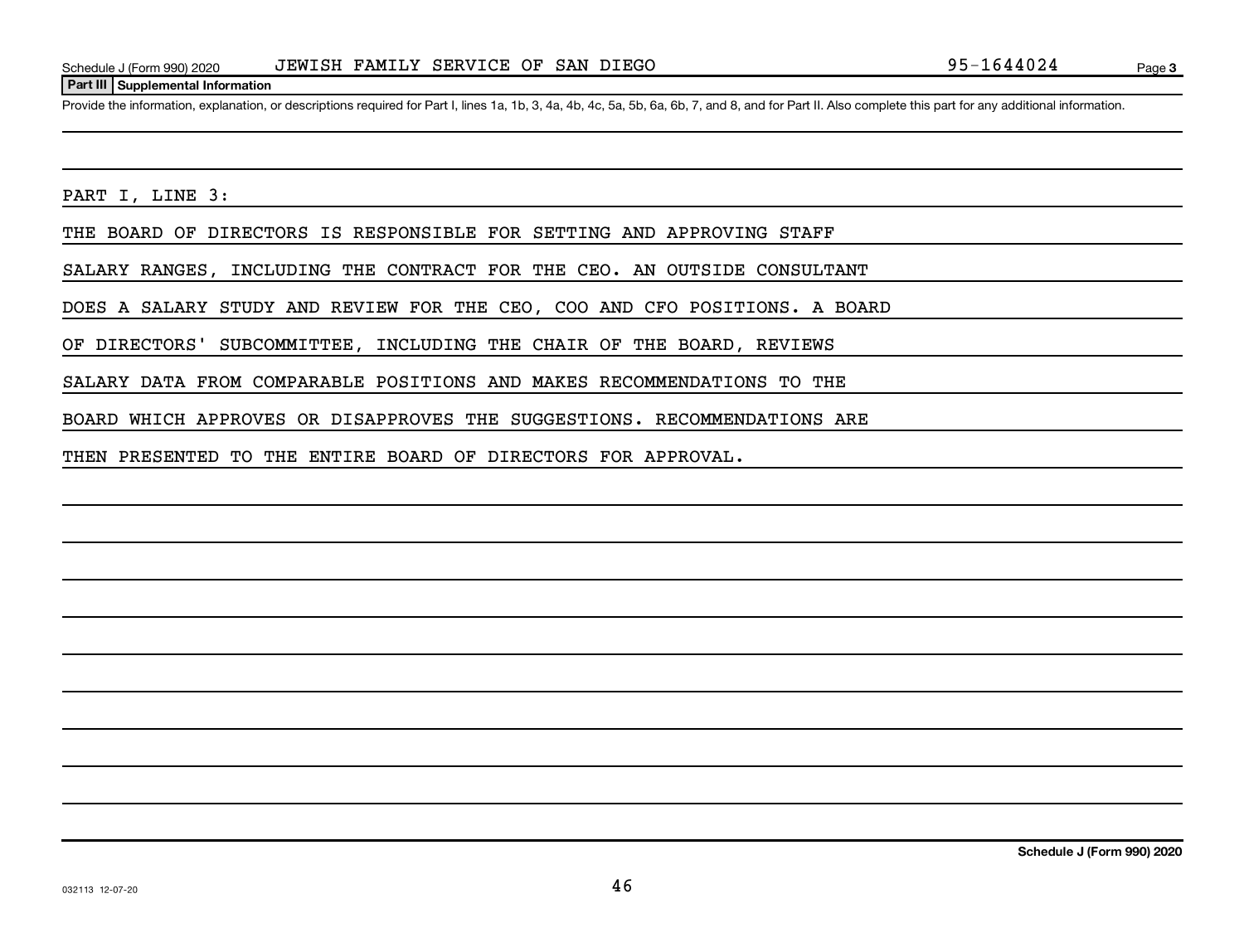### **Part III Supplemental Information**

Provide the information, explanation, or descriptions required for Part I, lines 1a, 1b, 3, 4a, 4b, 4c, 5a, 5b, 6a, 6b, 7, and 8, and for Part II. Also complete this part for any additional information.

PART I, LINE 3:

THE BOARD OF DIRECTORS IS RESPONSIBLE FOR SETTING AND APPROVING STAFF

SALARY RANGES, INCLUDING THE CONTRACT FOR THE CEO. AN OUTSIDE CONSULTANT

DOES A SALARY STUDY AND REVIEW FOR THE CEO, COO AND CFO POSITIONS. A BOARD

OF DIRECTORS' SUBCOMMITTEE, INCLUDING THE CHAIR OF THE BOARD, REVIEWS

SALARY DATA FROM COMPARABLE POSITIONS AND MAKES RECOMMENDATIONS TO THE

BOARD WHICH APPROVES OR DISAPPROVES THE SUGGESTIONS. RECOMMENDATIONS ARE

THEN PRESENTED TO THE ENTIRE BOARD OF DIRECTORS FOR APPROVAL.

**Schedule J (Form 990) 2020**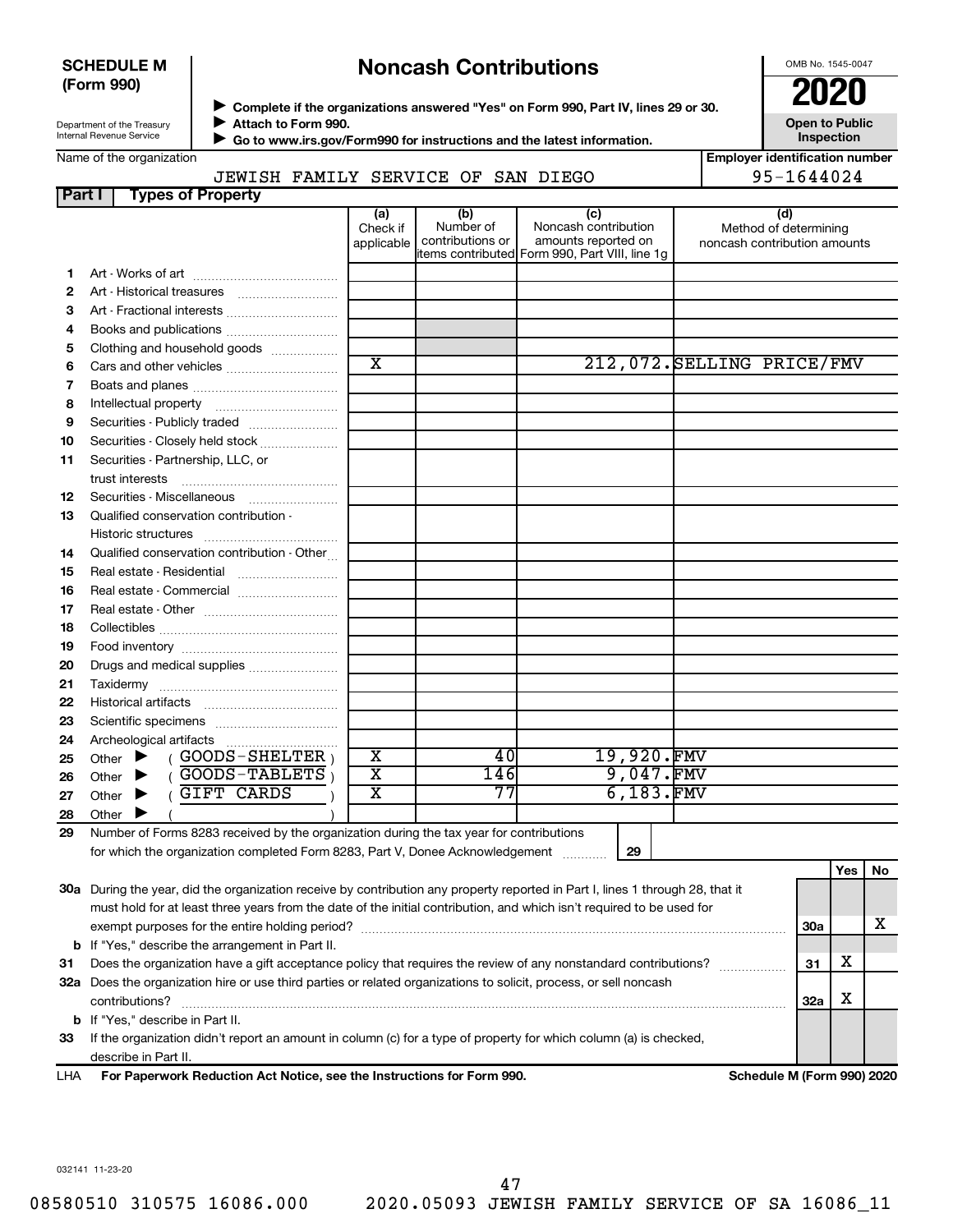### **SCHEDULE M (Form 990)**

### **Noncash Contributions**

OMB No. 1545-0047

| Department of the Treasury      |
|---------------------------------|
| <b>Internal Revenue Service</b> |

◆ Complete if the organizations answered "Yes" on Form 990, Part IV, lines 29 or 30.<br>● Complete if the organizations answered "Yes" on Form 990, Part IV, lines 29 or 30. **Attach to Form 990.**  $\blacktriangleright$ 

 **Go to www.irs.gov/Form990 for instructions and the latest information.** J

**Open to Public Inspection Employer identification number**

|  | Name of the organization |
|--|--------------------------|
|--|--------------------------|

JEWISH FAMILY SERVICE OF SAN DIEGO | 95-1644024

| Part I | <b>Types of Property</b>                                                                                                       |                               |                                      |                                                                                                      |            |                                                              |            |     |    |
|--------|--------------------------------------------------------------------------------------------------------------------------------|-------------------------------|--------------------------------------|------------------------------------------------------------------------------------------------------|------------|--------------------------------------------------------------|------------|-----|----|
|        |                                                                                                                                | (a)<br>Check if<br>applicable | (b)<br>Number of<br>contributions or | (c)<br>Noncash contribution<br>amounts reported on<br>items contributed Form 990, Part VIII, line 1g |            | (d)<br>Method of determining<br>noncash contribution amounts |            |     |    |
|        |                                                                                                                                |                               |                                      |                                                                                                      |            |                                                              |            |     |    |
| 1.     |                                                                                                                                |                               |                                      |                                                                                                      |            |                                                              |            |     |    |
| 2      |                                                                                                                                |                               |                                      |                                                                                                      |            |                                                              |            |     |    |
| 3      | Art - Fractional interests                                                                                                     |                               |                                      |                                                                                                      |            |                                                              |            |     |    |
| 4      |                                                                                                                                |                               |                                      |                                                                                                      |            |                                                              |            |     |    |
| 5      | Clothing and household goods                                                                                                   | $\overline{\texttt{x}}$       |                                      |                                                                                                      |            | 212,072. SELLING PRICE/FMV                                   |            |     |    |
| 6      |                                                                                                                                |                               |                                      |                                                                                                      |            |                                                              |            |     |    |
| 7      |                                                                                                                                |                               |                                      |                                                                                                      |            |                                                              |            |     |    |
| 8      |                                                                                                                                |                               |                                      |                                                                                                      |            |                                                              |            |     |    |
| 9      | Securities - Publicly traded                                                                                                   |                               |                                      |                                                                                                      |            |                                                              |            |     |    |
| 10     | Securities - Closely held stock                                                                                                |                               |                                      |                                                                                                      |            |                                                              |            |     |    |
| 11     | Securities - Partnership, LLC, or<br>trust interests                                                                           |                               |                                      |                                                                                                      |            |                                                              |            |     |    |
| 12     | Securities - Miscellaneous                                                                                                     |                               |                                      |                                                                                                      |            |                                                              |            |     |    |
| 13     | Qualified conservation contribution -                                                                                          |                               |                                      |                                                                                                      |            |                                                              |            |     |    |
|        |                                                                                                                                |                               |                                      |                                                                                                      |            |                                                              |            |     |    |
| 14     | Qualified conservation contribution - Other                                                                                    |                               |                                      |                                                                                                      |            |                                                              |            |     |    |
| 15     | Real estate - Residential                                                                                                      |                               |                                      |                                                                                                      |            |                                                              |            |     |    |
| 16     |                                                                                                                                |                               |                                      |                                                                                                      |            |                                                              |            |     |    |
| 17     |                                                                                                                                |                               |                                      |                                                                                                      |            |                                                              |            |     |    |
| 18     |                                                                                                                                |                               |                                      |                                                                                                      |            |                                                              |            |     |    |
| 19     |                                                                                                                                |                               |                                      |                                                                                                      |            |                                                              |            |     |    |
| 20     | Drugs and medical supplies                                                                                                     |                               |                                      |                                                                                                      |            |                                                              |            |     |    |
| 21     |                                                                                                                                |                               |                                      |                                                                                                      |            |                                                              |            |     |    |
| 22     |                                                                                                                                |                               |                                      |                                                                                                      |            |                                                              |            |     |    |
| 23     |                                                                                                                                |                               |                                      |                                                                                                      |            |                                                              |            |     |    |
| 24     | Archeological artifacts                                                                                                        |                               |                                      |                                                                                                      |            |                                                              |            |     |    |
| 25     | $($ GOODS-SHELTER $)$<br>Other $\blacktriangleright$                                                                           | $\overline{\textbf{x}}$       | 40I                                  |                                                                                                      | 19,920.FMV |                                                              |            |     |    |
| 26     | (GOODS-TABLETS<br>Other $\blacktriangleright$                                                                                  | $\overline{\textbf{x}}$       | 146                                  |                                                                                                      | 9,047.FMV  |                                                              |            |     |    |
| 27     | GIFT CARDS<br>Other $\blacktriangleright$                                                                                      | $\overline{\mathtt{x}}$       | 77                                   |                                                                                                      | 6,183.FMV  |                                                              |            |     |    |
| 28     | Other $\blacktriangleright$                                                                                                    |                               |                                      |                                                                                                      |            |                                                              |            |     |    |
| 29     | Number of Forms 8283 received by the organization during the tax year for contributions                                        |                               |                                      |                                                                                                      |            |                                                              |            |     |    |
|        | for which the organization completed Form 8283, Part V, Donee Acknowledgement                                                  |                               |                                      | 29                                                                                                   |            |                                                              |            |     |    |
|        |                                                                                                                                |                               |                                      |                                                                                                      |            |                                                              |            | Yes | No |
|        | 30a During the year, did the organization receive by contribution any property reported in Part I, lines 1 through 28, that it |                               |                                      |                                                                                                      |            |                                                              |            |     |    |
|        | must hold for at least three years from the date of the initial contribution, and which isn't required to be used for          |                               |                                      |                                                                                                      |            |                                                              |            |     |    |
|        |                                                                                                                                |                               |                                      |                                                                                                      |            |                                                              | <b>30a</b> |     | x  |
|        | <b>b</b> If "Yes," describe the arrangement in Part II.                                                                        |                               |                                      |                                                                                                      |            |                                                              |            |     |    |
| 31     | Does the organization have a gift acceptance policy that requires the review of any nonstandard contributions?                 |                               |                                      |                                                                                                      |            |                                                              | 31         | х   |    |
|        | 32a Does the organization hire or use third parties or related organizations to solicit, process, or sell noncash              |                               |                                      |                                                                                                      |            |                                                              |            |     |    |
|        | contributions?                                                                                                                 |                               |                                      |                                                                                                      |            |                                                              | 32a        | х   |    |
|        | <b>b</b> If "Yes," describe in Part II.                                                                                        |                               |                                      |                                                                                                      |            |                                                              |            |     |    |
| 33     | If the organization didn't report an amount in column (c) for a type of property for which column (a) is checked,              |                               |                                      |                                                                                                      |            |                                                              |            |     |    |
|        | describe in Part II.                                                                                                           |                               |                                      |                                                                                                      |            |                                                              |            |     |    |
| LHA    | For Paperwork Reduction Act Notice, see the Instructions for Form 990.                                                         |                               |                                      |                                                                                                      |            | Schedule M (Form 990) 2020                                   |            |     |    |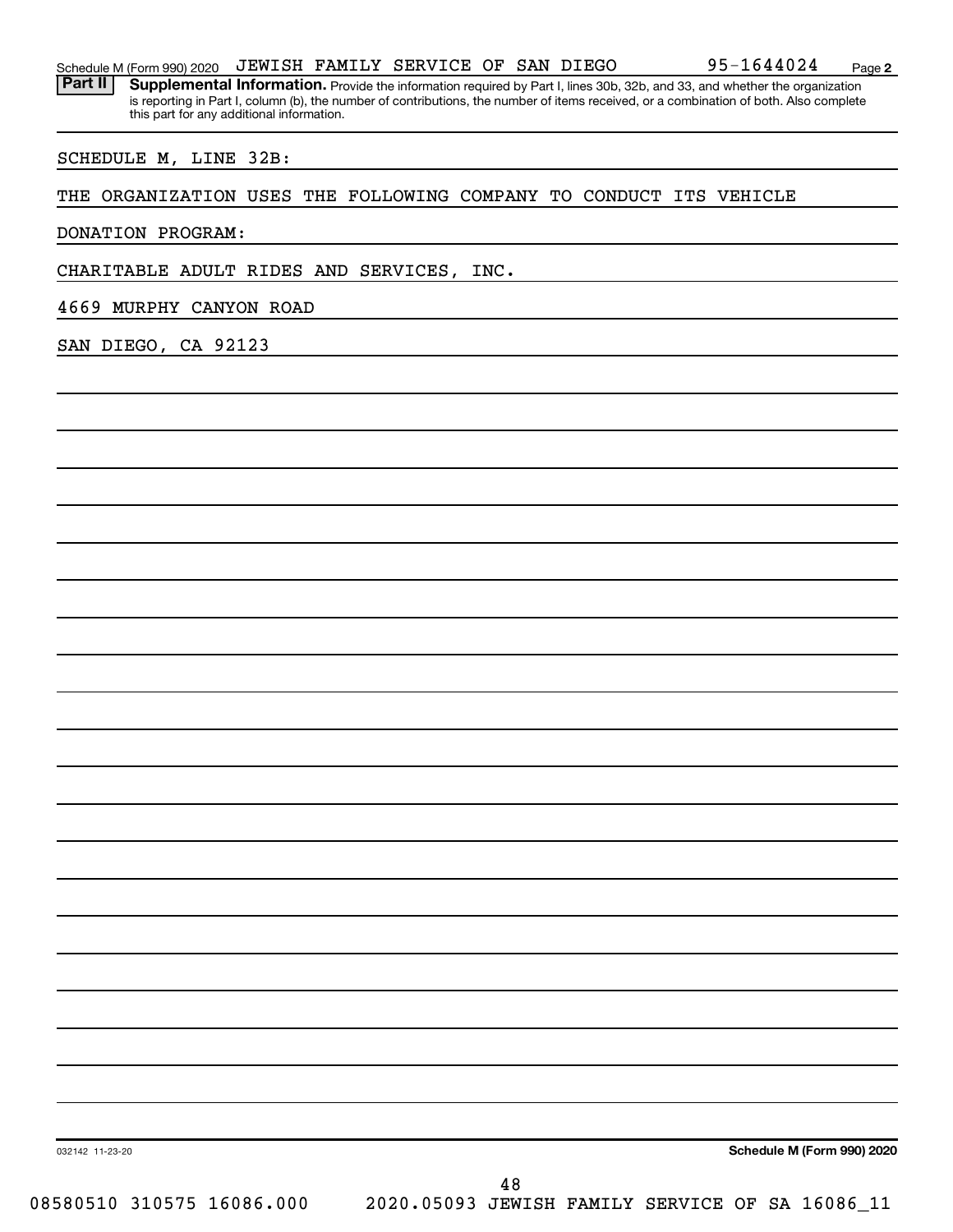Part II | Supplemental Information. Provide the information required by Part I, lines 30b, 32b, and 33, and whether the organization is reporting in Part I, column (b), the number of contributions, the number of items received, or a combination of both. Also complete this part for any additional information.

### SCHEDULE M, LINE 32B:

### THE ORGANIZATION USES THE FOLLOWING COMPANY TO CONDUCT ITS VEHICLE

DONATION PROGRAM:

CHARITABLE ADULT RIDES AND SERVICES, INC.

4669 MURPHY CANYON ROAD

SAN DIEGO, CA 92123

032142 11-23-20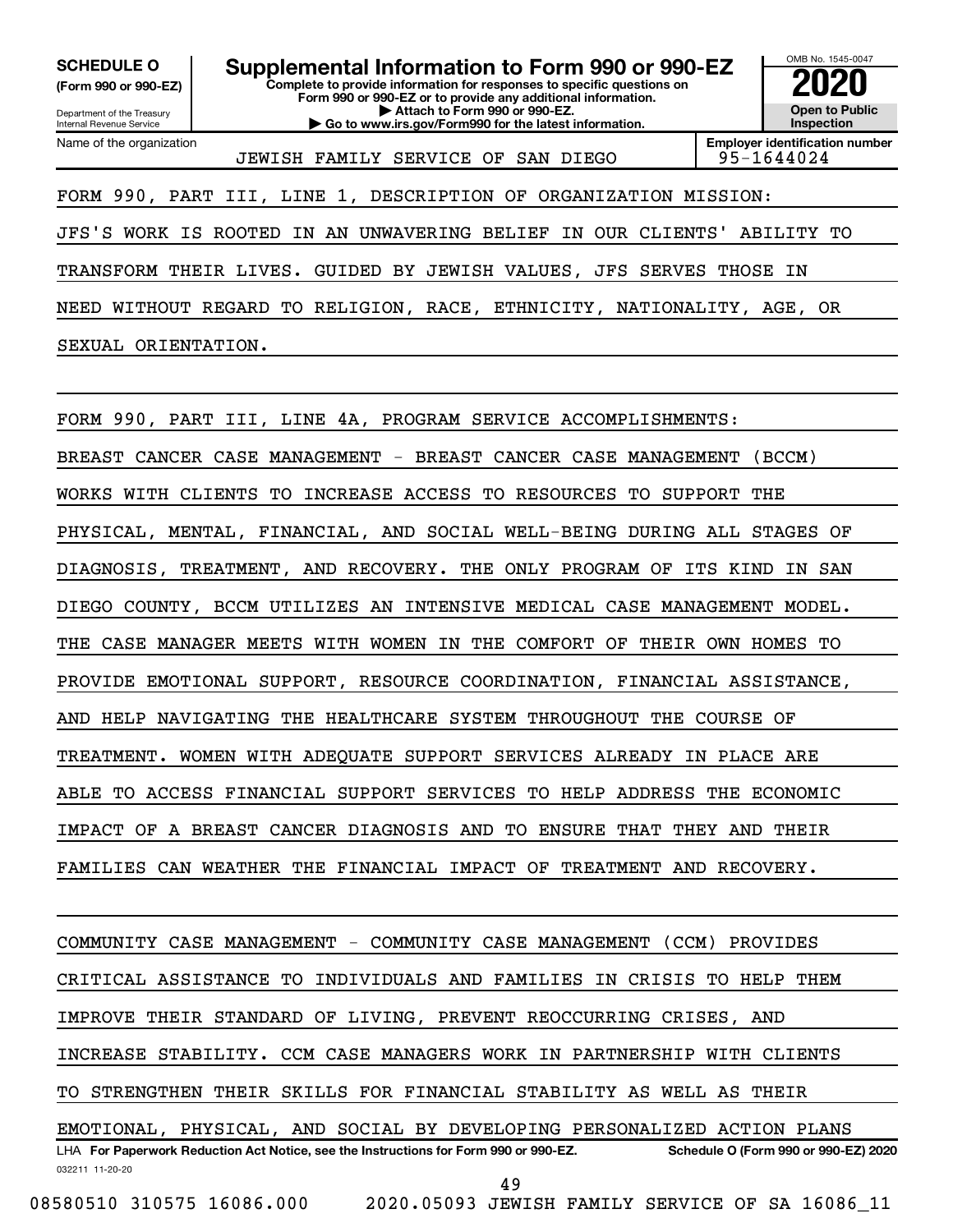**(Form 990 or 990-EZ)**

Department of the Treasury Internal Revenue Service Name of the organization

**Complete to provide information for responses to specific questions on Form 990 or 990-EZ or to provide any additional information. | Attach to Form 990 or 990-EZ. | Go to www.irs.gov/Form990 for the latest information. SCHEDULE O Supplemental Information to Form 990 or 990-EZ 2020**<br>(Form 990 or 990-EZ) Complete to provide information for responses to specific questions on



JEWISH FAMILY SERVICE OF SAN DIEGO 95-1644024

FORM 990, PART III, LINE 1, DESCRIPTION OF ORGANIZATION MISSION:

JFS'S WORK IS ROOTED IN AN UNWAVERING BELIEF IN OUR CLIENTS' ABILITY TO TRANSFORM THEIR LIVES. GUIDED BY JEWISH VALUES, JFS SERVES THOSE IN NEED WITHOUT REGARD TO RELIGION, RACE, ETHNICITY, NATIONALITY, AGE, OR SEXUAL ORIENTATION.

FORM 990, PART III, LINE 4A, PROGRAM SERVICE ACCOMPLISHMENTS: BREAST CANCER CASE MANAGEMENT - BREAST CANCER CASE MANAGEMENT (BCCM) WORKS WITH CLIENTS TO INCREASE ACCESS TO RESOURCES TO SUPPORT THE PHYSICAL, MENTAL, FINANCIAL, AND SOCIAL WELL-BEING DURING ALL STAGES OF DIAGNOSIS, TREATMENT, AND RECOVERY. THE ONLY PROGRAM OF ITS KIND IN SAN DIEGO COUNTY, BCCM UTILIZES AN INTENSIVE MEDICAL CASE MANAGEMENT MODEL. THE CASE MANAGER MEETS WITH WOMEN IN THE COMFORT OF THEIR OWN HOMES TO PROVIDE EMOTIONAL SUPPORT, RESOURCE COORDINATION, FINANCIAL ASSISTANCE, AND HELP NAVIGATING THE HEALTHCARE SYSTEM THROUGHOUT THE COURSE OF TREATMENT. WOMEN WITH ADEQUATE SUPPORT SERVICES ALREADY IN PLACE ARE ABLE TO ACCESS FINANCIAL SUPPORT SERVICES TO HELP ADDRESS THE ECONOMIC IMPACT OF A BREAST CANCER DIAGNOSIS AND TO ENSURE THAT THEY AND THEIR FAMILIES CAN WEATHER THE FINANCIAL IMPACT OF TREATMENT AND RECOVERY.

032211 11-20-20 **For Paperwork Reduction Act Notice, see the Instructions for Form 990 or 990-EZ. Schedule O (Form 990 or 990-EZ) 2020** LHA COMMUNITY CASE MANAGEMENT - COMMUNITY CASE MANAGEMENT (CCM) PROVIDES CRITICAL ASSISTANCE TO INDIVIDUALS AND FAMILIES IN CRISIS TO HELP THEM IMPROVE THEIR STANDARD OF LIVING, PREVENT REOCCURRING CRISES, AND INCREASE STABILITY. CCM CASE MANAGERS WORK IN PARTNERSHIP WITH CLIENTS TO STRENGTHEN THEIR SKILLS FOR FINANCIAL STABILITY AS WELL AS THEIR EMOTIONAL, PHYSICAL, AND SOCIAL BY DEVELOPING PERSONALIZED ACTION PLANS 49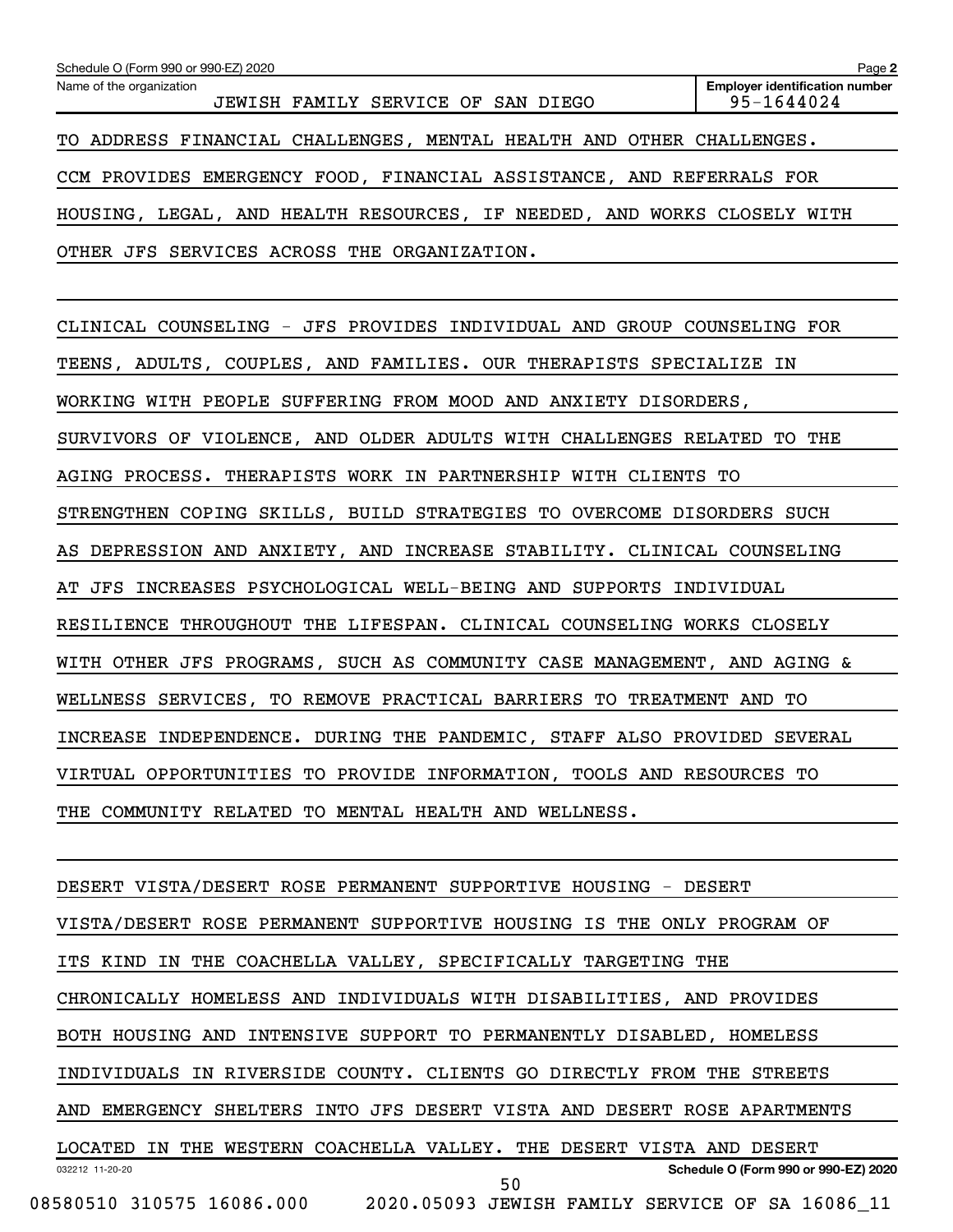| Schedule O (Form 990 or 990-EZ) 2020                                    | Page 2                                              |
|-------------------------------------------------------------------------|-----------------------------------------------------|
| Name of the organization<br>JEWISH FAMILY SERVICE OF SAN DIEGO          | <b>Employer identification number</b><br>95-1644024 |
| TO ADDRESS FINANCIAL CHALLENGES, MENTAL HEALTH AND OTHER CHALLENGES.    |                                                     |
| CCM PROVIDES EMERGENCY FOOD, FINANCIAL ASSISTANCE, AND REFERRALS FOR    |                                                     |
| HOUSING, LEGAL, AND HEALTH RESOURCES, IF NEEDED, AND WORKS CLOSELY WITH |                                                     |
| OTHER JFS SERVICES ACROSS THE ORGANIZATION.                             |                                                     |
|                                                                         |                                                     |
| CLINICAL COUNSELING - JFS PROVIDES INDIVIDUAL AND GROUP COUNSELING FOR  |                                                     |
| TEENS, ADULTS, COUPLES, AND FAMILIES. OUR THERAPISTS SPECIALIZE IN      |                                                     |
| WORKING WITH PEOPLE SUFFERING FROM MOOD AND ANXIETY DISORDERS,          |                                                     |
| SURVIVORS OF VIOLENCE, AND OLDER ADULTS WITH CHALLENGES RELATED TO THE  |                                                     |
| AGING PROCESS. THERAPISTS WORK IN PARTNERSHIP WITH CLIENTS TO           |                                                     |
| STRENGTHEN COPING SKILLS, BUILD STRATEGIES TO OVERCOME DISORDERS SUCH   |                                                     |
| AS DEPRESSION AND ANXIETY, AND INCREASE STABILITY. CLINICAL COUNSELING  |                                                     |
| AT JFS INCREASES PSYCHOLOGICAL WELL-BEING AND SUPPORTS INDIVIDUAL       |                                                     |
| RESILIENCE THROUGHOUT THE LIFESPAN. CLINICAL COUNSELING WORKS CLOSELY   |                                                     |
| WITH OTHER JFS PROGRAMS, SUCH AS COMMUNITY CASE MANAGEMENT, AND AGING & |                                                     |
| WELLNESS SERVICES, TO REMOVE PRACTICAL BARRIERS TO TREATMENT AND TO     |                                                     |
| INCREASE INDEPENDENCE. DURING THE PANDEMIC, STAFF ALSO PROVIDED SEVERAL |                                                     |
| VIRTUAL OPPORTUNITIES TO PROVIDE INFORMATION, TOOLS AND RESOURCES TO    |                                                     |
| THE COMMUNITY RELATED TO MENTAL HEALTH AND WELLNESS.                    |                                                     |

032212 11-20-20 **Schedule O (Form 990 or 990-EZ) 2020** DESERT VISTA/DESERT ROSE PERMANENT SUPPORTIVE HOUSING - DESERT VISTA/DESERT ROSE PERMANENT SUPPORTIVE HOUSING IS THE ONLY PROGRAM OF ITS KIND IN THE COACHELLA VALLEY, SPECIFICALLY TARGETING THE CHRONICALLY HOMELESS AND INDIVIDUALS WITH DISABILITIES, AND PROVIDES BOTH HOUSING AND INTENSIVE SUPPORT TO PERMANENTLY DISABLED, HOMELESS INDIVIDUALS IN RIVERSIDE COUNTY. CLIENTS GO DIRECTLY FROM THE STREETS AND EMERGENCY SHELTERS INTO JFS DESERT VISTA AND DESERT ROSE APARTMENTS LOCATED IN THE WESTERN COACHELLA VALLEY. THE DESERT VISTA AND DESERT 08580510 310575 16086.000 2020.05093 JEWISH FAMILY SERVICE OF SA 16086\_11 50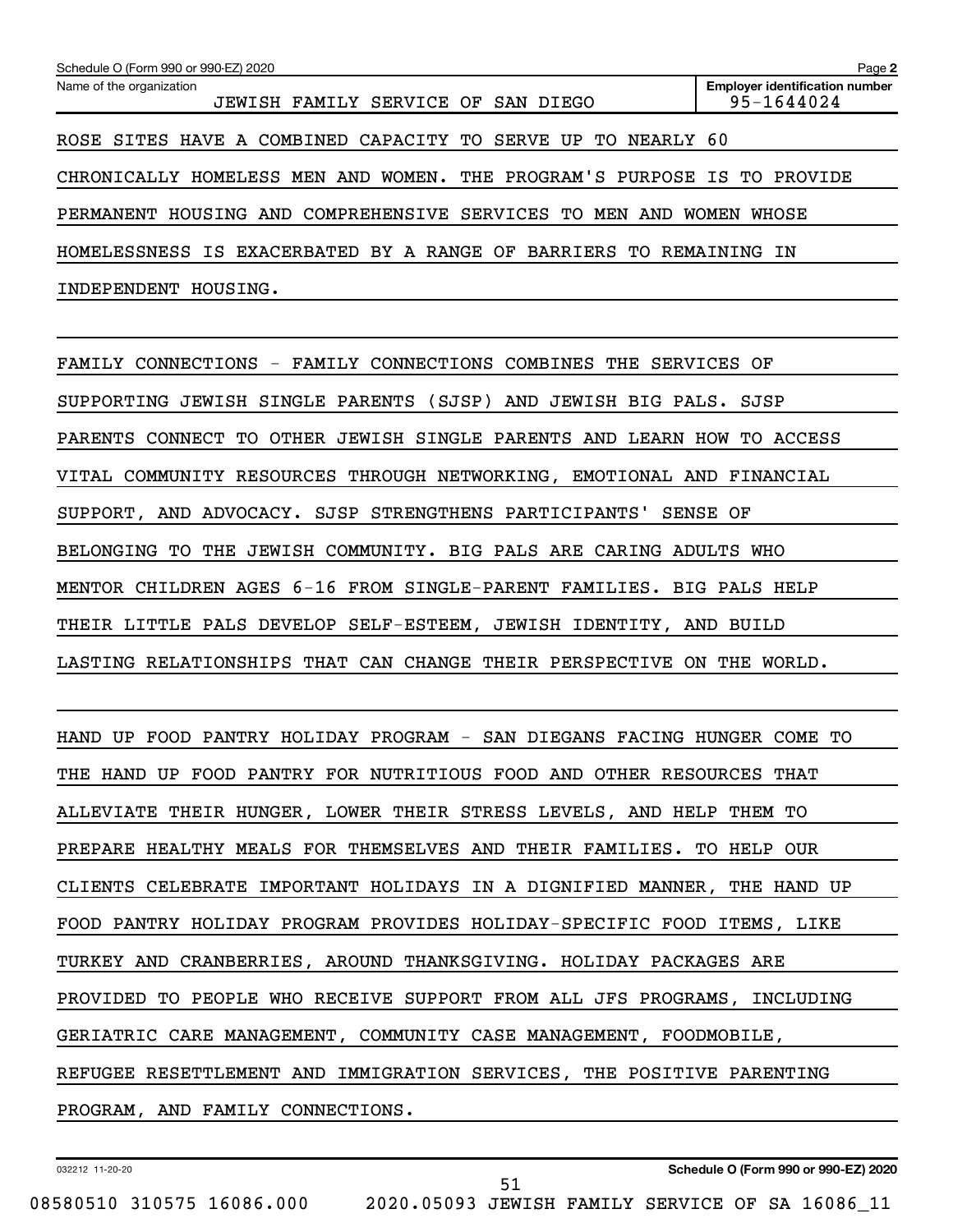| Schedule O (Form 990 or 990-EZ) 2020                                    | Page 2                                              |
|-------------------------------------------------------------------------|-----------------------------------------------------|
| Name of the organization<br>JEWISH FAMILY SERVICE OF<br>SAN DIEGO       | <b>Employer identification number</b><br>95-1644024 |
| SITES HAVE A COMBINED CAPACITY TO SERVE UP TO<br>NEARLY 60<br>ROSE      |                                                     |
| CHRONICALLY HOMELESS MEN AND WOMEN. THE PROGRAM'S PURPOSE IS TO PROVIDE |                                                     |
| HOUSING AND COMPREHENSIVE SERVICES TO<br>MEN AND<br>PERMANENT           | <b>WOMEN</b><br>WHOSE                               |
| HOMELESSNESS IS EXACERBATED BY A RANGE OF BARRIERS TO                   | REMAINING IN                                        |
| HOUSING.<br>INDEPENDENT                                                 |                                                     |

FAMILY CONNECTIONS - FAMILY CONNECTIONS COMBINES THE SERVICES OF SUPPORTING JEWISH SINGLE PARENTS (SJSP) AND JEWISH BIG PALS. SJSP PARENTS CONNECT TO OTHER JEWISH SINGLE PARENTS AND LEARN HOW TO ACCESS VITAL COMMUNITY RESOURCES THROUGH NETWORKING, EMOTIONAL AND FINANCIAL SUPPORT, AND ADVOCACY. SJSP STRENGTHENS PARTICIPANTS' SENSE OF BELONGING TO THE JEWISH COMMUNITY. BIG PALS ARE CARING ADULTS WHO MENTOR CHILDREN AGES 6-16 FROM SINGLE-PARENT FAMILIES. BIG PALS HELP THEIR LITTLE PALS DEVELOP SELF-ESTEEM, JEWISH IDENTITY, AND BUILD LASTING RELATIONSHIPS THAT CAN CHANGE THEIR PERSPECTIVE ON THE WORLD.

HAND UP FOOD PANTRY HOLIDAY PROGRAM - SAN DIEGANS FACING HUNGER COME TO THE HAND UP FOOD PANTRY FOR NUTRITIOUS FOOD AND OTHER RESOURCES THAT ALLEVIATE THEIR HUNGER, LOWER THEIR STRESS LEVELS, AND HELP THEM TO PREPARE HEALTHY MEALS FOR THEMSELVES AND THEIR FAMILIES. TO HELP OUR CLIENTS CELEBRATE IMPORTANT HOLIDAYS IN A DIGNIFIED MANNER, THE HAND UP FOOD PANTRY HOLIDAY PROGRAM PROVIDES HOLIDAY-SPECIFIC FOOD ITEMS, LIKE TURKEY AND CRANBERRIES, AROUND THANKSGIVING. HOLIDAY PACKAGES ARE PROVIDED TO PEOPLE WHO RECEIVE SUPPORT FROM ALL JFS PROGRAMS, INCLUDING GERIATRIC CARE MANAGEMENT, COMMUNITY CASE MANAGEMENT, FOODMOBILE, REFUGEE RESETTLEMENT AND IMMIGRATION SERVICES, THE POSITIVE PARENTING PROGRAM, AND FAMILY CONNECTIONS.

51

032212 11-20-20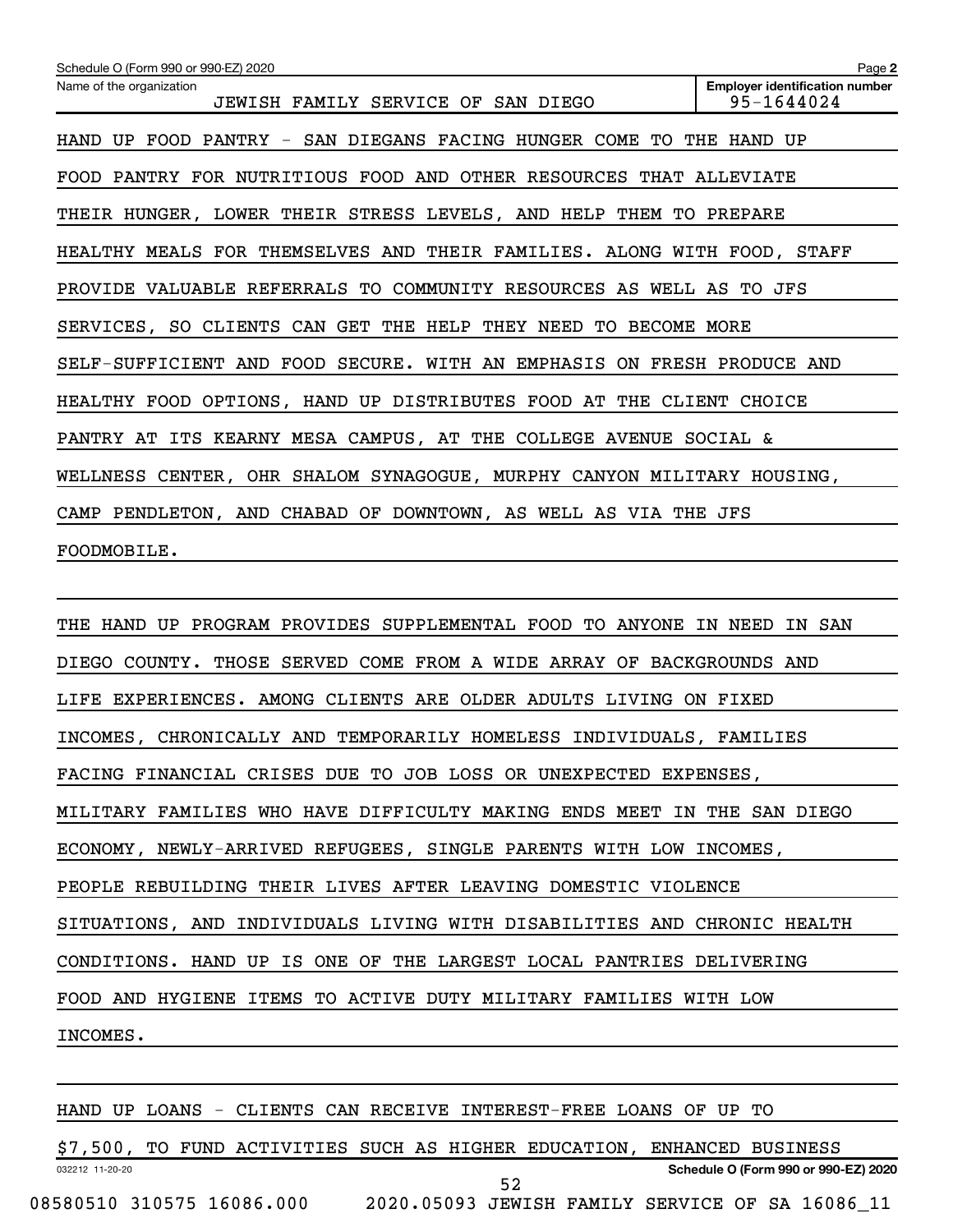| Schedule O (Form 990 or 990-EZ) 2020                                    | Page 2                                              |
|-------------------------------------------------------------------------|-----------------------------------------------------|
| Name of the organization<br>JEWISH FAMILY SERVICE OF SAN DIEGO          | <b>Employer identification number</b><br>95-1644024 |
| HAND UP FOOD PANTRY - SAN DIEGANS FACING HUNGER COME TO THE HAND UP     |                                                     |
| FOOD PANTRY FOR NUTRITIOUS FOOD AND OTHER RESOURCES THAT ALLEVIATE      |                                                     |
| THEIR HUNGER, LOWER THEIR STRESS LEVELS, AND HELP THEM TO PREPARE       |                                                     |
| HEALTHY MEALS FOR THEMSELVES AND THEIR FAMILIES. ALONG WITH FOOD, STAFF |                                                     |
| PROVIDE VALUABLE REFERRALS TO COMMUNITY RESOURCES AS WELL AS TO JFS     |                                                     |
| SERVICES, SO CLIENTS CAN GET THE HELP THEY NEED TO BECOME MORE          |                                                     |
| SELF-SUFFICIENT AND FOOD SECURE. WITH AN EMPHASIS ON FRESH PRODUCE AND  |                                                     |
| HEALTHY FOOD OPTIONS, HAND UP DISTRIBUTES FOOD AT THE CLIENT CHOICE     |                                                     |
| PANTRY AT ITS KEARNY MESA CAMPUS, AT THE COLLEGE AVENUE SOCIAL &        |                                                     |
| WELLNESS CENTER, OHR SHALOM SYNAGOGUE, MURPHY CANYON MILITARY HOUSING,  |                                                     |
| CAMP PENDLETON, AND CHABAD OF DOWNTOWN, AS WELL AS VIA THE JFS          |                                                     |
| FOODMOBILE.                                                             |                                                     |

THE HAND UP PROGRAM PROVIDES SUPPLEMENTAL FOOD TO ANYONE IN NEED IN SAN DIEGO COUNTY. THOSE SERVED COME FROM A WIDE ARRAY OF BACKGROUNDS AND LIFE EXPERIENCES. AMONG CLIENTS ARE OLDER ADULTS LIVING ON FIXED INCOMES, CHRONICALLY AND TEMPORARILY HOMELESS INDIVIDUALS, FAMILIES FACING FINANCIAL CRISES DUE TO JOB LOSS OR UNEXPECTED EXPENSES, MILITARY FAMILIES WHO HAVE DIFFICULTY MAKING ENDS MEET IN THE SAN DIEGO ECONOMY, NEWLY-ARRIVED REFUGEES, SINGLE PARENTS WITH LOW INCOMES, PEOPLE REBUILDING THEIR LIVES AFTER LEAVING DOMESTIC VIOLENCE SITUATIONS, AND INDIVIDUALS LIVING WITH DISABILITIES AND CHRONIC HEALTH CONDITIONS. HAND UP IS ONE OF THE LARGEST LOCAL PANTRIES DELIVERING FOOD AND HYGIENE ITEMS TO ACTIVE DUTY MILITARY FAMILIES WITH LOW INCOMES.

032212 11-20-20 **Schedule O (Form 990 or 990-EZ) 2020** HAND UP LOANS - CLIENTS CAN RECEIVE INTEREST-FREE LOANS OF UP TO \$7,500, TO FUND ACTIVITIES SUCH AS HIGHER EDUCATION, ENHANCED BUSINESS 52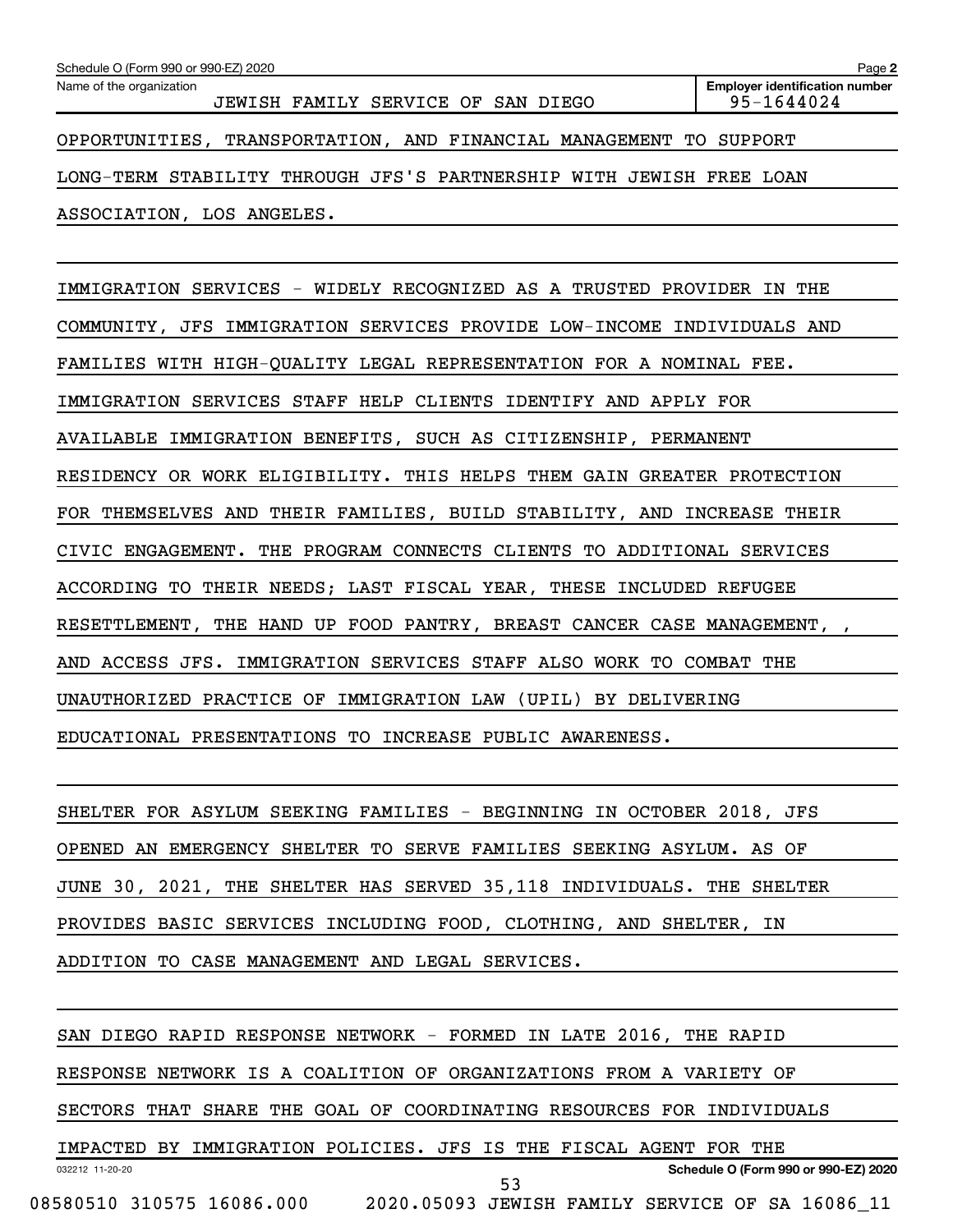| Name of the organization                                            | <b>Employer identification number</b> |
|---------------------------------------------------------------------|---------------------------------------|
| JEWISH FAMILY SERVICE OF SAN DIEGO                                  | 95-1644024                            |
| OPPORTUNITIES, TRANSPORTATION, AND FINANCIAL MANAGEMENT TO SUPPORT  |                                       |
| LONG-TERM STABILITY THROUGH JFS'S PARTNERSHIP WITH JEWISH FREE LOAN |                                       |
| ASSOCIATION, LOS ANGELES.                                           |                                       |

IMMIGRATION SERVICES - WIDELY RECOGNIZED AS A TRUSTED PROVIDER IN THE COMMUNITY, JFS IMMIGRATION SERVICES PROVIDE LOW-INCOME INDIVIDUALS AND FAMILIES WITH HIGH-QUALITY LEGAL REPRESENTATION FOR A NOMINAL FEE. IMMIGRATION SERVICES STAFF HELP CLIENTS IDENTIFY AND APPLY FOR AVAILABLE IMMIGRATION BENEFITS, SUCH AS CITIZENSHIP, PERMANENT RESIDENCY OR WORK ELIGIBILITY. THIS HELPS THEM GAIN GREATER PROTECTION FOR THEMSELVES AND THEIR FAMILIES, BUILD STABILITY, AND INCREASE THEIR CIVIC ENGAGEMENT. THE PROGRAM CONNECTS CLIENTS TO ADDITIONAL SERVICES ACCORDING TO THEIR NEEDS; LAST FISCAL YEAR, THESE INCLUDED REFUGEE RESETTLEMENT, THE HAND UP FOOD PANTRY, BREAST CANCER CASE MANAGEMENT, , AND ACCESS JFS. IMMIGRATION SERVICES STAFF ALSO WORK TO COMBAT THE UNAUTHORIZED PRACTICE OF IMMIGRATION LAW (UPIL) BY DELIVERING EDUCATIONAL PRESENTATIONS TO INCREASE PUBLIC AWARENESS.

SHELTER FOR ASYLUM SEEKING FAMILIES - BEGINNING IN OCTOBER 2018, JFS OPENED AN EMERGENCY SHELTER TO SERVE FAMILIES SEEKING ASYLUM. AS OF JUNE 30, 2021, THE SHELTER HAS SERVED 35,118 INDIVIDUALS. THE SHELTER PROVIDES BASIC SERVICES INCLUDING FOOD, CLOTHING, AND SHELTER, IN ADDITION TO CASE MANAGEMENT AND LEGAL SERVICES.

032212 11-20-20 **Schedule O (Form 990 or 990-EZ) 2020** SAN DIEGO RAPID RESPONSE NETWORK - FORMED IN LATE 2016, THE RAPID RESPONSE NETWORK IS A COALITION OF ORGANIZATIONS FROM A VARIETY OF SECTORS THAT SHARE THE GOAL OF COORDINATING RESOURCES FOR INDIVIDUALS IMPACTED BY IMMIGRATION POLICIES. JFS IS THE FISCAL AGENT FOR THE 08580510 310575 16086.000 2020.05093 JEWISH FAMILY SERVICE OF SA 16086\_11 53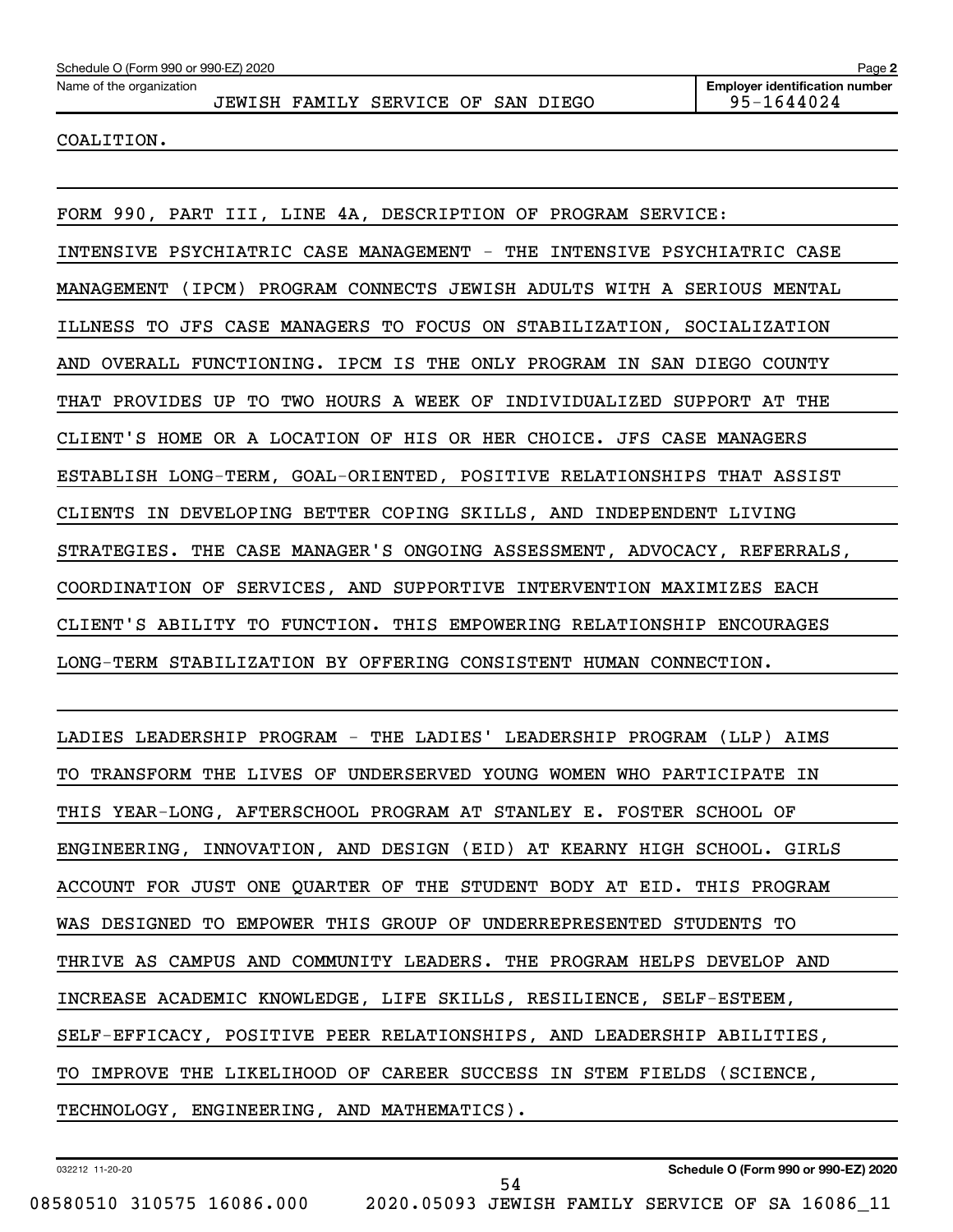COALITION.

FORM 990, PART III, LINE 4A, DESCRIPTION OF PROGRAM SERVICE: INTENSIVE PSYCHIATRIC CASE MANAGEMENT - THE INTENSIVE PSYCHIATRIC CASE MANAGEMENT (IPCM) PROGRAM CONNECTS JEWISH ADULTS WITH A SERIOUS MENTAL ILLNESS TO JFS CASE MANAGERS TO FOCUS ON STABILIZATION, SOCIALIZATION AND OVERALL FUNCTIONING. IPCM IS THE ONLY PROGRAM IN SAN DIEGO COUNTY THAT PROVIDES UP TO TWO HOURS A WEEK OF INDIVIDUALIZED SUPPORT AT THE CLIENT'S HOME OR A LOCATION OF HIS OR HER CHOICE. JFS CASE MANAGERS ESTABLISH LONG-TERM, GOAL-ORIENTED, POSITIVE RELATIONSHIPS THAT ASSIST CLIENTS IN DEVELOPING BETTER COPING SKILLS, AND INDEPENDENT LIVING STRATEGIES. THE CASE MANAGER'S ONGOING ASSESSMENT, ADVOCACY, REFERRALS, COORDINATION OF SERVICES, AND SUPPORTIVE INTERVENTION MAXIMIZES EACH CLIENT'S ABILITY TO FUNCTION. THIS EMPOWERING RELATIONSHIP ENCOURAGES LONG-TERM STABILIZATION BY OFFERING CONSISTENT HUMAN CONNECTION.

LADIES LEADERSHIP PROGRAM - THE LADIES' LEADERSHIP PROGRAM (LLP) AIMS TO TRANSFORM THE LIVES OF UNDERSERVED YOUNG WOMEN WHO PARTICIPATE IN THIS YEAR-LONG, AFTERSCHOOL PROGRAM AT STANLEY E. FOSTER SCHOOL OF ENGINEERING, INNOVATION, AND DESIGN (EID) AT KEARNY HIGH SCHOOL. GIRLS ACCOUNT FOR JUST ONE QUARTER OF THE STUDENT BODY AT EID. THIS PROGRAM WAS DESIGNED TO EMPOWER THIS GROUP OF UNDERREPRESENTED STUDENTS TO THRIVE AS CAMPUS AND COMMUNITY LEADERS. THE PROGRAM HELPS DEVELOP AND INCREASE ACADEMIC KNOWLEDGE, LIFE SKILLS, RESILIENCE, SELF-ESTEEM, SELF-EFFICACY, POSITIVE PEER RELATIONSHIPS, AND LEADERSHIP ABILITIES, TO IMPROVE THE LIKELIHOOD OF CAREER SUCCESS IN STEM FIELDS (SCIENCE, TECHNOLOGY, ENGINEERING, AND MATHEMATICS).

54

032212 11-20-20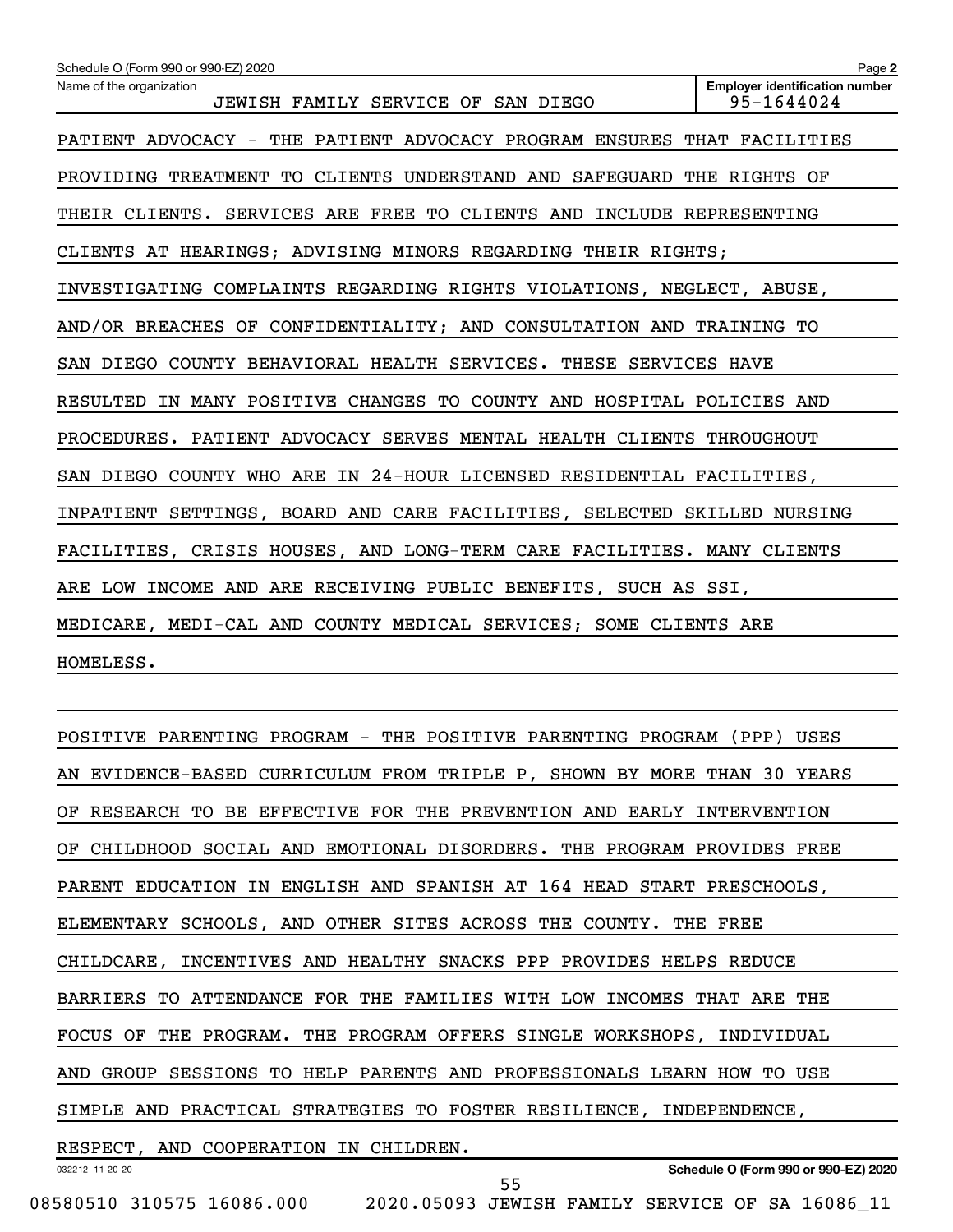| Schedule O (Form 990 or 990-EZ) 2020                                    | Page 2                                              |
|-------------------------------------------------------------------------|-----------------------------------------------------|
| Name of the organization<br>JEWISH FAMILY SERVICE OF SAN DIEGO          | <b>Employer identification number</b><br>95-1644024 |
| PATIENT ADVOCACY - THE PATIENT ADVOCACY PROGRAM ENSURES THAT FACILITIES |                                                     |
| PROVIDING TREATMENT TO CLIENTS UNDERSTAND AND SAFEGUARD THE RIGHTS OF   |                                                     |
| THEIR CLIENTS. SERVICES ARE FREE TO CLIENTS AND INCLUDE REPRESENTING    |                                                     |
| CLIENTS AT HEARINGS; ADVISING MINORS REGARDING THEIR RIGHTS;            |                                                     |
| INVESTIGATING COMPLAINTS REGARDING RIGHTS VIOLATIONS, NEGLECT, ABUSE,   |                                                     |
| AND/OR BREACHES OF CONFIDENTIALITY; AND CONSULTATION AND TRAINING TO    |                                                     |
| SAN DIEGO COUNTY BEHAVIORAL HEALTH SERVICES. THESE SERVICES HAVE        |                                                     |
| RESULTED IN MANY POSITIVE CHANGES TO COUNTY AND HOSPITAL POLICIES AND   |                                                     |
| PROCEDURES. PATIENT ADVOCACY SERVES MENTAL HEALTH CLIENTS THROUGHOUT    |                                                     |
| SAN DIEGO COUNTY WHO ARE IN 24-HOUR LICENSED RESIDENTIAL FACILITIES,    |                                                     |
| INPATIENT SETTINGS, BOARD AND CARE FACILITIES, SELECTED SKILLED NURSING |                                                     |
| FACILITIES, CRISIS HOUSES, AND LONG-TERM CARE FACILITIES. MANY CLIENTS  |                                                     |
| ARE LOW INCOME AND ARE RECEIVING PUBLIC BENEFITS, SUCH AS SSI,          |                                                     |
| MEDICARE, MEDI-CAL AND COUNTY MEDICAL SERVICES; SOME CLIENTS ARE        |                                                     |
| HOMELESS.                                                               |                                                     |

| POSITIVE PARENTING PROGRAM - THE POSITIVE PARENTING PROGRAM (PPP) USES  |
|-------------------------------------------------------------------------|
| AN EVIDENCE-BASED CURRICULUM FROM TRIPLE P, SHOWN BY MORE THAN 30 YEARS |
| OF RESEARCH TO BE EFFECTIVE FOR THE PREVENTION AND EARLY INTERVENTION   |
| OF CHILDHOOD SOCIAL AND EMOTIONAL DISORDERS. THE PROGRAM PROVIDES FREE  |
| PARENT EDUCATION IN ENGLISH AND SPANISH AT 164 HEAD START PRESCHOOLS,   |
| ELEMENTARY SCHOOLS, AND OTHER SITES ACROSS THE COUNTY. THE FREE         |
| CHILDCARE, INCENTIVES AND HEALTHY SNACKS PPP PROVIDES HELPS REDUCE      |
| BARRIERS TO ATTENDANCE FOR THE FAMILIES WITH LOW INCOMES THAT ARE THE   |
| FOCUS OF THE PROGRAM. THE PROGRAM OFFERS SINGLE WORKSHOPS, INDIVIDUAL   |
| AND GROUP SESSIONS TO HELP PARENTS AND PROFESSIONALS LEARN HOW TO USE   |
| SIMPLE AND PRACTICAL STRATEGIES TO FOSTER RESILIENCE, INDEPENDENCE,     |
| RESPECT, AND COOPERATION IN CHILDREN.                                   |
| Schedule O (Form 990 or 990-EZ) 2020<br>032212 11-20-20<br>ᄄ            |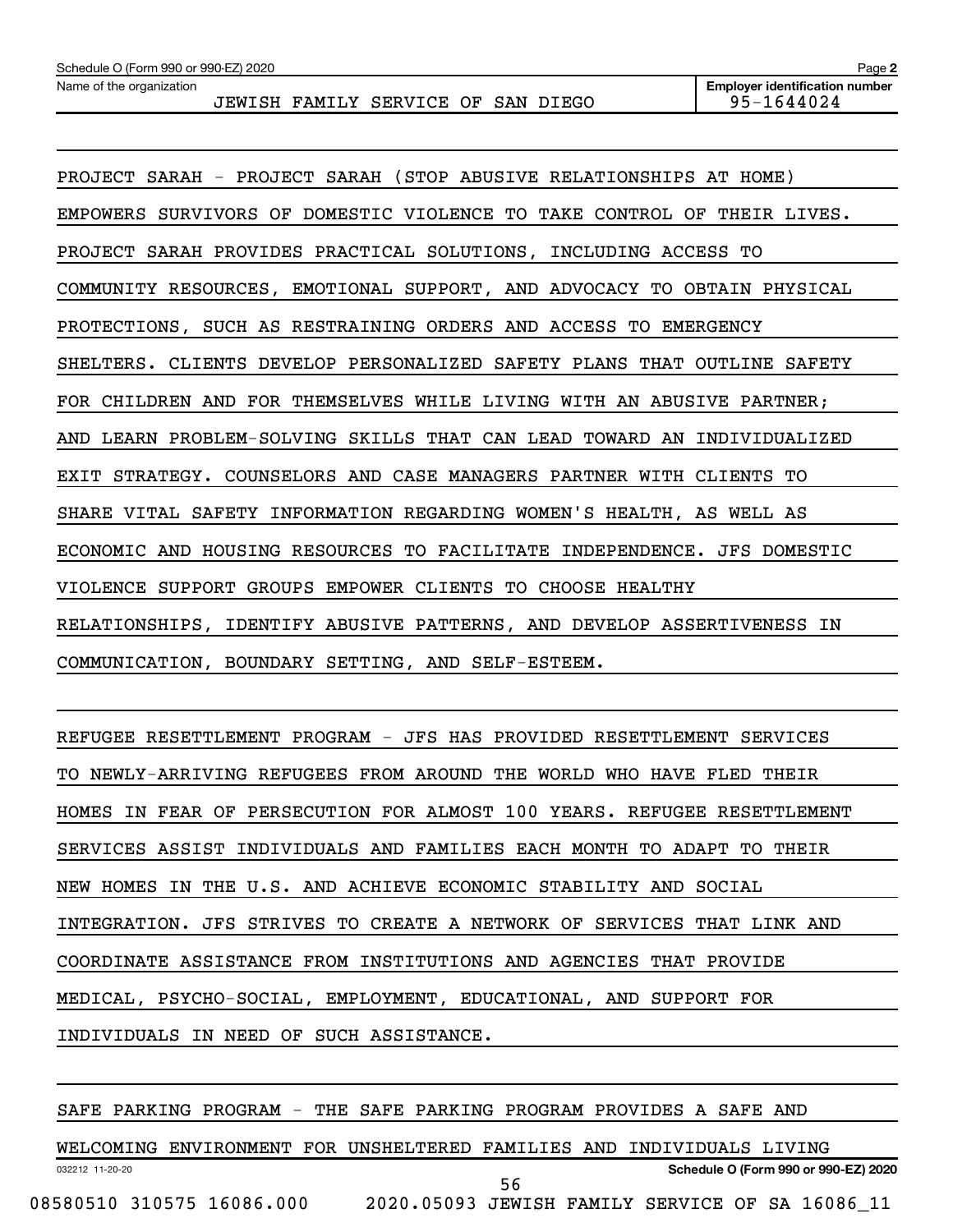Name of the organization

**Employer identification number**

| PROJECT SARAH - PROJECT SARAH (STOP ABUSIVE RELATIONSHIPS AT HOME)      |
|-------------------------------------------------------------------------|
| EMPOWERS SURVIVORS OF DOMESTIC VIOLENCE TO TAKE CONTROL OF THEIR LIVES. |
| PROJECT SARAH PROVIDES PRACTICAL SOLUTIONS, INCLUDING ACCESS TO         |
| COMMUNITY RESOURCES, EMOTIONAL SUPPORT, AND ADVOCACY TO OBTAIN PHYSICAL |
| PROTECTIONS, SUCH AS RESTRAINING ORDERS AND ACCESS TO EMERGENCY         |
| SHELTERS. CLIENTS DEVELOP PERSONALIZED SAFETY PLANS THAT OUTLINE SAFETY |
| FOR CHILDREN AND FOR THEMSELVES WHILE LIVING WITH AN ABUSIVE PARTNER;   |
| AND LEARN PROBLEM-SOLVING SKILLS THAT CAN LEAD TOWARD AN INDIVIDUALIZED |
| EXIT STRATEGY. COUNSELORS AND CASE MANAGERS PARTNER WITH CLIENTS TO     |
| SHARE VITAL SAFETY INFORMATION REGARDING WOMEN'S HEALTH, AS WELL AS     |
| ECONOMIC AND HOUSING RESOURCES TO FACILITATE INDEPENDENCE. JFS DOMESTIC |
| VIOLENCE SUPPORT GROUPS EMPOWER CLIENTS TO CHOOSE HEALTHY               |
| RELATIONSHIPS, IDENTIFY ABUSIVE PATTERNS, AND DEVELOP ASSERTIVENESS IN  |
| COMMUNICATION, BOUNDARY SETTING, AND SELF-ESTEEM.                       |

REFUGEE RESETTLEMENT PROGRAM - JFS HAS PROVIDED RESETTLEMENT SERVICES TO NEWLY-ARRIVING REFUGEES FROM AROUND THE WORLD WHO HAVE FLED THEIR HOMES IN FEAR OF PERSECUTION FOR ALMOST 100 YEARS. REFUGEE RESETTLEMENT SERVICES ASSIST INDIVIDUALS AND FAMILIES EACH MONTH TO ADAPT TO THEIR NEW HOMES IN THE U.S. AND ACHIEVE ECONOMIC STABILITY AND SOCIAL INTEGRATION. JFS STRIVES TO CREATE A NETWORK OF SERVICES THAT LINK AND COORDINATE ASSISTANCE FROM INSTITUTIONS AND AGENCIES THAT PROVIDE MEDICAL, PSYCHO-SOCIAL, EMPLOYMENT, EDUCATIONAL, AND SUPPORT FOR INDIVIDUALS IN NEED OF SUCH ASSISTANCE.

SAFE PARKING PROGRAM - THE SAFE PARKING PROGRAM PROVIDES A SAFE AND

032212 11-20-20 **Schedule O (Form 990 or 990-EZ) 2020** WELCOMING ENVIRONMENT FOR UNSHELTERED FAMILIES AND INDIVIDUALS LIVING 08580510 310575 16086.000 2020.05093 JEWISH FAMILY SERVICE OF SA 16086\_11 56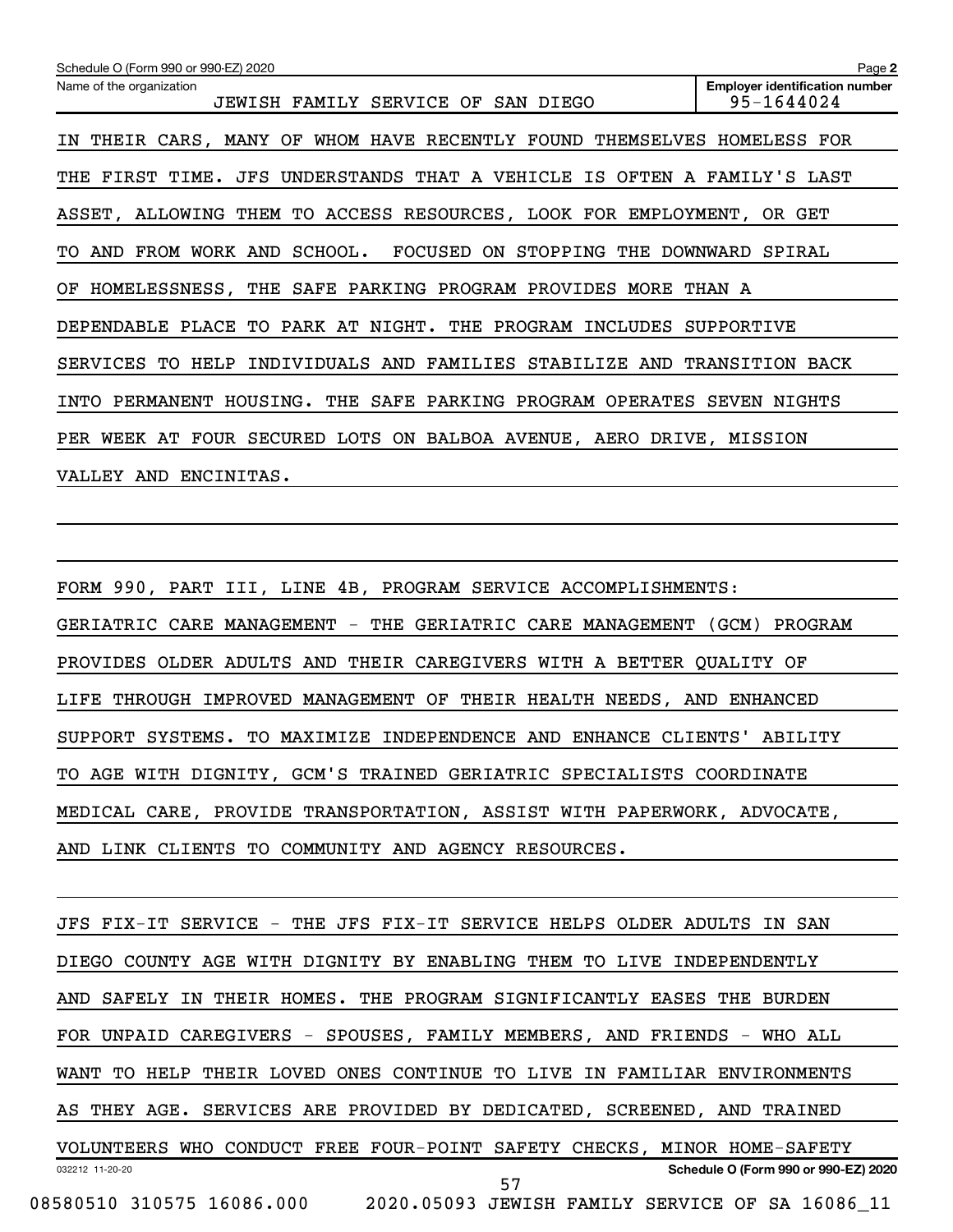| Schedule O (Form 990 or 990-EZ) 2020                                    | Page 2                                              |
|-------------------------------------------------------------------------|-----------------------------------------------------|
| Name of the organization<br>JEWISH FAMILY SERVICE OF SAN DIEGO          | <b>Employer identification number</b><br>95-1644024 |
| IN THEIR CARS, MANY OF WHOM HAVE RECENTLY FOUND THEMSELVES HOMELESS FOR |                                                     |
| THE FIRST TIME. JFS UNDERSTANDS THAT A VEHICLE IS OFTEN A FAMILY'S LAST |                                                     |
| ASSET, ALLOWING THEM TO ACCESS RESOURCES, LOOK FOR EMPLOYMENT, OR GET   |                                                     |
| TO AND FROM WORK AND SCHOOL. FOCUSED<br>ON STOPPING<br>THE              | DOWNWARD SPIRAL                                     |
| OF HOMELESSNESS, THE SAFE PARKING PROGRAM PROVIDES MORE                 | THAN A                                              |
| DEPENDABLE PLACE TO PARK AT NIGHT. THE PROGRAM INCLUDES SUPPORTIVE      |                                                     |
| SERVICES TO HELP INDIVIDUALS AND FAMILIES STABILIZE AND TRANSITION BACK |                                                     |
| THE SAFE PARKING PROGRAM OPERATES<br>INTO PERMANENT HOUSING.            | SEVEN<br>NIGHTS                                     |
| PER WEEK AT FOUR SECURED LOTS ON BALBOA AVENUE, AERO DRIVE, MISSION     |                                                     |
| VALLEY AND ENCINITAS.                                                   |                                                     |

FORM 990, PART III, LINE 4B, PROGRAM SERVICE ACCOMPLISHMENTS: GERIATRIC CARE MANAGEMENT - THE GERIATRIC CARE MANAGEMENT (GCM) PROGRAM PROVIDES OLDER ADULTS AND THEIR CAREGIVERS WITH A BETTER QUALITY OF LIFE THROUGH IMPROVED MANAGEMENT OF THEIR HEALTH NEEDS, AND ENHANCED SUPPORT SYSTEMS. TO MAXIMIZE INDEPENDENCE AND ENHANCE CLIENTS' ABILITY TO AGE WITH DIGNITY, GCM'S TRAINED GERIATRIC SPECIALISTS COORDINATE MEDICAL CARE, PROVIDE TRANSPORTATION, ASSIST WITH PAPERWORK, ADVOCATE, AND LINK CLIENTS TO COMMUNITY AND AGENCY RESOURCES.

032212 11-20-20 **Schedule O (Form 990 or 990-EZ) 2020** JFS FIX-IT SERVICE - THE JFS FIX-IT SERVICE HELPS OLDER ADULTS IN SAN DIEGO COUNTY AGE WITH DIGNITY BY ENABLING THEM TO LIVE INDEPENDENTLY AND SAFELY IN THEIR HOMES. THE PROGRAM SIGNIFICANTLY EASES THE BURDEN FOR UNPAID CAREGIVERS - SPOUSES, FAMILY MEMBERS, AND FRIENDS - WHO ALL WANT TO HELP THEIR LOVED ONES CONTINUE TO LIVE IN FAMILIAR ENVIRONMENTS AS THEY AGE. SERVICES ARE PROVIDED BY DEDICATED, SCREENED, AND TRAINED VOLUNTEERS WHO CONDUCT FREE FOUR-POINT SAFETY CHECKS, MINOR HOME-SAFETY 08580510 310575 16086.000 2020.05093 JEWISH FAMILY SERVICE OF SA 16086\_11 57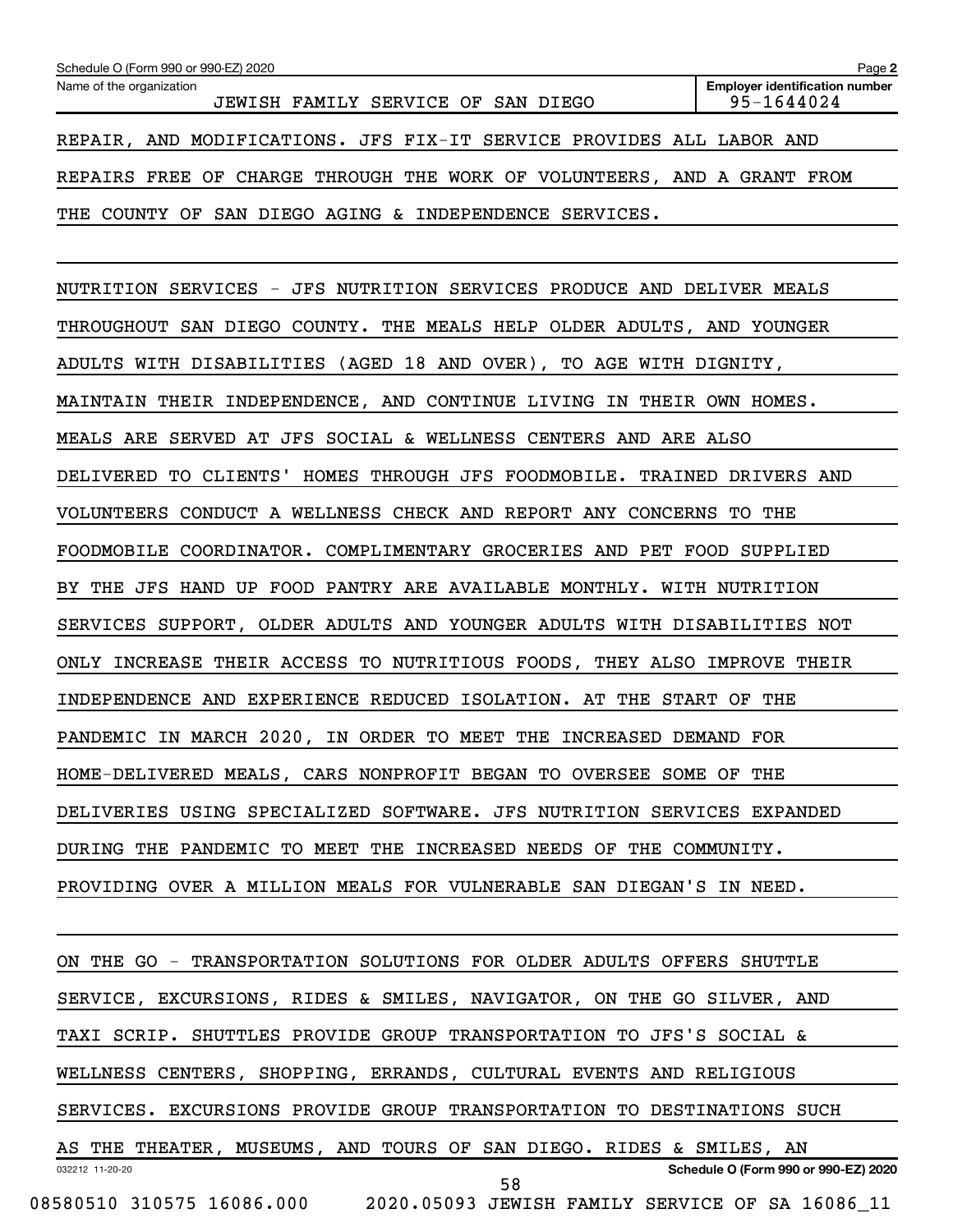| Schedule O (Form 990 or 990-EZ) 2020                                    | Page 2                                              |
|-------------------------------------------------------------------------|-----------------------------------------------------|
| Name of the organization<br>JEWISH FAMILY SERVICE OF SAN DIEGO          | <b>Employer identification number</b><br>95-1644024 |
| REPAIR, AND MODIFICATIONS. JFS FIX-IT SERVICE PROVIDES ALL LABOR AND    |                                                     |
| REPAIRS FREE OF CHARGE THROUGH THE WORK OF VOLUNTEERS, AND A GRANT FROM |                                                     |
| SAN DIEGO AGING & INDEPENDENCE SERVICES.<br>THE COUNTY OF               |                                                     |

NUTRITION SERVICES - JFS NUTRITION SERVICES PRODUCE AND DELIVER MEALS THROUGHOUT SAN DIEGO COUNTY. THE MEALS HELP OLDER ADULTS, AND YOUNGER ADULTS WITH DISABILITIES (AGED 18 AND OVER), TO AGE WITH DIGNITY, MAINTAIN THEIR INDEPENDENCE, AND CONTINUE LIVING IN THEIR OWN HOMES. MEALS ARE SERVED AT JFS SOCIAL & WELLNESS CENTERS AND ARE ALSO DELIVERED TO CLIENTS' HOMES THROUGH JFS FOODMOBILE. TRAINED DRIVERS AND VOLUNTEERS CONDUCT A WELLNESS CHECK AND REPORT ANY CONCERNS TO THE FOODMOBILE COORDINATOR. COMPLIMENTARY GROCERIES AND PET FOOD SUPPLIED BY THE JFS HAND UP FOOD PANTRY ARE AVAILABLE MONTHLY. WITH NUTRITION SERVICES SUPPORT, OLDER ADULTS AND YOUNGER ADULTS WITH DISABILITIES NOT ONLY INCREASE THEIR ACCESS TO NUTRITIOUS FOODS, THEY ALSO IMPROVE THEIR INDEPENDENCE AND EXPERIENCE REDUCED ISOLATION. AT THE START OF THE PANDEMIC IN MARCH 2020, IN ORDER TO MEET THE INCREASED DEMAND FOR HOME-DELIVERED MEALS, CARS NONPROFIT BEGAN TO OVERSEE SOME OF THE DELIVERIES USING SPECIALIZED SOFTWARE. JFS NUTRITION SERVICES EXPANDED DURING THE PANDEMIC TO MEET THE INCREASED NEEDS OF THE COMMUNITY. PROVIDING OVER A MILLION MEALS FOR VULNERABLE SAN DIEGAN'S IN NEED.

032212 11-20-20 **Schedule O (Form 990 or 990-EZ) 2020** ON THE GO - TRANSPORTATION SOLUTIONS FOR OLDER ADULTS OFFERS SHUTTLE SERVICE, EXCURSIONS, RIDES & SMILES, NAVIGATOR, ON THE GO SILVER, AND TAXI SCRIP. SHUTTLES PROVIDE GROUP TRANSPORTATION TO JFS'S SOCIAL & WELLNESS CENTERS, SHOPPING, ERRANDS, CULTURAL EVENTS AND RELIGIOUS SERVICES. EXCURSIONS PROVIDE GROUP TRANSPORTATION TO DESTINATIONS SUCH AS THE THEATER, MUSEUMS, AND TOURS OF SAN DIEGO. RIDES & SMILES, AN 08580510 310575 16086.000 2020.05093 JEWISH FAMILY SERVICE OF SA 16086\_11 58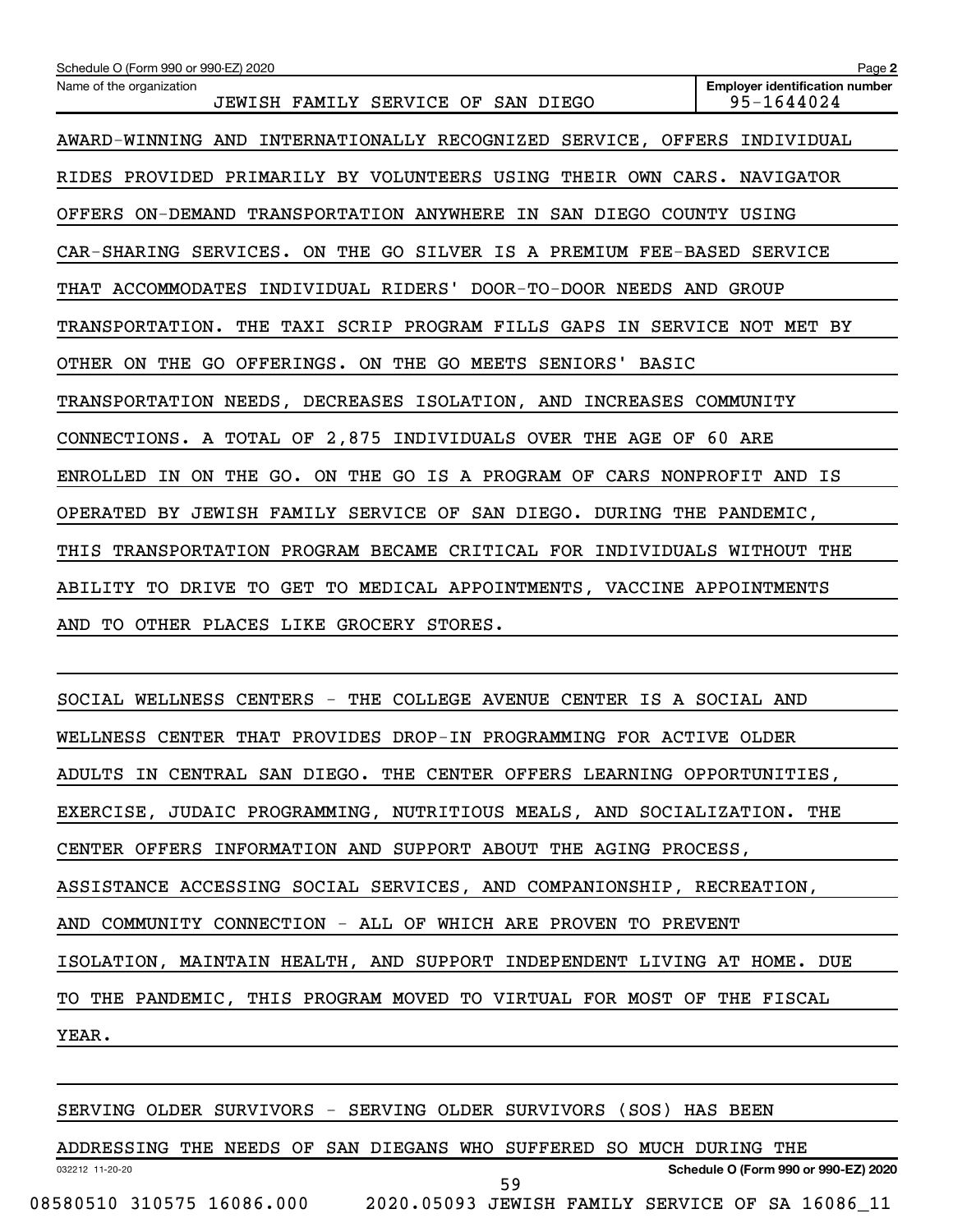| Schedule O (Form 990 or 990-EZ) 2020                                       | Page 2                                              |
|----------------------------------------------------------------------------|-----------------------------------------------------|
| Name of the organization<br>JEWISH FAMILY SERVICE OF SAN DIEGO             | <b>Employer identification number</b><br>95-1644024 |
| AWARD-WINNING AND<br>INTERNATIONALLY RECOGNIZED SERVICE, OFFERS INDIVIDUAL |                                                     |
| RIDES PROVIDED PRIMARILY BY VOLUNTEERS USING THEIR OWN CARS. NAVIGATOR     |                                                     |
| OFFERS ON-DEMAND TRANSPORTATION ANYWHERE IN SAN DIEGO COUNTY USING         |                                                     |
| CAR-SHARING SERVICES. ON THE GO SILVER IS A PREMIUM FEE-BASED SERVICE      |                                                     |
| THAT ACCOMMODATES INDIVIDUAL RIDERS' DOOR-TO-DOOR NEEDS AND                | GROUP                                               |
| TRANSPORTATION. THE TAXI SCRIP PROGRAM FILLS GAPS IN SERVICE NOT MET BY    |                                                     |
| OTHER ON THE GO OFFERINGS. ON THE GO MEETS SENIORS'<br><b>BASIC</b>        |                                                     |
| TRANSPORTATION NEEDS, DECREASES ISOLATION, AND INCREASES COMMUNITY         |                                                     |
| CONNECTIONS. A TOTAL OF 2,875 INDIVIDUALS OVER THE AGE OF                  | 60 ARE                                              |
| ENROLLED IN ON THE GO. ON THE GO IS A PROGRAM OF CARS NONPROFIT AND IS     |                                                     |
| OPERATED BY JEWISH FAMILY SERVICE OF SAN DIEGO. DURING THE PANDEMIC,       |                                                     |
| THIS TRANSPORTATION PROGRAM BECAME CRITICAL FOR INDIVIDUALS WITHOUT THE    |                                                     |
| ABILITY TO DRIVE TO GET TO MEDICAL APPOINTMENTS, VACCINE APPOINTMENTS      |                                                     |
| TO OTHER PLACES LIKE GROCERY STORES.<br>AND                                |                                                     |

SOCIAL WELLNESS CENTERS - THE COLLEGE AVENUE CENTER IS A SOCIAL AND WELLNESS CENTER THAT PROVIDES DROP-IN PROGRAMMING FOR ACTIVE OLDER ADULTS IN CENTRAL SAN DIEGO. THE CENTER OFFERS LEARNING OPPORTUNITIES, EXERCISE, JUDAIC PROGRAMMING, NUTRITIOUS MEALS, AND SOCIALIZATION. THE CENTER OFFERS INFORMATION AND SUPPORT ABOUT THE AGING PROCESS, ASSISTANCE ACCESSING SOCIAL SERVICES, AND COMPANIONSHIP, RECREATION, AND COMMUNITY CONNECTION - ALL OF WHICH ARE PROVEN TO PREVENT ISOLATION, MAINTAIN HEALTH, AND SUPPORT INDEPENDENT LIVING AT HOME. DUE TO THE PANDEMIC, THIS PROGRAM MOVED TO VIRTUAL FOR MOST OF THE FISCAL YEAR.

SERVING OLDER SURVIVORS - SERVING OLDER SURVIVORS (SOS) HAS BEEN

032212 11-20-20 **Schedule O (Form 990 or 990-EZ) 2020** ADDRESSING THE NEEDS OF SAN DIEGANS WHO SUFFERED SO MUCH DURING THE 08580510 310575 16086.000 2020.05093 JEWISH FAMILY SERVICE OF SA 16086\_11 59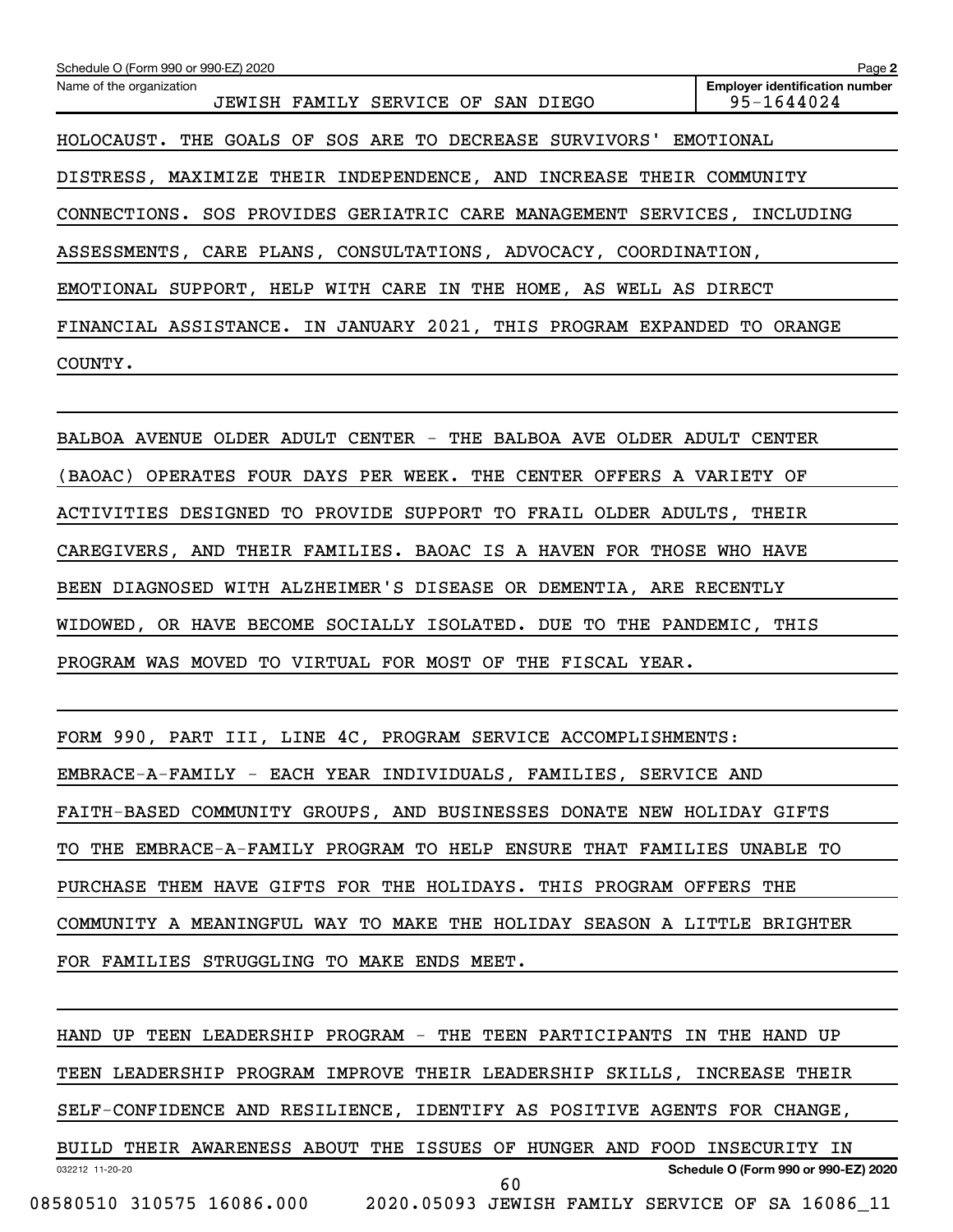| Schedule O (Form 990 or 990-EZ) 2020                                    | Page 2                                              |
|-------------------------------------------------------------------------|-----------------------------------------------------|
| Name of the organization<br>JEWISH FAMILY SERVICE OF SAN DIEGO          | <b>Employer identification number</b><br>95-1644024 |
| HOLOCAUST. THE GOALS OF SOS ARE TO DECREASE SURVIVORS' EMOTIONAL        |                                                     |
| DISTRESS, MAXIMIZE THEIR INDEPENDENCE, AND INCREASE THEIR COMMUNITY     |                                                     |
| CONNECTIONS. SOS PROVIDES GERIATRIC CARE MANAGEMENT SERVICES, INCLUDING |                                                     |
| ASSESSMENTS, CARE PLANS, CONSULTATIONS, ADVOCACY, COORDINATION,         |                                                     |
| EMOTIONAL SUPPORT, HELP WITH CARE IN THE HOME, AS WELL AS DIRECT        |                                                     |
| FINANCIAL ASSISTANCE. IN JANUARY 2021, THIS PROGRAM EXPANDED TO ORANGE  |                                                     |
| COUNTY.                                                                 |                                                     |

BALBOA AVENUE OLDER ADULT CENTER - THE BALBOA AVE OLDER ADULT CENTER (BAOAC) OPERATES FOUR DAYS PER WEEK. THE CENTER OFFERS A VARIETY OF ACTIVITIES DESIGNED TO PROVIDE SUPPORT TO FRAIL OLDER ADULTS, THEIR CAREGIVERS, AND THEIR FAMILIES. BAOAC IS A HAVEN FOR THOSE WHO HAVE BEEN DIAGNOSED WITH ALZHEIMER'S DISEASE OR DEMENTIA, ARE RECENTLY WIDOWED, OR HAVE BECOME SOCIALLY ISOLATED. DUE TO THE PANDEMIC, THIS PROGRAM WAS MOVED TO VIRTUAL FOR MOST OF THE FISCAL YEAR.

FORM 990, PART III, LINE 4C, PROGRAM SERVICE ACCOMPLISHMENTS: EMBRACE-A-FAMILY - EACH YEAR INDIVIDUALS, FAMILIES, SERVICE AND FAITH-BASED COMMUNITY GROUPS, AND BUSINESSES DONATE NEW HOLIDAY GIFTS TO THE EMBRACE-A-FAMILY PROGRAM TO HELP ENSURE THAT FAMILIES UNABLE TO PURCHASE THEM HAVE GIFTS FOR THE HOLIDAYS. THIS PROGRAM OFFERS THE COMMUNITY A MEANINGFUL WAY TO MAKE THE HOLIDAY SEASON A LITTLE BRIGHTER FOR FAMILIES STRUGGLING TO MAKE ENDS MEET.

032212 11-20-20 **Schedule O (Form 990 or 990-EZ) 2020** HAND UP TEEN LEADERSHIP PROGRAM - THE TEEN PARTICIPANTS IN THE HAND UP TEEN LEADERSHIP PROGRAM IMPROVE THEIR LEADERSHIP SKILLS, INCREASE THEIR SELF-CONFIDENCE AND RESILIENCE, IDENTIFY AS POSITIVE AGENTS FOR CHANGE, BUILD THEIR AWARENESS ABOUT THE ISSUES OF HUNGER AND FOOD INSECURITY IN 08580510 310575 16086.000 2020.05093 JEWISH FAMILY SERVICE OF SA 16086\_11 60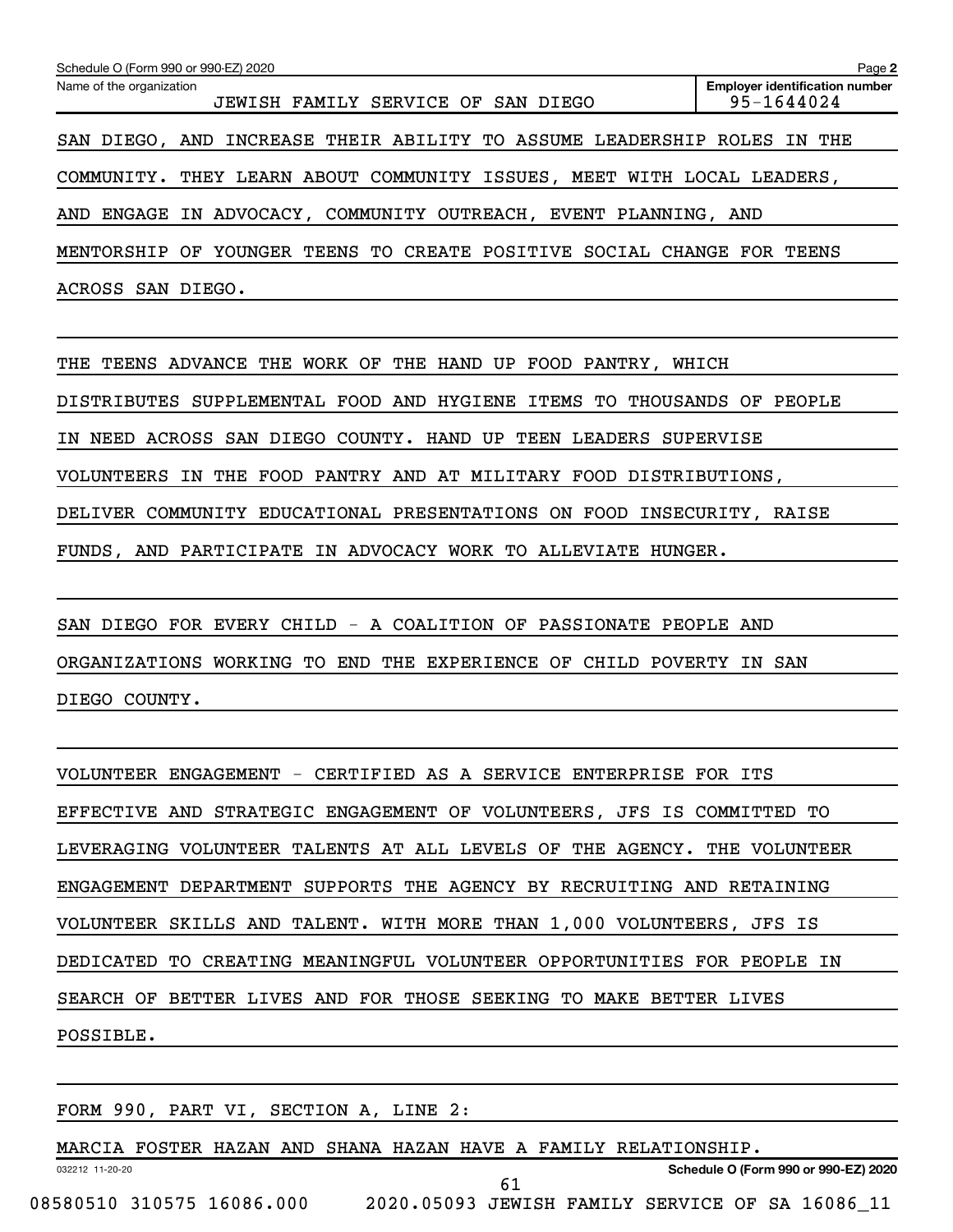| Schedule O (Form 990 or 990-EZ) 2020                                   | Page 2                                              |
|------------------------------------------------------------------------|-----------------------------------------------------|
| Name of the organization<br>JEWISH FAMILY SERVICE OF SAN DIEGO         | <b>Employer identification number</b><br>95-1644024 |
| SAN DIEGO, AND INCREASE THEIR ABILITY TO ASSUME LEADERSHIP ROLES IN    | THE                                                 |
| COMMUNITY. THEY LEARN ABOUT COMMUNITY ISSUES, MEET WITH LOCAL LEADERS, |                                                     |
| ENGAGE IN ADVOCACY, COMMUNITY OUTREACH, EVENT PLANNING, AND<br>AND     |                                                     |
| YOUNGER TEENS TO CREATE POSITIVE SOCIAL CHANGE FOR<br>MENTORSHIP<br>OF | TEENS                                               |
| ACROSS SAN DIEGO.                                                      |                                                     |

THE TEENS ADVANCE THE WORK OF THE HAND UP FOOD PANTRY, WHICH DISTRIBUTES SUPPLEMENTAL FOOD AND HYGIENE ITEMS TO THOUSANDS OF PEOPLE IN NEED ACROSS SAN DIEGO COUNTY. HAND UP TEEN LEADERS SUPERVISE VOLUNTEERS IN THE FOOD PANTRY AND AT MILITARY FOOD DISTRIBUTIONS, DELIVER COMMUNITY EDUCATIONAL PRESENTATIONS ON FOOD INSECURITY, RAISE FUNDS, AND PARTICIPATE IN ADVOCACY WORK TO ALLEVIATE HUNGER.

SAN DIEGO FOR EVERY CHILD - A COALITION OF PASSIONATE PEOPLE AND ORGANIZATIONS WORKING TO END THE EXPERIENCE OF CHILD POVERTY IN SAN DIEGO COUNTY.

VOLUNTEER ENGAGEMENT - CERTIFIED AS A SERVICE ENTERPRISE FOR ITS EFFECTIVE AND STRATEGIC ENGAGEMENT OF VOLUNTEERS, JFS IS COMMITTED TO LEVERAGING VOLUNTEER TALENTS AT ALL LEVELS OF THE AGENCY. THE VOLUNTEER ENGAGEMENT DEPARTMENT SUPPORTS THE AGENCY BY RECRUITING AND RETAINING VOLUNTEER SKILLS AND TALENT. WITH MORE THAN 1,000 VOLUNTEERS, JFS IS DEDICATED TO CREATING MEANINGFUL VOLUNTEER OPPORTUNITIES FOR PEOPLE IN SEARCH OF BETTER LIVES AND FOR THOSE SEEKING TO MAKE BETTER LIVES POSSIBLE.

FORM 990, PART VI, SECTION A, LINE 2:

032212 11-20-20 **Schedule O (Form 990 or 990-EZ) 2020** MARCIA FOSTER HAZAN AND SHANA HAZAN HAVE A FAMILY RELATIONSHIP. 08580510 310575 16086.000 2020.05093 JEWISH FAMILY SERVICE OF SA 16086\_11 61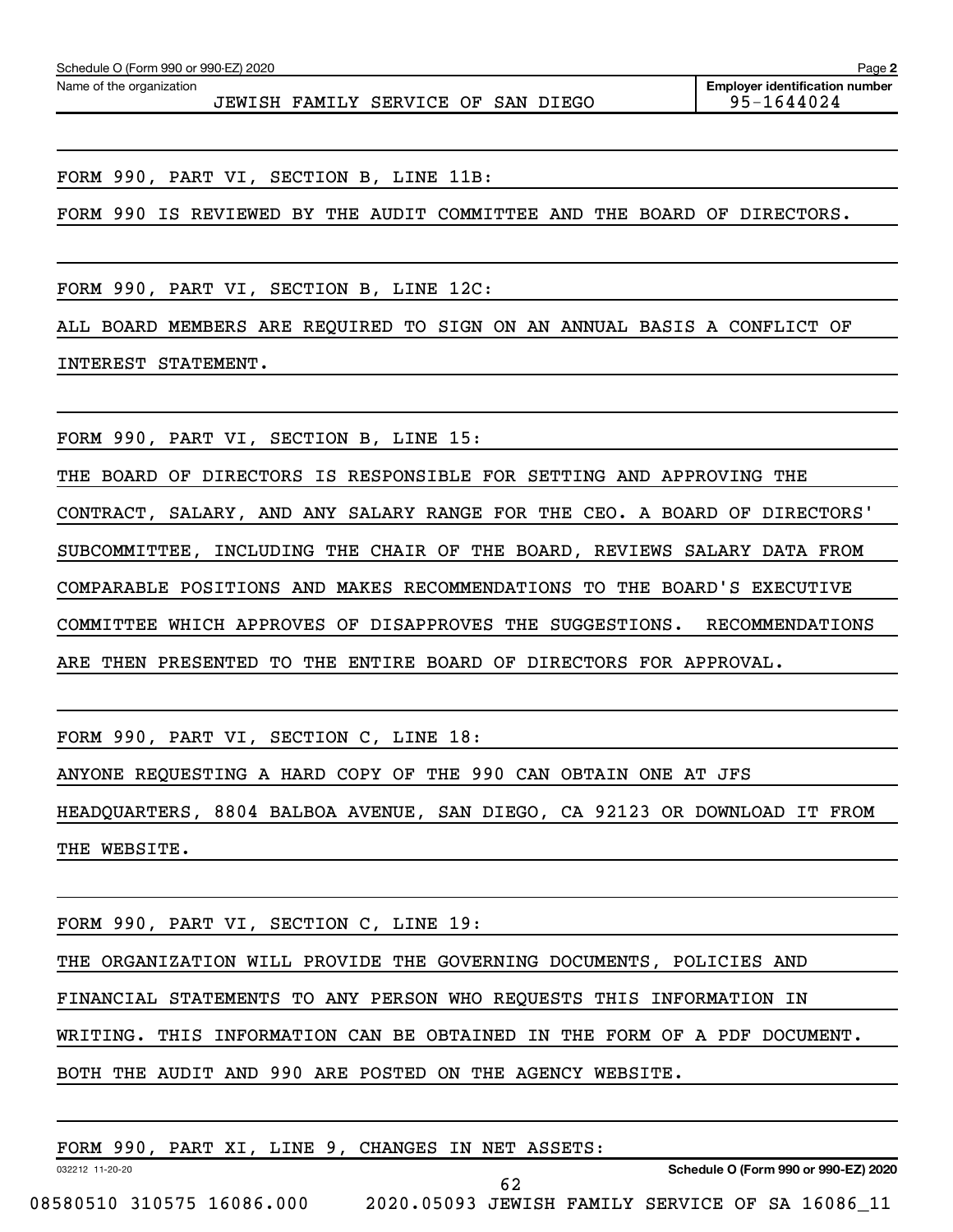Name of the organization

JEWISH FAMILY SERVICE OF SAN DIEGO 95-1644024

FORM 990, PART VI, SECTION B, LINE 11B:

FORM 990 IS REVIEWED BY THE AUDIT COMMITTEE AND THE BOARD OF DIRECTORS.

FORM 990, PART VI, SECTION B, LINE 12C:

ALL BOARD MEMBERS ARE REQUIRED TO SIGN ON AN ANNUAL BASIS A CONFLICT OF

INTEREST STATEMENT.

FORM 990, PART VI, SECTION B, LINE 15:

THE BOARD OF DIRECTORS IS RESPONSIBLE FOR SETTING AND APPROVING THE

CONTRACT, SALARY, AND ANY SALARY RANGE FOR THE CEO. A BOARD OF DIRECTORS'

SUBCOMMITTEE, INCLUDING THE CHAIR OF THE BOARD, REVIEWS SALARY DATA FROM

COMPARABLE POSITIONS AND MAKES RECOMMENDATIONS TO THE BOARD'S EXECUTIVE

COMMITTEE WHICH APPROVES OF DISAPPROVES THE SUGGESTIONS. RECOMMENDATIONS

ARE THEN PRESENTED TO THE ENTIRE BOARD OF DIRECTORS FOR APPROVAL.

FORM 990, PART VI, SECTION C, LINE 18:

ANYONE REQUESTING A HARD COPY OF THE 990 CAN OBTAIN ONE AT JFS

HEADQUARTERS, 8804 BALBOA AVENUE, SAN DIEGO, CA 92123 OR DOWNLOAD IT FROM THE WEBSITE.

FORM 990, PART VI, SECTION C, LINE 19:

THE ORGANIZATION WILL PROVIDE THE GOVERNING DOCUMENTS, POLICIES AND

FINANCIAL STATEMENTS TO ANY PERSON WHO REQUESTS THIS INFORMATION IN

WRITING. THIS INFORMATION CAN BE OBTAINED IN THE FORM OF A PDF DOCUMENT.

BOTH THE AUDIT AND 990 ARE POSTED ON THE AGENCY WEBSITE.

032212 11-20-20 **Schedule O (Form 990 or 990-EZ) 2020** FORM 990, PART XI, LINE 9, CHANGES IN NET ASSETS: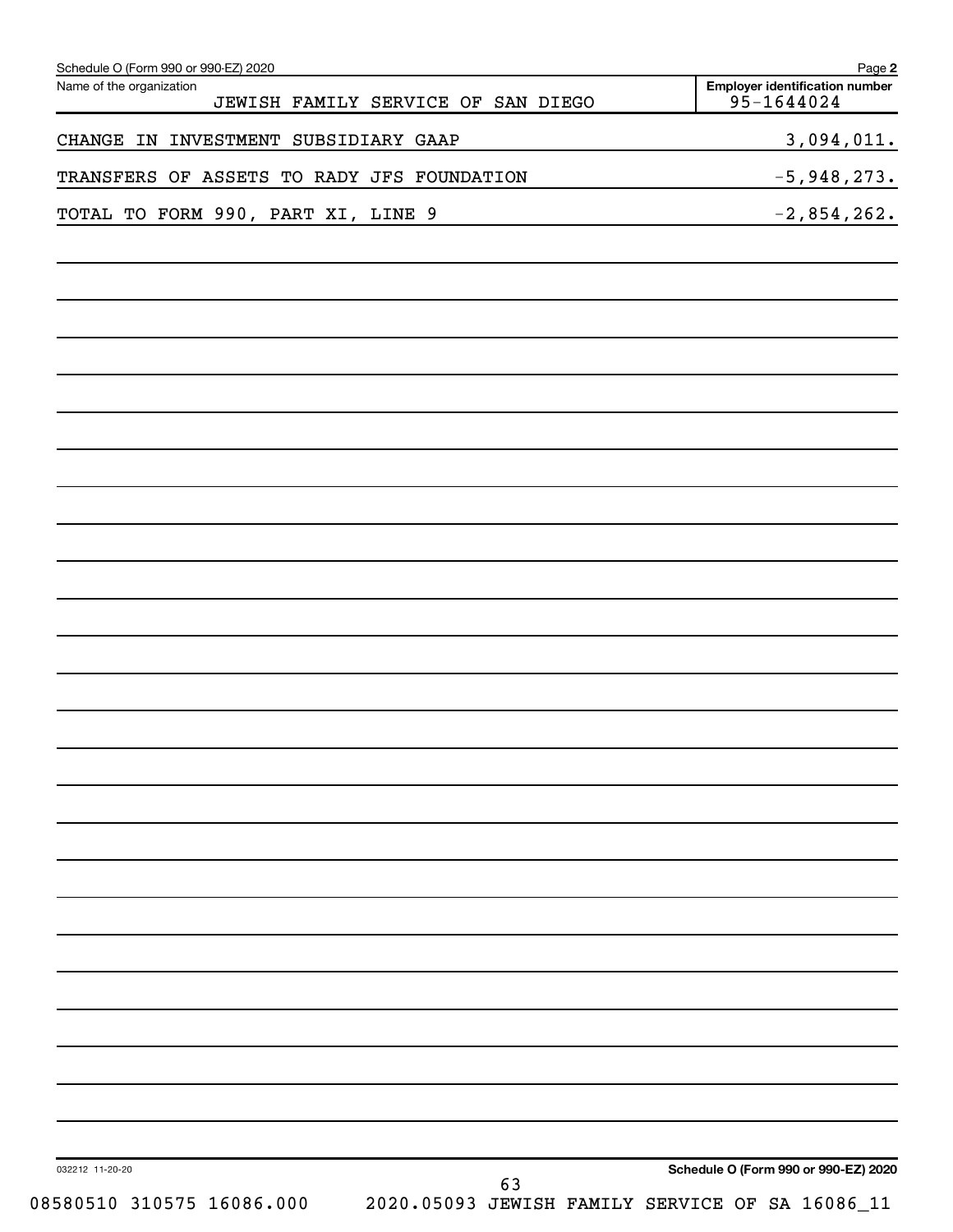| Schedule O (Form 990 or 990-EZ) 2020<br>Name of the organization<br>JEWISH FAMILY SERVICE OF SAN DIEGO | Page 2<br><b>Employer identification number</b><br>95-1644024 |
|--------------------------------------------------------------------------------------------------------|---------------------------------------------------------------|
| CHANGE IN INVESTMENT SUBSIDIARY GAAP                                                                   | 3,094,011.                                                    |
| TRANSFERS OF ASSETS TO RADY JFS FOUNDATION                                                             | $-5,948,273.$                                                 |
| TOTAL TO FORM 990, PART XI, LINE 9<br><u> 1989 - Johann Barn, fransk politik (</u>                     | $-2,854,262.$                                                 |
|                                                                                                        |                                                               |
|                                                                                                        |                                                               |
|                                                                                                        |                                                               |
|                                                                                                        |                                                               |
|                                                                                                        |                                                               |
|                                                                                                        |                                                               |
|                                                                                                        |                                                               |
|                                                                                                        |                                                               |
|                                                                                                        |                                                               |
|                                                                                                        |                                                               |
|                                                                                                        |                                                               |
|                                                                                                        |                                                               |
|                                                                                                        |                                                               |
|                                                                                                        |                                                               |
|                                                                                                        |                                                               |
|                                                                                                        |                                                               |
|                                                                                                        |                                                               |
|                                                                                                        |                                                               |
|                                                                                                        |                                                               |
|                                                                                                        |                                                               |
|                                                                                                        |                                                               |
| 032212 11-20-20<br>63                                                                                  | Schedule O (Form 990 or 990-EZ) 2020                          |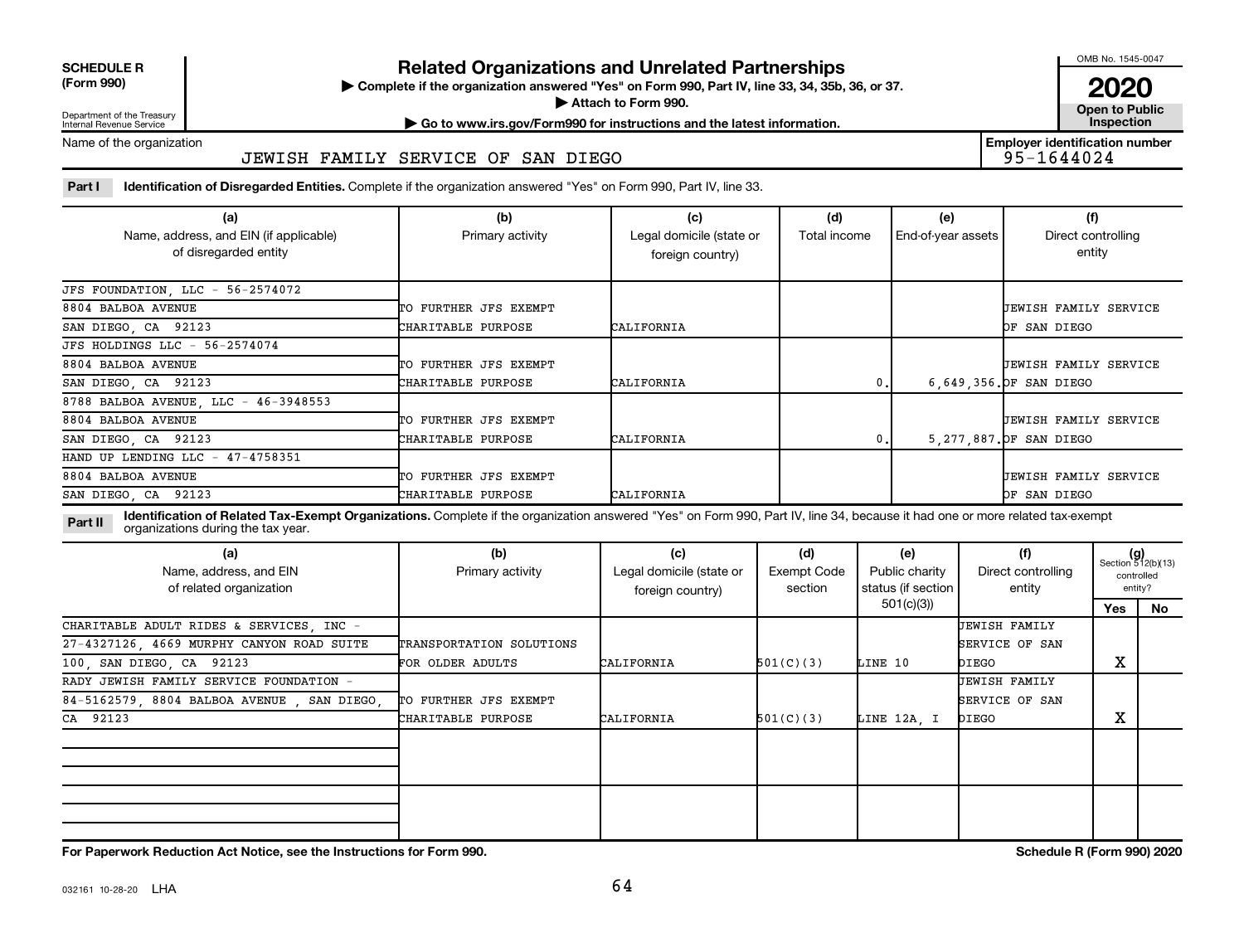**SCHEDULE R**

### **Related Organizations and Unrelated Partnerships**

**(Form 990) Complete if the organization answered "Yes" on Form 990, Part IV, line 33, 34, 35b, 36, or 37.** |

■ Attach to Form 990. **Dependent of Attach to Form 990.** Open to Public

OMB No. 1545-0047

**2020**<br>Open to Public

**Employer identification number**

Department of the Treasury Internal Revenue Service

**| Go to www.irs.gov/Form990 for instructions and the latest information. Inspection**

### Name of the organization

### JEWISH FAMILY SERVICE OF SAN DIEGO

Part I ldentification of Disregarded Entities. Complete if the organization answered "Yes" on Form 990, Part IV, line 33.

| (a)                                                             | (b)                   | (c)                                          | (d)          | (e)                | (f)                          |
|-----------------------------------------------------------------|-----------------------|----------------------------------------------|--------------|--------------------|------------------------------|
| Name, address, and EIN (if applicable)<br>of disregarded entity | Primary activity      | Legal domicile (state or<br>foreign country) | Total income | End-of-year assets | Direct controlling<br>entity |
| JFS FOUNDATION, LLC - 56-2574072                                |                       |                                              |              |                    |                              |
| 8804 BALBOA AVENUE                                              | TO FURTHER JFS EXEMPT |                                              |              |                    | <b>JEWISH FAMILY SERVICE</b> |
| SAN DIEGO, CA 92123                                             | CHARITABLE PURPOSE    | CALIFORNIA                                   |              |                    | OF SAN DIEGO                 |
| JFS HOLDINGS LLC - 56-2574074                                   |                       |                                              |              |                    |                              |
| 8804 BALBOA AVENUE                                              | TO FURTHER JFS EXEMPT |                                              |              |                    | UEWISH FAMILY SERVICE        |
| SAN DIEGO, CA 92123                                             | CHARITABLE PURPOSE    | CALIFORNIA                                   | 0.           |                    | 6,649,356. OF SAN DIEGO      |
| 8788 BALBOA AVENUE, LLC - 46-3948553                            |                       |                                              |              |                    |                              |
| 8804 BALBOA AVENUE                                              | TO FURTHER JFS EXEMPT |                                              |              |                    | UEWISH FAMILY SERVICE        |
| SAN DIEGO, CA 92123                                             | CHARITABLE PURPOSE    | CALIFORNIA                                   | $0$ .        |                    | 5, 277, 887. OF SAN DIEGO    |
| HAND UP LENDING LLC - $47-4758351$                              |                       |                                              |              |                    |                              |
| 8804 BALBOA AVENUE                                              | TO FURTHER JFS EXEMPT |                                              |              |                    | <b>JEWISH FAMILY SERVICE</b> |
| SAN DIEGO, CA 92123                                             | CHARITABLE PURPOSE    | CALIFORNIA                                   |              |                    | OF SAN DIEGO                 |

**Part II** Identification of Related Tax-Exempt Organizations. Complete if the organization answered "Yes" on Form 990, Part IV, line 34, because it had one or more related tax-exempt<br>Part II acconizations during the tax ye organizations during the tax year.

| (a)<br>Name, address, and EIN<br>of related organization | (b)<br>Primary activity  | (c)<br>Legal domicile (state or<br>foreign country) | (d)<br><b>Exempt Code</b><br>section | (e)<br>Public charity<br>status (if section | (f)<br>Direct controlling<br>entity | $(g)$<br>Section 512(b)(13)<br>controlled<br>entity? |    |
|----------------------------------------------------------|--------------------------|-----------------------------------------------------|--------------------------------------|---------------------------------------------|-------------------------------------|------------------------------------------------------|----|
|                                                          |                          |                                                     |                                      | 501(c)(3))                                  |                                     | Yes                                                  | No |
| CHARITABLE ADULT RIDES & SERVICES, INC -                 |                          |                                                     |                                      |                                             | <b>JEWISH FAMILY</b>                |                                                      |    |
| 27-4327126, 4669 MURPHY CANYON ROAD SUITE                | TRANSPORTATION SOLUTIONS |                                                     |                                      |                                             | <b>SERVICE OF SAN</b>               |                                                      |    |
| 100, SAN DIEGO, CA 92123                                 | FOR OLDER ADULTS         | CALIFORNIA                                          | 501(C)(3)                            | LINE 10                                     | DIEGO                               | х                                                    |    |
| RADY JEWISH FAMILY SERVICE FOUNDATION -                  |                          |                                                     |                                      |                                             | <b>JEWISH FAMILY</b>                |                                                      |    |
| 84-5162579, 8804 BALBOA AVENUE, SAN DIEGO,               | TO FURTHER JFS EXEMPT    |                                                     |                                      |                                             | <b>SERVICE OF SAN</b>               |                                                      |    |
| CA 92123                                                 | CHARITABLE PURPOSE       | CALIFORNIA                                          | 501(C)(3)                            | LINE 12A. I                                 | DIEGO                               | х                                                    |    |
|                                                          |                          |                                                     |                                      |                                             |                                     |                                                      |    |
|                                                          |                          |                                                     |                                      |                                             |                                     |                                                      |    |

**For Paperwork Reduction Act Notice, see the Instructions for Form 990. Schedule R (Form 990) 2020**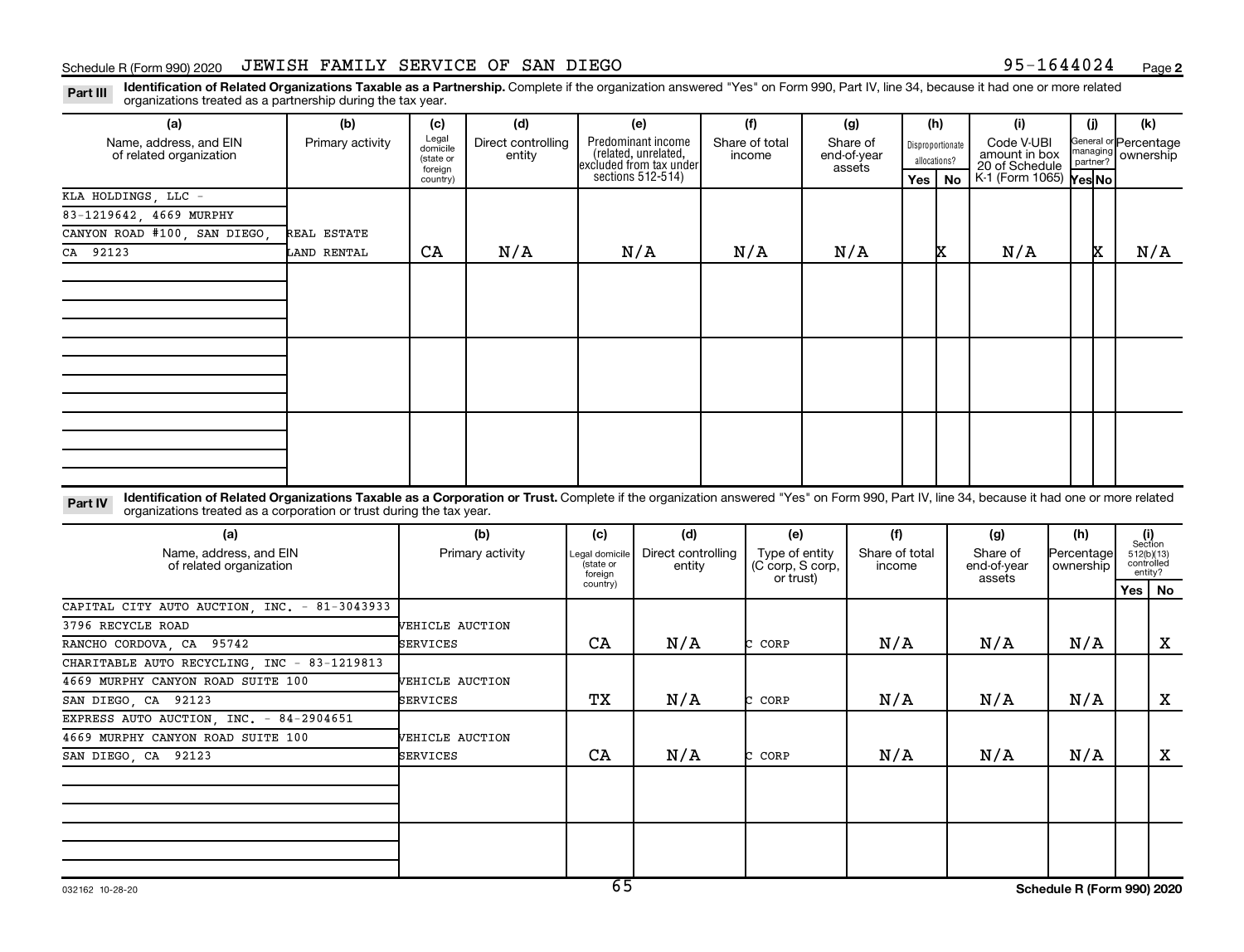### Schedule R (Form 990) 2020 JEWISH FAMILY SERVICE OF SAN DIEGO 95-1644024 Page 95-1644024 Page

**2**

Part III Identification of Related Organizations Taxable as a Partnership. Complete if the organization answered "Yes" on Form 990, Part IV, line 34, because it had one or more related<br>Read to the organizations tracted as organizations treated as a partnership during the tax year.

| organizations treated as a partnership during the tax year.                                                                                                                                                                                                                 |                  |                                                       |                              |                            |                                                                                            |  |                                                 |  |                                   |     |                                               |                                                                  |                         |                                |                                     |     |
|-----------------------------------------------------------------------------------------------------------------------------------------------------------------------------------------------------------------------------------------------------------------------------|------------------|-------------------------------------------------------|------------------------------|----------------------------|--------------------------------------------------------------------------------------------|--|-------------------------------------------------|--|-----------------------------------|-----|-----------------------------------------------|------------------------------------------------------------------|-------------------------|--------------------------------|-------------------------------------|-----|
| (a)                                                                                                                                                                                                                                                                         | (b)              | (c)                                                   | (d)                          |                            | (e)                                                                                        |  | (f)                                             |  | (g)                               |     | (h)                                           | (i)                                                              |                         | (i)                            | (k)                                 |     |
| Name, address, and EIN<br>of related organization                                                                                                                                                                                                                           | Primary activity | Legal<br>domicile<br>(state or<br>foreign<br>country) | Direct controlling<br>entity |                            | Predominant income<br>(related, unrelated,<br>excluded from tax under<br>sections 512-514) |  | Share of total<br>income                        |  | Share of<br>end-of-year<br>assets | Yes | Disproportionate<br>allocations?<br><b>No</b> | Code V-UBI<br>amount in box<br>20 of Schedule<br>K-1 (Form 1065) |                         | nanaging<br>partner?<br>Yes No | Beneral or Percentage<br>ownership  |     |
| KLA HOLDINGS, LLC -                                                                                                                                                                                                                                                         |                  |                                                       |                              |                            |                                                                                            |  |                                                 |  |                                   |     |                                               |                                                                  |                         |                                |                                     |     |
| 83-1219642, 4669 MURPHY                                                                                                                                                                                                                                                     |                  |                                                       |                              |                            |                                                                                            |  |                                                 |  |                                   |     |                                               |                                                                  |                         |                                |                                     |     |
| CANYON ROAD #100, SAN DIEGO,                                                                                                                                                                                                                                                | REAL ESTATE      |                                                       |                              |                            |                                                                                            |  |                                                 |  |                                   |     |                                               |                                                                  |                         |                                |                                     |     |
| CA 92123                                                                                                                                                                                                                                                                    | LAND RENTAL      | CA                                                    | N/A                          |                            | N/A                                                                                        |  | N/A                                             |  | N/A                               |     | x                                             | N/A                                                              |                         | x                              |                                     | N/A |
|                                                                                                                                                                                                                                                                             |                  |                                                       |                              |                            |                                                                                            |  |                                                 |  |                                   |     |                                               |                                                                  |                         |                                |                                     |     |
| Identification of Related Organizations Taxable as a Corporation or Trust. Complete if the organization answered "Yes" on Form 990, Part IV, line 34, because it had one or more related<br>Part IV<br>organizations treated as a corporation or trust during the tax year. |                  |                                                       |                              |                            |                                                                                            |  |                                                 |  |                                   |     |                                               |                                                                  |                         |                                |                                     |     |
| (a)                                                                                                                                                                                                                                                                         |                  |                                                       | (b)                          | (c)                        | (d)                                                                                        |  | (e)                                             |  | (f)                               |     |                                               | (g)                                                              |                         | (h)                            | (i)<br>Section                      |     |
| Name, address, and EIN<br>of related organization                                                                                                                                                                                                                           |                  | Primary activity                                      |                              | egal domicile<br>(state or | Direct controlling<br>entity<br>foreign                                                    |  | Type of entity<br>(C corp, S corp,<br>or trust) |  | Share of total<br>income          |     |                                               | Share of<br>end-of-year                                          | Percentage<br>ownership |                                | 512(b)(13)<br>controlled<br>entity? |     |
|                                                                                                                                                                                                                                                                             |                  |                                                       |                              | country)                   |                                                                                            |  |                                                 |  |                                   |     |                                               | assets                                                           |                         |                                | Yes   No                            |     |
| CAPITAL CITY AUTO AUCTION, INC. - 81-3043933                                                                                                                                                                                                                                |                  |                                                       |                              |                            |                                                                                            |  |                                                 |  |                                   |     |                                               |                                                                  |                         |                                |                                     |     |
| 3796 RECYCLE ROAD                                                                                                                                                                                                                                                           |                  | VEHICLE AUCTION                                       |                              |                            |                                                                                            |  |                                                 |  |                                   |     |                                               |                                                                  |                         |                                |                                     |     |
| RANCHO CORDOVA, CA 95742                                                                                                                                                                                                                                                    |                  | SERVICES                                              |                              | CA                         | N/A                                                                                        |  | C CORP                                          |  | N/A                               |     |                                               | N/A                                                              |                         | N/A                            |                                     | X   |
| CHARITABLE AUTO RECYCLING, INC - 83-1219813                                                                                                                                                                                                                                 |                  |                                                       |                              |                            |                                                                                            |  |                                                 |  |                                   |     |                                               |                                                                  |                         |                                |                                     |     |
| 4669 MURPHY CANYON ROAD SUITE 100                                                                                                                                                                                                                                           |                  | <b>VEHICLE AUCTION</b>                                |                              |                            |                                                                                            |  |                                                 |  |                                   |     |                                               |                                                                  |                         |                                |                                     |     |
| SAN DIEGO, CA 92123                                                                                                                                                                                                                                                         |                  | SERVICES                                              |                              | TХ                         | N/A                                                                                        |  | CORP<br>h.                                      |  | N/A                               |     |                                               | N/A                                                              |                         | N/A                            |                                     | X   |
| EXPRESS AUTO AUCTION, INC. - 84-2904651                                                                                                                                                                                                                                     |                  |                                                       |                              |                            |                                                                                            |  |                                                 |  |                                   |     |                                               |                                                                  |                         |                                |                                     |     |
| 4669 MURPHY CANYON ROAD SUITE 100                                                                                                                                                                                                                                           |                  | <b>VEHICLE AUCTION</b>                                |                              |                            |                                                                                            |  |                                                 |  |                                   |     |                                               |                                                                  |                         |                                |                                     |     |
| SAN DIEGO, CA 92123                                                                                                                                                                                                                                                         |                  | SERVICES                                              |                              | CA                         | N/A                                                                                        |  | C CORP                                          |  | N/A                               |     |                                               | N/A                                                              |                         | N/A                            |                                     | X   |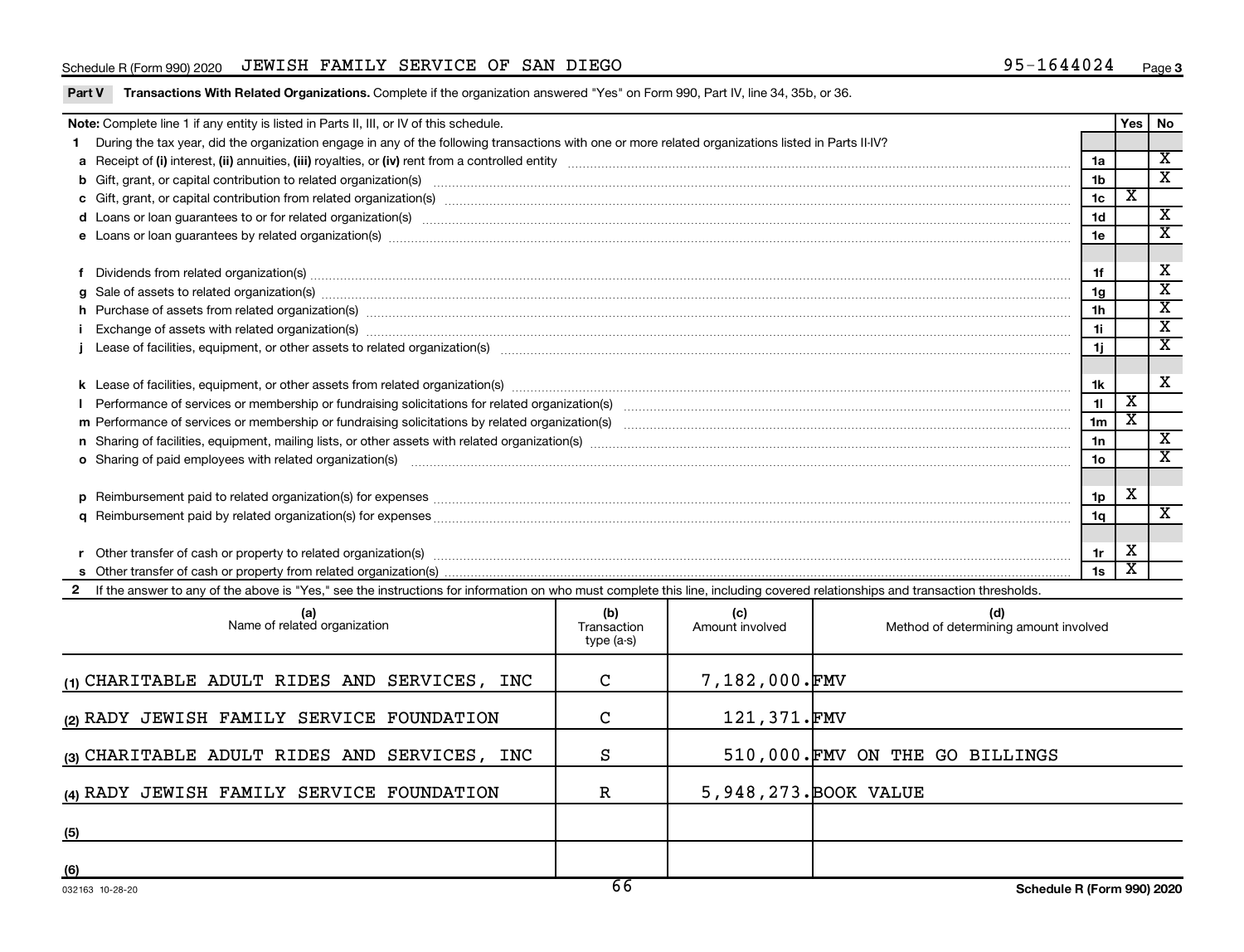### Schedule R (Form 990) 2020 JEWISH FAMILY SERVICE OF SAN DIEGO 95-1644024 Page 95-1644024 Page

|  | Part V Transactions With Related Organizations. Complete if the organization answered "Yes" on Form 990, Part IV, line 34, 35b, or 36. |
|--|----------------------------------------------------------------------------------------------------------------------------------------|
|  |                                                                                                                                        |

| Note: Complete line 1 if any entity is listed in Parts II, III, or IV of this schedule. |                                                                                                                                                                                                                                |                 |                         |                             |  |  |
|-----------------------------------------------------------------------------------------|--------------------------------------------------------------------------------------------------------------------------------------------------------------------------------------------------------------------------------|-----------------|-------------------------|-----------------------------|--|--|
|                                                                                         | During the tax year, did the organization engage in any of the following transactions with one or more related organizations listed in Parts II-IV?                                                                            |                 |                         |                             |  |  |
|                                                                                         |                                                                                                                                                                                                                                |                 |                         |                             |  |  |
|                                                                                         |                                                                                                                                                                                                                                | 1 <sub>b</sub>  |                         | $\overline{\textbf{x}}$     |  |  |
|                                                                                         |                                                                                                                                                                                                                                | 1 <sub>c</sub>  | х                       |                             |  |  |
|                                                                                         | d Loans or loan guarantees to or for related organization(s) www.communically.com/www.communically.com/www.communically.com/www.communically.com/www.communically.com/www.communically.com/www.communically.com/www.communical | 1 <sub>d</sub>  |                         | $\overline{\mathbf{x}}$     |  |  |
|                                                                                         |                                                                                                                                                                                                                                | 1e              |                         | X                           |  |  |
|                                                                                         |                                                                                                                                                                                                                                |                 |                         |                             |  |  |
|                                                                                         | Dividends from related organization(s) manufacture contraction and contract and contract or manufacture contract or manufacture contract or manufacture contract or manufacture contract or manufacture contract or manufactur | 1f              |                         | х                           |  |  |
|                                                                                         |                                                                                                                                                                                                                                | 1 <sub>g</sub>  |                         | X                           |  |  |
|                                                                                         | h Purchase of assets from related organization(s) manufactured content to content the content of an area organization (s) manufactured content to content the content of a state organization (s) manufactured content of a st | 1 <sub>h</sub>  |                         | $\overline{\textbf{x}}$     |  |  |
|                                                                                         | Exchange of assets with related organization(s) www.assettion.com/www.assettion.com/www.assettion.com/www.assettion.com/www.assettion.com/www.assettion.com/www.assettion.com/www.assettion.com/www.assettion.com/www.assettio | 1i              |                         | $\overline{\text{x}}$       |  |  |
|                                                                                         |                                                                                                                                                                                                                                | 1i.             |                         | $\overline{\textnormal{x}}$ |  |  |
|                                                                                         |                                                                                                                                                                                                                                |                 |                         |                             |  |  |
|                                                                                         |                                                                                                                                                                                                                                | 1k              |                         | $\overline{\mathbf{X}}$     |  |  |
|                                                                                         |                                                                                                                                                                                                                                | 11              | $\overline{\texttt{x}}$ |                             |  |  |
|                                                                                         |                                                                                                                                                                                                                                | 1 <sub>m</sub>  | X                       |                             |  |  |
|                                                                                         |                                                                                                                                                                                                                                | 1n              |                         | X                           |  |  |
|                                                                                         | <b>o</b> Sharing of paid employees with related organization(s)                                                                                                                                                                | 10 <sub>o</sub> |                         | $\overline{\textbf{x}}$     |  |  |
|                                                                                         |                                                                                                                                                                                                                                |                 |                         |                             |  |  |
|                                                                                         |                                                                                                                                                                                                                                | 1p              | X                       |                             |  |  |
|                                                                                         |                                                                                                                                                                                                                                | 1 <sub>q</sub>  |                         | $\overline{\textnormal{x}}$ |  |  |
|                                                                                         |                                                                                                                                                                                                                                |                 |                         |                             |  |  |
|                                                                                         |                                                                                                                                                                                                                                | 1r              | X                       |                             |  |  |
|                                                                                         |                                                                                                                                                                                                                                | 1s              | х                       |                             |  |  |
|                                                                                         | 2 If the answer to any of the above is "Yes," see the instructions for information on who must complete this line, including covered relationships and transaction thresholds.                                                 |                 |                         |                             |  |  |

| (a)<br>Name of related organization          | (b)<br>Transaction<br>type (a-s) | (c)<br>Amount involved | (d)<br>Method of determining amount involved |
|----------------------------------------------|----------------------------------|------------------------|----------------------------------------------|
| (1) CHARITABLE ADULT RIDES AND SERVICES, INC | $\mathbf C$                      | 7,182,000.FMV          |                                              |
| (2) RADY JEWISH FAMILY SERVICE FOUNDATION    | C                                | 121,371.FMV            |                                              |
| (3) CHARITABLE ADULT RIDES AND SERVICES, INC | S                                |                        | 510,000. FMV ON THE GO BILLINGS              |
| (4) RADY JEWISH FAMILY SERVICE FOUNDATION    | R                                |                        | 5,948,273. BOOK VALUE                        |
| (5)                                          |                                  |                        |                                              |
| (6)                                          |                                  |                        |                                              |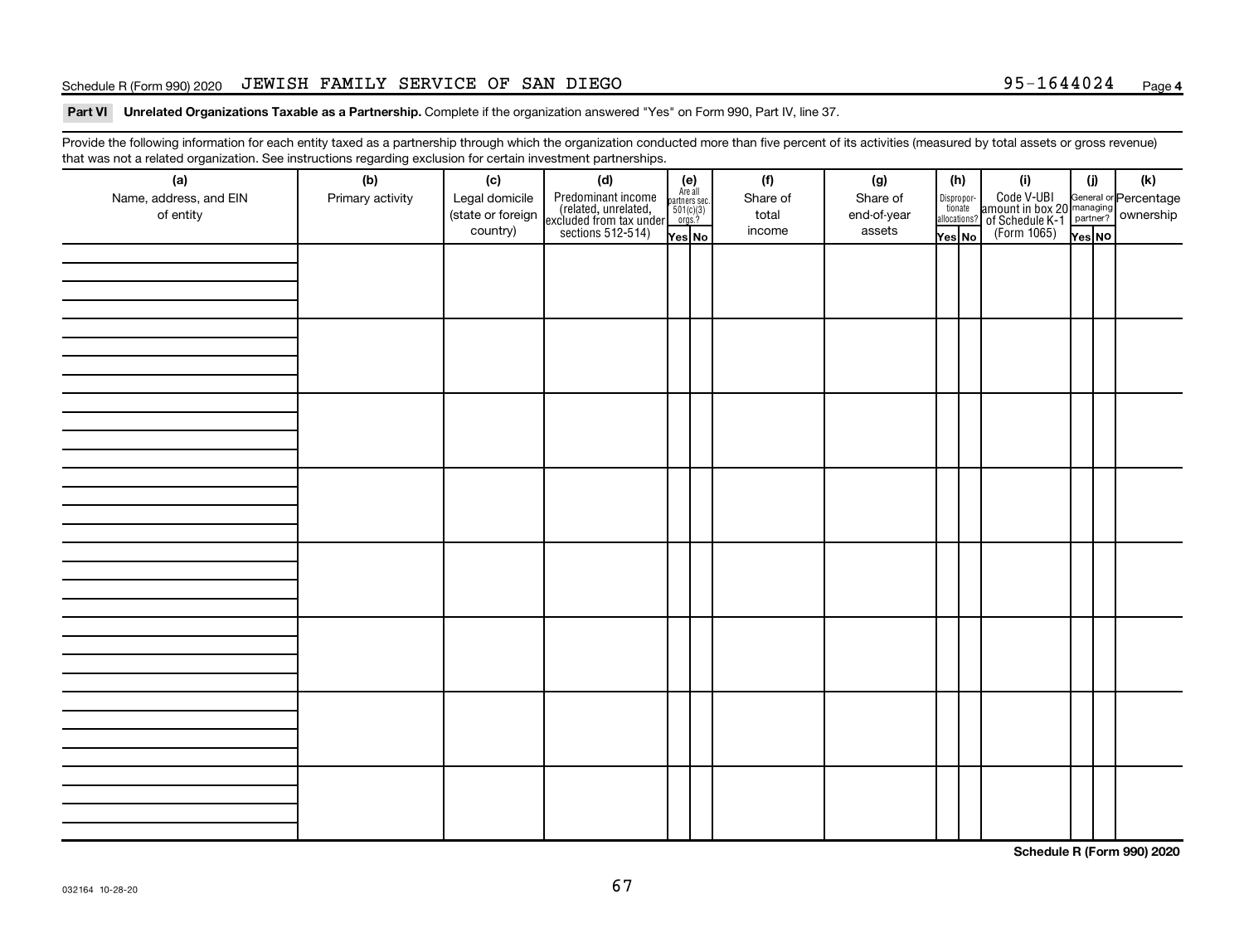### Schedule R (Form 990) 2020 JEWISH FAMILY SERVICE OF SAN DIEGO 95-1644024 Page 95-1644024 Page

### Part VI Unrelated Organizations Taxable as a Partnership. Complete if the organization answered "Yes" on Form 990, Part IV, line 37.

Provide the following information for each entity taxed as a partnership through which the organization conducted more than five percent of its activities (measured by total assets or gross revenue) that was not a related organization. See instructions regarding exclusion for certain investment partnerships.

| (a)<br>Name, address, and EIN<br>of entity | - - -<br>(b)<br>Primary activity | (c)<br>Legal domicile<br>(state or foreign<br>country) | - - - - <sub>1</sub> - - 1<br>(d)<br>Predominant income<br>(related, unrelated,<br>excluded from tax under<br>sections 512-514) | (e)<br>Are all<br>partners sec.<br>$\frac{501(c)(3)}{0rgs?}$<br>Yes No | (f)<br>Share of<br>total<br>income | (g)<br>Share of<br>end-of-year<br>assets | (h)<br>Dispropor-<br>tionate<br>allocations?<br>Yes No | (i)<br>Code V-UBI<br>amount in box 20 managing<br>of Schedule K-1<br>(Form 1065)<br>$\overline{Y_{\text{res}}}\overline{NQ}$ | (i)<br>Yes NO | (k) |
|--------------------------------------------|----------------------------------|--------------------------------------------------------|---------------------------------------------------------------------------------------------------------------------------------|------------------------------------------------------------------------|------------------------------------|------------------------------------------|--------------------------------------------------------|------------------------------------------------------------------------------------------------------------------------------|---------------|-----|
|                                            |                                  |                                                        |                                                                                                                                 |                                                                        |                                    |                                          |                                                        |                                                                                                                              |               |     |
|                                            |                                  |                                                        |                                                                                                                                 |                                                                        |                                    |                                          |                                                        |                                                                                                                              |               |     |
|                                            |                                  |                                                        |                                                                                                                                 |                                                                        |                                    |                                          |                                                        |                                                                                                                              |               |     |
|                                            |                                  |                                                        |                                                                                                                                 |                                                                        |                                    |                                          |                                                        |                                                                                                                              |               |     |
|                                            |                                  |                                                        |                                                                                                                                 |                                                                        |                                    |                                          |                                                        |                                                                                                                              |               |     |
|                                            |                                  |                                                        |                                                                                                                                 |                                                                        |                                    |                                          |                                                        |                                                                                                                              |               |     |
|                                            |                                  |                                                        |                                                                                                                                 |                                                                        |                                    |                                          |                                                        |                                                                                                                              |               |     |
|                                            |                                  |                                                        |                                                                                                                                 |                                                                        |                                    |                                          |                                                        |                                                                                                                              |               |     |

**Schedule R (Form 990) 2020**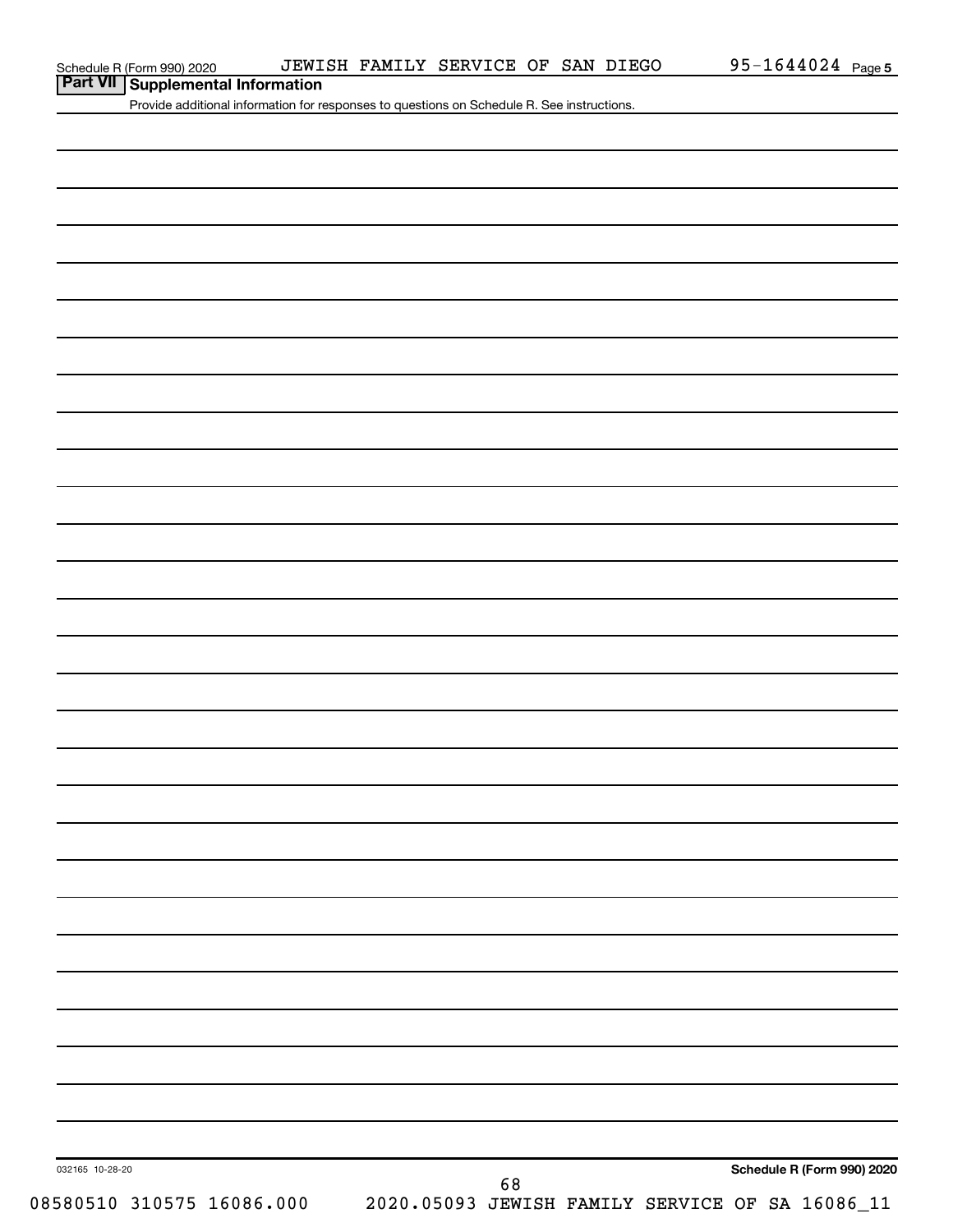**Part VII Supplemental Information**<br>**Part VII Supplemental Information** 

Provide additional information for responses to questions on Schedule R. See instructions.

| 032165 10-28-20 | 08580510 310575 16086.000 |  | 68 |  |  | Schedule R (Form 990) 2020<br>2020.05093 JEWISH FAMILY SERVICE OF SA 16086_11 |
|-----------------|---------------------------|--|----|--|--|-------------------------------------------------------------------------------|
|                 |                           |  |    |  |  |                                                                               |
|                 |                           |  |    |  |  |                                                                               |
|                 |                           |  |    |  |  |                                                                               |
|                 |                           |  |    |  |  |                                                                               |
|                 |                           |  |    |  |  |                                                                               |
|                 |                           |  |    |  |  |                                                                               |
|                 |                           |  |    |  |  |                                                                               |
|                 |                           |  |    |  |  |                                                                               |
|                 |                           |  |    |  |  |                                                                               |
|                 |                           |  |    |  |  |                                                                               |
|                 |                           |  |    |  |  |                                                                               |
|                 |                           |  |    |  |  |                                                                               |
|                 |                           |  |    |  |  |                                                                               |
|                 |                           |  |    |  |  |                                                                               |
|                 |                           |  |    |  |  |                                                                               |
|                 |                           |  |    |  |  |                                                                               |
|                 |                           |  |    |  |  |                                                                               |
|                 |                           |  |    |  |  |                                                                               |
|                 |                           |  |    |  |  |                                                                               |
|                 |                           |  |    |  |  |                                                                               |
|                 |                           |  |    |  |  |                                                                               |